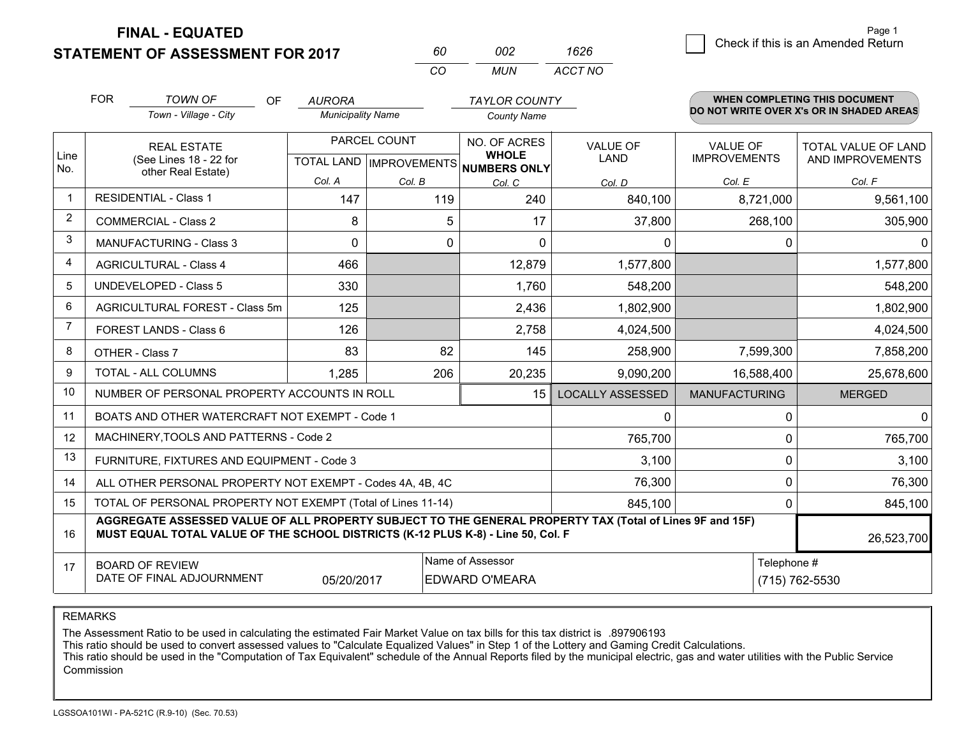**FINAL - EQUATED**

**STATEMENT OF ASSESSMENT FOR 2017** 

| 60. | nnə   | 1626    |
|-----|-------|---------|
| CO. | MI IN | ACCT NO |

|             | <b>FOR</b>                                                                                                                                                                                   | <b>TOWN OF</b><br><b>OF</b>                                  | <b>AURORA</b>            |                           | <b>TAYLOR COUNTY</b>                |                         |                      | <b>WHEN COMPLETING THIS DOCUMENT</b><br>DO NOT WRITE OVER X's OR IN SHADED AREAS |
|-------------|----------------------------------------------------------------------------------------------------------------------------------------------------------------------------------------------|--------------------------------------------------------------|--------------------------|---------------------------|-------------------------------------|-------------------------|----------------------|----------------------------------------------------------------------------------|
|             |                                                                                                                                                                                              | Town - Village - City                                        | <b>Municipality Name</b> |                           | <b>County Name</b>                  |                         |                      |                                                                                  |
|             |                                                                                                                                                                                              | <b>REAL ESTATE</b>                                           |                          | PARCEL COUNT              | NO. OF ACRES                        | <b>VALUE OF</b>         | VALUE OF             | TOTAL VALUE OF LAND                                                              |
| Line<br>No. |                                                                                                                                                                                              | (See Lines 18 - 22 for<br>other Real Estate)                 |                          | TOTAL LAND   IMPROVEMENTS | <b>WHOLE</b><br><b>NUMBERS ONLY</b> | LAND                    | <b>IMPROVEMENTS</b>  | AND IMPROVEMENTS                                                                 |
|             |                                                                                                                                                                                              |                                                              | Col. A                   | Col. B                    | Col. C                              | Col. D                  | Col. E               | Col. F                                                                           |
| $\mathbf 1$ |                                                                                                                                                                                              | <b>RESIDENTIAL - Class 1</b>                                 | 147                      | 119                       | 240                                 | 840,100                 | 8,721,000            | 9,561,100                                                                        |
| 2           |                                                                                                                                                                                              | <b>COMMERCIAL - Class 2</b>                                  | 8                        | 5                         | 17                                  | 37,800                  | 268,100              | 305,900                                                                          |
| 3           |                                                                                                                                                                                              | <b>MANUFACTURING - Class 3</b>                               | $\Omega$                 | 0                         | $\Omega$                            | 0                       | 0                    | $\Omega$                                                                         |
| 4           |                                                                                                                                                                                              | <b>AGRICULTURAL - Class 4</b>                                | 466                      |                           | 12,879                              | 1,577,800               |                      | 1,577,800                                                                        |
| 5           |                                                                                                                                                                                              | <b>UNDEVELOPED - Class 5</b>                                 | 330                      |                           | 1,760                               | 548,200                 |                      | 548,200                                                                          |
| 6           |                                                                                                                                                                                              | AGRICULTURAL FOREST - Class 5m                               | 125                      |                           | 2,436                               | 1,802,900               |                      | 1,802,900                                                                        |
| 7           |                                                                                                                                                                                              | FOREST LANDS - Class 6                                       | 126                      |                           | 2,758                               | 4,024,500               |                      | 4,024,500                                                                        |
| 8           |                                                                                                                                                                                              | OTHER - Class 7                                              | 83                       | 82                        | 145                                 | 258,900                 | 7,599,300            | 7,858,200                                                                        |
| 9           |                                                                                                                                                                                              | TOTAL - ALL COLUMNS                                          | 1,285                    | 206                       | 20,235                              | 9,090,200               | 16,588,400           | 25,678,600                                                                       |
| 10          |                                                                                                                                                                                              | NUMBER OF PERSONAL PROPERTY ACCOUNTS IN ROLL                 |                          |                           | 15                                  | <b>LOCALLY ASSESSED</b> | <b>MANUFACTURING</b> | <b>MERGED</b>                                                                    |
| 11          |                                                                                                                                                                                              | BOATS AND OTHER WATERCRAFT NOT EXEMPT - Code 1               |                          |                           |                                     | 0                       | 0                    | 0                                                                                |
| 12          |                                                                                                                                                                                              | MACHINERY, TOOLS AND PATTERNS - Code 2                       |                          |                           |                                     | 765,700                 | 0                    | 765,700                                                                          |
| 13          |                                                                                                                                                                                              | FURNITURE, FIXTURES AND EQUIPMENT - Code 3                   |                          |                           |                                     | 3,100                   | 0                    | 3,100                                                                            |
| 14          |                                                                                                                                                                                              | ALL OTHER PERSONAL PROPERTY NOT EXEMPT - Codes 4A, 4B, 4C    |                          |                           |                                     | 76,300                  | 0                    | 76,300                                                                           |
| 15          |                                                                                                                                                                                              | TOTAL OF PERSONAL PROPERTY NOT EXEMPT (Total of Lines 11-14) |                          |                           |                                     | 845,100                 | 0                    | 845,100                                                                          |
| 16          | AGGREGATE ASSESSED VALUE OF ALL PROPERTY SUBJECT TO THE GENERAL PROPERTY TAX (Total of Lines 9F and 15F)<br>MUST EQUAL TOTAL VALUE OF THE SCHOOL DISTRICTS (K-12 PLUS K-8) - Line 50, Col. F |                                                              |                          |                           |                                     |                         |                      | 26,523,700                                                                       |
| 17          |                                                                                                                                                                                              | <b>BOARD OF REVIEW</b>                                       |                          |                           | Name of Assessor                    |                         | Telephone #          |                                                                                  |
|             |                                                                                                                                                                                              | DATE OF FINAL ADJOURNMENT                                    | 05/20/2017               |                           | <b>EDWARD O'MEARA</b>               |                         |                      | (715) 762-5530                                                                   |

REMARKS

The Assessment Ratio to be used in calculating the estimated Fair Market Value on tax bills for this tax district is .897906193

This ratio should be used to convert assessed values to "Calculate Equalized Values" in Step 1 of the Lottery and Gaming Credit Calculations.<br>This ratio should be used in the "Computation of Tax Equivalent" schedule of the Commission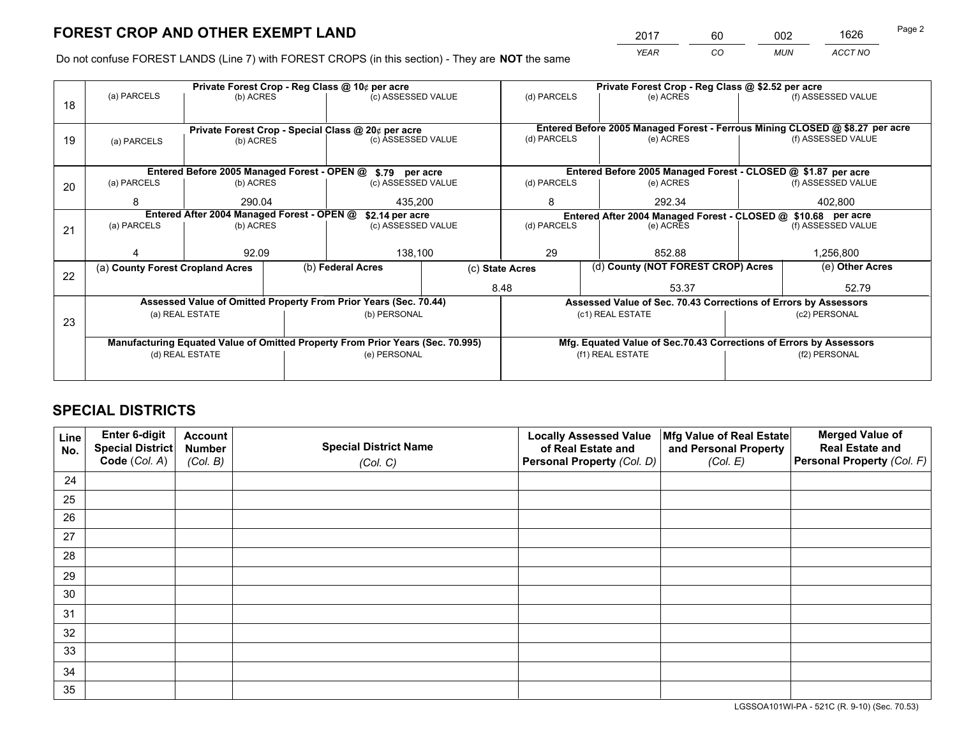*YEAR CO MUN ACCT NO* <sup>2017</sup> <sup>60</sup> <sup>002</sup> <sup>1626</sup>

Do not confuse FOREST LANDS (Line 7) with FOREST CROPS (in this section) - They are **NOT** the same

|    |                                                    |                 |  | Private Forest Crop - Reg Class @ 10¢ per acre                                      |                 |                                                                              | Private Forest Crop - Reg Class @ \$2.52 per acre                  |  |                    |  |
|----|----------------------------------------------------|-----------------|--|-------------------------------------------------------------------------------------|-----------------|------------------------------------------------------------------------------|--------------------------------------------------------------------|--|--------------------|--|
| 18 | (a) PARCELS                                        | (b) ACRES       |  | (c) ASSESSED VALUE                                                                  |                 | (d) PARCELS                                                                  | (e) ACRES                                                          |  | (f) ASSESSED VALUE |  |
|    |                                                    |                 |  |                                                                                     |                 |                                                                              |                                                                    |  |                    |  |
|    | Private Forest Crop - Special Class @ 20¢ per acre |                 |  |                                                                                     |                 | Entered Before 2005 Managed Forest - Ferrous Mining CLOSED @ \$8.27 per acre |                                                                    |  |                    |  |
| 19 | (a) PARCELS                                        | (b) ACRES       |  | (c) ASSESSED VALUE                                                                  |                 | (d) PARCELS                                                                  | (e) ACRES                                                          |  | (f) ASSESSED VALUE |  |
|    |                                                    |                 |  |                                                                                     |                 |                                                                              |                                                                    |  |                    |  |
|    |                                                    |                 |  | Entered Before 2005 Managed Forest - OPEN @ \$.79 per acre                          |                 |                                                                              | Entered Before 2005 Managed Forest - CLOSED @ \$1.87 per acre      |  |                    |  |
| 20 | (a) PARCELS                                        | (b) ACRES       |  | (c) ASSESSED VALUE                                                                  |                 | (d) PARCELS                                                                  | (e) ACRES                                                          |  | (f) ASSESSED VALUE |  |
|    | 8                                                  | 290.04          |  |                                                                                     | 435.200         |                                                                              | 292.34                                                             |  | 402.800            |  |
|    | Entered After 2004 Managed Forest - OPEN @         | \$2.14 per acre |  | Entered After 2004 Managed Forest - CLOSED @ \$10.68 per acre<br>(f) ASSESSED VALUE |                 |                                                                              |                                                                    |  |                    |  |
| 21 | (a) PARCELS                                        | (b) ACRES       |  | (c) ASSESSED VALUE                                                                  | (d) PARCELS     |                                                                              | (e) ACRES                                                          |  |                    |  |
|    |                                                    |                 |  |                                                                                     |                 |                                                                              |                                                                    |  |                    |  |
|    |                                                    | 92.09           |  | 138,100                                                                             |                 | 29<br>852.88                                                                 |                                                                    |  | 1,256,800          |  |
| 22 | (a) County Forest Cropland Acres                   |                 |  | (b) Federal Acres                                                                   | (c) State Acres |                                                                              | (d) County (NOT FOREST CROP) Acres                                 |  | (e) Other Acres    |  |
|    |                                                    |                 |  |                                                                                     |                 | 8.48<br>53.37                                                                |                                                                    |  | 52.79              |  |
|    |                                                    |                 |  | Assessed Value of Omitted Property From Prior Years (Sec. 70.44)                    |                 |                                                                              | Assessed Value of Sec. 70.43 Corrections of Errors by Assessors    |  |                    |  |
| 23 |                                                    | (a) REAL ESTATE |  | (b) PERSONAL                                                                        |                 |                                                                              | (c1) REAL ESTATE                                                   |  | (c2) PERSONAL      |  |
|    |                                                    |                 |  |                                                                                     |                 |                                                                              |                                                                    |  |                    |  |
|    |                                                    |                 |  | Manufacturing Equated Value of Omitted Property From Prior Years (Sec. 70.995)      |                 |                                                                              | Mfg. Equated Value of Sec.70.43 Corrections of Errors by Assessors |  |                    |  |
|    |                                                    | (d) REAL ESTATE |  | (e) PERSONAL                                                                        |                 | (f1) REAL ESTATE                                                             |                                                                    |  | (f2) PERSONAL      |  |
|    |                                                    |                 |  |                                                                                     |                 |                                                                              |                                                                    |  |                    |  |

## **SPECIAL DISTRICTS**

| Line<br>No. | Enter 6-digit<br><b>Special District</b> | <b>Account</b><br><b>Number</b> | <b>Special District Name</b> | <b>Locally Assessed Value</b><br>of Real Estate and | Mfg Value of Real Estate<br>and Personal Property | <b>Merged Value of</b><br><b>Real Estate and</b> |
|-------------|------------------------------------------|---------------------------------|------------------------------|-----------------------------------------------------|---------------------------------------------------|--------------------------------------------------|
|             | Code (Col. A)                            | (Col. B)                        | (Col. C)                     | Personal Property (Col. D)                          | (Col. E)                                          | Personal Property (Col. F)                       |
| 24          |                                          |                                 |                              |                                                     |                                                   |                                                  |
| 25          |                                          |                                 |                              |                                                     |                                                   |                                                  |
| 26          |                                          |                                 |                              |                                                     |                                                   |                                                  |
| 27          |                                          |                                 |                              |                                                     |                                                   |                                                  |
| 28          |                                          |                                 |                              |                                                     |                                                   |                                                  |
| 29          |                                          |                                 |                              |                                                     |                                                   |                                                  |
| 30          |                                          |                                 |                              |                                                     |                                                   |                                                  |
| 31          |                                          |                                 |                              |                                                     |                                                   |                                                  |
| 32          |                                          |                                 |                              |                                                     |                                                   |                                                  |
| 33          |                                          |                                 |                              |                                                     |                                                   |                                                  |
| 34          |                                          |                                 |                              |                                                     |                                                   |                                                  |
| 35          |                                          |                                 |                              |                                                     |                                                   |                                                  |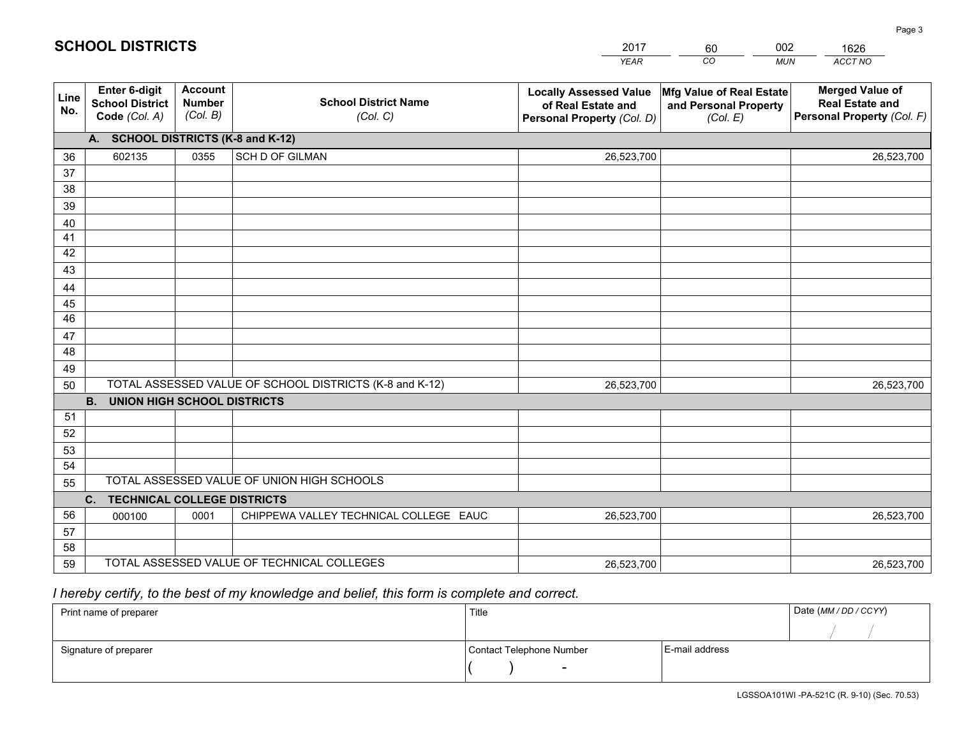|                 |                                                          |                                             |                                                         | <b>YEAR</b>                                                                       | CO<br><b>MUN</b>                                              | ACCT NO                                                                        |
|-----------------|----------------------------------------------------------|---------------------------------------------|---------------------------------------------------------|-----------------------------------------------------------------------------------|---------------------------------------------------------------|--------------------------------------------------------------------------------|
| Line<br>No.     | Enter 6-digit<br><b>School District</b><br>Code (Col. A) | <b>Account</b><br><b>Number</b><br>(Col. B) | <b>School District Name</b><br>(Col. C)                 | <b>Locally Assessed Value</b><br>of Real Estate and<br>Personal Property (Col. D) | Mfg Value of Real Estate<br>and Personal Property<br>(Col. E) | <b>Merged Value of</b><br><b>Real Estate and</b><br>Personal Property (Col. F) |
|                 | A. SCHOOL DISTRICTS (K-8 and K-12)                       |                                             |                                                         |                                                                                   |                                                               |                                                                                |
| 36              | 602135                                                   | 0355                                        | SCH D OF GILMAN                                         | 26,523,700                                                                        |                                                               | 26,523,700                                                                     |
| 37              |                                                          |                                             |                                                         |                                                                                   |                                                               |                                                                                |
| 38              |                                                          |                                             |                                                         |                                                                                   |                                                               |                                                                                |
| 39              |                                                          |                                             |                                                         |                                                                                   |                                                               |                                                                                |
| 40              |                                                          |                                             |                                                         |                                                                                   |                                                               |                                                                                |
| 41<br>42        |                                                          |                                             |                                                         |                                                                                   |                                                               |                                                                                |
| 43              |                                                          |                                             |                                                         |                                                                                   |                                                               |                                                                                |
| 44              |                                                          |                                             |                                                         |                                                                                   |                                                               |                                                                                |
| 45              |                                                          |                                             |                                                         |                                                                                   |                                                               |                                                                                |
| $\overline{46}$ |                                                          |                                             |                                                         |                                                                                   |                                                               |                                                                                |
| 47              |                                                          |                                             |                                                         |                                                                                   |                                                               |                                                                                |
| 48              |                                                          |                                             |                                                         |                                                                                   |                                                               |                                                                                |
| 49              |                                                          |                                             |                                                         |                                                                                   |                                                               |                                                                                |
| 50              |                                                          |                                             | TOTAL ASSESSED VALUE OF SCHOOL DISTRICTS (K-8 and K-12) | 26,523,700                                                                        |                                                               | 26,523,700                                                                     |
|                 | <b>B.</b><br><b>UNION HIGH SCHOOL DISTRICTS</b>          |                                             |                                                         |                                                                                   |                                                               |                                                                                |
| 51              |                                                          |                                             |                                                         |                                                                                   |                                                               |                                                                                |
| 52              |                                                          |                                             |                                                         |                                                                                   |                                                               |                                                                                |
| 53              |                                                          |                                             |                                                         |                                                                                   |                                                               |                                                                                |
| 54              |                                                          |                                             |                                                         |                                                                                   |                                                               |                                                                                |
| 55              |                                                          |                                             | TOTAL ASSESSED VALUE OF UNION HIGH SCHOOLS              |                                                                                   |                                                               |                                                                                |
|                 | C. TECHNICAL COLLEGE DISTRICTS                           |                                             |                                                         |                                                                                   |                                                               |                                                                                |
| 56              | 000100                                                   | 0001                                        | CHIPPEWA VALLEY TECHNICAL COLLEGE EAUC                  | 26,523,700                                                                        |                                                               | 26,523,700                                                                     |
| 57<br>58        |                                                          |                                             |                                                         |                                                                                   |                                                               |                                                                                |
| 59              |                                                          |                                             | TOTAL ASSESSED VALUE OF TECHNICAL COLLEGES              | 26,523,700                                                                        |                                                               | 26,523,700                                                                     |
|                 |                                                          |                                             |                                                         |                                                                                   |                                                               |                                                                                |

60

002

 *I hereby certify, to the best of my knowledge and belief, this form is complete and correct.*

**SCHOOL DISTRICTS**

| Print name of preparer | Title                    |                | Date (MM / DD / CCYY) |
|------------------------|--------------------------|----------------|-----------------------|
|                        |                          |                |                       |
| Signature of preparer  | Contact Telephone Number | E-mail address |                       |
|                        | $\sim$                   |                |                       |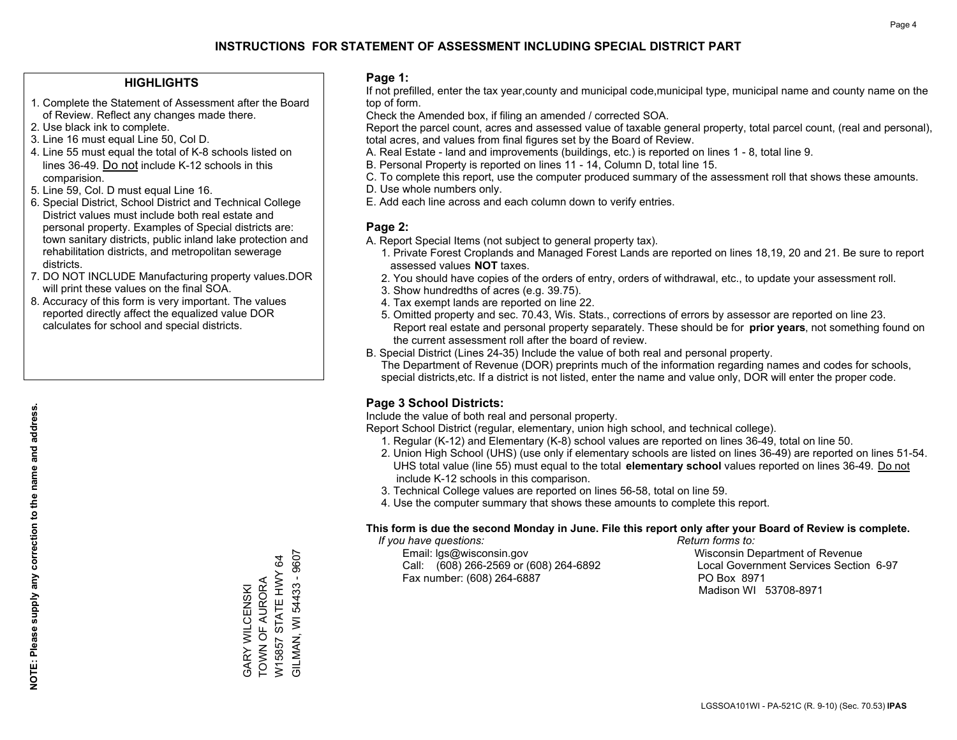## **HIGHLIGHTS**

- 1. Complete the Statement of Assessment after the Board of Review. Reflect any changes made there.
- 2. Use black ink to complete.
- 3. Line 16 must equal Line 50, Col D.
- 4. Line 55 must equal the total of K-8 schools listed on lines 36-49. Do not include K-12 schools in this comparision.
- 5. Line 59, Col. D must equal Line 16.
- 6. Special District, School District and Technical College District values must include both real estate and personal property. Examples of Special districts are: town sanitary districts, public inland lake protection and rehabilitation districts, and metropolitan sewerage districts.
- 7. DO NOT INCLUDE Manufacturing property values.DOR will print these values on the final SOA.
- 8. Accuracy of this form is very important. The values reported directly affect the equalized value DOR calculates for school and special districts.

### **Page 1:**

 If not prefilled, enter the tax year,county and municipal code,municipal type, municipal name and county name on the top of form.

Check the Amended box, if filing an amended / corrected SOA.

 Report the parcel count, acres and assessed value of taxable general property, total parcel count, (real and personal), total acres, and values from final figures set by the Board of Review.

- A. Real Estate land and improvements (buildings, etc.) is reported on lines 1 8, total line 9.
- B. Personal Property is reported on lines 11 14, Column D, total line 15.
- C. To complete this report, use the computer produced summary of the assessment roll that shows these amounts.
- D. Use whole numbers only.
- E. Add each line across and each column down to verify entries.

## **Page 2:**

- A. Report Special Items (not subject to general property tax).
- 1. Private Forest Croplands and Managed Forest Lands are reported on lines 18,19, 20 and 21. Be sure to report assessed values **NOT** taxes.
- 2. You should have copies of the orders of entry, orders of withdrawal, etc., to update your assessment roll.
	- 3. Show hundredths of acres (e.g. 39.75).
- 4. Tax exempt lands are reported on line 22.
- 5. Omitted property and sec. 70.43, Wis. Stats., corrections of errors by assessor are reported on line 23. Report real estate and personal property separately. These should be for **prior years**, not something found on the current assessment roll after the board of review.
- B. Special District (Lines 24-35) Include the value of both real and personal property.
- The Department of Revenue (DOR) preprints much of the information regarding names and codes for schools, special districts,etc. If a district is not listed, enter the name and value only, DOR will enter the proper code.

## **Page 3 School Districts:**

Include the value of both real and personal property.

Report School District (regular, elementary, union high school, and technical college).

- 1. Regular (K-12) and Elementary (K-8) school values are reported on lines 36-49, total on line 50.
- 2. Union High School (UHS) (use only if elementary schools are listed on lines 36-49) are reported on lines 51-54. UHS total value (line 55) must equal to the total **elementary school** values reported on lines 36-49. Do notinclude K-12 schools in this comparison.
- 3. Technical College values are reported on lines 56-58, total on line 59.
- 4. Use the computer summary that shows these amounts to complete this report.

## **This form is due the second Monday in June. File this report only after your Board of Review is complete.**

 *If you have questions: Return forms to:*

 Email: lgs@wisconsin.gov Wisconsin Department of RevenueCall:  $(608)$  266-2569 or  $(608)$  264-6892 Fax number: (608) 264-6887 PO Box 8971

Local Government Services Section 6-97 Madison WI 53708-8971

GILMAN, WI 54433 - 9607 GILMAN, WI 54433 - 9607 W15857 STATE HWY 64 W15857 STATE HWY 64 TOWN OF AURORA TOWN OF AURORA GARY WILCENSKI GARY WILCENSKI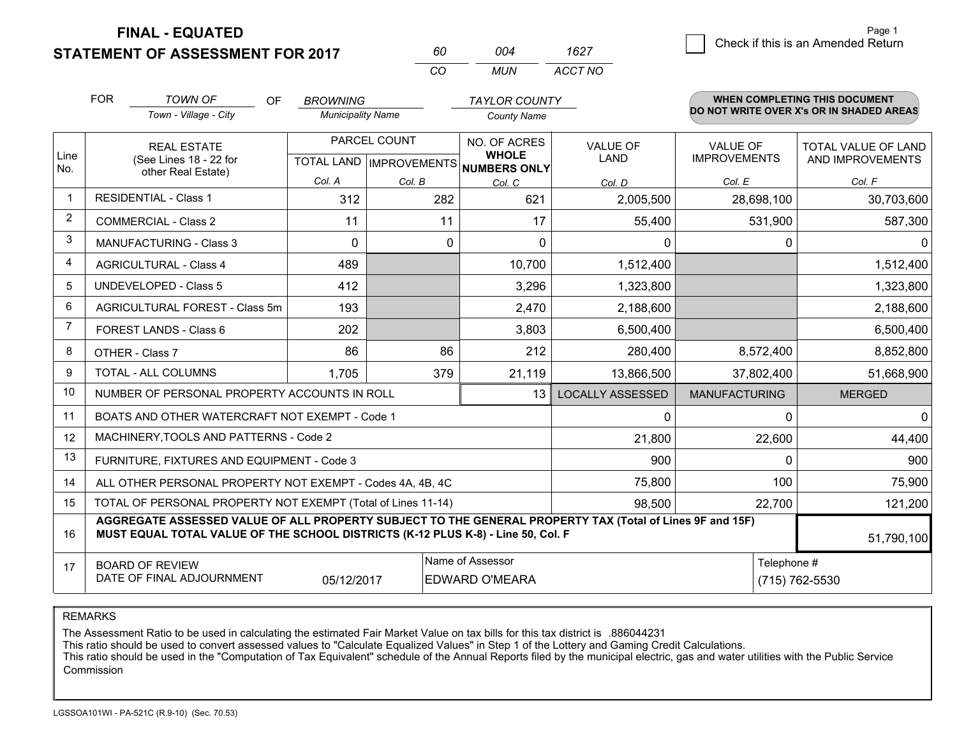**STATEMENT OF ASSESSMENT FOR 2017** 

**FINAL - EQUATED**

7 Check if this is an Amended Return<br>7 Page 1

|                | <b>FOR</b>                                                                                                                                      | <b>TOWN OF</b><br>OF<br>Town - Village - City                                                                                                                                                | <b>BROWNING</b><br><b>Municipality Name</b> |                           | <b>TAYLOR COUNTY</b>               |                         |                                        | <b>WHEN COMPLETING THIS DOCUMENT</b><br>DO NOT WRITE OVER X's OR IN SHADED AREAS |
|----------------|-------------------------------------------------------------------------------------------------------------------------------------------------|----------------------------------------------------------------------------------------------------------------------------------------------------------------------------------------------|---------------------------------------------|---------------------------|------------------------------------|-------------------------|----------------------------------------|----------------------------------------------------------------------------------|
|                |                                                                                                                                                 |                                                                                                                                                                                              |                                             | PARCEL COUNT              | <b>County Name</b><br>NO. OF ACRES |                         |                                        |                                                                                  |
| Line<br>No.    |                                                                                                                                                 | <b>REAL ESTATE</b><br>(See Lines 18 - 22 for<br>other Real Estate)                                                                                                                           |                                             | TOTAL LAND   IMPROVEMENTS | <b>WHOLE</b><br>NUMBERS ONLY       | <b>VALUE OF</b><br>LAND | <b>VALUE OF</b><br><b>IMPROVEMENTS</b> | <b>TOTAL VALUE OF LAND</b><br>AND IMPROVEMENTS                                   |
|                |                                                                                                                                                 |                                                                                                                                                                                              | Col. A                                      | Col. B                    | Col. C                             | Col. D                  | Col. E                                 | Col. F                                                                           |
| $\mathbf{1}$   |                                                                                                                                                 | <b>RESIDENTIAL - Class 1</b>                                                                                                                                                                 | 312                                         | 282                       | 621                                | 2,005,500               | 28,698,100                             | 30,703,600                                                                       |
| $\overline{2}$ |                                                                                                                                                 | <b>COMMERCIAL - Class 2</b>                                                                                                                                                                  | 11                                          | 11                        | 17                                 | 55,400                  | 531,900                                | 587,300                                                                          |
| 3              |                                                                                                                                                 | <b>MANUFACTURING - Class 3</b>                                                                                                                                                               | 0                                           | $\mathbf 0$               | $\Omega$                           | 0                       | $\Omega$                               | $\Omega$                                                                         |
| 4              |                                                                                                                                                 | <b>AGRICULTURAL - Class 4</b>                                                                                                                                                                | 489                                         |                           | 10,700                             | 1,512,400               |                                        | 1,512,400                                                                        |
| 5              |                                                                                                                                                 | <b>UNDEVELOPED - Class 5</b>                                                                                                                                                                 | 412                                         |                           | 3,296                              | 1,323,800               |                                        | 1,323,800                                                                        |
| 6              |                                                                                                                                                 | AGRICULTURAL FOREST - Class 5m                                                                                                                                                               | 193                                         |                           | 2,470                              | 2,188,600               |                                        | 2,188,600                                                                        |
| $\overline{7}$ |                                                                                                                                                 | FOREST LANDS - Class 6                                                                                                                                                                       | 202                                         |                           | 3,803                              | 6,500,400               |                                        | 6,500,400                                                                        |
| 8              |                                                                                                                                                 | OTHER - Class 7                                                                                                                                                                              | 86                                          | 86                        | 212                                | 280,400                 | 8,572,400                              | 8,852,800                                                                        |
| 9              |                                                                                                                                                 | TOTAL - ALL COLUMNS                                                                                                                                                                          | 1,705                                       | 379                       | 21,119                             | 13,866,500              | 37,802,400                             | 51,668,900                                                                       |
| 10             |                                                                                                                                                 | NUMBER OF PERSONAL PROPERTY ACCOUNTS IN ROLL                                                                                                                                                 |                                             |                           | 13                                 | <b>LOCALLY ASSESSED</b> | <b>MANUFACTURING</b>                   | <b>MERGED</b>                                                                    |
| 11             |                                                                                                                                                 | BOATS AND OTHER WATERCRAFT NOT EXEMPT - Code 1                                                                                                                                               |                                             |                           |                                    | 0                       | $\Omega$                               | $\mathbf 0$                                                                      |
| 12             |                                                                                                                                                 | MACHINERY, TOOLS AND PATTERNS - Code 2                                                                                                                                                       |                                             |                           |                                    | 21,800                  | 22,600                                 | 44,400                                                                           |
| 13             |                                                                                                                                                 | FURNITURE, FIXTURES AND EQUIPMENT - Code 3                                                                                                                                                   |                                             |                           |                                    | 900                     | $\Omega$                               | 900                                                                              |
| 14             |                                                                                                                                                 | ALL OTHER PERSONAL PROPERTY NOT EXEMPT - Codes 4A, 4B, 4C                                                                                                                                    |                                             |                           |                                    | 75,800                  | 100                                    | 75,900                                                                           |
| 15             |                                                                                                                                                 | TOTAL OF PERSONAL PROPERTY NOT EXEMPT (Total of Lines 11-14)                                                                                                                                 |                                             |                           | 98,500                             | 22,700                  | 121,200                                |                                                                                  |
| 16             |                                                                                                                                                 | AGGREGATE ASSESSED VALUE OF ALL PROPERTY SUBJECT TO THE GENERAL PROPERTY TAX (Total of Lines 9F and 15F)<br>MUST EQUAL TOTAL VALUE OF THE SCHOOL DISTRICTS (K-12 PLUS K-8) - Line 50, Col. F |                                             |                           |                                    |                         |                                        | 51,790,100                                                                       |
| 17             | Name of Assessor<br>Telephone #<br><b>BOARD OF REVIEW</b><br>DATE OF FINAL ADJOURNMENT<br>05/12/2017<br><b>EDWARD O'MEARA</b><br>(715) 762-5530 |                                                                                                                                                                                              |                                             |                           |                                    |                         |                                        |                                                                                  |

*CO*

*MUN*

*ACCT NO1627*

*<sup>60</sup> <sup>004</sup>*

REMARKS

The Assessment Ratio to be used in calculating the estimated Fair Market Value on tax bills for this tax district is .886044231<br>This ratio should be used to convert assessed values to "Calculate Equalized Values" in Step 1 Commission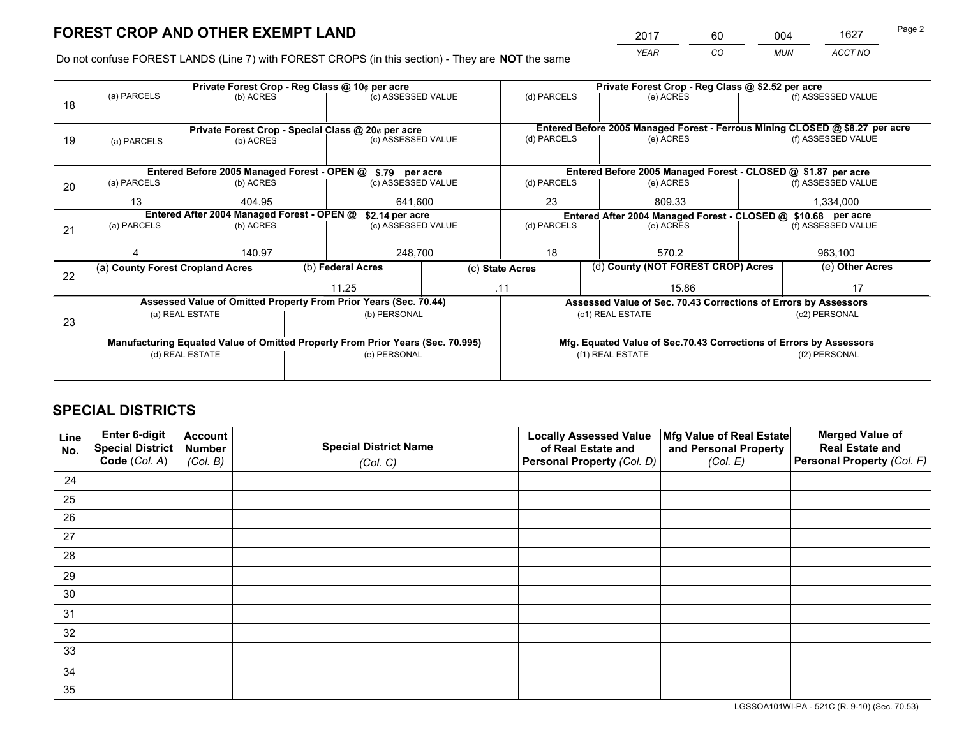*YEAR CO MUN ACCT NO* 2017 60 004 1627

Do not confuse FOREST LANDS (Line 7) with FOREST CROPS (in this section) - They are **NOT** the same

|    |                                  |                                            |  | Private Forest Crop - Reg Class @ 10¢ per acre                                 |         | Private Forest Crop - Reg Class @ \$2.52 per acre |                                    |                                                                    |                    |                                                                              |  |
|----|----------------------------------|--------------------------------------------|--|--------------------------------------------------------------------------------|---------|---------------------------------------------------|------------------------------------|--------------------------------------------------------------------|--------------------|------------------------------------------------------------------------------|--|
| 18 | (a) PARCELS                      | (b) ACRES                                  |  | (c) ASSESSED VALUE                                                             |         | (d) PARCELS                                       |                                    | (e) ACRES                                                          |                    | (f) ASSESSED VALUE                                                           |  |
|    |                                  |                                            |  |                                                                                |         |                                                   |                                    |                                                                    |                    |                                                                              |  |
|    |                                  |                                            |  | Private Forest Crop - Special Class @ 20¢ per acre                             |         |                                                   |                                    |                                                                    |                    | Entered Before 2005 Managed Forest - Ferrous Mining CLOSED @ \$8.27 per acre |  |
| 19 | (a) PARCELS                      | (b) ACRES                                  |  | (c) ASSESSED VALUE                                                             |         | (d) PARCELS                                       |                                    | (e) ACRES                                                          |                    | (f) ASSESSED VALUE                                                           |  |
|    |                                  |                                            |  |                                                                                |         |                                                   |                                    |                                                                    |                    |                                                                              |  |
|    |                                  |                                            |  | Entered Before 2005 Managed Forest - OPEN @ \$.79 per acre                     |         |                                                   |                                    | Entered Before 2005 Managed Forest - CLOSED @ \$1.87 per acre      |                    |                                                                              |  |
| 20 | (a) PARCELS                      | (b) ACRES                                  |  | (c) ASSESSED VALUE                                                             |         | (d) PARCELS                                       |                                    | (e) ACRES                                                          |                    | (f) ASSESSED VALUE                                                           |  |
|    | 13                               | 404.95                                     |  |                                                                                | 641.600 |                                                   |                                    | 809.33                                                             |                    | 1,334,000                                                                    |  |
|    |                                  | Entered After 2004 Managed Forest - OPEN @ |  | \$2.14 per acre                                                                |         |                                                   |                                    | Entered After 2004 Managed Forest - CLOSED @ \$10.68 per acre      |                    |                                                                              |  |
| 21 | (a) PARCELS                      | (b) ACRES                                  |  | (c) ASSESSED VALUE                                                             |         | (d) PARCELS                                       | (e) ACRES                          |                                                                    | (f) ASSESSED VALUE |                                                                              |  |
|    |                                  |                                            |  |                                                                                |         |                                                   |                                    |                                                                    |                    |                                                                              |  |
|    |                                  | 140.97                                     |  | 248,700                                                                        | 18      |                                                   |                                    | 570.2                                                              |                    | 963,100                                                                      |  |
| 22 | (a) County Forest Cropland Acres |                                            |  | (b) Federal Acres<br>(c) State Acres                                           |         |                                                   | (d) County (NOT FOREST CROP) Acres |                                                                    |                    | (e) Other Acres                                                              |  |
|    |                                  |                                            |  | 11.25<br>.11                                                                   |         |                                                   |                                    | 15.86                                                              |                    | 17                                                                           |  |
|    |                                  |                                            |  | Assessed Value of Omitted Property From Prior Years (Sec. 70.44)               |         |                                                   |                                    | Assessed Value of Sec. 70.43 Corrections of Errors by Assessors    |                    |                                                                              |  |
|    |                                  | (a) REAL ESTATE                            |  | (b) PERSONAL                                                                   |         |                                                   | (c1) REAL ESTATE                   |                                                                    |                    | (c2) PERSONAL                                                                |  |
| 23 |                                  |                                            |  |                                                                                |         |                                                   |                                    |                                                                    |                    |                                                                              |  |
|    |                                  |                                            |  | Manufacturing Equated Value of Omitted Property From Prior Years (Sec. 70.995) |         |                                                   |                                    | Mfg. Equated Value of Sec.70.43 Corrections of Errors by Assessors |                    |                                                                              |  |
|    |                                  | (d) REAL ESTATE                            |  | (e) PERSONAL                                                                   |         | (f1) REAL ESTATE                                  |                                    |                                                                    | (f2) PERSONAL      |                                                                              |  |
|    |                                  |                                            |  |                                                                                |         |                                                   |                                    |                                                                    |                    |                                                                              |  |

## **SPECIAL DISTRICTS**

| Line<br>No. | Enter 6-digit<br>Special District<br>Code (Col. A) | <b>Account</b><br><b>Number</b><br>(Col. B) | <b>Special District Name</b><br>(Col. C) | <b>Locally Assessed Value</b><br>of Real Estate and<br>Personal Property (Col. D) | Mfg Value of Real Estate<br>and Personal Property<br>(Col. E) | <b>Merged Value of</b><br><b>Real Estate and</b><br>Personal Property (Col. F) |
|-------------|----------------------------------------------------|---------------------------------------------|------------------------------------------|-----------------------------------------------------------------------------------|---------------------------------------------------------------|--------------------------------------------------------------------------------|
| 24          |                                                    |                                             |                                          |                                                                                   |                                                               |                                                                                |
| 25          |                                                    |                                             |                                          |                                                                                   |                                                               |                                                                                |
| 26          |                                                    |                                             |                                          |                                                                                   |                                                               |                                                                                |
| 27          |                                                    |                                             |                                          |                                                                                   |                                                               |                                                                                |
| 28          |                                                    |                                             |                                          |                                                                                   |                                                               |                                                                                |
| 29          |                                                    |                                             |                                          |                                                                                   |                                                               |                                                                                |
| 30          |                                                    |                                             |                                          |                                                                                   |                                                               |                                                                                |
| 31          |                                                    |                                             |                                          |                                                                                   |                                                               |                                                                                |
| 32          |                                                    |                                             |                                          |                                                                                   |                                                               |                                                                                |
| 33          |                                                    |                                             |                                          |                                                                                   |                                                               |                                                                                |
| 34          |                                                    |                                             |                                          |                                                                                   |                                                               |                                                                                |
| 35          |                                                    |                                             |                                          |                                                                                   |                                                               |                                                                                |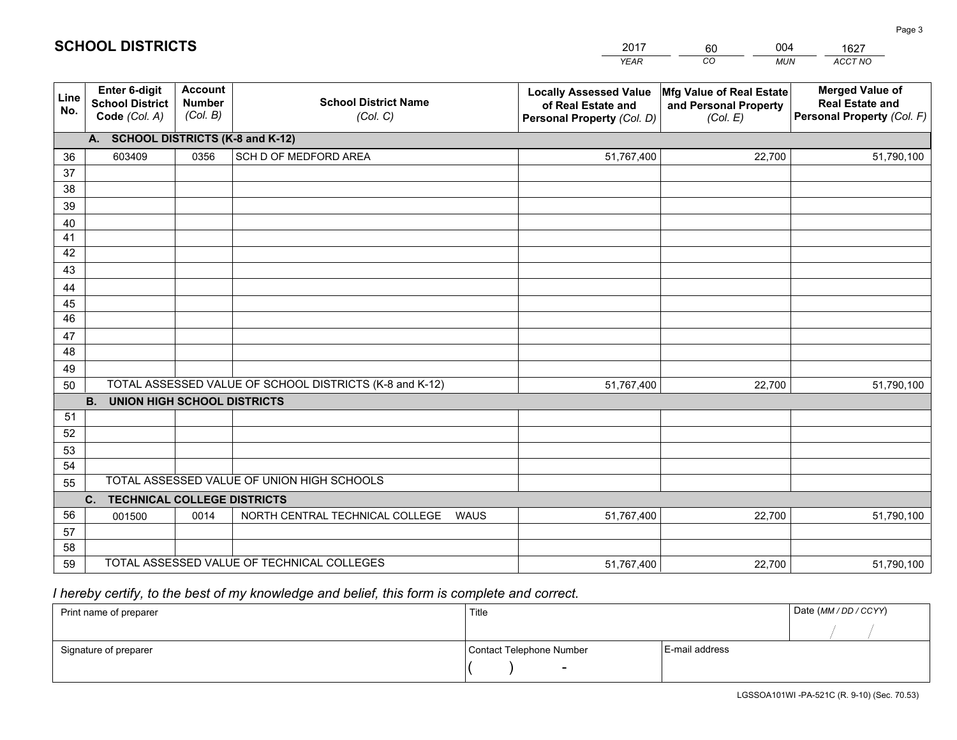|             |                                                                 |                                             |                                                         | <b>YEAR</b>                                                                       | CO<br><b>MUN</b>                                              | ACCT NO                                                                        |
|-------------|-----------------------------------------------------------------|---------------------------------------------|---------------------------------------------------------|-----------------------------------------------------------------------------------|---------------------------------------------------------------|--------------------------------------------------------------------------------|
| Line<br>No. | <b>Enter 6-digit</b><br><b>School District</b><br>Code (Col. A) | <b>Account</b><br><b>Number</b><br>(Col. B) | <b>School District Name</b><br>(Col. C)                 | <b>Locally Assessed Value</b><br>of Real Estate and<br>Personal Property (Col. D) | Mfg Value of Real Estate<br>and Personal Property<br>(Col. E) | <b>Merged Value of</b><br><b>Real Estate and</b><br>Personal Property (Col. F) |
|             | A. SCHOOL DISTRICTS (K-8 and K-12)                              |                                             |                                                         |                                                                                   |                                                               |                                                                                |
| 36          | 603409                                                          | 0356                                        | SCH D OF MEDFORD AREA                                   | 51,767,400                                                                        | 22,700                                                        | 51,790,100                                                                     |
| 37          |                                                                 |                                             |                                                         |                                                                                   |                                                               |                                                                                |
| 38          |                                                                 |                                             |                                                         |                                                                                   |                                                               |                                                                                |
| 39          |                                                                 |                                             |                                                         |                                                                                   |                                                               |                                                                                |
| 40          |                                                                 |                                             |                                                         |                                                                                   |                                                               |                                                                                |
| 41<br>42    |                                                                 |                                             |                                                         |                                                                                   |                                                               |                                                                                |
| 43          |                                                                 |                                             |                                                         |                                                                                   |                                                               |                                                                                |
|             |                                                                 |                                             |                                                         |                                                                                   |                                                               |                                                                                |
| 44<br>45    |                                                                 |                                             |                                                         |                                                                                   |                                                               |                                                                                |
| 46          |                                                                 |                                             |                                                         |                                                                                   |                                                               |                                                                                |
| 47          |                                                                 |                                             |                                                         |                                                                                   |                                                               |                                                                                |
| 48          |                                                                 |                                             |                                                         |                                                                                   |                                                               |                                                                                |
| 49          |                                                                 |                                             |                                                         |                                                                                   |                                                               |                                                                                |
| 50          |                                                                 |                                             | TOTAL ASSESSED VALUE OF SCHOOL DISTRICTS (K-8 and K-12) | 51,767,400                                                                        | 22,700                                                        | 51,790,100                                                                     |
|             | <b>B.</b><br><b>UNION HIGH SCHOOL DISTRICTS</b>                 |                                             |                                                         |                                                                                   |                                                               |                                                                                |
| 51          |                                                                 |                                             |                                                         |                                                                                   |                                                               |                                                                                |
| 52          |                                                                 |                                             |                                                         |                                                                                   |                                                               |                                                                                |
| 53          |                                                                 |                                             |                                                         |                                                                                   |                                                               |                                                                                |
| 54          |                                                                 |                                             |                                                         |                                                                                   |                                                               |                                                                                |
| 55          |                                                                 |                                             | TOTAL ASSESSED VALUE OF UNION HIGH SCHOOLS              |                                                                                   |                                                               |                                                                                |
|             | C.<br><b>TECHNICAL COLLEGE DISTRICTS</b>                        |                                             |                                                         |                                                                                   |                                                               |                                                                                |
| 56          | 001500                                                          | 0014                                        | NORTH CENTRAL TECHNICAL COLLEGE<br>WAUS                 | 51,767,400                                                                        | 22,700                                                        | 51,790,100                                                                     |
| 57<br>58    |                                                                 |                                             |                                                         |                                                                                   |                                                               |                                                                                |
| 59          |                                                                 |                                             | TOTAL ASSESSED VALUE OF TECHNICAL COLLEGES              | 51,767,400                                                                        | 22,700                                                        | 51,790,100                                                                     |
|             |                                                                 |                                             |                                                         |                                                                                   |                                                               |                                                                                |

60

004

 *I hereby certify, to the best of my knowledge and belief, this form is complete and correct.*

**SCHOOL DISTRICTS**

| Print name of preparer | Title                    |                | Date (MM / DD / CCYY) |
|------------------------|--------------------------|----------------|-----------------------|
|                        |                          |                |                       |
| Signature of preparer  | Contact Telephone Number | E-mail address |                       |
|                        | $\overline{\phantom{0}}$ |                |                       |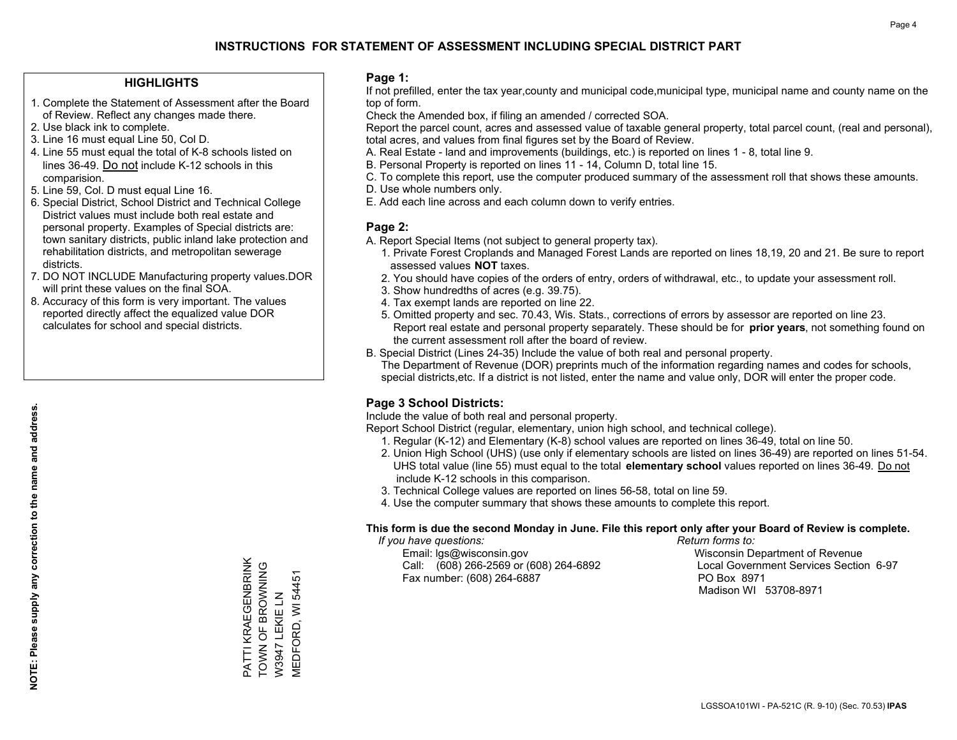### **HIGHLIGHTS**

- 1. Complete the Statement of Assessment after the Board of Review. Reflect any changes made there.
- 2. Use black ink to complete.
- 3. Line 16 must equal Line 50, Col D.
- 4. Line 55 must equal the total of K-8 schools listed on lines 36-49. Do not include K-12 schools in this comparision.
- 5. Line 59, Col. D must equal Line 16.
- 6. Special District, School District and Technical College District values must include both real estate and personal property. Examples of Special districts are: town sanitary districts, public inland lake protection and rehabilitation districts, and metropolitan sewerage districts.
- 7. DO NOT INCLUDE Manufacturing property values.DOR will print these values on the final SOA.
- 8. Accuracy of this form is very important. The values reported directly affect the equalized value DOR calculates for school and special districts.

### **Page 1:**

 If not prefilled, enter the tax year,county and municipal code,municipal type, municipal name and county name on the top of form.

Check the Amended box, if filing an amended / corrected SOA.

 Report the parcel count, acres and assessed value of taxable general property, total parcel count, (real and personal), total acres, and values from final figures set by the Board of Review.

- A. Real Estate land and improvements (buildings, etc.) is reported on lines 1 8, total line 9.
- B. Personal Property is reported on lines 11 14, Column D, total line 15.
- C. To complete this report, use the computer produced summary of the assessment roll that shows these amounts.
- D. Use whole numbers only.
- E. Add each line across and each column down to verify entries.

### **Page 2:**

- A. Report Special Items (not subject to general property tax).
- 1. Private Forest Croplands and Managed Forest Lands are reported on lines 18,19, 20 and 21. Be sure to report assessed values **NOT** taxes.
- 2. You should have copies of the orders of entry, orders of withdrawal, etc., to update your assessment roll.
	- 3. Show hundredths of acres (e.g. 39.75).
- 4. Tax exempt lands are reported on line 22.
- 5. Omitted property and sec. 70.43, Wis. Stats., corrections of errors by assessor are reported on line 23. Report real estate and personal property separately. These should be for **prior years**, not something found on the current assessment roll after the board of review.
- B. Special District (Lines 24-35) Include the value of both real and personal property.
- The Department of Revenue (DOR) preprints much of the information regarding names and codes for schools, special districts,etc. If a district is not listed, enter the name and value only, DOR will enter the proper code.

## **Page 3 School Districts:**

Include the value of both real and personal property.

Report School District (regular, elementary, union high school, and technical college).

- 1. Regular (K-12) and Elementary (K-8) school values are reported on lines 36-49, total on line 50.
- 2. Union High School (UHS) (use only if elementary schools are listed on lines 36-49) are reported on lines 51-54. UHS total value (line 55) must equal to the total **elementary school** values reported on lines 36-49. Do notinclude K-12 schools in this comparison.
- 3. Technical College values are reported on lines 56-58, total on line 59.
- 4. Use the computer summary that shows these amounts to complete this report.

#### **This form is due the second Monday in June. File this report only after your Board of Review is complete.**

 *If you have questions: Return forms to:*

 Email: lgs@wisconsin.gov Wisconsin Department of RevenueCall:  $(608)$  266-2569 or  $(608)$  264-6892 Fax number: (608) 264-6887 PO Box 8971

Local Government Services Section 6-97 Madison WI 53708-8971

PATTI KRAEGENBRINK PATTI KRAEGENBRINK TOWN OF BROWNING TOWN OF BROWNING<br>W3947 LEKIE LN VIEDFORD, WI 54451 MEDFORD, WI 54451 W3947 LEKIE LN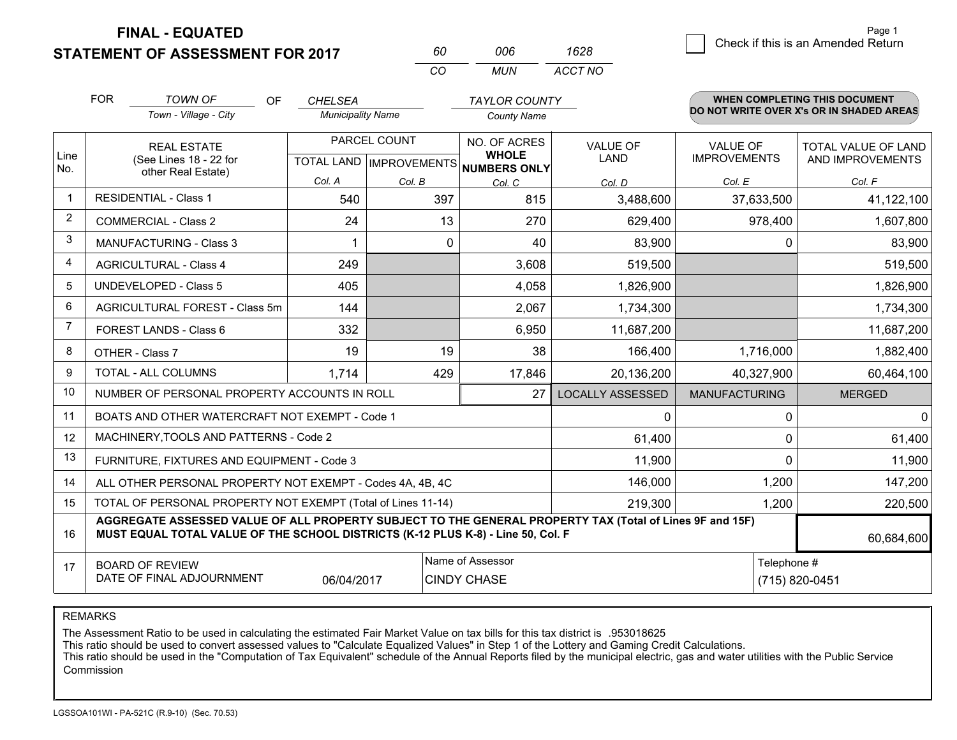**FINAL - EQUATED**

**STATEMENT OF ASSESSMENT FOR 2017** 

| 60  | 006 | 1628    |  |
|-----|-----|---------|--|
| -CO | MUN | ACCT NO |  |

|                | <b>FOR</b>                                                                       | <b>TOWN OF</b><br>OF                                                                                     | <b>CHELSEA</b>           |                           | <b>TAYLOR COUNTY</b>                |                         |                      | <b>WHEN COMPLETING THIS DOCUMENT</b>     |  |
|----------------|----------------------------------------------------------------------------------|----------------------------------------------------------------------------------------------------------|--------------------------|---------------------------|-------------------------------------|-------------------------|----------------------|------------------------------------------|--|
|                |                                                                                  | Town - Village - City                                                                                    | <b>Municipality Name</b> |                           | <b>County Name</b>                  |                         |                      | DO NOT WRITE OVER X's OR IN SHADED AREAS |  |
|                |                                                                                  | <b>REAL ESTATE</b>                                                                                       |                          | PARCEL COUNT              | NO. OF ACRES                        | <b>VALUE OF</b>         | <b>VALUE OF</b>      | <b>TOTAL VALUE OF LAND</b>               |  |
| Line<br>No.    |                                                                                  | (See Lines 18 - 22 for<br>other Real Estate)                                                             |                          | TOTAL LAND   IMPROVEMENTS | <b>WHOLE</b><br><b>NUMBERS ONLY</b> | LAND                    | <b>IMPROVEMENTS</b>  | AND IMPROVEMENTS                         |  |
|                |                                                                                  |                                                                                                          | Col. A                   | Col. B                    | Col. C                              | Col. D                  | Col. E               | Col. F                                   |  |
| $\mathbf 1$    |                                                                                  | <b>RESIDENTIAL - Class 1</b>                                                                             | 540                      | 397                       | 815                                 | 3,488,600               | 37,633,500           | 41,122,100                               |  |
| 2              |                                                                                  | <b>COMMERCIAL - Class 2</b>                                                                              | 24                       | 13                        | 270                                 | 629,400                 | 978,400              | 1,607,800                                |  |
| 3              |                                                                                  | MANUFACTURING - Class 3                                                                                  |                          | 0                         | 40                                  | 83,900                  | 0                    | 83,900                                   |  |
| 4              |                                                                                  | <b>AGRICULTURAL - Class 4</b>                                                                            | 249                      |                           | 3,608                               | 519,500                 |                      | 519,500                                  |  |
| 5              |                                                                                  | UNDEVELOPED - Class 5                                                                                    | 405                      |                           | 4,058                               | 1,826,900               |                      | 1,826,900                                |  |
| 6              | <b>AGRICULTURAL FOREST - Class 5m</b>                                            |                                                                                                          | 144                      |                           | 2,067                               | 1,734,300               |                      | 1,734,300                                |  |
| $\overline{7}$ | FOREST LANDS - Class 6                                                           |                                                                                                          | 332                      |                           | 6,950                               | 11,687,200              |                      | 11,687,200                               |  |
| 8              |                                                                                  | OTHER - Class 7                                                                                          | 19                       | 19                        | 38                                  | 166,400                 | 1,716,000            | 1,882,400                                |  |
| 9              |                                                                                  | TOTAL - ALL COLUMNS                                                                                      | 1,714<br>429             |                           | 17,846                              | 20,136,200              | 40,327,900           | 60,464,100                               |  |
| 10             |                                                                                  | NUMBER OF PERSONAL PROPERTY ACCOUNTS IN ROLL                                                             |                          |                           | 27                                  | <b>LOCALLY ASSESSED</b> | <b>MANUFACTURING</b> | <b>MERGED</b>                            |  |
| 11             |                                                                                  | BOATS AND OTHER WATERCRAFT NOT EXEMPT - Code 1                                                           |                          |                           |                                     | $\mathbf{0}$            | $\mathbf 0$          | $\Omega$                                 |  |
| 12             |                                                                                  | MACHINERY, TOOLS AND PATTERNS - Code 2                                                                   |                          |                           |                                     | 61,400                  | 0                    | 61,400                                   |  |
| 13             |                                                                                  | FURNITURE, FIXTURES AND EQUIPMENT - Code 3                                                               |                          |                           |                                     | 11,900                  | $\Omega$             | 11,900                                   |  |
| 14             |                                                                                  | ALL OTHER PERSONAL PROPERTY NOT EXEMPT - Codes 4A, 4B, 4C                                                |                          |                           |                                     | 146,000                 | 1,200                | 147,200                                  |  |
| 15             |                                                                                  | TOTAL OF PERSONAL PROPERTY NOT EXEMPT (Total of Lines 11-14)                                             |                          |                           |                                     | 219,300                 | 1,200                | 220,500                                  |  |
| 16             | MUST EQUAL TOTAL VALUE OF THE SCHOOL DISTRICTS (K-12 PLUS K-8) - Line 50, Col. F | AGGREGATE ASSESSED VALUE OF ALL PROPERTY SUBJECT TO THE GENERAL PROPERTY TAX (Total of Lines 9F and 15F) | 60,684,600               |                           |                                     |                         |                      |                                          |  |
| 17             |                                                                                  | <b>BOARD OF REVIEW</b>                                                                                   |                          |                           | Name of Assessor                    |                         |                      | Telephone #                              |  |
|                |                                                                                  | DATE OF FINAL ADJOURNMENT                                                                                | 06/04/2017               |                           | <b>CINDY CHASE</b>                  |                         |                      | (715) 820-0451                           |  |

REMARKS

The Assessment Ratio to be used in calculating the estimated Fair Market Value on tax bills for this tax district is .953018625

This ratio should be used to convert assessed values to "Calculate Equalized Values" in Step 1 of the Lottery and Gaming Credit Calculations.<br>This ratio should be used in the "Computation of Tax Equivalent" schedule of the Commission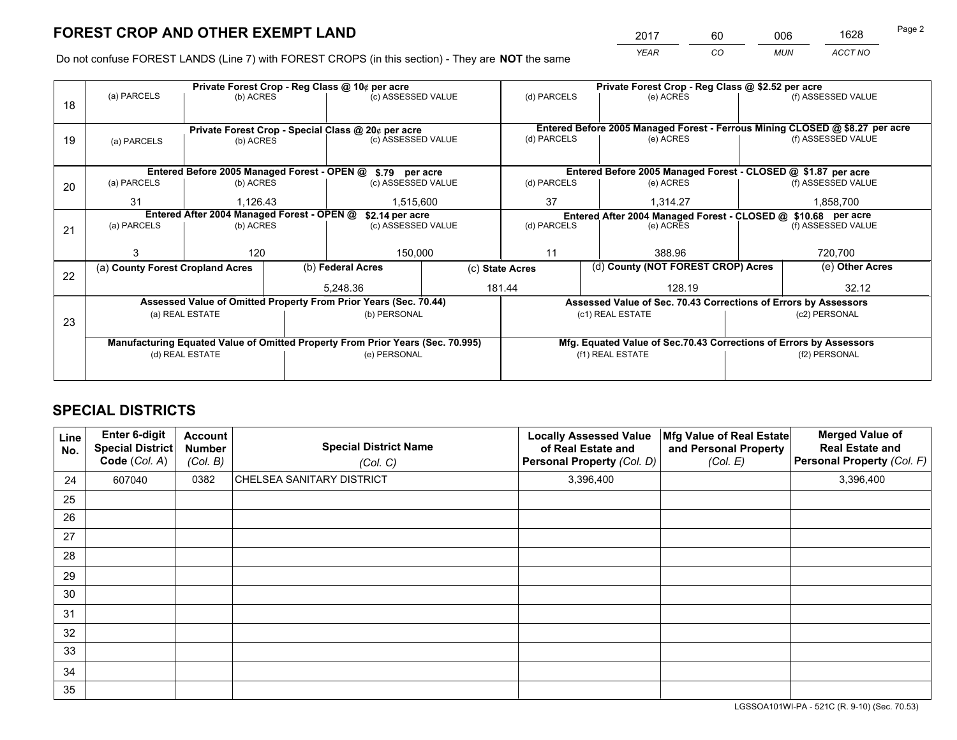*YEAR CO MUN ACCT NO* <sup>2017</sup> <sup>60</sup> <sup>006</sup> <sup>1628</sup>

Do not confuse FOREST LANDS (Line 7) with FOREST CROPS (in this section) - They are **NOT** the same

|    |                                            |                 |              | Private Forest Crop - Reg Class @ 10¢ per acre                                 |                                                                              | Private Forest Crop - Reg Class @ \$2.52 per acre             |                  |                                                                    |                                                                 |                    |
|----|--------------------------------------------|-----------------|--------------|--------------------------------------------------------------------------------|------------------------------------------------------------------------------|---------------------------------------------------------------|------------------|--------------------------------------------------------------------|-----------------------------------------------------------------|--------------------|
| 18 | (a) PARCELS                                | (b) ACRES       |              | (c) ASSESSED VALUE                                                             |                                                                              | (d) PARCELS                                                   |                  | (e) ACRES                                                          |                                                                 | (f) ASSESSED VALUE |
|    |                                            |                 |              |                                                                                |                                                                              |                                                               |                  |                                                                    |                                                                 |                    |
|    |                                            |                 |              | Private Forest Crop - Special Class @ 20¢ per acre                             | Entered Before 2005 Managed Forest - Ferrous Mining CLOSED @ \$8.27 per acre |                                                               |                  |                                                                    |                                                                 |                    |
| 19 | (a) PARCELS                                | (b) ACRES       |              | (c) ASSESSED VALUE                                                             |                                                                              | (d) PARCELS                                                   |                  | (e) ACRES                                                          |                                                                 | (f) ASSESSED VALUE |
|    |                                            |                 |              |                                                                                |                                                                              |                                                               |                  |                                                                    |                                                                 |                    |
|    |                                            |                 |              | Entered Before 2005 Managed Forest - OPEN @ \$.79 per acre                     |                                                                              |                                                               |                  | Entered Before 2005 Managed Forest - CLOSED @ \$1.87 per acre      |                                                                 |                    |
| 20 | (a) PARCELS<br>(b) ACRES                   |                 |              | (c) ASSESSED VALUE                                                             |                                                                              | (d) PARCELS                                                   |                  | (e) ACRES                                                          |                                                                 | (f) ASSESSED VALUE |
|    | 31<br>1.126.43                             |                 |              | 1.515.600                                                                      |                                                                              | 37                                                            |                  | 1.314.27                                                           |                                                                 | 1,858,700          |
|    | Entered After 2004 Managed Forest - OPEN @ |                 |              | \$2.14 per acre                                                                |                                                                              | Entered After 2004 Managed Forest - CLOSED @ \$10.68 per acre |                  |                                                                    |                                                                 |                    |
| 21 | (a) PARCELS                                | (b) ACRES       |              | (c) ASSESSED VALUE                                                             |                                                                              | (d) PARCELS                                                   |                  | (e) ACRES                                                          |                                                                 | (f) ASSESSED VALUE |
|    |                                            |                 |              |                                                                                |                                                                              |                                                               |                  |                                                                    |                                                                 |                    |
|    | 3                                          | 120             |              | 150,000                                                                        | 11                                                                           |                                                               | 388.96           |                                                                    | 720,700                                                         |                    |
| 22 | (a) County Forest Cropland Acres           |                 |              | (b) Federal Acres                                                              |                                                                              | (d) County (NOT FOREST CROP) Acres<br>(c) State Acres         |                  |                                                                    | (e) Other Acres                                                 |                    |
|    |                                            |                 |              | 5,248.36                                                                       |                                                                              | 181.44<br>128.19                                              |                  |                                                                    | 32.12                                                           |                    |
|    |                                            |                 |              | Assessed Value of Omitted Property From Prior Years (Sec. 70.44)               |                                                                              |                                                               |                  |                                                                    | Assessed Value of Sec. 70.43 Corrections of Errors by Assessors |                    |
| 23 | (a) REAL ESTATE                            |                 | (b) PERSONAL |                                                                                |                                                                              |                                                               | (c1) REAL ESTATE | (c2) PERSONAL                                                      |                                                                 |                    |
|    |                                            |                 |              |                                                                                |                                                                              |                                                               |                  |                                                                    |                                                                 |                    |
|    |                                            |                 |              | Manufacturing Equated Value of Omitted Property From Prior Years (Sec. 70.995) |                                                                              |                                                               |                  | Mfg. Equated Value of Sec.70.43 Corrections of Errors by Assessors |                                                                 |                    |
|    |                                            | (d) REAL ESTATE |              | (e) PERSONAL                                                                   |                                                                              | (f1) REAL ESTATE                                              |                  |                                                                    | (f2) PERSONAL                                                   |                    |
|    |                                            |                 |              |                                                                                |                                                                              |                                                               |                  |                                                                    |                                                                 |                    |

## **SPECIAL DISTRICTS**

| Line<br>No. | Enter 6-digit<br><b>Special District</b><br>Code (Col. A) | <b>Account</b><br><b>Number</b><br>(Col. B) | <b>Special District Name</b><br>(Col. C) | <b>Locally Assessed Value</b><br>of Real Estate and<br>Personal Property (Col. D) | Mfg Value of Real Estate<br>and Personal Property<br>(Col. E) | <b>Merged Value of</b><br><b>Real Estate and</b><br>Personal Property (Col. F) |
|-------------|-----------------------------------------------------------|---------------------------------------------|------------------------------------------|-----------------------------------------------------------------------------------|---------------------------------------------------------------|--------------------------------------------------------------------------------|
| 24          | 607040                                                    | 0382                                        | CHELSEA SANITARY DISTRICT                | 3,396,400                                                                         |                                                               | 3,396,400                                                                      |
| 25          |                                                           |                                             |                                          |                                                                                   |                                                               |                                                                                |
| 26          |                                                           |                                             |                                          |                                                                                   |                                                               |                                                                                |
| 27          |                                                           |                                             |                                          |                                                                                   |                                                               |                                                                                |
| 28          |                                                           |                                             |                                          |                                                                                   |                                                               |                                                                                |
| 29          |                                                           |                                             |                                          |                                                                                   |                                                               |                                                                                |
| 30          |                                                           |                                             |                                          |                                                                                   |                                                               |                                                                                |
| 31          |                                                           |                                             |                                          |                                                                                   |                                                               |                                                                                |
| 32          |                                                           |                                             |                                          |                                                                                   |                                                               |                                                                                |
| 33          |                                                           |                                             |                                          |                                                                                   |                                                               |                                                                                |
| 34          |                                                           |                                             |                                          |                                                                                   |                                                               |                                                                                |
| 35          |                                                           |                                             |                                          |                                                                                   |                                                               |                                                                                |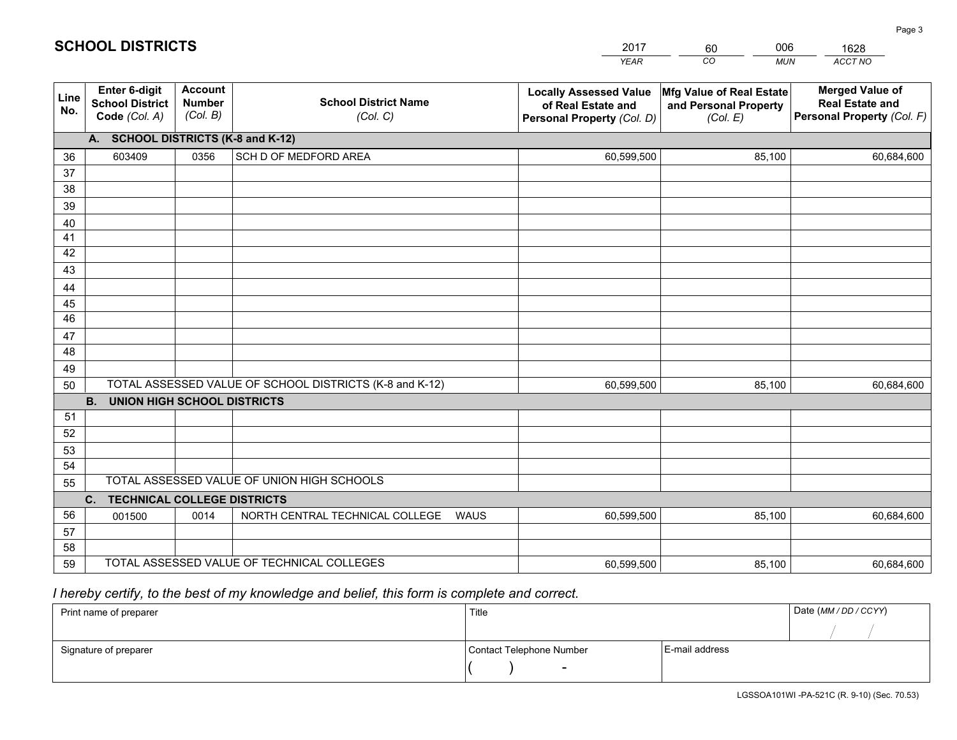|             |                                                                 |                                             |                                                         | <b>YEAR</b>                                                                       | CO<br><b>MUN</b>                                              | ACCT NO                                                                        |
|-------------|-----------------------------------------------------------------|---------------------------------------------|---------------------------------------------------------|-----------------------------------------------------------------------------------|---------------------------------------------------------------|--------------------------------------------------------------------------------|
| Line<br>No. | <b>Enter 6-digit</b><br><b>School District</b><br>Code (Col. A) | <b>Account</b><br><b>Number</b><br>(Col. B) | <b>School District Name</b><br>(Col. C)                 | <b>Locally Assessed Value</b><br>of Real Estate and<br>Personal Property (Col. D) | Mfg Value of Real Estate<br>and Personal Property<br>(Col. E) | <b>Merged Value of</b><br><b>Real Estate and</b><br>Personal Property (Col. F) |
|             | A. SCHOOL DISTRICTS (K-8 and K-12)                              |                                             |                                                         |                                                                                   |                                                               |                                                                                |
| 36          | 603409                                                          | 0356                                        | SCH D OF MEDFORD AREA                                   | 60,599,500                                                                        | 85,100                                                        | 60,684,600                                                                     |
| 37          |                                                                 |                                             |                                                         |                                                                                   |                                                               |                                                                                |
| 38          |                                                                 |                                             |                                                         |                                                                                   |                                                               |                                                                                |
| 39          |                                                                 |                                             |                                                         |                                                                                   |                                                               |                                                                                |
| 40          |                                                                 |                                             |                                                         |                                                                                   |                                                               |                                                                                |
| 41<br>42    |                                                                 |                                             |                                                         |                                                                                   |                                                               |                                                                                |
| 43          |                                                                 |                                             |                                                         |                                                                                   |                                                               |                                                                                |
|             |                                                                 |                                             |                                                         |                                                                                   |                                                               |                                                                                |
| 44<br>45    |                                                                 |                                             |                                                         |                                                                                   |                                                               |                                                                                |
| 46          |                                                                 |                                             |                                                         |                                                                                   |                                                               |                                                                                |
| 47          |                                                                 |                                             |                                                         |                                                                                   |                                                               |                                                                                |
| 48          |                                                                 |                                             |                                                         |                                                                                   |                                                               |                                                                                |
| 49          |                                                                 |                                             |                                                         |                                                                                   |                                                               |                                                                                |
| 50          |                                                                 |                                             | TOTAL ASSESSED VALUE OF SCHOOL DISTRICTS (K-8 and K-12) | 60,599,500                                                                        | 85,100                                                        | 60,684,600                                                                     |
|             | <b>B.</b><br>UNION HIGH SCHOOL DISTRICTS                        |                                             |                                                         |                                                                                   |                                                               |                                                                                |
| 51          |                                                                 |                                             |                                                         |                                                                                   |                                                               |                                                                                |
| 52          |                                                                 |                                             |                                                         |                                                                                   |                                                               |                                                                                |
| 53          |                                                                 |                                             |                                                         |                                                                                   |                                                               |                                                                                |
| 54          |                                                                 |                                             |                                                         |                                                                                   |                                                               |                                                                                |
| 55          |                                                                 |                                             | TOTAL ASSESSED VALUE OF UNION HIGH SCHOOLS              |                                                                                   |                                                               |                                                                                |
|             | C.<br><b>TECHNICAL COLLEGE DISTRICTS</b>                        |                                             |                                                         |                                                                                   |                                                               |                                                                                |
| 56          | 001500                                                          | 0014                                        | NORTH CENTRAL TECHNICAL COLLEGE<br>WAUS                 | 60,599,500                                                                        | 85,100                                                        | 60,684,600                                                                     |
| 57<br>58    |                                                                 |                                             |                                                         |                                                                                   |                                                               |                                                                                |
| 59          |                                                                 |                                             | TOTAL ASSESSED VALUE OF TECHNICAL COLLEGES              | 60,599,500                                                                        | 85,100                                                        | 60,684,600                                                                     |
|             |                                                                 |                                             |                                                         |                                                                                   |                                                               |                                                                                |

60

006

## *I hereby certify, to the best of my knowledge and belief, this form is complete and correct.*

**SCHOOL DISTRICTS**

| Print name of preparer | Title                    |                | Date (MM / DD / CCYY) |
|------------------------|--------------------------|----------------|-----------------------|
|                        |                          |                |                       |
| Signature of preparer  | Contact Telephone Number | E-mail address |                       |
|                        | $\sim$                   |                |                       |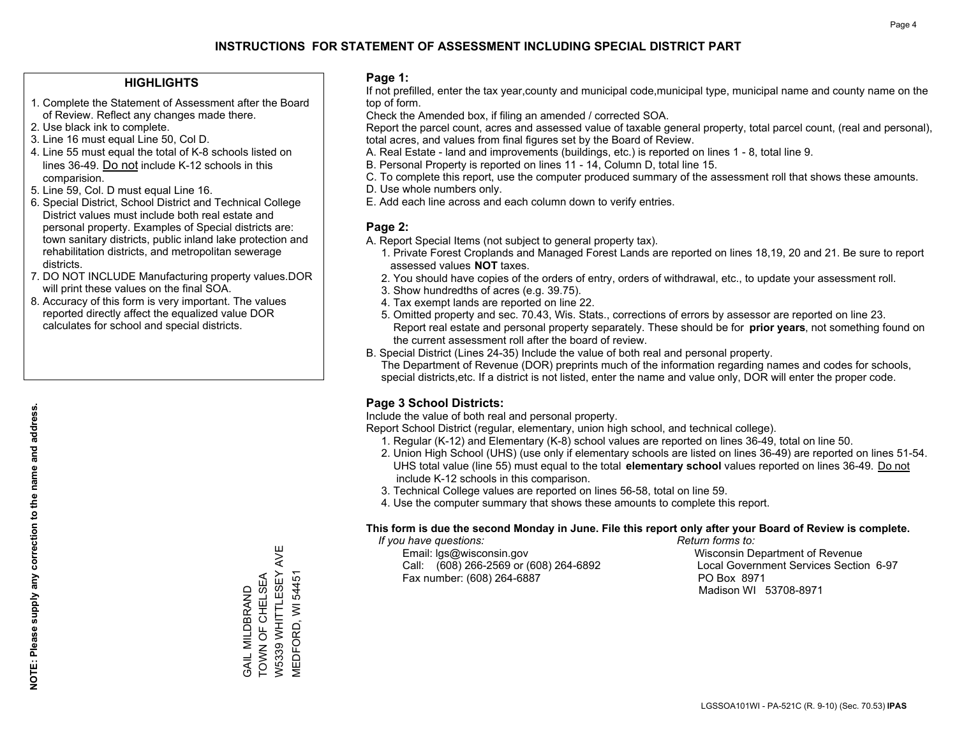## **HIGHLIGHTS**

- 1. Complete the Statement of Assessment after the Board of Review. Reflect any changes made there.
- 2. Use black ink to complete.
- 3. Line 16 must equal Line 50, Col D.
- 4. Line 55 must equal the total of K-8 schools listed on lines 36-49. Do not include K-12 schools in this comparision.
- 5. Line 59, Col. D must equal Line 16.
- 6. Special District, School District and Technical College District values must include both real estate and personal property. Examples of Special districts are: town sanitary districts, public inland lake protection and rehabilitation districts, and metropolitan sewerage districts.
- 7. DO NOT INCLUDE Manufacturing property values.DOR will print these values on the final SOA.
- 8. Accuracy of this form is very important. The values reported directly affect the equalized value DOR calculates for school and special districts.

### **Page 1:**

 If not prefilled, enter the tax year,county and municipal code,municipal type, municipal name and county name on the top of form.

Check the Amended box, if filing an amended / corrected SOA.

 Report the parcel count, acres and assessed value of taxable general property, total parcel count, (real and personal), total acres, and values from final figures set by the Board of Review.

- A. Real Estate land and improvements (buildings, etc.) is reported on lines 1 8, total line 9.
- B. Personal Property is reported on lines 11 14, Column D, total line 15.
- C. To complete this report, use the computer produced summary of the assessment roll that shows these amounts.
- D. Use whole numbers only.
- E. Add each line across and each column down to verify entries.

## **Page 2:**

- A. Report Special Items (not subject to general property tax).
- 1. Private Forest Croplands and Managed Forest Lands are reported on lines 18,19, 20 and 21. Be sure to report assessed values **NOT** taxes.
- 2. You should have copies of the orders of entry, orders of withdrawal, etc., to update your assessment roll.
	- 3. Show hundredths of acres (e.g. 39.75).
- 4. Tax exempt lands are reported on line 22.
- 5. Omitted property and sec. 70.43, Wis. Stats., corrections of errors by assessor are reported on line 23. Report real estate and personal property separately. These should be for **prior years**, not something found on the current assessment roll after the board of review.
- B. Special District (Lines 24-35) Include the value of both real and personal property.
- The Department of Revenue (DOR) preprints much of the information regarding names and codes for schools, special districts,etc. If a district is not listed, enter the name and value only, DOR will enter the proper code.

## **Page 3 School Districts:**

Include the value of both real and personal property.

Report School District (regular, elementary, union high school, and technical college).

- 1. Regular (K-12) and Elementary (K-8) school values are reported on lines 36-49, total on line 50.
- 2. Union High School (UHS) (use only if elementary schools are listed on lines 36-49) are reported on lines 51-54. UHS total value (line 55) must equal to the total **elementary school** values reported on lines 36-49. Do notinclude K-12 schools in this comparison.
- 3. Technical College values are reported on lines 56-58, total on line 59.
- 4. Use the computer summary that shows these amounts to complete this report.

#### **This form is due the second Monday in June. File this report only after your Board of Review is complete.**

 *If you have questions: Return forms to:*

 Email: lgs@wisconsin.gov Wisconsin Department of RevenueCall:  $(608)$  266-2569 or  $(608)$  264-6892 Fax number: (608) 264-6887 PO Box 8971

Local Government Services Section 6-97 Madison WI 53708-8971

W5339 WHITTLESEY AVE W5339 WHITTLESEY AVE TOWN OF CHELSEA GAIL MILDBRAND<br>TOWN OF CHELSEA VIEDFORD, WI 54451 MEDFORD, WI 54451 GAIL MILDBRAND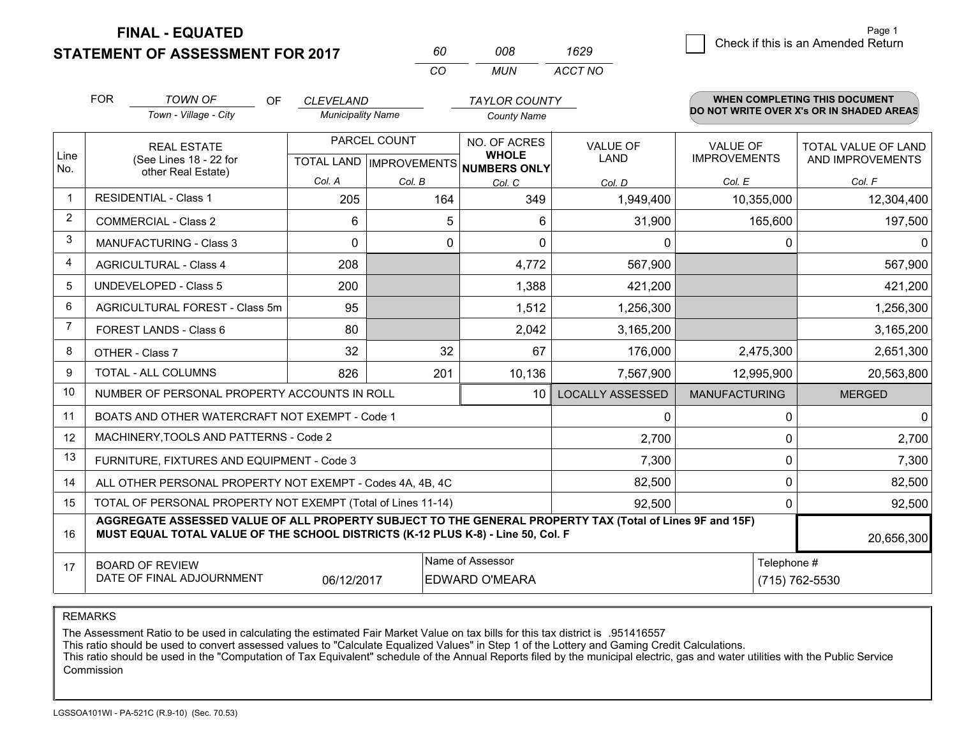**STATEMENT OF ASSESSMENT FOR 2017** 

**FINAL - EQUATED**

|                | <b>FOR</b><br><b>TOWN OF</b><br>Town - Village - City                                                                                                                                        | OF | <b>CLEVELAND</b><br><b>Municipality Name</b> |                                           | <b>TAYLOR COUNTY</b><br><b>County Name</b>   |                         | <b>WHEN COMPLETING THIS DOCUMENT</b><br>DO NOT WRITE OVER X's OR IN SHADED AREAS |                                                |  |  |
|----------------|----------------------------------------------------------------------------------------------------------------------------------------------------------------------------------------------|----|----------------------------------------------|-------------------------------------------|----------------------------------------------|-------------------------|----------------------------------------------------------------------------------|------------------------------------------------|--|--|
| Line<br>No.    | <b>REAL ESTATE</b><br>(See Lines 18 - 22 for                                                                                                                                                 |    |                                              | PARCEL COUNT<br>TOTAL LAND   IMPROVEMENTS | NO. OF ACRES<br><b>WHOLE</b><br>NUMBERS ONLY | <b>VALUE OF</b><br>LAND | <b>VALUE OF</b><br><b>IMPROVEMENTS</b>                                           | <b>TOTAL VALUE OF LAND</b><br>AND IMPROVEMENTS |  |  |
|                | other Real Estate)                                                                                                                                                                           |    | Col. A                                       | Col. B                                    | Col. C                                       | Col. D                  | Col. E                                                                           | Col. F                                         |  |  |
| 1              | <b>RESIDENTIAL - Class 1</b>                                                                                                                                                                 |    | 205                                          | 164                                       | 349                                          | 1,949,400               | 10,355,000                                                                       | 12,304,400                                     |  |  |
| 2              | <b>COMMERCIAL - Class 2</b>                                                                                                                                                                  |    | 6                                            |                                           | 5<br>6                                       | 31,900                  | 165,600                                                                          | 197,500                                        |  |  |
| 3              | <b>MANUFACTURING - Class 3</b>                                                                                                                                                               |    | $\mathbf{0}$                                 |                                           | $\mathbf{0}$<br>0                            | 0                       |                                                                                  | $\mathbf 0$<br>$\mathbf 0$                     |  |  |
| 4              | <b>AGRICULTURAL - Class 4</b>                                                                                                                                                                |    | 208                                          |                                           | 4,772                                        | 567,900                 |                                                                                  | 567,900                                        |  |  |
| 5              | <b>UNDEVELOPED - Class 5</b>                                                                                                                                                                 |    | 200                                          |                                           | 1,388                                        | 421,200                 |                                                                                  | 421,200                                        |  |  |
| 6              | AGRICULTURAL FOREST - Class 5m                                                                                                                                                               |    | 95                                           |                                           | 1,512                                        | 1,256,300               |                                                                                  | 1,256,300                                      |  |  |
| $\overline{7}$ | FOREST LANDS - Class 6                                                                                                                                                                       |    | 80                                           |                                           | 2,042                                        | 3,165,200               |                                                                                  | 3,165,200                                      |  |  |
| 8              | OTHER - Class 7                                                                                                                                                                              |    | 32                                           |                                           | 32<br>67                                     | 176,000                 | 2,475,300                                                                        | 2,651,300                                      |  |  |
| 9              | <b>TOTAL - ALL COLUMNS</b>                                                                                                                                                                   |    | 826                                          | 201                                       | 10,136                                       | 7,567,900               | 12,995,900                                                                       | 20,563,800                                     |  |  |
| 10             | NUMBER OF PERSONAL PROPERTY ACCOUNTS IN ROLL                                                                                                                                                 |    |                                              |                                           | 10                                           | <b>LOCALLY ASSESSED</b> | <b>MANUFACTURING</b>                                                             | <b>MERGED</b>                                  |  |  |
| 11             | BOATS AND OTHER WATERCRAFT NOT EXEMPT - Code 1                                                                                                                                               |    |                                              |                                           |                                              | $\Omega$                |                                                                                  | $\mathbf 0$<br>$\Omega$                        |  |  |
| 12             | MACHINERY, TOOLS AND PATTERNS - Code 2                                                                                                                                                       |    |                                              |                                           |                                              | 2,700                   |                                                                                  | $\mathbf{0}$<br>2,700                          |  |  |
| 13             | FURNITURE, FIXTURES AND EQUIPMENT - Code 3                                                                                                                                                   |    |                                              |                                           |                                              | 7,300                   |                                                                                  | $\mathbf 0$<br>7,300                           |  |  |
| 14             | ALL OTHER PERSONAL PROPERTY NOT EXEMPT - Codes 4A, 4B, 4C                                                                                                                                    |    |                                              |                                           |                                              | 82,500                  |                                                                                  | $\mathbf{0}$<br>82,500                         |  |  |
| 15             | TOTAL OF PERSONAL PROPERTY NOT EXEMPT (Total of Lines 11-14)                                                                                                                                 |    |                                              |                                           | 92,500                                       |                         | $\Omega$<br>92,500                                                               |                                                |  |  |
| 16             | AGGREGATE ASSESSED VALUE OF ALL PROPERTY SUBJECT TO THE GENERAL PROPERTY TAX (Total of Lines 9F and 15F)<br>MUST EQUAL TOTAL VALUE OF THE SCHOOL DISTRICTS (K-12 PLUS K-8) - Line 50, Col. F |    |                                              |                                           |                                              |                         | 20,656,300                                                                       |                                                |  |  |
| 17             | <b>BOARD OF REVIEW</b><br>DATE OF FINAL ADJOURNMENT                                                                                                                                          |    | 06/12/2017                                   |                                           | Name of Assessor<br><b>EDWARD O'MEARA</b>    |                         | Telephone #<br>(715) 762-5530                                                    |                                                |  |  |

*CO*

*MUN*

*ACCT NO1629*

*<sup>60</sup> <sup>008</sup>*

REMARKS

The Assessment Ratio to be used in calculating the estimated Fair Market Value on tax bills for this tax district is .951416557<br>This ratio should be used to convert assessed values to "Calculate Equalized Values" in Step 1 Commission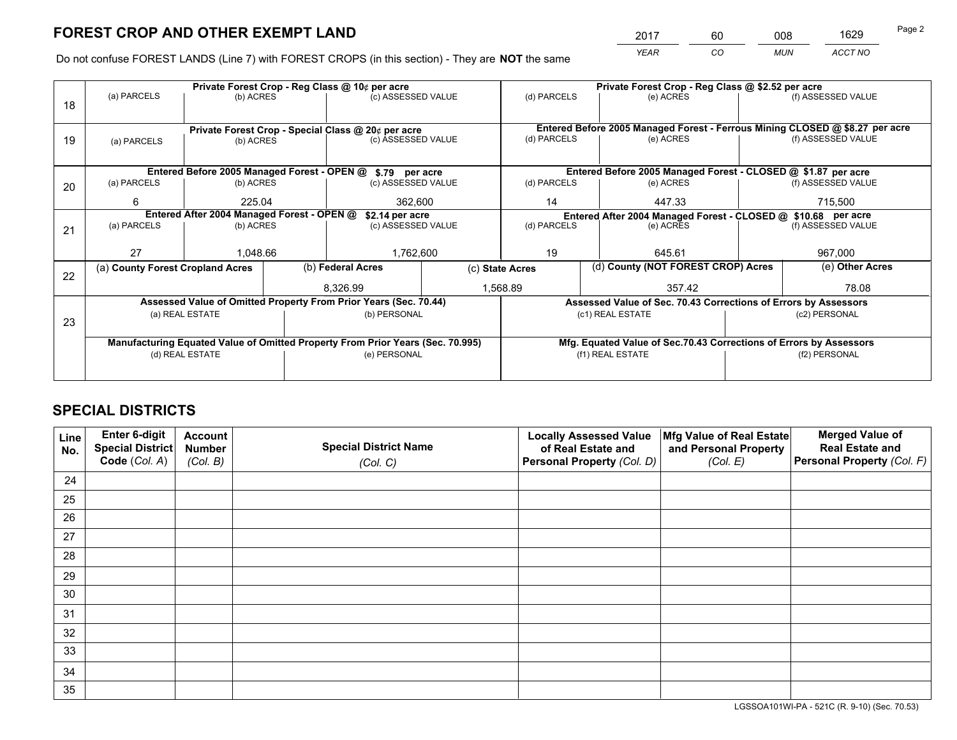*YEAR CO MUN ACCT NO* <sup>2017</sup> <sup>60</sup> <sup>008</sup> <sup>1629</sup>

Do not confuse FOREST LANDS (Line 7) with FOREST CROPS (in this section) - They are **NOT** the same

|    |                                            |                                                                                |  | Private Forest Crop - Reg Class @ 10¢ per acre                   |                                                                              | Private Forest Crop - Reg Class @ \$2.52 per acre                  |             |                                                                 |                 |                    |
|----|--------------------------------------------|--------------------------------------------------------------------------------|--|------------------------------------------------------------------|------------------------------------------------------------------------------|--------------------------------------------------------------------|-------------|-----------------------------------------------------------------|-----------------|--------------------|
| 18 | (a) PARCELS                                | (b) ACRES                                                                      |  | (c) ASSESSED VALUE                                               |                                                                              |                                                                    | (d) PARCELS | (e) ACRES                                                       |                 | (f) ASSESSED VALUE |
|    |                                            |                                                                                |  |                                                                  |                                                                              |                                                                    |             |                                                                 |                 |                    |
|    |                                            |                                                                                |  | Private Forest Crop - Special Class @ 20¢ per acre               | Entered Before 2005 Managed Forest - Ferrous Mining CLOSED @ \$8.27 per acre |                                                                    |             |                                                                 |                 |                    |
| 19 | (a) PARCELS                                | (b) ACRES                                                                      |  | (c) ASSESSED VALUE                                               |                                                                              | (d) PARCELS                                                        |             | (e) ACRES                                                       |                 | (f) ASSESSED VALUE |
|    |                                            |                                                                                |  |                                                                  |                                                                              |                                                                    |             |                                                                 |                 |                    |
|    |                                            |                                                                                |  | Entered Before 2005 Managed Forest - OPEN @ \$.79 per acre       |                                                                              |                                                                    |             | Entered Before 2005 Managed Forest - CLOSED @ \$1.87 per acre   |                 |                    |
| 20 | (a) PARCELS<br>(b) ACRES                   |                                                                                |  | (c) ASSESSED VALUE                                               |                                                                              | (d) PARCELS                                                        |             | (e) ACRES                                                       |                 | (f) ASSESSED VALUE |
|    | 6<br>225.04                                |                                                                                |  | 362.600                                                          |                                                                              | 14                                                                 |             | 447.33                                                          |                 | 715,500            |
|    | Entered After 2004 Managed Forest - OPEN @ |                                                                                |  | \$2.14 per acre                                                  |                                                                              | Entered After 2004 Managed Forest - CLOSED @ \$10.68 per acre      |             |                                                                 |                 |                    |
| 21 | (a) PARCELS                                | (b) ACRES                                                                      |  | (c) ASSESSED VALUE                                               |                                                                              | (d) PARCELS                                                        |             | (e) ACRES                                                       |                 | (f) ASSESSED VALUE |
|    |                                            |                                                                                |  |                                                                  |                                                                              |                                                                    |             |                                                                 |                 |                    |
|    | 27                                         | 1,048.66                                                                       |  | 1,762,600                                                        |                                                                              | 19                                                                 |             | 645.61                                                          |                 | 967,000            |
|    | (a) County Forest Cropland Acres           |                                                                                |  | (b) Federal Acres                                                |                                                                              | (d) County (NOT FOREST CROP) Acres<br>(c) State Acres              |             |                                                                 | (e) Other Acres |                    |
| 22 |                                            |                                                                                |  | 8,326.99                                                         |                                                                              | 1,568.89                                                           |             | 357.42                                                          |                 | 78.08              |
|    |                                            |                                                                                |  |                                                                  |                                                                              |                                                                    |             |                                                                 |                 |                    |
|    |                                            |                                                                                |  | Assessed Value of Omitted Property From Prior Years (Sec. 70.44) |                                                                              |                                                                    |             | Assessed Value of Sec. 70.43 Corrections of Errors by Assessors |                 |                    |
| 23 | (a) REAL ESTATE                            |                                                                                |  | (b) PERSONAL                                                     |                                                                              |                                                                    |             | (c1) REAL ESTATE                                                |                 | (c2) PERSONAL      |
|    |                                            |                                                                                |  |                                                                  |                                                                              |                                                                    |             |                                                                 |                 |                    |
|    |                                            | Manufacturing Equated Value of Omitted Property From Prior Years (Sec. 70.995) |  |                                                                  |                                                                              | Mfg. Equated Value of Sec.70.43 Corrections of Errors by Assessors |             |                                                                 |                 |                    |
|    |                                            | (d) REAL ESTATE                                                                |  | (e) PERSONAL                                                     |                                                                              | (f1) REAL ESTATE                                                   |             |                                                                 | (f2) PERSONAL   |                    |
|    |                                            |                                                                                |  |                                                                  |                                                                              |                                                                    |             |                                                                 |                 |                    |

## **SPECIAL DISTRICTS**

| Line<br>No. | Enter 6-digit<br>Special District<br>Code (Col. A) | <b>Account</b><br><b>Number</b> | <b>Special District Name</b> | <b>Locally Assessed Value</b><br>of Real Estate and | Mfg Value of Real Estate<br>and Personal Property | <b>Merged Value of</b><br><b>Real Estate and</b><br>Personal Property (Col. F) |
|-------------|----------------------------------------------------|---------------------------------|------------------------------|-----------------------------------------------------|---------------------------------------------------|--------------------------------------------------------------------------------|
|             |                                                    | (Col. B)                        | (Col. C)                     | Personal Property (Col. D)                          | (Col. E)                                          |                                                                                |
| 24          |                                                    |                                 |                              |                                                     |                                                   |                                                                                |
| 25          |                                                    |                                 |                              |                                                     |                                                   |                                                                                |
| 26          |                                                    |                                 |                              |                                                     |                                                   |                                                                                |
| 27          |                                                    |                                 |                              |                                                     |                                                   |                                                                                |
| 28          |                                                    |                                 |                              |                                                     |                                                   |                                                                                |
| 29          |                                                    |                                 |                              |                                                     |                                                   |                                                                                |
| 30          |                                                    |                                 |                              |                                                     |                                                   |                                                                                |
| 31          |                                                    |                                 |                              |                                                     |                                                   |                                                                                |
| 32          |                                                    |                                 |                              |                                                     |                                                   |                                                                                |
| 33          |                                                    |                                 |                              |                                                     |                                                   |                                                                                |
| 34          |                                                    |                                 |                              |                                                     |                                                   |                                                                                |
| 35          |                                                    |                                 |                              |                                                     |                                                   |                                                                                |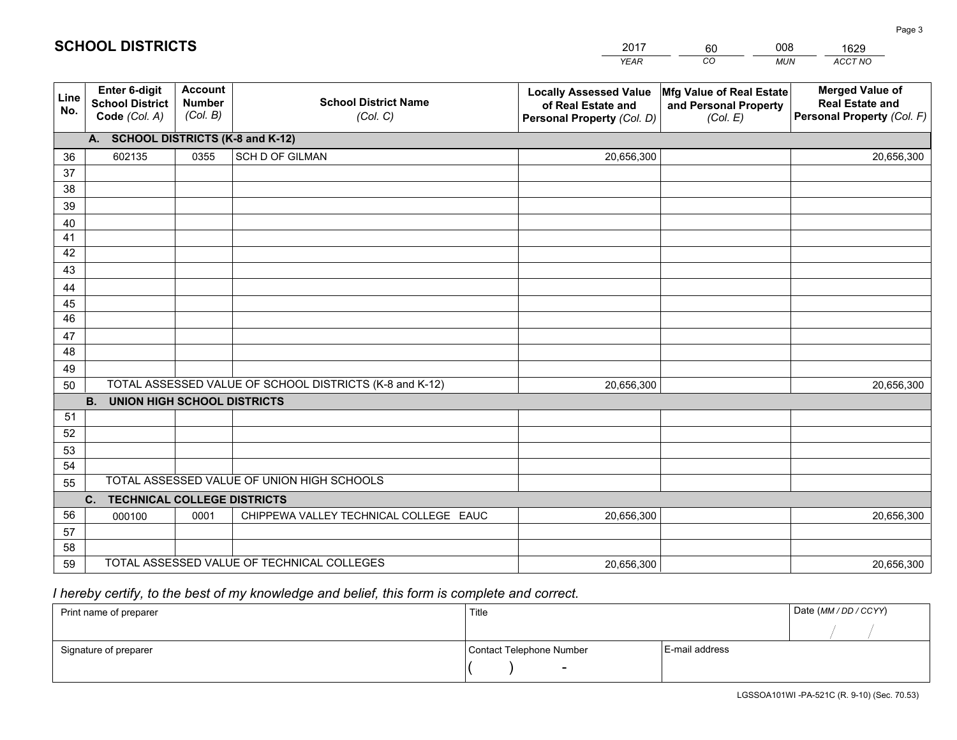|                 |                                                          |                                             |                                                         | <b>YEAR</b>                                                                       | CO<br><b>MUN</b>                                              | ACCT NO                                                                        |
|-----------------|----------------------------------------------------------|---------------------------------------------|---------------------------------------------------------|-----------------------------------------------------------------------------------|---------------------------------------------------------------|--------------------------------------------------------------------------------|
| Line<br>No.     | Enter 6-digit<br><b>School District</b><br>Code (Col. A) | <b>Account</b><br><b>Number</b><br>(Col. B) | <b>School District Name</b><br>(Col. C)                 | <b>Locally Assessed Value</b><br>of Real Estate and<br>Personal Property (Col. D) | Mfg Value of Real Estate<br>and Personal Property<br>(Col. E) | <b>Merged Value of</b><br><b>Real Estate and</b><br>Personal Property (Col. F) |
|                 | A. SCHOOL DISTRICTS (K-8 and K-12)                       |                                             |                                                         |                                                                                   |                                                               |                                                                                |
| 36              | 602135                                                   | 0355                                        | SCH D OF GILMAN                                         | 20,656,300                                                                        |                                                               | 20,656,300                                                                     |
| 37              |                                                          |                                             |                                                         |                                                                                   |                                                               |                                                                                |
| 38              |                                                          |                                             |                                                         |                                                                                   |                                                               |                                                                                |
| 39              |                                                          |                                             |                                                         |                                                                                   |                                                               |                                                                                |
| 40              |                                                          |                                             |                                                         |                                                                                   |                                                               |                                                                                |
| 41<br>42        |                                                          |                                             |                                                         |                                                                                   |                                                               |                                                                                |
| 43              |                                                          |                                             |                                                         |                                                                                   |                                                               |                                                                                |
| 44              |                                                          |                                             |                                                         |                                                                                   |                                                               |                                                                                |
| 45              |                                                          |                                             |                                                         |                                                                                   |                                                               |                                                                                |
| $\overline{46}$ |                                                          |                                             |                                                         |                                                                                   |                                                               |                                                                                |
| 47              |                                                          |                                             |                                                         |                                                                                   |                                                               |                                                                                |
| 48              |                                                          |                                             |                                                         |                                                                                   |                                                               |                                                                                |
| 49              |                                                          |                                             |                                                         |                                                                                   |                                                               |                                                                                |
| 50              |                                                          |                                             | TOTAL ASSESSED VALUE OF SCHOOL DISTRICTS (K-8 and K-12) | 20,656,300                                                                        |                                                               | 20,656,300                                                                     |
|                 | <b>B.</b><br><b>UNION HIGH SCHOOL DISTRICTS</b>          |                                             |                                                         |                                                                                   |                                                               |                                                                                |
| 51              |                                                          |                                             |                                                         |                                                                                   |                                                               |                                                                                |
| 52              |                                                          |                                             |                                                         |                                                                                   |                                                               |                                                                                |
| 53              |                                                          |                                             |                                                         |                                                                                   |                                                               |                                                                                |
| 54              |                                                          |                                             |                                                         |                                                                                   |                                                               |                                                                                |
| 55              |                                                          |                                             | TOTAL ASSESSED VALUE OF UNION HIGH SCHOOLS              |                                                                                   |                                                               |                                                                                |
|                 | C. TECHNICAL COLLEGE DISTRICTS                           |                                             |                                                         |                                                                                   |                                                               |                                                                                |
| 56              | 000100                                                   | 0001                                        | CHIPPEWA VALLEY TECHNICAL COLLEGE EAUC                  | 20,656,300                                                                        |                                                               | 20,656,300                                                                     |
| 57<br>58        |                                                          |                                             |                                                         |                                                                                   |                                                               |                                                                                |
| 59              |                                                          |                                             | TOTAL ASSESSED VALUE OF TECHNICAL COLLEGES              | 20,656,300                                                                        |                                                               | 20,656,300                                                                     |
|                 |                                                          |                                             |                                                         |                                                                                   |                                                               |                                                                                |

60

008

## *I hereby certify, to the best of my knowledge and belief, this form is complete and correct.*

**SCHOOL DISTRICTS**

| Print name of preparer | Title                    | Date (MM / DD / CCYY) |
|------------------------|--------------------------|-----------------------|
|                        |                          |                       |
| Signature of preparer  | Contact Telephone Number | E-mail address        |
|                        | $\overline{\phantom{0}}$ |                       |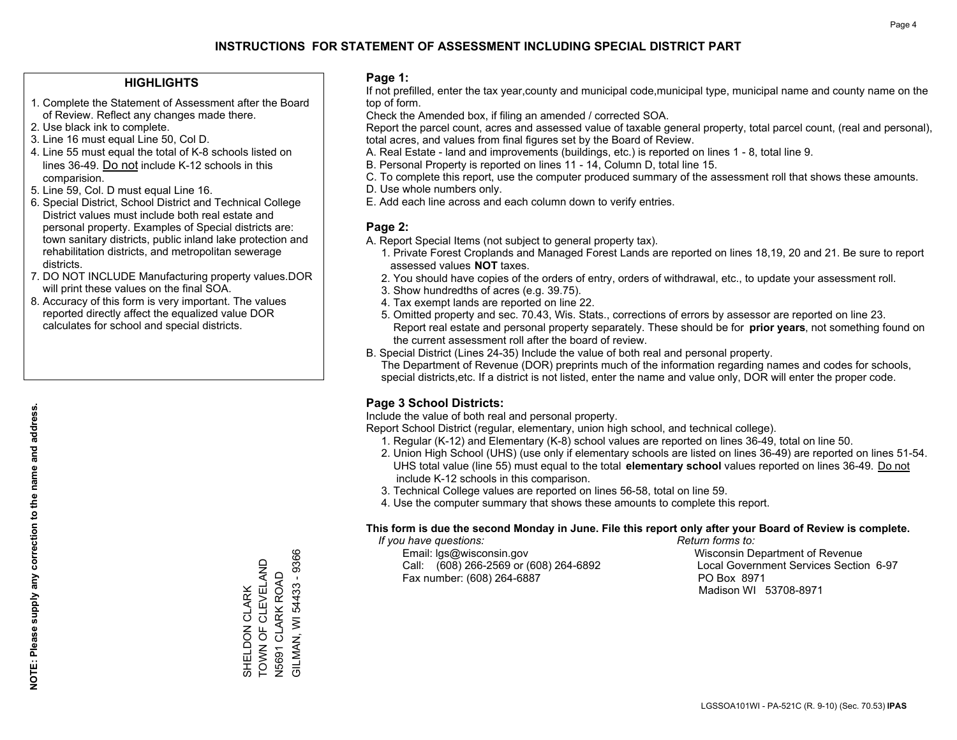## **HIGHLIGHTS**

- 1. Complete the Statement of Assessment after the Board of Review. Reflect any changes made there.
- 2. Use black ink to complete.
- 3. Line 16 must equal Line 50, Col D.
- 4. Line 55 must equal the total of K-8 schools listed on lines 36-49. Do not include K-12 schools in this comparision.
- 5. Line 59, Col. D must equal Line 16.
- 6. Special District, School District and Technical College District values must include both real estate and personal property. Examples of Special districts are: town sanitary districts, public inland lake protection and rehabilitation districts, and metropolitan sewerage districts.
- 7. DO NOT INCLUDE Manufacturing property values.DOR will print these values on the final SOA.

SHELDON CLARK TOWN OF CLEVELAND N5691 CLARK ROAD GILMAN, WI 54433 - 9366

SHELDON CLARK<br>TOWN OF CLEVELAND

N5691 CLARK ROAD<br>GILMAN, WI 54433 - 9366

 8. Accuracy of this form is very important. The values reported directly affect the equalized value DOR calculates for school and special districts.

#### **Page 1:**

 If not prefilled, enter the tax year,county and municipal code,municipal type, municipal name and county name on the top of form.

Check the Amended box, if filing an amended / corrected SOA.

 Report the parcel count, acres and assessed value of taxable general property, total parcel count, (real and personal), total acres, and values from final figures set by the Board of Review.

- A. Real Estate land and improvements (buildings, etc.) is reported on lines 1 8, total line 9.
- B. Personal Property is reported on lines 11 14, Column D, total line 15.
- C. To complete this report, use the computer produced summary of the assessment roll that shows these amounts.
- D. Use whole numbers only.
- E. Add each line across and each column down to verify entries.

## **Page 2:**

- A. Report Special Items (not subject to general property tax).
- 1. Private Forest Croplands and Managed Forest Lands are reported on lines 18,19, 20 and 21. Be sure to report assessed values **NOT** taxes.
- 2. You should have copies of the orders of entry, orders of withdrawal, etc., to update your assessment roll.
	- 3. Show hundredths of acres (e.g. 39.75).
- 4. Tax exempt lands are reported on line 22.
- 5. Omitted property and sec. 70.43, Wis. Stats., corrections of errors by assessor are reported on line 23. Report real estate and personal property separately. These should be for **prior years**, not something found on the current assessment roll after the board of review.
- B. Special District (Lines 24-35) Include the value of both real and personal property.

 The Department of Revenue (DOR) preprints much of the information regarding names and codes for schools, special districts,etc. If a district is not listed, enter the name and value only, DOR will enter the proper code.

## **Page 3 School Districts:**

Include the value of both real and personal property.

Report School District (regular, elementary, union high school, and technical college).

- 1. Regular (K-12) and Elementary (K-8) school values are reported on lines 36-49, total on line 50.
- 2. Union High School (UHS) (use only if elementary schools are listed on lines 36-49) are reported on lines 51-54. UHS total value (line 55) must equal to the total **elementary school** values reported on lines 36-49. Do notinclude K-12 schools in this comparison.
- 3. Technical College values are reported on lines 56-58, total on line 59.
- 4. Use the computer summary that shows these amounts to complete this report.

#### **This form is due the second Monday in June. File this report only after your Board of Review is complete.**

 *If you have questions: Return forms to:*

 Email: lgs@wisconsin.gov Wisconsin Department of RevenueCall:  $(608)$  266-2569 or  $(608)$  264-6892 Fax number: (608) 264-6887 PO Box 8971

Local Government Services Section 6-97

Madison WI 53708-8971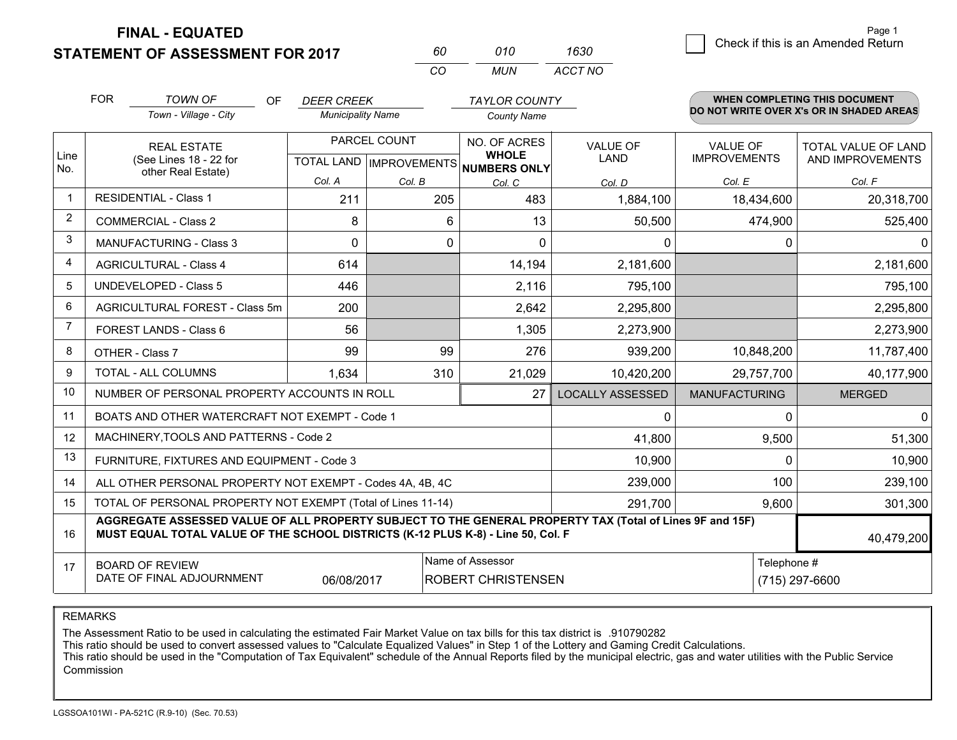**STATEMENT OF ASSESSMENT FOR 2017** 

**FINAL - EQUATED**

|                | <b>FOR</b>                                                                       | <b>TOWN OF</b><br><b>OF</b>                                                                              | <b>DEER CREEK</b>                    |              | <b>TAYLOR COUNTY</b>      |                         |                      | WHEN COMPLETING THIS DOCUMENT            |  |
|----------------|----------------------------------------------------------------------------------|----------------------------------------------------------------------------------------------------------|--------------------------------------|--------------|---------------------------|-------------------------|----------------------|------------------------------------------|--|
|                |                                                                                  | Town - Village - City                                                                                    | <b>Municipality Name</b>             |              | <b>County Name</b>        |                         |                      | DO NOT WRITE OVER X's OR IN SHADED AREAS |  |
|                |                                                                                  | <b>REAL ESTATE</b>                                                                                       |                                      | PARCEL COUNT | NO. OF ACRES              | <b>VALUE OF</b>         | <b>VALUE OF</b>      | TOTAL VALUE OF LAND                      |  |
| Line<br>No.    |                                                                                  | (See Lines 18 - 22 for<br>other Real Estate)                                                             | TOTAL LAND IMPROVEMENTS NUMBERS ONLY |              | <b>WHOLE</b>              | LAND                    | <b>IMPROVEMENTS</b>  | AND IMPROVEMENTS                         |  |
|                |                                                                                  |                                                                                                          | Col. A                               | Col. B       | Col. C                    | Col. D                  | Col. E               | Col. F                                   |  |
| -1             |                                                                                  | <b>RESIDENTIAL - Class 1</b>                                                                             | 211                                  | 205          | 483                       | 1,884,100               | 18,434,600           | 20,318,700                               |  |
| 2              |                                                                                  | <b>COMMERCIAL - Class 2</b>                                                                              | 8                                    |              | 13<br>6                   | 50,500                  | 474,900              | 525,400                                  |  |
| 3              |                                                                                  | <b>MANUFACTURING - Class 3</b>                                                                           | $\Omega$                             |              | $\Omega$<br>$\Omega$      | $\Omega$                | $\Omega$             | $\Omega$                                 |  |
| 4              |                                                                                  | <b>AGRICULTURAL - Class 4</b>                                                                            | 614                                  |              | 14,194                    | 2,181,600               |                      | 2,181,600                                |  |
| 5              |                                                                                  | <b>UNDEVELOPED - Class 5</b>                                                                             | 446                                  |              | 2,116                     | 795,100                 |                      | 795,100                                  |  |
| 6              |                                                                                  | AGRICULTURAL FOREST - Class 5m                                                                           | 200                                  |              | 2,642                     | 2,295,800               |                      | 2,295,800                                |  |
| $\overline{7}$ |                                                                                  | FOREST LANDS - Class 6                                                                                   | 56                                   |              | 1,305                     | 2,273,900               |                      | 2,273,900                                |  |
| 8              |                                                                                  | OTHER - Class 7                                                                                          | 99                                   | 99           | 276                       | 939,200                 | 10,848,200           | 11,787,400                               |  |
| 9              |                                                                                  | TOTAL - ALL COLUMNS                                                                                      | 1,634                                | 310          | 21,029                    | 10,420,200              | 29,757,700           | 40,177,900                               |  |
| 10             |                                                                                  | NUMBER OF PERSONAL PROPERTY ACCOUNTS IN ROLL                                                             |                                      |              | 27                        | <b>LOCALLY ASSESSED</b> | <b>MANUFACTURING</b> | <b>MERGED</b>                            |  |
| 11             |                                                                                  | BOATS AND OTHER WATERCRAFT NOT EXEMPT - Code 1                                                           |                                      |              |                           | 0                       | $\Omega$             | $\Omega$                                 |  |
| 12             |                                                                                  | MACHINERY, TOOLS AND PATTERNS - Code 2                                                                   |                                      |              |                           | 41,800                  | 9,500                | 51,300                                   |  |
| 13             |                                                                                  | FURNITURE, FIXTURES AND EQUIPMENT - Code 3                                                               |                                      |              |                           | 10,900                  | 0                    | 10,900                                   |  |
| 14             |                                                                                  | ALL OTHER PERSONAL PROPERTY NOT EXEMPT - Codes 4A, 4B, 4C                                                |                                      |              |                           | 239,000                 | 100                  | 239,100                                  |  |
| 15             |                                                                                  | TOTAL OF PERSONAL PROPERTY NOT EXEMPT (Total of Lines 11-14)                                             |                                      |              |                           | 291,700                 | 9,600                | 301,300                                  |  |
| 16             | MUST EQUAL TOTAL VALUE OF THE SCHOOL DISTRICTS (K-12 PLUS K-8) - Line 50, Col. F | AGGREGATE ASSESSED VALUE OF ALL PROPERTY SUBJECT TO THE GENERAL PROPERTY TAX (Total of Lines 9F and 15F) | 40,479,200                           |              |                           |                         |                      |                                          |  |
| 17             |                                                                                  | <b>BOARD OF REVIEW</b>                                                                                   | Telephone #                          |              |                           |                         |                      |                                          |  |
|                |                                                                                  | DATE OF FINAL ADJOURNMENT                                                                                | 06/08/2017                           |              | <b>ROBERT CHRISTENSEN</b> |                         | (715) 297-6600       |                                          |  |

*CO*

*MUN*

*ACCT NO1630*

*<sup>60</sup> <sup>010</sup>*

REMARKS

The Assessment Ratio to be used in calculating the estimated Fair Market Value on tax bills for this tax district is .910790282<br>This ratio should be used to convert assessed values to "Calculate Equalized Values" in Step 1 Commission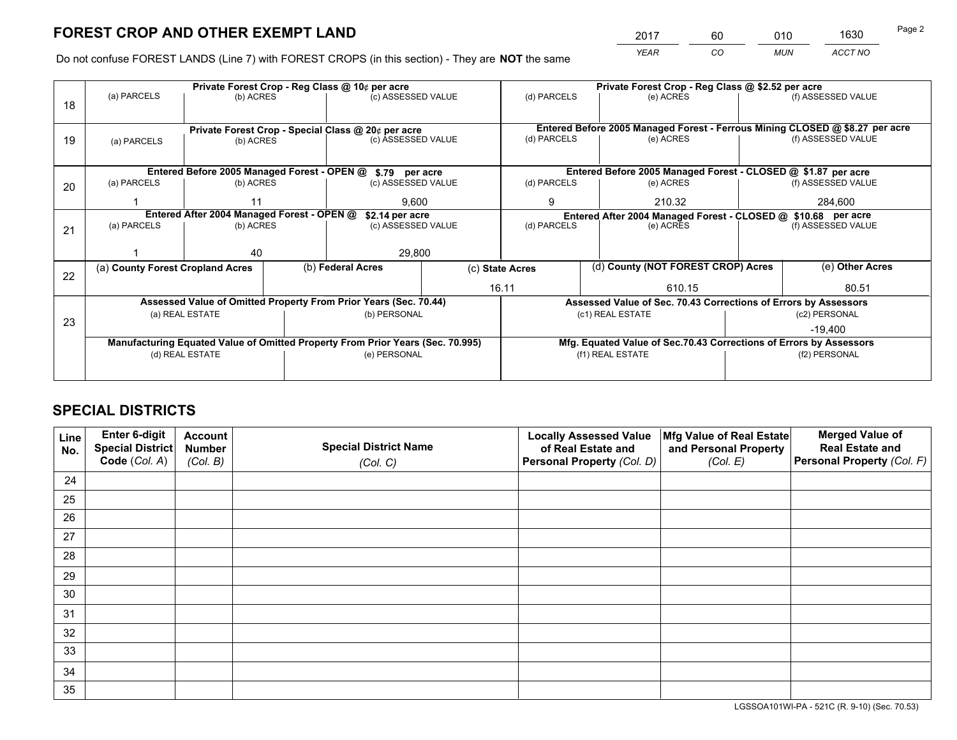*YEAR CO MUN ACCT NO* <sup>2017</sup> <sup>60</sup> <sup>010</sup> <sup>1630</sup>

Do not confuse FOREST LANDS (Line 7) with FOREST CROPS (in this section) - They are **NOT** the same

|    |                                  | Private Forest Crop - Reg Class @ 10¢ per acre |                 |                                                                                |                                                               | Private Forest Crop - Reg Class @ \$2.52 per acre |                                                                              |                                                               |                                                                    |                    |
|----|----------------------------------|------------------------------------------------|-----------------|--------------------------------------------------------------------------------|---------------------------------------------------------------|---------------------------------------------------|------------------------------------------------------------------------------|---------------------------------------------------------------|--------------------------------------------------------------------|--------------------|
| 18 | (a) PARCELS                      | (b) ACRES                                      |                 | (c) ASSESSED VALUE                                                             |                                                               | (d) PARCELS                                       |                                                                              | (e) ACRES                                                     |                                                                    | (f) ASSESSED VALUE |
|    |                                  |                                                |                 | Private Forest Crop - Special Class @ 20¢ per acre                             |                                                               |                                                   | Entered Before 2005 Managed Forest - Ferrous Mining CLOSED @ \$8.27 per acre |                                                               |                                                                    |                    |
| 19 | (a) PARCELS                      | (b) ACRES                                      |                 |                                                                                | (d) PARCELS<br>(c) ASSESSED VALUE<br>(e) ACRES                |                                                   |                                                                              |                                                               |                                                                    | (f) ASSESSED VALUE |
|    |                                  |                                                |                 | Entered Before 2005 Managed Forest - OPEN @ \$.79 per acre                     |                                                               |                                                   |                                                                              | Entered Before 2005 Managed Forest - CLOSED @ \$1.87 per acre |                                                                    |                    |
| 20 | (a) PARCELS                      | (b) ACRES                                      |                 | (c) ASSESSED VALUE                                                             |                                                               | (d) PARCELS                                       |                                                                              | (e) ACRES                                                     |                                                                    | (f) ASSESSED VALUE |
|    | 11                               |                                                |                 | 9.600                                                                          |                                                               | 9                                                 |                                                                              | 210.32                                                        |                                                                    | 284,600            |
|    |                                  | Entered After 2004 Managed Forest - OPEN @     | \$2.14 per acre |                                                                                | Entered After 2004 Managed Forest - CLOSED @ \$10.68 per acre |                                                   |                                                                              |                                                               |                                                                    |                    |
| 21 | (a) PARCELS                      | (b) ACRES                                      |                 | (c) ASSESSED VALUE                                                             |                                                               | (d) PARCELS                                       |                                                                              | (e) ACRES                                                     |                                                                    | (f) ASSESSED VALUE |
|    |                                  | 40                                             |                 | 29,800                                                                         |                                                               |                                                   |                                                                              |                                                               |                                                                    |                    |
| 22 | (a) County Forest Cropland Acres |                                                |                 | (b) Federal Acres<br>(c) State Acres                                           |                                                               |                                                   |                                                                              | (d) County (NOT FOREST CROP) Acres                            |                                                                    | (e) Other Acres    |
|    |                                  |                                                |                 |                                                                                |                                                               | 16.11<br>610.15                                   |                                                                              |                                                               | 80.51                                                              |                    |
|    |                                  |                                                |                 | Assessed Value of Omitted Property From Prior Years (Sec. 70.44)               |                                                               |                                                   |                                                                              |                                                               | Assessed Value of Sec. 70.43 Corrections of Errors by Assessors    |                    |
| 23 |                                  | (a) REAL ESTATE                                |                 | (b) PERSONAL                                                                   |                                                               |                                                   |                                                                              | (c1) REAL ESTATE                                              |                                                                    | (c2) PERSONAL      |
|    |                                  |                                                |                 |                                                                                |                                                               |                                                   |                                                                              |                                                               |                                                                    | $-19.400$          |
|    |                                  |                                                |                 | Manufacturing Equated Value of Omitted Property From Prior Years (Sec. 70.995) |                                                               |                                                   |                                                                              |                                                               | Mfg. Equated Value of Sec.70.43 Corrections of Errors by Assessors |                    |
|    |                                  | (d) REAL ESTATE                                |                 | (e) PERSONAL                                                                   |                                                               |                                                   |                                                                              | (f1) REAL ESTATE                                              |                                                                    | (f2) PERSONAL      |
|    |                                  |                                                |                 |                                                                                |                                                               |                                                   |                                                                              |                                                               |                                                                    |                    |

## **SPECIAL DISTRICTS**

| Line<br>No. | Enter 6-digit<br><b>Special District</b> | <b>Account</b><br><b>Number</b> | <b>Special District Name</b> | <b>Locally Assessed Value</b><br>of Real Estate and | Mfg Value of Real Estate<br>and Personal Property | <b>Merged Value of</b><br><b>Real Estate and</b> |
|-------------|------------------------------------------|---------------------------------|------------------------------|-----------------------------------------------------|---------------------------------------------------|--------------------------------------------------|
|             | Code (Col. A)                            | (Col. B)                        | (Col. C)                     | Personal Property (Col. D)                          | (Col. E)                                          | Personal Property (Col. F)                       |
| 24          |                                          |                                 |                              |                                                     |                                                   |                                                  |
| 25          |                                          |                                 |                              |                                                     |                                                   |                                                  |
| 26          |                                          |                                 |                              |                                                     |                                                   |                                                  |
| 27          |                                          |                                 |                              |                                                     |                                                   |                                                  |
| 28          |                                          |                                 |                              |                                                     |                                                   |                                                  |
| 29          |                                          |                                 |                              |                                                     |                                                   |                                                  |
| 30          |                                          |                                 |                              |                                                     |                                                   |                                                  |
| 31          |                                          |                                 |                              |                                                     |                                                   |                                                  |
| 32          |                                          |                                 |                              |                                                     |                                                   |                                                  |
| 33          |                                          |                                 |                              |                                                     |                                                   |                                                  |
| 34          |                                          |                                 |                              |                                                     |                                                   |                                                  |
| 35          |                                          |                                 |                              |                                                     |                                                   |                                                  |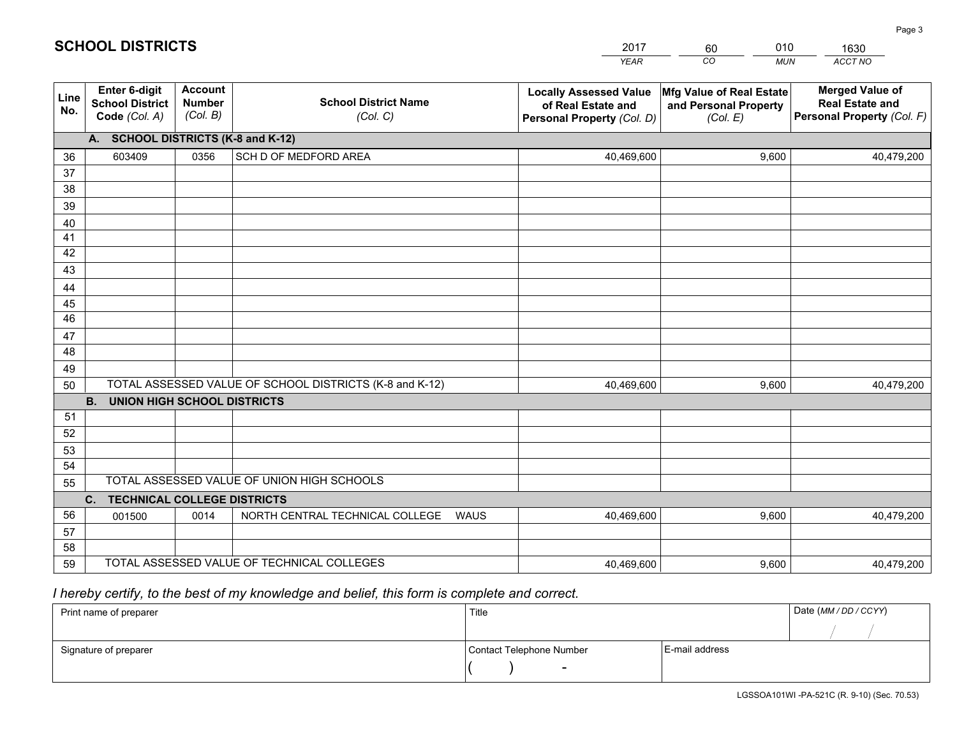|             |                                                                 |                                             |                                                         | <b>YEAR</b>                                                                       | CO<br><b>MUN</b>                                              | ACCT NO                                                                        |
|-------------|-----------------------------------------------------------------|---------------------------------------------|---------------------------------------------------------|-----------------------------------------------------------------------------------|---------------------------------------------------------------|--------------------------------------------------------------------------------|
| Line<br>No. | <b>Enter 6-digit</b><br><b>School District</b><br>Code (Col. A) | <b>Account</b><br><b>Number</b><br>(Col. B) | <b>School District Name</b><br>(Col. C)                 | <b>Locally Assessed Value</b><br>of Real Estate and<br>Personal Property (Col. D) | Mfg Value of Real Estate<br>and Personal Property<br>(Col. E) | <b>Merged Value of</b><br><b>Real Estate and</b><br>Personal Property (Col. F) |
|             | A. SCHOOL DISTRICTS (K-8 and K-12)                              |                                             |                                                         |                                                                                   |                                                               |                                                                                |
| 36          | 603409                                                          | 0356                                        | SCH D OF MEDFORD AREA                                   | 40,469,600                                                                        | 9,600                                                         | 40,479,200                                                                     |
| 37          |                                                                 |                                             |                                                         |                                                                                   |                                                               |                                                                                |
| 38          |                                                                 |                                             |                                                         |                                                                                   |                                                               |                                                                                |
| 39          |                                                                 |                                             |                                                         |                                                                                   |                                                               |                                                                                |
| 40          |                                                                 |                                             |                                                         |                                                                                   |                                                               |                                                                                |
| 41<br>42    |                                                                 |                                             |                                                         |                                                                                   |                                                               |                                                                                |
| 43          |                                                                 |                                             |                                                         |                                                                                   |                                                               |                                                                                |
|             |                                                                 |                                             |                                                         |                                                                                   |                                                               |                                                                                |
| 44<br>45    |                                                                 |                                             |                                                         |                                                                                   |                                                               |                                                                                |
| 46          |                                                                 |                                             |                                                         |                                                                                   |                                                               |                                                                                |
| 47          |                                                                 |                                             |                                                         |                                                                                   |                                                               |                                                                                |
| 48          |                                                                 |                                             |                                                         |                                                                                   |                                                               |                                                                                |
| 49          |                                                                 |                                             |                                                         |                                                                                   |                                                               |                                                                                |
| 50          |                                                                 |                                             | TOTAL ASSESSED VALUE OF SCHOOL DISTRICTS (K-8 and K-12) | 40,469,600                                                                        | 9,600                                                         | 40,479,200                                                                     |
|             | <b>B.</b><br>UNION HIGH SCHOOL DISTRICTS                        |                                             |                                                         |                                                                                   |                                                               |                                                                                |
| 51          |                                                                 |                                             |                                                         |                                                                                   |                                                               |                                                                                |
| 52          |                                                                 |                                             |                                                         |                                                                                   |                                                               |                                                                                |
| 53          |                                                                 |                                             |                                                         |                                                                                   |                                                               |                                                                                |
| 54          |                                                                 |                                             |                                                         |                                                                                   |                                                               |                                                                                |
| 55          |                                                                 |                                             | TOTAL ASSESSED VALUE OF UNION HIGH SCHOOLS              |                                                                                   |                                                               |                                                                                |
|             | C.<br><b>TECHNICAL COLLEGE DISTRICTS</b>                        |                                             |                                                         |                                                                                   |                                                               |                                                                                |
| 56          | 001500                                                          | 0014                                        | NORTH CENTRAL TECHNICAL COLLEGE<br>WAUS                 | 40,469,600                                                                        | 9,600                                                         | 40,479,200                                                                     |
| 57<br>58    |                                                                 |                                             |                                                         |                                                                                   |                                                               |                                                                                |
| 59          |                                                                 |                                             | TOTAL ASSESSED VALUE OF TECHNICAL COLLEGES              | 40,469,600                                                                        | 9,600                                                         | 40,479,200                                                                     |
|             |                                                                 |                                             |                                                         |                                                                                   |                                                               |                                                                                |

60

010

## *I hereby certify, to the best of my knowledge and belief, this form is complete and correct.*

**SCHOOL DISTRICTS**

| Print name of preparer | Title                    | Date (MM / DD / CCYY) |  |
|------------------------|--------------------------|-----------------------|--|
|                        |                          |                       |  |
| Signature of preparer  | Contact Telephone Number | E-mail address        |  |
|                        | $\sim$                   |                       |  |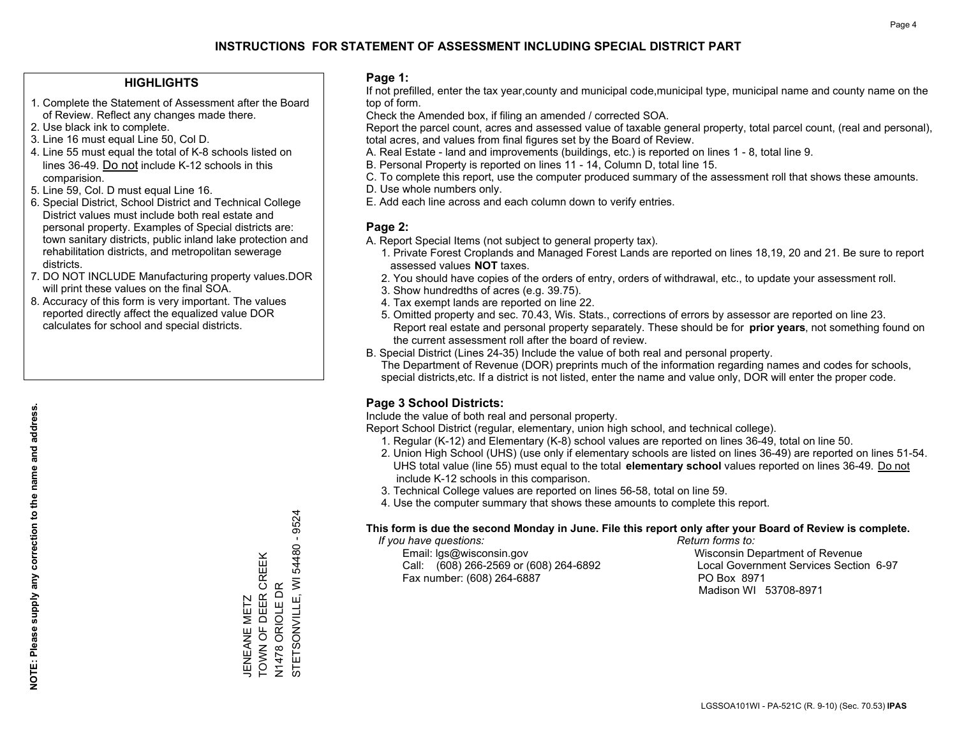### **HIGHLIGHTS**

- 1. Complete the Statement of Assessment after the Board of Review. Reflect any changes made there.
- 2. Use black ink to complete.
- 3. Line 16 must equal Line 50, Col D.
- 4. Line 55 must equal the total of K-8 schools listed on lines 36-49. Do not include K-12 schools in this comparision.
- 5. Line 59, Col. D must equal Line 16.
- 6. Special District, School District and Technical College District values must include both real estate and personal property. Examples of Special districts are: town sanitary districts, public inland lake protection and rehabilitation districts, and metropolitan sewerage districts.
- 7. DO NOT INCLUDE Manufacturing property values.DOR will print these values on the final SOA.
- 8. Accuracy of this form is very important. The values reported directly affect the equalized value DOR calculates for school and special districts.

### **Page 1:**

 If not prefilled, enter the tax year,county and municipal code,municipal type, municipal name and county name on the top of form.

Check the Amended box, if filing an amended / corrected SOA.

 Report the parcel count, acres and assessed value of taxable general property, total parcel count, (real and personal), total acres, and values from final figures set by the Board of Review.

- A. Real Estate land and improvements (buildings, etc.) is reported on lines 1 8, total line 9.
- B. Personal Property is reported on lines 11 14, Column D, total line 15.
- C. To complete this report, use the computer produced summary of the assessment roll that shows these amounts.
- D. Use whole numbers only.
- E. Add each line across and each column down to verify entries.

### **Page 2:**

- A. Report Special Items (not subject to general property tax).
- 1. Private Forest Croplands and Managed Forest Lands are reported on lines 18,19, 20 and 21. Be sure to report assessed values **NOT** taxes.
- 2. You should have copies of the orders of entry, orders of withdrawal, etc., to update your assessment roll.
	- 3. Show hundredths of acres (e.g. 39.75).
- 4. Tax exempt lands are reported on line 22.
- 5. Omitted property and sec. 70.43, Wis. Stats., corrections of errors by assessor are reported on line 23. Report real estate and personal property separately. These should be for **prior years**, not something found on the current assessment roll after the board of review.
- B. Special District (Lines 24-35) Include the value of both real and personal property.
- The Department of Revenue (DOR) preprints much of the information regarding names and codes for schools, special districts,etc. If a district is not listed, enter the name and value only, DOR will enter the proper code.

## **Page 3 School Districts:**

Include the value of both real and personal property.

Report School District (regular, elementary, union high school, and technical college).

- 1. Regular (K-12) and Elementary (K-8) school values are reported on lines 36-49, total on line 50.
- 2. Union High School (UHS) (use only if elementary schools are listed on lines 36-49) are reported on lines 51-54. UHS total value (line 55) must equal to the total **elementary school** values reported on lines 36-49. Do notinclude K-12 schools in this comparison.
- 3. Technical College values are reported on lines 56-58, total on line 59.
- 4. Use the computer summary that shows these amounts to complete this report.

#### **This form is due the second Monday in June. File this report only after your Board of Review is complete.**

 *If you have questions: Return forms to:*

 Email: lgs@wisconsin.gov Wisconsin Department of RevenueCall:  $(608)$  266-2569 or  $(608)$  264-6892 Fax number: (608) 264-6887 PO Box 8971

Local Government Services Section 6-97 Madison WI 53708-8971

9524 STETSONVILLE, WI 54480 - 9524 N1478 ORIOLE DR<br>STETSONVILLE, WI 54480 -TOWN OF DEER CREEK JENEANE METZ<br>TOWN OF DEER CREEK N1478 ORIOLE DR JENEANE METZ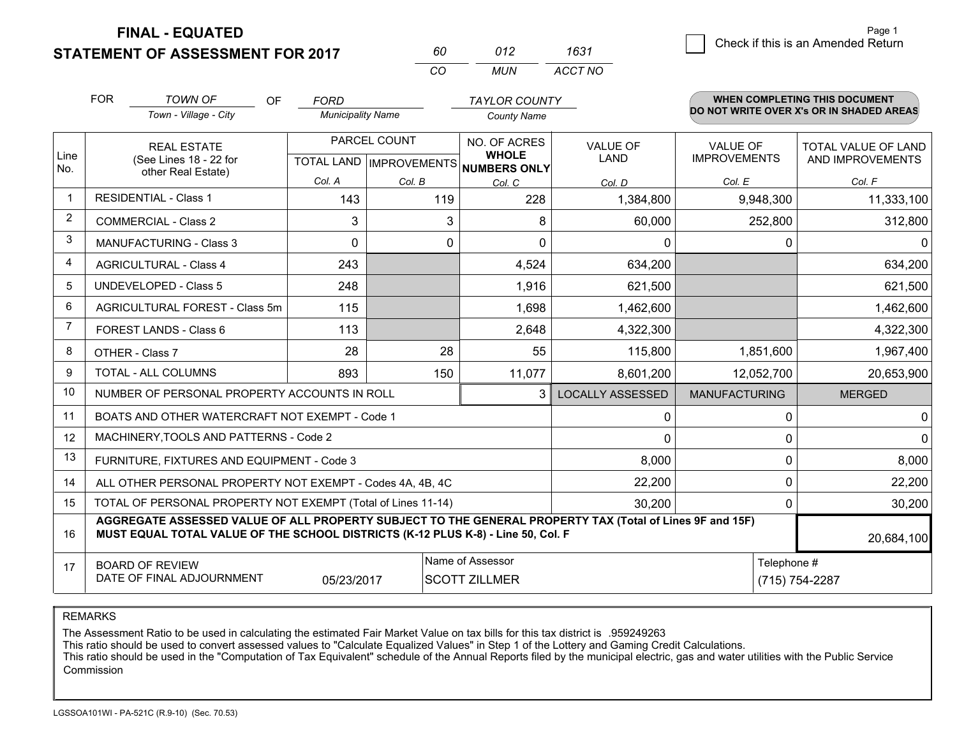**FINAL - EQUATED**

**STATEMENT OF ASSESSMENT FOR 2017** 

| 60. | 012   | 1631    |
|-----|-------|---------|
| (   | MI IN | ACCT NO |

|                | <b>FOR</b>                                                                                                                                                                                                 | <b>TOWN OF</b><br><b>OF</b>                                  | <b>FORD</b>              |              | <b>TAYLOR COUNTY</b>                                 |                         |                      | <b>WHEN COMPLETING THIS DOCUMENT</b>     |  |
|----------------|------------------------------------------------------------------------------------------------------------------------------------------------------------------------------------------------------------|--------------------------------------------------------------|--------------------------|--------------|------------------------------------------------------|-------------------------|----------------------|------------------------------------------|--|
|                |                                                                                                                                                                                                            | Town - Village - City                                        | <b>Municipality Name</b> |              | <b>County Name</b>                                   |                         |                      | DO NOT WRITE OVER X's OR IN SHADED AREAS |  |
|                |                                                                                                                                                                                                            | <b>REAL ESTATE</b>                                           |                          | PARCEL COUNT | NO. OF ACRES                                         | <b>VALUE OF</b>         | <b>VALUE OF</b>      | TOTAL VALUE OF LAND                      |  |
| Line<br>No.    |                                                                                                                                                                                                            | (See Lines 18 - 22 for<br>other Real Estate)                 |                          |              | <b>WHOLE</b><br>TOTAL LAND IMPROVEMENTS NUMBERS ONLY | <b>LAND</b>             | <b>IMPROVEMENTS</b>  | AND IMPROVEMENTS                         |  |
|                |                                                                                                                                                                                                            |                                                              | Col. A                   | Col. B       | Col. C                                               | Col. D                  | Col. E               | Col. F                                   |  |
| $\mathbf 1$    |                                                                                                                                                                                                            | <b>RESIDENTIAL - Class 1</b>                                 | 143                      | 119          | 228                                                  | 1,384,800               | 9,948,300            | 11,333,100                               |  |
| $\overline{2}$ |                                                                                                                                                                                                            | <b>COMMERCIAL - Class 2</b>                                  | 3                        | 3            | 8                                                    | 60,000                  | 252,800              | 312,800                                  |  |
| 3              |                                                                                                                                                                                                            | <b>MANUFACTURING - Class 3</b>                               | $\Omega$                 | 0            | $\mathbf{0}$                                         | $\mathbf{0}$            | 0                    | 0                                        |  |
| 4              |                                                                                                                                                                                                            | <b>AGRICULTURAL - Class 4</b>                                | 243                      |              | 4,524                                                | 634,200                 |                      | 634,200                                  |  |
| 5              |                                                                                                                                                                                                            | <b>UNDEVELOPED - Class 5</b>                                 | 248                      |              | 1,916                                                | 621,500                 |                      | 621,500                                  |  |
| 6              |                                                                                                                                                                                                            | AGRICULTURAL FOREST - Class 5m                               | 115                      |              | 1,698                                                | 1,462,600               |                      | 1,462,600                                |  |
| 7              | FOREST LANDS - Class 6                                                                                                                                                                                     |                                                              | 113                      |              | 2,648                                                | 4,322,300               |                      | 4,322,300                                |  |
| 8              |                                                                                                                                                                                                            | OTHER - Class 7                                              | 28                       | 28           | 55                                                   | 115,800                 | 1,851,600            | 1,967,400                                |  |
| 9              |                                                                                                                                                                                                            | TOTAL - ALL COLUMNS                                          | 893                      | 150          | 11,077                                               | 8,601,200               | 12,052,700           | 20,653,900                               |  |
| 10             |                                                                                                                                                                                                            | NUMBER OF PERSONAL PROPERTY ACCOUNTS IN ROLL                 |                          |              | 3                                                    | <b>LOCALLY ASSESSED</b> | <b>MANUFACTURING</b> | <b>MERGED</b>                            |  |
| 11             |                                                                                                                                                                                                            | BOATS AND OTHER WATERCRAFT NOT EXEMPT - Code 1               |                          |              |                                                      | 0                       | 0                    | 0                                        |  |
| 12             |                                                                                                                                                                                                            | MACHINERY, TOOLS AND PATTERNS - Code 2                       |                          |              |                                                      | 0                       | 0                    | $\Omega$                                 |  |
| 13             |                                                                                                                                                                                                            | FURNITURE, FIXTURES AND EQUIPMENT - Code 3                   |                          |              |                                                      | 8,000                   | 0                    | 8,000                                    |  |
| 14             |                                                                                                                                                                                                            | ALL OTHER PERSONAL PROPERTY NOT EXEMPT - Codes 4A, 4B, 4C    |                          |              |                                                      | 22,200                  | 0                    | 22,200                                   |  |
| 15             |                                                                                                                                                                                                            | TOTAL OF PERSONAL PROPERTY NOT EXEMPT (Total of Lines 11-14) |                          |              |                                                      | 30,200                  | 0                    | 30,200                                   |  |
| 16             | AGGREGATE ASSESSED VALUE OF ALL PROPERTY SUBJECT TO THE GENERAL PROPERTY TAX (Total of Lines 9F and 15F)<br>MUST EQUAL TOTAL VALUE OF THE SCHOOL DISTRICTS (K-12 PLUS K-8) - Line 50, Col. F<br>20,684,100 |                                                              |                          |              |                                                      |                         |                      |                                          |  |
| 17             | Name of Assessor<br><b>BOARD OF REVIEW</b>                                                                                                                                                                 |                                                              |                          |              |                                                      |                         | Telephone #          |                                          |  |
|                |                                                                                                                                                                                                            | DATE OF FINAL ADJOURNMENT                                    | 05/23/2017               |              | <b>SCOTT ZILLMER</b>                                 |                         |                      | (715) 754-2287                           |  |

REMARKS

The Assessment Ratio to be used in calculating the estimated Fair Market Value on tax bills for this tax district is .959249263

This ratio should be used to convert assessed values to "Calculate Equalized Values" in Step 1 of the Lottery and Gaming Credit Calculations.<br>This ratio should be used in the "Computation of Tax Equivalent" schedule of the Commission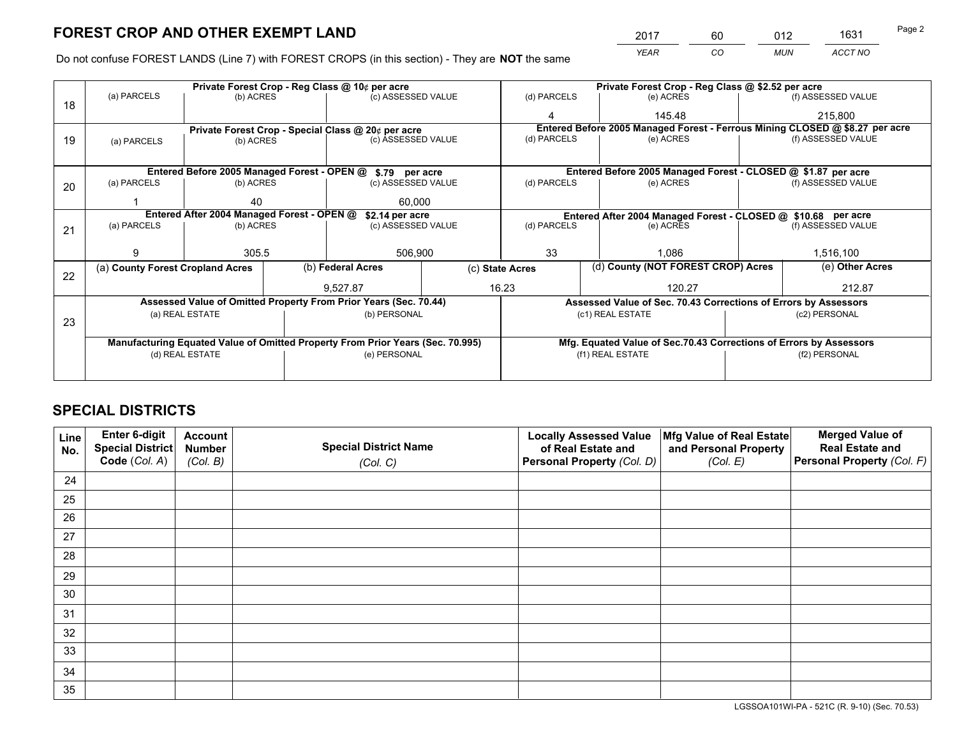*YEAR CO MUN ACCT NO* <sup>2017</sup> <sup>60</sup> <sup>012</sup> <sup>1631</sup> Page 2

Do not confuse FOREST LANDS (Line 7) with FOREST CROPS (in this section) - They are **NOT** the same

|    |                                            |                                             |  | Private Forest Crop - Reg Class @ 10¢ per acre                                 |                                   |                 |                  | Private Forest Crop - Reg Class @ \$2.52 per acre                  |               |                                                                              |  |
|----|--------------------------------------------|---------------------------------------------|--|--------------------------------------------------------------------------------|-----------------------------------|-----------------|------------------|--------------------------------------------------------------------|---------------|------------------------------------------------------------------------------|--|
| 18 | (a) PARCELS                                | (b) ACRES                                   |  | (c) ASSESSED VALUE                                                             |                                   | (d) PARCELS     |                  | (e) ACRES                                                          |               | (f) ASSESSED VALUE                                                           |  |
|    |                                            |                                             |  |                                                                                |                                   |                 |                  | 145.48                                                             |               | 215.800                                                                      |  |
|    |                                            |                                             |  | Private Forest Crop - Special Class @ 20¢ per acre                             |                                   |                 |                  |                                                                    |               | Entered Before 2005 Managed Forest - Ferrous Mining CLOSED @ \$8.27 per acre |  |
| 19 | (a) PARCELS                                | (b) ACRES                                   |  | (c) ASSESSED VALUE                                                             |                                   | (d) PARCELS     |                  | (e) ACRES                                                          |               | (f) ASSESSED VALUE                                                           |  |
|    |                                            |                                             |  |                                                                                |                                   |                 |                  |                                                                    |               |                                                                              |  |
|    |                                            | Entered Before 2005 Managed Forest - OPEN @ |  | \$.79 per acre                                                                 |                                   |                 |                  | Entered Before 2005 Managed Forest - CLOSED @ \$1.87 per acre      |               |                                                                              |  |
| 20 | (a) PARCELS                                | (b) ACRES                                   |  | (c) ASSESSED VALUE                                                             |                                   | (d) PARCELS     |                  | (e) ACRES                                                          |               | (f) ASSESSED VALUE                                                           |  |
|    |                                            |                                             |  |                                                                                |                                   |                 |                  |                                                                    |               |                                                                              |  |
|    | 40<br>60,000                               |                                             |  |                                                                                |                                   |                 |                  |                                                                    |               |                                                                              |  |
|    | Entered After 2004 Managed Forest - OPEN @ |                                             |  | \$2.14 per acre                                                                |                                   |                 |                  | Entered After 2004 Managed Forest - CLOSED @ \$10.68 per acre      |               |                                                                              |  |
| 21 | (a) PARCELS                                | (b) ACRES                                   |  |                                                                                | (d) PARCELS<br>(c) ASSESSED VALUE |                 |                  | (e) ACRES                                                          |               | (f) ASSESSED VALUE                                                           |  |
|    |                                            |                                             |  |                                                                                |                                   | 33              |                  |                                                                    |               |                                                                              |  |
|    |                                            | 305.5                                       |  |                                                                                | 506,900                           |                 |                  | 1.086                                                              |               | 1,516,100                                                                    |  |
|    | (a) County Forest Cropland Acres           |                                             |  | (b) Federal Acres                                                              |                                   | (c) State Acres |                  | (d) County (NOT FOREST CROP) Acres                                 |               | (e) Other Acres                                                              |  |
| 22 |                                            |                                             |  |                                                                                |                                   |                 |                  |                                                                    |               |                                                                              |  |
|    |                                            |                                             |  | 9.527.87                                                                       |                                   | 16.23           |                  | 120.27                                                             |               | 212.87                                                                       |  |
|    |                                            |                                             |  | Assessed Value of Omitted Property From Prior Years (Sec. 70.44)               |                                   |                 |                  | Assessed Value of Sec. 70.43 Corrections of Errors by Assessors    |               |                                                                              |  |
| 23 | (a) REAL ESTATE                            |                                             |  | (b) PERSONAL                                                                   |                                   |                 |                  | (c1) REAL ESTATE                                                   |               | (c2) PERSONAL                                                                |  |
|    |                                            |                                             |  |                                                                                |                                   |                 |                  |                                                                    |               |                                                                              |  |
|    |                                            |                                             |  | Manufacturing Equated Value of Omitted Property From Prior Years (Sec. 70.995) |                                   |                 |                  | Mfg. Equated Value of Sec.70.43 Corrections of Errors by Assessors |               |                                                                              |  |
|    |                                            | (d) REAL ESTATE                             |  | (e) PERSONAL                                                                   |                                   |                 | (f1) REAL ESTATE |                                                                    | (f2) PERSONAL |                                                                              |  |
|    |                                            |                                             |  |                                                                                |                                   |                 |                  |                                                                    |               |                                                                              |  |
|    |                                            |                                             |  |                                                                                |                                   |                 |                  |                                                                    |               |                                                                              |  |

## **SPECIAL DISTRICTS**

| Line<br>No. | Enter 6-digit<br><b>Special District</b> | <b>Account</b><br><b>Number</b> | <b>Special District Name</b> | <b>Locally Assessed Value</b><br>of Real Estate and | Mfg Value of Real Estate<br>and Personal Property | <b>Merged Value of</b><br><b>Real Estate and</b> |
|-------------|------------------------------------------|---------------------------------|------------------------------|-----------------------------------------------------|---------------------------------------------------|--------------------------------------------------|
|             | Code (Col. A)                            | (Col. B)                        | (Col. C)                     | Personal Property (Col. D)                          | (Col. E)                                          | Personal Property (Col. F)                       |
| 24          |                                          |                                 |                              |                                                     |                                                   |                                                  |
| 25          |                                          |                                 |                              |                                                     |                                                   |                                                  |
| 26          |                                          |                                 |                              |                                                     |                                                   |                                                  |
| 27          |                                          |                                 |                              |                                                     |                                                   |                                                  |
| 28          |                                          |                                 |                              |                                                     |                                                   |                                                  |
| 29          |                                          |                                 |                              |                                                     |                                                   |                                                  |
| 30          |                                          |                                 |                              |                                                     |                                                   |                                                  |
| 31          |                                          |                                 |                              |                                                     |                                                   |                                                  |
| 32          |                                          |                                 |                              |                                                     |                                                   |                                                  |
| 33          |                                          |                                 |                              |                                                     |                                                   |                                                  |
| 34          |                                          |                                 |                              |                                                     |                                                   |                                                  |
| 35          |                                          |                                 |                              |                                                     |                                                   |                                                  |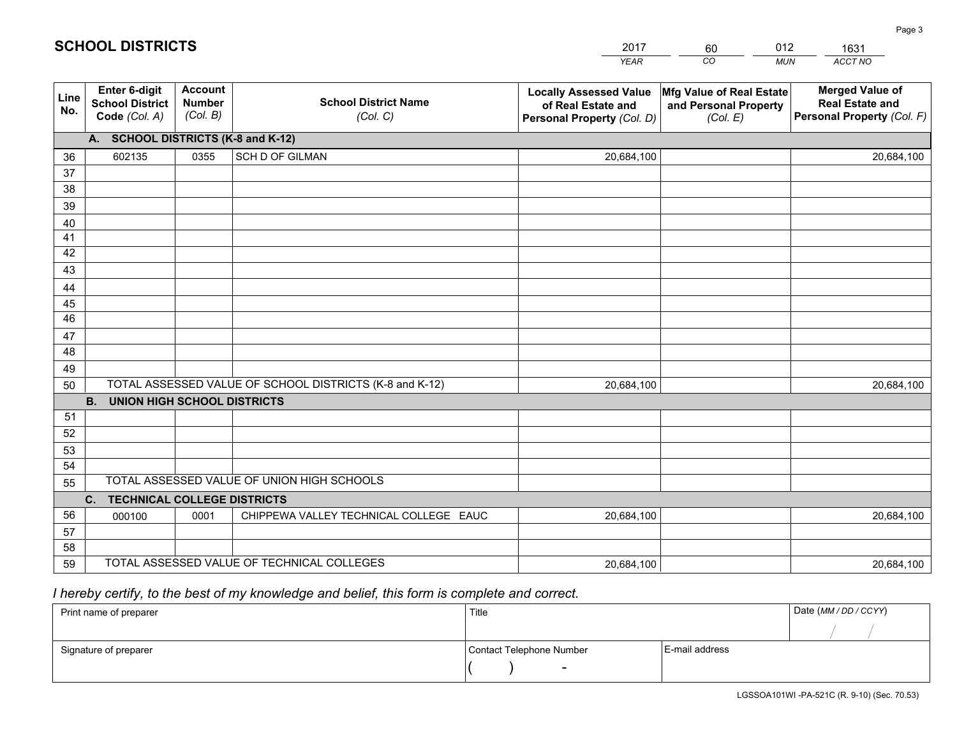|                       |                                                          |                                             |                                                         | <b>YEAR</b>                                                                       | CO<br><b>MUN</b>                                              | ACCT NO                                                                        |
|-----------------------|----------------------------------------------------------|---------------------------------------------|---------------------------------------------------------|-----------------------------------------------------------------------------------|---------------------------------------------------------------|--------------------------------------------------------------------------------|
| Line<br>No.           | Enter 6-digit<br><b>School District</b><br>Code (Col. A) | <b>Account</b><br><b>Number</b><br>(Col. B) | <b>School District Name</b><br>(Col. C)                 | <b>Locally Assessed Value</b><br>of Real Estate and<br>Personal Property (Col. D) | Mfg Value of Real Estate<br>and Personal Property<br>(Col. E) | <b>Merged Value of</b><br><b>Real Estate and</b><br>Personal Property (Col. F) |
|                       | A. SCHOOL DISTRICTS (K-8 and K-12)                       |                                             |                                                         |                                                                                   |                                                               |                                                                                |
| 36                    | 602135                                                   | 0355                                        | SCH D OF GILMAN                                         | 20,684,100                                                                        |                                                               | 20,684,100                                                                     |
| 37                    |                                                          |                                             |                                                         |                                                                                   |                                                               |                                                                                |
| 38                    |                                                          |                                             |                                                         |                                                                                   |                                                               |                                                                                |
| 39                    |                                                          |                                             |                                                         |                                                                                   |                                                               |                                                                                |
| 40                    |                                                          |                                             |                                                         |                                                                                   |                                                               |                                                                                |
| 41                    |                                                          |                                             |                                                         |                                                                                   |                                                               |                                                                                |
| 42                    |                                                          |                                             |                                                         |                                                                                   |                                                               |                                                                                |
| 43                    |                                                          |                                             |                                                         |                                                                                   |                                                               |                                                                                |
| 44                    |                                                          |                                             |                                                         |                                                                                   |                                                               |                                                                                |
| 45<br>$\overline{46}$ |                                                          |                                             |                                                         |                                                                                   |                                                               |                                                                                |
|                       |                                                          |                                             |                                                         |                                                                                   |                                                               |                                                                                |
| 47<br>48              |                                                          |                                             |                                                         |                                                                                   |                                                               |                                                                                |
| 49                    |                                                          |                                             |                                                         |                                                                                   |                                                               |                                                                                |
| 50                    |                                                          |                                             | TOTAL ASSESSED VALUE OF SCHOOL DISTRICTS (K-8 and K-12) | 20,684,100                                                                        |                                                               | 20,684,100                                                                     |
|                       | <b>B.</b><br><b>UNION HIGH SCHOOL DISTRICTS</b>          |                                             |                                                         |                                                                                   |                                                               |                                                                                |
| 51                    |                                                          |                                             |                                                         |                                                                                   |                                                               |                                                                                |
| 52                    |                                                          |                                             |                                                         |                                                                                   |                                                               |                                                                                |
| 53                    |                                                          |                                             |                                                         |                                                                                   |                                                               |                                                                                |
| 54                    |                                                          |                                             |                                                         |                                                                                   |                                                               |                                                                                |
| 55                    |                                                          |                                             | TOTAL ASSESSED VALUE OF UNION HIGH SCHOOLS              |                                                                                   |                                                               |                                                                                |
|                       | $C_{1}$<br><b>TECHNICAL COLLEGE DISTRICTS</b>            |                                             |                                                         |                                                                                   |                                                               |                                                                                |
| 56                    | 000100                                                   | 0001                                        | CHIPPEWA VALLEY TECHNICAL COLLEGE EAUC                  | 20,684,100                                                                        |                                                               | 20,684,100                                                                     |
| 57                    |                                                          |                                             |                                                         |                                                                                   |                                                               |                                                                                |
| 58                    |                                                          |                                             |                                                         |                                                                                   |                                                               |                                                                                |
| 59                    |                                                          |                                             | TOTAL ASSESSED VALUE OF TECHNICAL COLLEGES              | 20,684,100                                                                        |                                                               | 20,684,100                                                                     |

60

012

 *I hereby certify, to the best of my knowledge and belief, this form is complete and correct.*

**SCHOOL DISTRICTS**

| Print name of preparer | Title                    | Date (MM / DD / CCYY) |  |
|------------------------|--------------------------|-----------------------|--|
|                        |                          |                       |  |
| Signature of preparer  | Contact Telephone Number | E-mail address        |  |
|                        | $\sim$                   |                       |  |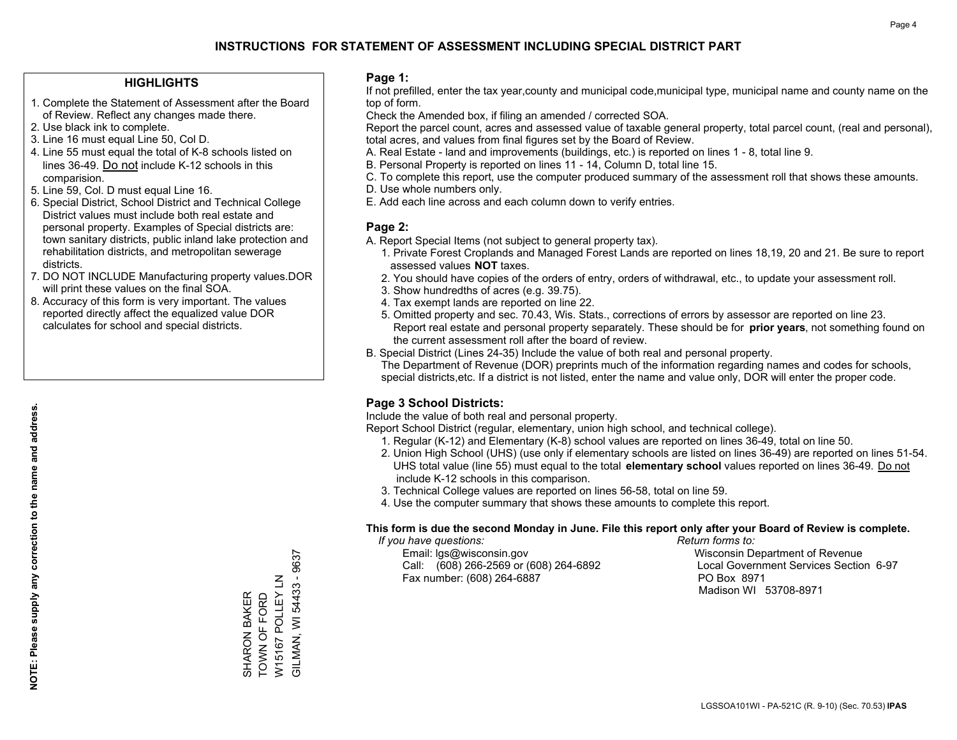## **HIGHLIGHTS**

- 1. Complete the Statement of Assessment after the Board of Review. Reflect any changes made there.
- 2. Use black ink to complete.

**NOTE: Please supply any correction to the name and address.**

NOTE: Please supply any correction to the name and address.

- 3. Line 16 must equal Line 50, Col D.
- 4. Line 55 must equal the total of K-8 schools listed on lines 36-49. Do not include K-12 schools in this comparision.
- 5. Line 59, Col. D must equal Line 16.
- 6. Special District, School District and Technical College District values must include both real estate and personal property. Examples of Special districts are: town sanitary districts, public inland lake protection and rehabilitation districts, and metropolitan sewerage districts.
- 7. DO NOT INCLUDE Manufacturing property values.DOR will print these values on the final SOA.
- 8. Accuracy of this form is very important. The values reported directly affect the equalized value DOR calculates for school and special districts.

### **Page 1:**

 If not prefilled, enter the tax year,county and municipal code,municipal type, municipal name and county name on the top of form.

Check the Amended box, if filing an amended / corrected SOA.

 Report the parcel count, acres and assessed value of taxable general property, total parcel count, (real and personal), total acres, and values from final figures set by the Board of Review.

- A. Real Estate land and improvements (buildings, etc.) is reported on lines 1 8, total line 9.
- B. Personal Property is reported on lines 11 14, Column D, total line 15.
- C. To complete this report, use the computer produced summary of the assessment roll that shows these amounts.
- D. Use whole numbers only.
- E. Add each line across and each column down to verify entries.

### **Page 2:**

- A. Report Special Items (not subject to general property tax).
- 1. Private Forest Croplands and Managed Forest Lands are reported on lines 18,19, 20 and 21. Be sure to report assessed values **NOT** taxes.
- 2. You should have copies of the orders of entry, orders of withdrawal, etc., to update your assessment roll.
	- 3. Show hundredths of acres (e.g. 39.75).
- 4. Tax exempt lands are reported on line 22.
- 5. Omitted property and sec. 70.43, Wis. Stats., corrections of errors by assessor are reported on line 23. Report real estate and personal property separately. These should be for **prior years**, not something found on the current assessment roll after the board of review.
- B. Special District (Lines 24-35) Include the value of both real and personal property.
- The Department of Revenue (DOR) preprints much of the information regarding names and codes for schools, special districts,etc. If a district is not listed, enter the name and value only, DOR will enter the proper code.

## **Page 3 School Districts:**

Include the value of both real and personal property.

Report School District (regular, elementary, union high school, and technical college).

- 1. Regular (K-12) and Elementary (K-8) school values are reported on lines 36-49, total on line 50.
- 2. Union High School (UHS) (use only if elementary schools are listed on lines 36-49) are reported on lines 51-54. UHS total value (line 55) must equal to the total **elementary school** values reported on lines 36-49. Do notinclude K-12 schools in this comparison.
- 3. Technical College values are reported on lines 56-58, total on line 59.
- 4. Use the computer summary that shows these amounts to complete this report.

#### **This form is due the second Monday in June. File this report only after your Board of Review is complete.**

 *If you have questions: Return forms to:*

 Email: lgs@wisconsin.gov Wisconsin Department of RevenueCall:  $(608)$  266-2569 or  $(608)$  264-6892 Fax number: (608) 264-6887 PO Box 8971

Local Government Services Section 6-97 Madison WI 53708-8971

W15167 POLLEY LN<br>GILMAN, WI 54433 - 9637 GILMAN, WI 54433 - 9637 W15167 POLLEY LN SHARON BAKER<br>TOWN OF FORD TOWN OF FORD SHARON BAKER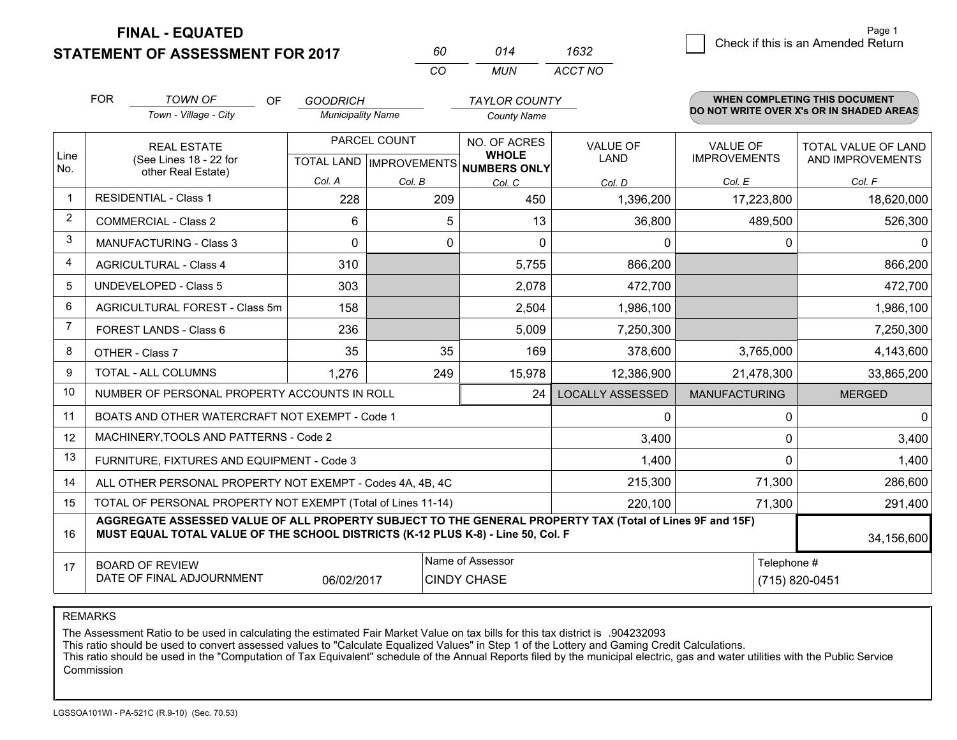**STATEMENT OF ASSESSMENT FOR 2017 FINAL - EQUATED**

2 Check if this is an Amended Return Page 1

|                | <b>FOR</b>                                                                                                                                                                                                 | <b>TOWN OF</b><br><b>OF</b>                                  | <b>GOODRICH</b>           |              | <b>TAYLOR COUNTY</b>                   |                         |                      | <b>WHEN COMPLETING THIS DOCUMENT</b><br>DO NOT WRITE OVER X's OR IN SHADED AREAS |  |  |
|----------------|------------------------------------------------------------------------------------------------------------------------------------------------------------------------------------------------------------|--------------------------------------------------------------|---------------------------|--------------|----------------------------------------|-------------------------|----------------------|----------------------------------------------------------------------------------|--|--|
|                |                                                                                                                                                                                                            | Town - Village - City                                        | <b>Municipality Name</b>  |              | <b>County Name</b>                     |                         |                      |                                                                                  |  |  |
|                |                                                                                                                                                                                                            | <b>REAL ESTATE</b>                                           |                           | PARCEL COUNT | NO. OF ACRES                           | <b>VALUE OF</b>         | <b>VALUE OF</b>      | <b>TOTAL VALUE OF LAND</b>                                                       |  |  |
| Line<br>No.    | (See Lines 18 - 22 for<br>other Real Estate)                                                                                                                                                               |                                                              | TOTAL LAND   IMPROVEMENTS |              | <b>WHOLE</b><br><b>NUMBERS ONLY</b>    | <b>LAND</b>             | <b>IMPROVEMENTS</b>  | AND IMPROVEMENTS                                                                 |  |  |
|                |                                                                                                                                                                                                            |                                                              | Col. A                    | Col. B       | Col. C                                 | Col. D                  | Col. E               | Col. F                                                                           |  |  |
| $\mathbf{1}$   |                                                                                                                                                                                                            | <b>RESIDENTIAL - Class 1</b>                                 | 228                       | 209          | 450                                    | 1,396,200               | 17,223,800           | 18,620,000                                                                       |  |  |
| 2              |                                                                                                                                                                                                            | <b>COMMERCIAL - Class 2</b>                                  | 6                         | 5            | 13                                     | 36,800                  | 489,500              | 526,300                                                                          |  |  |
| 3              |                                                                                                                                                                                                            | <b>MANUFACTURING - Class 3</b>                               | $\Omega$                  | 0            | $\Omega$                               | 0                       | 0                    |                                                                                  |  |  |
| $\overline{4}$ |                                                                                                                                                                                                            | <b>AGRICULTURAL - Class 4</b>                                | 310                       |              | 5,755                                  | 866,200                 |                      | 866,200                                                                          |  |  |
| 5              |                                                                                                                                                                                                            | <b>UNDEVELOPED - Class 5</b>                                 | 303                       |              | 2,078                                  | 472,700                 |                      | 472,700                                                                          |  |  |
| 6              |                                                                                                                                                                                                            | <b>AGRICULTURAL FOREST - Class 5m</b>                        | 158                       |              | 2,504                                  | 1,986,100               |                      | 1,986,100                                                                        |  |  |
| $\overline{7}$ |                                                                                                                                                                                                            | <b>FOREST LANDS - Class 6</b>                                | 236                       |              | 5,009                                  | 7,250,300               |                      | 7,250,300                                                                        |  |  |
| 8              |                                                                                                                                                                                                            | OTHER - Class 7                                              | 35                        | 35           | 169                                    | 378,600                 | 3,765,000            | 4,143,600                                                                        |  |  |
| 9              |                                                                                                                                                                                                            | TOTAL - ALL COLUMNS                                          | 1,276                     | 249          | 15,978                                 | 12,386,900              | 21,478,300           | 33,865,200                                                                       |  |  |
| 10             |                                                                                                                                                                                                            | NUMBER OF PERSONAL PROPERTY ACCOUNTS IN ROLL                 |                           |              | 24                                     | <b>LOCALLY ASSESSED</b> | <b>MANUFACTURING</b> | <b>MERGED</b>                                                                    |  |  |
| 11             |                                                                                                                                                                                                            | BOATS AND OTHER WATERCRAFT NOT EXEMPT - Code 1               |                           |              |                                        | 0                       | 0                    | $\Omega$                                                                         |  |  |
| 12             |                                                                                                                                                                                                            | MACHINERY, TOOLS AND PATTERNS - Code 2                       |                           |              |                                        | 3,400                   | 0                    | 3,400                                                                            |  |  |
| 13             |                                                                                                                                                                                                            | FURNITURE, FIXTURES AND EQUIPMENT - Code 3                   |                           |              |                                        | 1,400                   | 0                    | 1,400                                                                            |  |  |
| 14             |                                                                                                                                                                                                            | ALL OTHER PERSONAL PROPERTY NOT EXEMPT - Codes 4A, 4B, 4C    |                           |              |                                        | 215,300                 | 71,300               | 286,600                                                                          |  |  |
| 15             |                                                                                                                                                                                                            | TOTAL OF PERSONAL PROPERTY NOT EXEMPT (Total of Lines 11-14) |                           |              |                                        | 220,100                 | 71,300               | 291,400                                                                          |  |  |
| 16             | AGGREGATE ASSESSED VALUE OF ALL PROPERTY SUBJECT TO THE GENERAL PROPERTY TAX (Total of Lines 9F and 15F)<br>MUST EQUAL TOTAL VALUE OF THE SCHOOL DISTRICTS (K-12 PLUS K-8) - Line 50, Col. F<br>34,156,600 |                                                              |                           |              |                                        |                         |                      |                                                                                  |  |  |
| 17             | <b>BOARD OF REVIEW</b><br>DATE OF FINAL ADJOURNMENT<br>06/02/2017                                                                                                                                          |                                                              |                           |              | Name of Assessor<br><b>CINDY CHASE</b> |                         |                      | Telephone #<br>(715) 820-0451                                                    |  |  |

*MUN*

*ACCT NO1632*

*<sup>60</sup> <sup>014</sup>*

*CO*

REMARKS

The Assessment Ratio to be used in calculating the estimated Fair Market Value on tax bills for this tax district is .904232093<br>This ratio should be used to convert assessed values to "Calculate Equalized Values" in Step 1 Commission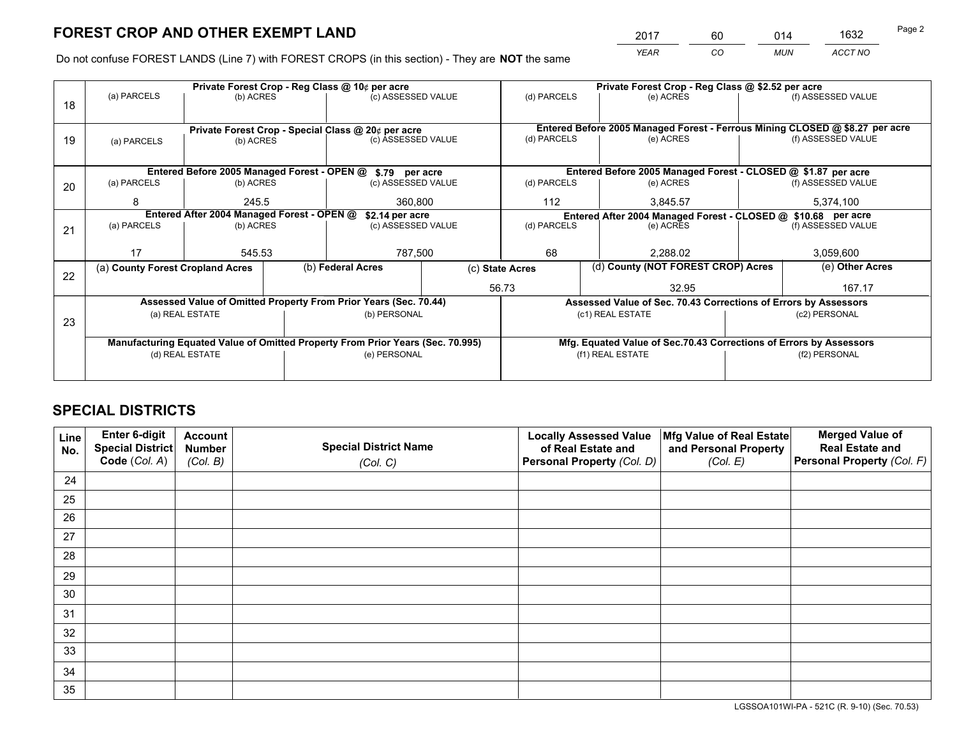*YEAR CO MUN ACCT NO* 2017 60 014 1632

Do not confuse FOREST LANDS (Line 7) with FOREST CROPS (in this section) - They are **NOT** the same

|    |                                                               |                 |  | Private Forest Crop - Reg Class @ 10¢ per acre                                 |                  | Private Forest Crop - Reg Class @ \$2.52 per acre |                  |                                                                              |  |                    |  |
|----|---------------------------------------------------------------|-----------------|--|--------------------------------------------------------------------------------|------------------|---------------------------------------------------|------------------|------------------------------------------------------------------------------|--|--------------------|--|
| 18 | (a) PARCELS                                                   | (b) ACRES       |  | (c) ASSESSED VALUE                                                             |                  | (d) PARCELS                                       |                  | (e) ACRES                                                                    |  | (f) ASSESSED VALUE |  |
|    |                                                               |                 |  |                                                                                |                  |                                                   |                  |                                                                              |  |                    |  |
|    | Private Forest Crop - Special Class @ 20¢ per acre            |                 |  |                                                                                |                  |                                                   |                  | Entered Before 2005 Managed Forest - Ferrous Mining CLOSED @ \$8.27 per acre |  |                    |  |
| 19 | (a) PARCELS                                                   | (b) ACRES       |  | (c) ASSESSED VALUE                                                             |                  | (d) PARCELS                                       |                  | (e) ACRES                                                                    |  | (f) ASSESSED VALUE |  |
|    |                                                               |                 |  |                                                                                |                  |                                                   |                  |                                                                              |  |                    |  |
|    |                                                               |                 |  | Entered Before 2005 Managed Forest - OPEN @ \$.79 per acre                     |                  |                                                   |                  | Entered Before 2005 Managed Forest - CLOSED @ \$1.87 per acre                |  |                    |  |
| 20 | (a) PARCELS                                                   | (b) ACRES       |  | (c) ASSESSED VALUE                                                             |                  | (d) PARCELS                                       |                  | (e) ACRES                                                                    |  | (f) ASSESSED VALUE |  |
|    | 8                                                             | 245.5           |  | 360,800                                                                        |                  | 112                                               |                  | 3,845.57                                                                     |  | 5,374,100          |  |
|    | Entered After 2004 Managed Forest - OPEN @<br>\$2.14 per acre |                 |  |                                                                                |                  |                                                   |                  | Entered After 2004 Managed Forest - CLOSED @ \$10.68 per acre                |  |                    |  |
| 21 | (a) PARCELS                                                   | (b) ACRES       |  | (c) ASSESSED VALUE                                                             | (d) PARCELS      |                                                   |                  | (e) ACRES                                                                    |  | (f) ASSESSED VALUE |  |
|    |                                                               |                 |  |                                                                                |                  |                                                   |                  |                                                                              |  |                    |  |
|    | 17                                                            | 545.53          |  | 787,500                                                                        | 68               |                                                   |                  | 2,288.02                                                                     |  | 3,059,600          |  |
| 22 | (a) County Forest Cropland Acres                              |                 |  | (b) Federal Acres                                                              |                  | (c) State Acres                                   |                  | (d) County (NOT FOREST CROP) Acres                                           |  | (e) Other Acres    |  |
|    |                                                               |                 |  |                                                                                |                  | 56.73                                             |                  | 32.95                                                                        |  | 167.17             |  |
|    |                                                               |                 |  | Assessed Value of Omitted Property From Prior Years (Sec. 70.44)               |                  |                                                   |                  | Assessed Value of Sec. 70.43 Corrections of Errors by Assessors              |  |                    |  |
|    |                                                               | (a) REAL ESTATE |  | (b) PERSONAL                                                                   |                  |                                                   | (c1) REAL ESTATE |                                                                              |  | (c2) PERSONAL      |  |
| 23 |                                                               |                 |  |                                                                                |                  |                                                   |                  |                                                                              |  |                    |  |
|    |                                                               |                 |  | Manufacturing Equated Value of Omitted Property From Prior Years (Sec. 70.995) |                  |                                                   |                  | Mfg. Equated Value of Sec.70.43 Corrections of Errors by Assessors           |  |                    |  |
|    |                                                               | (d) REAL ESTATE |  | (e) PERSONAL                                                                   | (f1) REAL ESTATE |                                                   |                  | (f2) PERSONAL                                                                |  |                    |  |
|    |                                                               |                 |  |                                                                                |                  |                                                   |                  |                                                                              |  |                    |  |

## **SPECIAL DISTRICTS**

| Line<br>No. | Enter 6-digit<br><b>Special District</b> | <b>Account</b><br><b>Number</b> | <b>Special District Name</b> | <b>Locally Assessed Value</b><br>of Real Estate and | Mfg Value of Real Estate<br>and Personal Property | <b>Merged Value of</b><br><b>Real Estate and</b> |
|-------------|------------------------------------------|---------------------------------|------------------------------|-----------------------------------------------------|---------------------------------------------------|--------------------------------------------------|
|             | Code (Col. A)                            | (Col. B)                        | (Col. C)                     | Personal Property (Col. D)                          | (Col. E)                                          | Personal Property (Col. F)                       |
| 24          |                                          |                                 |                              |                                                     |                                                   |                                                  |
| 25          |                                          |                                 |                              |                                                     |                                                   |                                                  |
| 26          |                                          |                                 |                              |                                                     |                                                   |                                                  |
| 27          |                                          |                                 |                              |                                                     |                                                   |                                                  |
| 28          |                                          |                                 |                              |                                                     |                                                   |                                                  |
| 29          |                                          |                                 |                              |                                                     |                                                   |                                                  |
| 30          |                                          |                                 |                              |                                                     |                                                   |                                                  |
| 31          |                                          |                                 |                              |                                                     |                                                   |                                                  |
| 32          |                                          |                                 |                              |                                                     |                                                   |                                                  |
| 33          |                                          |                                 |                              |                                                     |                                                   |                                                  |
| 34          |                                          |                                 |                              |                                                     |                                                   |                                                  |
| 35          |                                          |                                 |                              |                                                     |                                                   |                                                  |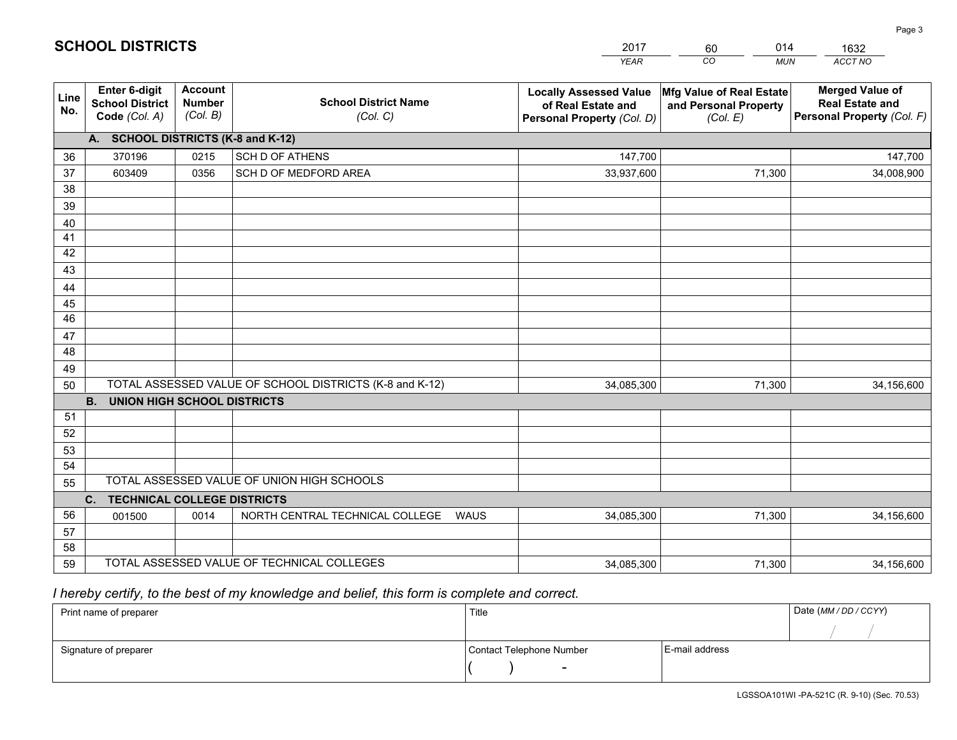|             |                                                          |                                             |                                                         | YEAR                                                                              | CO<br><b>MUN</b>                                              | ACCT NO                                                                        |
|-------------|----------------------------------------------------------|---------------------------------------------|---------------------------------------------------------|-----------------------------------------------------------------------------------|---------------------------------------------------------------|--------------------------------------------------------------------------------|
| Line<br>No. | Enter 6-digit<br><b>School District</b><br>Code (Col. A) | <b>Account</b><br><b>Number</b><br>(Col. B) | <b>School District Name</b><br>(Col. C)                 | <b>Locally Assessed Value</b><br>of Real Estate and<br>Personal Property (Col. D) | Mfg Value of Real Estate<br>and Personal Property<br>(Col. E) | <b>Merged Value of</b><br><b>Real Estate and</b><br>Personal Property (Col. F) |
|             | A. SCHOOL DISTRICTS (K-8 and K-12)                       |                                             |                                                         |                                                                                   |                                                               |                                                                                |
| 36          | 370196                                                   | 0215                                        | <b>SCH D OF ATHENS</b>                                  | 147,700                                                                           |                                                               | 147,700                                                                        |
| 37          | 603409                                                   | 0356                                        | SCH D OF MEDFORD AREA                                   | 33,937,600                                                                        | 71,300                                                        | 34,008,900                                                                     |
| 38          |                                                          |                                             |                                                         |                                                                                   |                                                               |                                                                                |
| 39          |                                                          |                                             |                                                         |                                                                                   |                                                               |                                                                                |
| 40          |                                                          |                                             |                                                         |                                                                                   |                                                               |                                                                                |
| 41          |                                                          |                                             |                                                         |                                                                                   |                                                               |                                                                                |
| 42<br>43    |                                                          |                                             |                                                         |                                                                                   |                                                               |                                                                                |
|             |                                                          |                                             |                                                         |                                                                                   |                                                               |                                                                                |
| 44<br>45    |                                                          |                                             |                                                         |                                                                                   |                                                               |                                                                                |
| 46          |                                                          |                                             |                                                         |                                                                                   |                                                               |                                                                                |
| 47          |                                                          |                                             |                                                         |                                                                                   |                                                               |                                                                                |
| 48          |                                                          |                                             |                                                         |                                                                                   |                                                               |                                                                                |
| 49          |                                                          |                                             |                                                         |                                                                                   |                                                               |                                                                                |
| 50          |                                                          |                                             | TOTAL ASSESSED VALUE OF SCHOOL DISTRICTS (K-8 and K-12) | 34,085,300                                                                        | 71,300                                                        | 34,156,600                                                                     |
|             | <b>B.</b><br><b>UNION HIGH SCHOOL DISTRICTS</b>          |                                             |                                                         |                                                                                   |                                                               |                                                                                |
| 51          |                                                          |                                             |                                                         |                                                                                   |                                                               |                                                                                |
| 52          |                                                          |                                             |                                                         |                                                                                   |                                                               |                                                                                |
| 53          |                                                          |                                             |                                                         |                                                                                   |                                                               |                                                                                |
| 54          |                                                          |                                             |                                                         |                                                                                   |                                                               |                                                                                |
| 55          |                                                          |                                             | TOTAL ASSESSED VALUE OF UNION HIGH SCHOOLS              |                                                                                   |                                                               |                                                                                |
|             | C.<br><b>TECHNICAL COLLEGE DISTRICTS</b>                 |                                             |                                                         |                                                                                   |                                                               |                                                                                |
| 56          | 001500                                                   | 0014                                        | NORTH CENTRAL TECHNICAL COLLEGE<br><b>WAUS</b>          | 34,085,300                                                                        | 71,300                                                        | 34,156,600                                                                     |
| 57<br>58    |                                                          |                                             |                                                         |                                                                                   |                                                               |                                                                                |
| 59          |                                                          |                                             | TOTAL ASSESSED VALUE OF TECHNICAL COLLEGES              | 34,085,300                                                                        | 71,300                                                        | 34,156,600                                                                     |
|             |                                                          |                                             |                                                         |                                                                                   |                                                               |                                                                                |

60

014

 *I hereby certify, to the best of my knowledge and belief, this form is complete and correct.*

**SCHOOL DISTRICTS**

| Print name of preparer | Title                    | Date (MM/DD/CCYY) |  |
|------------------------|--------------------------|-------------------|--|
|                        |                          |                   |  |
| Signature of preparer  | Contact Telephone Number | E-mail address    |  |
|                        | $\overline{\phantom{0}}$ |                   |  |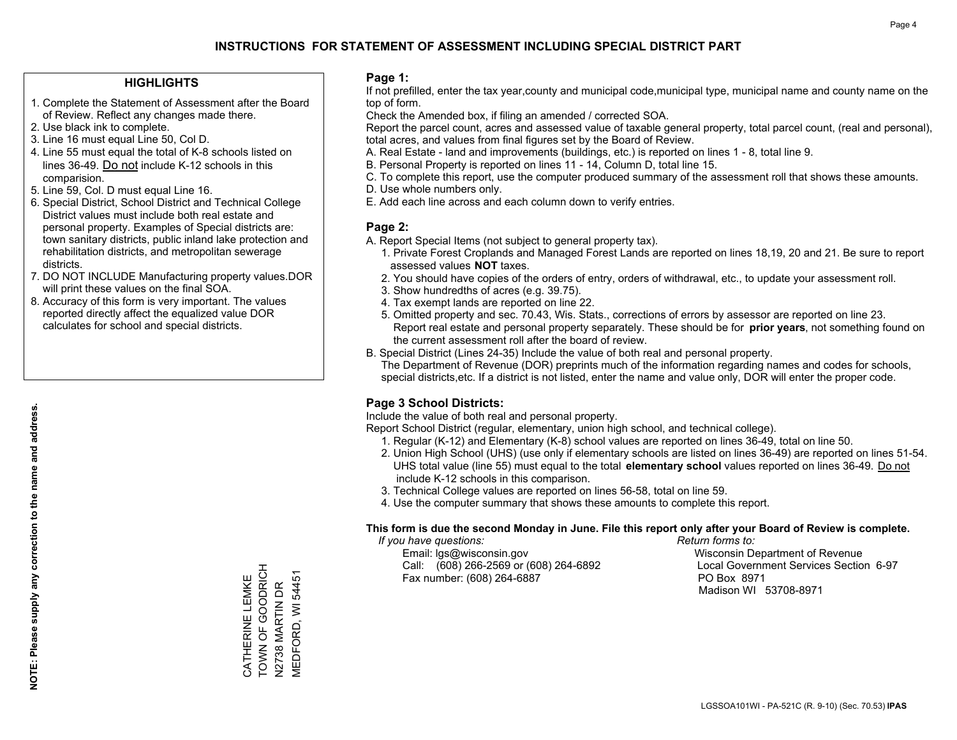## **HIGHLIGHTS**

- 1. Complete the Statement of Assessment after the Board of Review. Reflect any changes made there.
- 2. Use black ink to complete.
- 3. Line 16 must equal Line 50, Col D.
- 4. Line 55 must equal the total of K-8 schools listed on lines 36-49. Do not include K-12 schools in this comparision.
- 5. Line 59, Col. D must equal Line 16.
- 6. Special District, School District and Technical College District values must include both real estate and personal property. Examples of Special districts are: town sanitary districts, public inland lake protection and rehabilitation districts, and metropolitan sewerage districts.
- 7. DO NOT INCLUDE Manufacturing property values.DOR will print these values on the final SOA.
- 8. Accuracy of this form is very important. The values reported directly affect the equalized value DOR calculates for school and special districts.

### **Page 1:**

 If not prefilled, enter the tax year,county and municipal code,municipal type, municipal name and county name on the top of form.

Check the Amended box, if filing an amended / corrected SOA.

 Report the parcel count, acres and assessed value of taxable general property, total parcel count, (real and personal), total acres, and values from final figures set by the Board of Review.

- A. Real Estate land and improvements (buildings, etc.) is reported on lines 1 8, total line 9.
- B. Personal Property is reported on lines 11 14, Column D, total line 15.
- C. To complete this report, use the computer produced summary of the assessment roll that shows these amounts.
- D. Use whole numbers only.
- E. Add each line across and each column down to verify entries.

## **Page 2:**

- A. Report Special Items (not subject to general property tax).
- 1. Private Forest Croplands and Managed Forest Lands are reported on lines 18,19, 20 and 21. Be sure to report assessed values **NOT** taxes.
- 2. You should have copies of the orders of entry, orders of withdrawal, etc., to update your assessment roll.
	- 3. Show hundredths of acres (e.g. 39.75).
- 4. Tax exempt lands are reported on line 22.
- 5. Omitted property and sec. 70.43, Wis. Stats., corrections of errors by assessor are reported on line 23. Report real estate and personal property separately. These should be for **prior years**, not something found on the current assessment roll after the board of review.
- B. Special District (Lines 24-35) Include the value of both real and personal property.

 The Department of Revenue (DOR) preprints much of the information regarding names and codes for schools, special districts,etc. If a district is not listed, enter the name and value only, DOR will enter the proper code.

## **Page 3 School Districts:**

Include the value of both real and personal property.

Report School District (regular, elementary, union high school, and technical college).

- 1. Regular (K-12) and Elementary (K-8) school values are reported on lines 36-49, total on line 50.
- 2. Union High School (UHS) (use only if elementary schools are listed on lines 36-49) are reported on lines 51-54. UHS total value (line 55) must equal to the total **elementary school** values reported on lines 36-49. Do notinclude K-12 schools in this comparison.
- 3. Technical College values are reported on lines 56-58, total on line 59.
- 4. Use the computer summary that shows these amounts to complete this report.

#### **This form is due the second Monday in June. File this report only after your Board of Review is complete.**

 *If you have questions: Return forms to:*

 Email: lgs@wisconsin.gov Wisconsin Department of RevenueCall:  $(608)$  266-2569 or  $(608)$  264-6892 Fax number: (608) 264-6887 PO Box 8971

Local Government Services Section 6-97 Madison WI 53708-8971

TOWN OF GOODRICH CATHERINE LEMKE<br>TOWN OF GOODRICH **MEDFORD, WI 54451** MEDFORD, WI 54451 CATHERINE LEMKE **N2738 MARTIN DR** N2738 MARTIN DR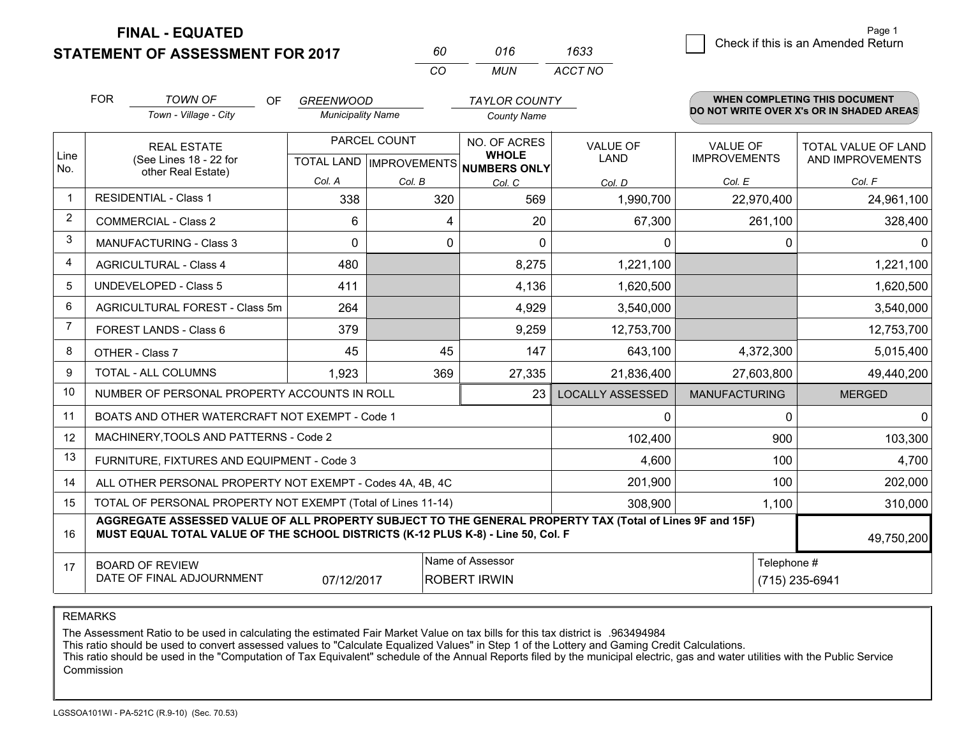**STATEMENT OF ASSESSMENT FOR 2017** 

**FINAL - EQUATED**

|                | <b>FOR</b>                                                                                                                                                                                                 | <b>TOWN OF</b><br>OF                                         | <b>GREENWOOD</b>         |              | <b>TAYLOR COUNTY</b>                                     |                         |                      | WHEN COMPLETING THIS DOCUMENT            |  |
|----------------|------------------------------------------------------------------------------------------------------------------------------------------------------------------------------------------------------------|--------------------------------------------------------------|--------------------------|--------------|----------------------------------------------------------|-------------------------|----------------------|------------------------------------------|--|
|                |                                                                                                                                                                                                            | Town - Village - City                                        | <b>Municipality Name</b> |              | <b>County Name</b>                                       |                         |                      | DO NOT WRITE OVER X's OR IN SHADED AREAS |  |
|                |                                                                                                                                                                                                            | <b>REAL ESTATE</b>                                           |                          | PARCEL COUNT | NO. OF ACRES                                             | <b>VALUE OF</b>         | <b>VALUE OF</b>      | <b>TOTAL VALUE OF LAND</b>               |  |
| Line<br>No.    |                                                                                                                                                                                                            | (See Lines 18 - 22 for<br>other Real Estate)                 |                          |              | <b>WHOLE</b><br>TOTAL LAND   IMPROVEMENTS   NUMBERS ONLY | <b>LAND</b>             | <b>IMPROVEMENTS</b>  | AND IMPROVEMENTS                         |  |
|                |                                                                                                                                                                                                            |                                                              | Col. A                   | Col. B       | Col. C                                                   | Col. D                  | Col. E               | Col. F                                   |  |
| $\mathbf 1$    |                                                                                                                                                                                                            | <b>RESIDENTIAL - Class 1</b>                                 | 338                      | 320          | 569                                                      | 1,990,700               | 22,970,400           | 24,961,100                               |  |
| 2              |                                                                                                                                                                                                            | <b>COMMERCIAL - Class 2</b>                                  | 6                        | 4            | 20                                                       | 67,300                  | 261,100              | 328,400                                  |  |
| 3              |                                                                                                                                                                                                            | <b>MANUFACTURING - Class 3</b>                               | $\Omega$                 | 0            | $\Omega$                                                 | 0                       | 0                    | $\Omega$                                 |  |
| 4              |                                                                                                                                                                                                            | <b>AGRICULTURAL - Class 4</b>                                | 480                      |              | 8,275                                                    | 1,221,100               |                      | 1,221,100                                |  |
| 5              |                                                                                                                                                                                                            | <b>UNDEVELOPED - Class 5</b>                                 | 411                      |              | 4,136                                                    | 1,620,500               |                      | 1,620,500                                |  |
| 6              | AGRICULTURAL FOREST - Class 5m                                                                                                                                                                             |                                                              | 264                      |              | 4,929                                                    | 3,540,000               |                      | 3,540,000                                |  |
| $\overline{7}$ |                                                                                                                                                                                                            | FOREST LANDS - Class 6                                       | 379                      |              | 9,259                                                    | 12,753,700              |                      | 12,753,700                               |  |
| 8              |                                                                                                                                                                                                            | OTHER - Class 7                                              | 45                       | 45           | 147                                                      | 643,100                 | 4,372,300            | 5,015,400                                |  |
| 9              |                                                                                                                                                                                                            | TOTAL - ALL COLUMNS                                          | 1,923                    | 369          | 27,335                                                   | 21,836,400              | 27,603,800           | 49,440,200                               |  |
| 10             |                                                                                                                                                                                                            | NUMBER OF PERSONAL PROPERTY ACCOUNTS IN ROLL                 |                          |              | 23                                                       | <b>LOCALLY ASSESSED</b> | <b>MANUFACTURING</b> | <b>MERGED</b>                            |  |
| 11             |                                                                                                                                                                                                            | BOATS AND OTHER WATERCRAFT NOT EXEMPT - Code 1               |                          |              |                                                          | 0                       | $\Omega$             | $\mathbf 0$                              |  |
| 12             |                                                                                                                                                                                                            | MACHINERY, TOOLS AND PATTERNS - Code 2                       |                          |              |                                                          | 102,400                 | 900                  | 103,300                                  |  |
| 13             |                                                                                                                                                                                                            | FURNITURE, FIXTURES AND EQUIPMENT - Code 3                   |                          |              |                                                          | 4,600                   | 100                  | 4,700                                    |  |
| 14             |                                                                                                                                                                                                            | ALL OTHER PERSONAL PROPERTY NOT EXEMPT - Codes 4A, 4B, 4C    |                          |              |                                                          | 201,900                 | 100                  | 202,000                                  |  |
| 15             |                                                                                                                                                                                                            | TOTAL OF PERSONAL PROPERTY NOT EXEMPT (Total of Lines 11-14) |                          |              | 308,900                                                  | 1,100                   | 310,000              |                                          |  |
| 16             | AGGREGATE ASSESSED VALUE OF ALL PROPERTY SUBJECT TO THE GENERAL PROPERTY TAX (Total of Lines 9F and 15F)<br>MUST EQUAL TOTAL VALUE OF THE SCHOOL DISTRICTS (K-12 PLUS K-8) - Line 50, Col. F<br>49,750,200 |                                                              |                          |              |                                                          |                         |                      |                                          |  |
| 17             |                                                                                                                                                                                                            | <b>BOARD OF REVIEW</b><br>DATE OF FINAL ADJOURNMENT          | 07/12/2017               |              | Name of Assessor<br><b>ROBERT IRWIN</b>                  |                         |                      | Telephone #<br>(715) 235-6941            |  |

*CO*

*MUN*

*ACCT NO1633*

*<sup>60</sup> <sup>016</sup>*

REMARKS

The Assessment Ratio to be used in calculating the estimated Fair Market Value on tax bills for this tax district is .963494984<br>This ratio should be used to convert assessed values to "Calculate Equalized Values" in Step 1 Commission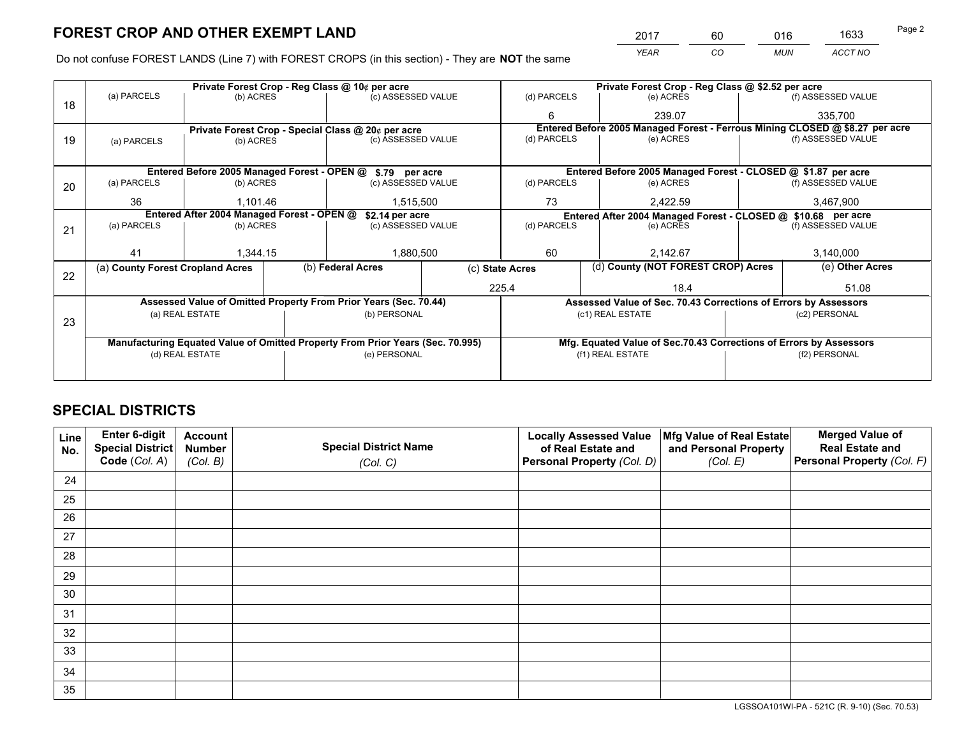*YEAR CO MUN ACCT NO* <sup>2017</sup> <sup>60</sup> <sup>016</sup> <sup>1633</sup> Page 2

Do not confuse FOREST LANDS (Line 7) with FOREST CROPS (in this section) - They are **NOT** the same

|    |                                  |                                            | Private Forest Crop - Reg Class @ 10¢ per acre                                 |                 |                  | Private Forest Crop - Reg Class @ \$2.52 per acre |                                                                    |                    |                                                                              |  |
|----|----------------------------------|--------------------------------------------|--------------------------------------------------------------------------------|-----------------|------------------|---------------------------------------------------|--------------------------------------------------------------------|--------------------|------------------------------------------------------------------------------|--|
| 18 | (a) PARCELS                      | (b) ACRES                                  | (c) ASSESSED VALUE                                                             |                 | (d) PARCELS      |                                                   | (e) ACRES                                                          |                    | (f) ASSESSED VALUE                                                           |  |
|    |                                  |                                            |                                                                                |                 | 6                |                                                   | 239.07                                                             |                    | 335,700                                                                      |  |
|    |                                  |                                            | Private Forest Crop - Special Class @ 20¢ per acre                             |                 |                  |                                                   |                                                                    |                    | Entered Before 2005 Managed Forest - Ferrous Mining CLOSED @ \$8.27 per acre |  |
| 19 | (a) PARCELS                      | (b) ACRES                                  | (c) ASSESSED VALUE                                                             |                 | (d) PARCELS      |                                                   | (e) ACRES                                                          |                    | (f) ASSESSED VALUE                                                           |  |
|    |                                  |                                            |                                                                                |                 |                  |                                                   |                                                                    |                    |                                                                              |  |
|    |                                  |                                            | Entered Before 2005 Managed Forest - OPEN @ \$.79 per acre                     |                 |                  |                                                   | Entered Before 2005 Managed Forest - CLOSED @ \$1.87 per acre      |                    |                                                                              |  |
| 20 | (a) PARCELS                      | (b) ACRES                                  | (c) ASSESSED VALUE                                                             |                 | (d) PARCELS      |                                                   | (e) ACRES                                                          |                    | (f) ASSESSED VALUE                                                           |  |
|    | 36                               | 1,101.46                                   | 1,515,500                                                                      |                 | 73               |                                                   | 2,422.59                                                           |                    | 3,467,900                                                                    |  |
|    |                                  | Entered After 2004 Managed Forest - OPEN @ |                                                                                | \$2.14 per acre |                  |                                                   | Entered After 2004 Managed Forest - CLOSED @ \$10.68 per acre      |                    |                                                                              |  |
| 21 | (a) PARCELS                      | (b) ACRES                                  | (c) ASSESSED VALUE                                                             | (d) PARCELS     |                  | (e) ACRES                                         |                                                                    | (f) ASSESSED VALUE |                                                                              |  |
|    |                                  |                                            |                                                                                |                 |                  |                                                   |                                                                    |                    |                                                                              |  |
|    | 41                               | 1,344.15                                   | 1,880,500                                                                      |                 | 60               |                                                   | 2.142.67                                                           |                    | 3,140,000                                                                    |  |
|    | (a) County Forest Cropland Acres |                                            | (b) Federal Acres                                                              | (c) State Acres |                  |                                                   | (d) County (NOT FOREST CROP) Acres                                 |                    | (e) Other Acres                                                              |  |
| 22 |                                  |                                            |                                                                                |                 | 225.4            |                                                   | 18.4                                                               |                    | 51.08                                                                        |  |
|    |                                  |                                            |                                                                                |                 |                  |                                                   |                                                                    |                    |                                                                              |  |
|    |                                  |                                            | Assessed Value of Omitted Property From Prior Years (Sec. 70.44)               |                 |                  |                                                   | Assessed Value of Sec. 70.43 Corrections of Errors by Assessors    |                    |                                                                              |  |
| 23 |                                  | (a) REAL ESTATE                            | (b) PERSONAL                                                                   |                 |                  |                                                   | (c1) REAL ESTATE                                                   |                    | (c2) PERSONAL                                                                |  |
|    |                                  |                                            |                                                                                |                 |                  |                                                   |                                                                    |                    |                                                                              |  |
|    |                                  |                                            | Manufacturing Equated Value of Omitted Property From Prior Years (Sec. 70.995) |                 |                  |                                                   | Mfg. Equated Value of Sec.70.43 Corrections of Errors by Assessors |                    |                                                                              |  |
|    |                                  | (d) REAL ESTATE                            | (e) PERSONAL                                                                   |                 | (f1) REAL ESTATE |                                                   | (f2) PERSONAL                                                      |                    |                                                                              |  |
|    |                                  |                                            |                                                                                |                 |                  |                                                   |                                                                    |                    |                                                                              |  |

## **SPECIAL DISTRICTS**

| Line<br>No. | Enter 6-digit<br><b>Special District</b> | <b>Account</b><br><b>Number</b> | <b>Special District Name</b> | <b>Locally Assessed Value</b><br>of Real Estate and | Mfg Value of Real Estate<br>and Personal Property | <b>Merged Value of</b><br><b>Real Estate and</b> |
|-------------|------------------------------------------|---------------------------------|------------------------------|-----------------------------------------------------|---------------------------------------------------|--------------------------------------------------|
|             | Code (Col. A)                            | (Col. B)                        | (Col. C)                     | Personal Property (Col. D)                          | (Col. E)                                          | Personal Property (Col. F)                       |
| 24          |                                          |                                 |                              |                                                     |                                                   |                                                  |
| 25          |                                          |                                 |                              |                                                     |                                                   |                                                  |
| 26          |                                          |                                 |                              |                                                     |                                                   |                                                  |
| 27          |                                          |                                 |                              |                                                     |                                                   |                                                  |
| 28          |                                          |                                 |                              |                                                     |                                                   |                                                  |
| 29          |                                          |                                 |                              |                                                     |                                                   |                                                  |
| 30          |                                          |                                 |                              |                                                     |                                                   |                                                  |
| 31          |                                          |                                 |                              |                                                     |                                                   |                                                  |
| 32          |                                          |                                 |                              |                                                     |                                                   |                                                  |
| 33          |                                          |                                 |                              |                                                     |                                                   |                                                  |
| 34          |                                          |                                 |                              |                                                     |                                                   |                                                  |
| 35          |                                          |                                 |                              |                                                     |                                                   |                                                  |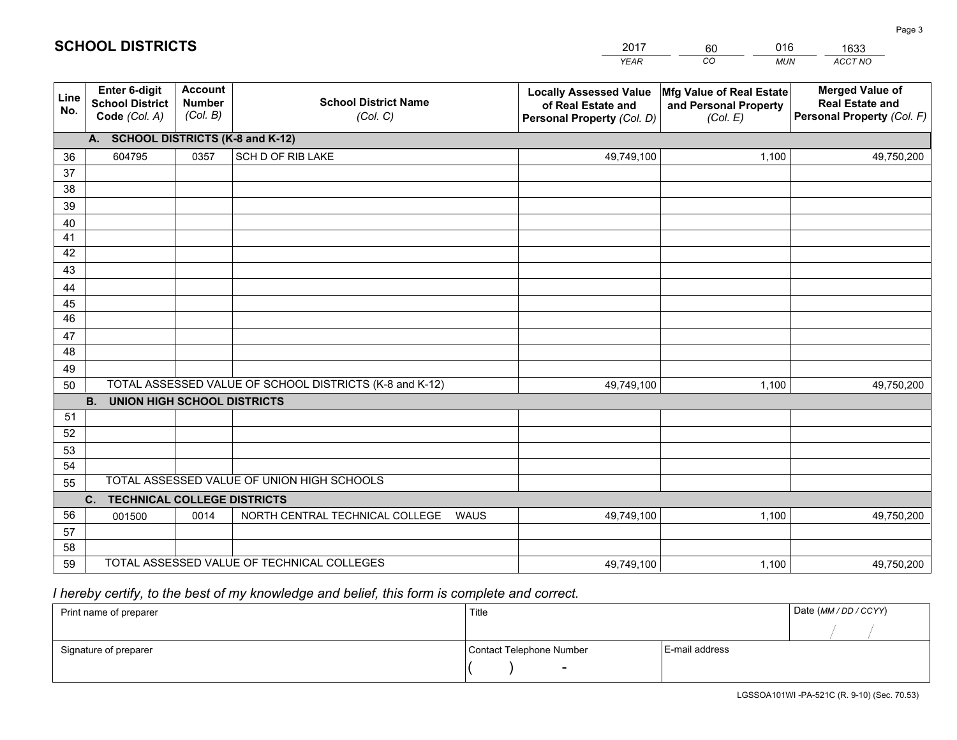|             |                                                          |                                             |                                                         | YEAR                                                                              | CO.<br><b>MUN</b>                                             | ACCT NO                                                                        |
|-------------|----------------------------------------------------------|---------------------------------------------|---------------------------------------------------------|-----------------------------------------------------------------------------------|---------------------------------------------------------------|--------------------------------------------------------------------------------|
| Line<br>No. | Enter 6-digit<br><b>School District</b><br>Code (Col. A) | <b>Account</b><br><b>Number</b><br>(Col. B) | <b>School District Name</b><br>(Col. C)                 | <b>Locally Assessed Value</b><br>of Real Estate and<br>Personal Property (Col. D) | Mfg Value of Real Estate<br>and Personal Property<br>(Col. E) | <b>Merged Value of</b><br><b>Real Estate and</b><br>Personal Property (Col. F) |
|             | A. SCHOOL DISTRICTS (K-8 and K-12)                       |                                             |                                                         |                                                                                   |                                                               |                                                                                |
| 36          | 604795                                                   | 0357                                        | SCH D OF RIB LAKE                                       | 49,749,100                                                                        | 1,100                                                         | 49,750,200                                                                     |
| 37          |                                                          |                                             |                                                         |                                                                                   |                                                               |                                                                                |
| 38          |                                                          |                                             |                                                         |                                                                                   |                                                               |                                                                                |
| 39          |                                                          |                                             |                                                         |                                                                                   |                                                               |                                                                                |
| 40<br>41    |                                                          |                                             |                                                         |                                                                                   |                                                               |                                                                                |
| 42          |                                                          |                                             |                                                         |                                                                                   |                                                               |                                                                                |
| 43          |                                                          |                                             |                                                         |                                                                                   |                                                               |                                                                                |
| 44          |                                                          |                                             |                                                         |                                                                                   |                                                               |                                                                                |
| 45          |                                                          |                                             |                                                         |                                                                                   |                                                               |                                                                                |
| 46          |                                                          |                                             |                                                         |                                                                                   |                                                               |                                                                                |
| 47          |                                                          |                                             |                                                         |                                                                                   |                                                               |                                                                                |
| 48          |                                                          |                                             |                                                         |                                                                                   |                                                               |                                                                                |
| 49          |                                                          |                                             |                                                         |                                                                                   |                                                               |                                                                                |
| 50          |                                                          |                                             | TOTAL ASSESSED VALUE OF SCHOOL DISTRICTS (K-8 and K-12) | 49,749,100                                                                        | 1,100                                                         | 49,750,200                                                                     |
|             | <b>B.</b><br><b>UNION HIGH SCHOOL DISTRICTS</b>          |                                             |                                                         |                                                                                   |                                                               |                                                                                |
| 51<br>52    |                                                          |                                             |                                                         |                                                                                   |                                                               |                                                                                |
| 53          |                                                          |                                             |                                                         |                                                                                   |                                                               |                                                                                |
| 54          |                                                          |                                             |                                                         |                                                                                   |                                                               |                                                                                |
| 55          |                                                          |                                             | TOTAL ASSESSED VALUE OF UNION HIGH SCHOOLS              |                                                                                   |                                                               |                                                                                |
|             | C.<br><b>TECHNICAL COLLEGE DISTRICTS</b>                 |                                             |                                                         |                                                                                   |                                                               |                                                                                |
| 56          | 001500                                                   | 0014                                        | NORTH CENTRAL TECHNICAL COLLEGE<br><b>WAUS</b>          | 49,749,100                                                                        | 1,100                                                         | 49,750,200                                                                     |
| 57          |                                                          |                                             |                                                         |                                                                                   |                                                               |                                                                                |
| 58          |                                                          |                                             |                                                         |                                                                                   |                                                               |                                                                                |
| 59          |                                                          |                                             | TOTAL ASSESSED VALUE OF TECHNICAL COLLEGES              | 49,749,100                                                                        | 1,100                                                         | 49,750,200                                                                     |

60

016

 *I hereby certify, to the best of my knowledge and belief, this form is complete and correct.*

**SCHOOL DISTRICTS**

| Print name of preparer | Title                    |                | Date (MM / DD / CCYY) |
|------------------------|--------------------------|----------------|-----------------------|
|                        |                          |                |                       |
| Signature of preparer  | Contact Telephone Number | E-mail address |                       |
|                        |                          |                |                       |

Page 3

1633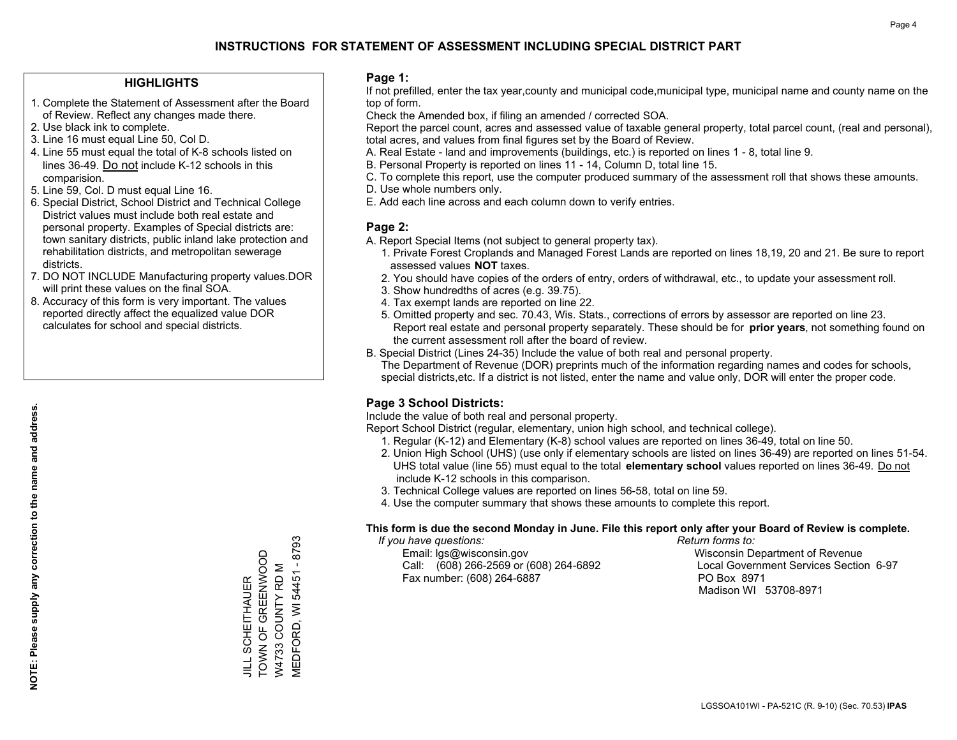## **HIGHLIGHTS**

- 1. Complete the Statement of Assessment after the Board of Review. Reflect any changes made there.
- 2. Use black ink to complete.
- 3. Line 16 must equal Line 50, Col D.
- 4. Line 55 must equal the total of K-8 schools listed on lines 36-49. Do not include K-12 schools in this comparision.
- 5. Line 59, Col. D must equal Line 16.
- 6. Special District, School District and Technical College District values must include both real estate and personal property. Examples of Special districts are: town sanitary districts, public inland lake protection and rehabilitation districts, and metropolitan sewerage districts.
- 7. DO NOT INCLUDE Manufacturing property values.DOR will print these values on the final SOA.
- 8. Accuracy of this form is very important. The values reported directly affect the equalized value DOR calculates for school and special districts.

### **Page 1:**

 If not prefilled, enter the tax year,county and municipal code,municipal type, municipal name and county name on the top of form.

Check the Amended box, if filing an amended / corrected SOA.

 Report the parcel count, acres and assessed value of taxable general property, total parcel count, (real and personal), total acres, and values from final figures set by the Board of Review.

- A. Real Estate land and improvements (buildings, etc.) is reported on lines 1 8, total line 9.
- B. Personal Property is reported on lines 11 14, Column D, total line 15.
- C. To complete this report, use the computer produced summary of the assessment roll that shows these amounts.
- D. Use whole numbers only.
- E. Add each line across and each column down to verify entries.

## **Page 2:**

- A. Report Special Items (not subject to general property tax).
- 1. Private Forest Croplands and Managed Forest Lands are reported on lines 18,19, 20 and 21. Be sure to report assessed values **NOT** taxes.
- 2. You should have copies of the orders of entry, orders of withdrawal, etc., to update your assessment roll.
	- 3. Show hundredths of acres (e.g. 39.75).
- 4. Tax exempt lands are reported on line 22.
- 5. Omitted property and sec. 70.43, Wis. Stats., corrections of errors by assessor are reported on line 23. Report real estate and personal property separately. These should be for **prior years**, not something found on the current assessment roll after the board of review.
- B. Special District (Lines 24-35) Include the value of both real and personal property.

 The Department of Revenue (DOR) preprints much of the information regarding names and codes for schools, special districts,etc. If a district is not listed, enter the name and value only, DOR will enter the proper code.

## **Page 3 School Districts:**

Include the value of both real and personal property.

Report School District (regular, elementary, union high school, and technical college).

- 1. Regular (K-12) and Elementary (K-8) school values are reported on lines 36-49, total on line 50.
- 2. Union High School (UHS) (use only if elementary schools are listed on lines 36-49) are reported on lines 51-54. UHS total value (line 55) must equal to the total **elementary school** values reported on lines 36-49. Do notinclude K-12 schools in this comparison.
- 3. Technical College values are reported on lines 56-58, total on line 59.
- 4. Use the computer summary that shows these amounts to complete this report.

#### **This form is due the second Monday in June. File this report only after your Board of Review is complete.**

 *If you have questions: Return forms to:*

 Email: lgs@wisconsin.gov Wisconsin Department of RevenueCall:  $(608)$  266-2569 or  $(608)$  264-6892 Fax number: (608) 264-6887 PO Box 8971

Local Government Services Section 6-97 Madison WI 53708-8971

VIEDFORD, WI 54451 - 8793 MEDFORD, WI 54451 - 8793 TOWN OF GREENWOOD TOWN OF GREENWOOD W4733 COUNTY RD M W4733 COUNTY RD M **JILL SCHEITHAUER** JILL SCHEITHAUER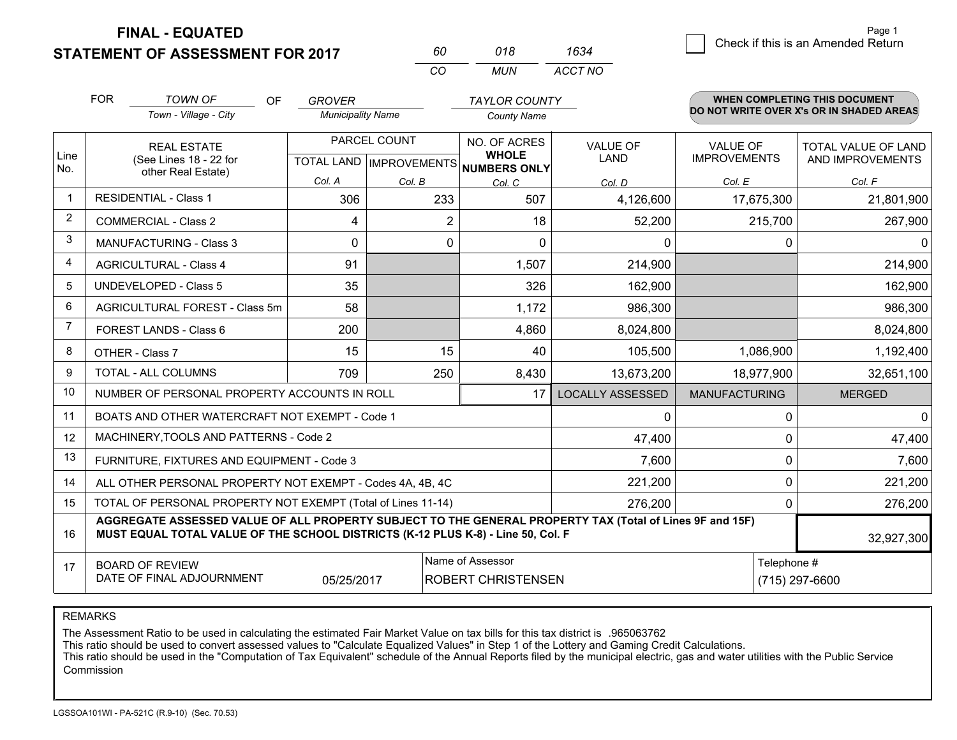**FINAL - EQUATED**

**STATEMENT OF ASSESSMENT FOR 2017** 

| 60. | 018 | 1634    |
|-----|-----|---------|
| CO. | MUN | ACCT NO |

|              | <b>FOR</b>                                                                                                                                                                                                 | <b>TOWN OF</b><br><b>OF</b>                                  | <b>GROVER</b>                             |          | <b>TAYLOR COUNTY</b>         |                                |                                        | <b>WHEN COMPLETING THIS DOCUMENT</b>           |  |
|--------------|------------------------------------------------------------------------------------------------------------------------------------------------------------------------------------------------------------|--------------------------------------------------------------|-------------------------------------------|----------|------------------------------|--------------------------------|----------------------------------------|------------------------------------------------|--|
|              |                                                                                                                                                                                                            | Town - Village - City                                        | <b>Municipality Name</b>                  |          | <b>County Name</b>           |                                |                                        | DO NOT WRITE OVER X's OR IN SHADED AREAS       |  |
| Line         |                                                                                                                                                                                                            | <b>REAL ESTATE</b><br>(See Lines 18 - 22 for                 | PARCEL COUNT<br>TOTAL LAND   IMPROVEMENTS |          | NO. OF ACRES<br><b>WHOLE</b> | <b>VALUE OF</b><br><b>LAND</b> | <b>VALUE OF</b><br><b>IMPROVEMENTS</b> | <b>TOTAL VALUE OF LAND</b><br>AND IMPROVEMENTS |  |
| No.          |                                                                                                                                                                                                            | other Real Estate)                                           | Col. A                                    | Col. B   | NUMBERS ONLY<br>Col. C       | Col. D                         | Col. E                                 | Col. F                                         |  |
| $\mathbf{1}$ |                                                                                                                                                                                                            | <b>RESIDENTIAL - Class 1</b>                                 | 306                                       | 233      | 507                          | 4,126,600                      | 17,675,300                             | 21,801,900                                     |  |
| 2            |                                                                                                                                                                                                            | <b>COMMERCIAL - Class 2</b>                                  | 4                                         | 2        | 18                           | 52,200                         | 215,700                                | 267,900                                        |  |
| 3            |                                                                                                                                                                                                            | <b>MANUFACTURING - Class 3</b>                               | $\Omega$                                  | $\Omega$ | $\Omega$                     | 0                              | 0                                      | $\mathbf{0}$                                   |  |
| 4            |                                                                                                                                                                                                            | <b>AGRICULTURAL - Class 4</b>                                | 91                                        |          | 1,507                        | 214,900                        |                                        | 214,900                                        |  |
| 5            |                                                                                                                                                                                                            | UNDEVELOPED - Class 5                                        | 35                                        |          | 326                          | 162,900                        |                                        | 162,900                                        |  |
| 6            |                                                                                                                                                                                                            | AGRICULTURAL FOREST - Class 5m                               | 58                                        |          | 1,172                        | 986,300                        |                                        | 986,300                                        |  |
| 7            |                                                                                                                                                                                                            | FOREST LANDS - Class 6                                       | 200                                       |          | 4,860                        | 8,024,800                      |                                        | 8,024,800                                      |  |
| 8            |                                                                                                                                                                                                            | OTHER - Class 7                                              | 15                                        | 15       | 40                           | 105,500                        | 1,086,900                              | 1,192,400                                      |  |
| 9            |                                                                                                                                                                                                            | TOTAL - ALL COLUMNS                                          | 709                                       | 250      | 8,430                        | 13,673,200                     | 18,977,900                             | 32,651,100                                     |  |
| 10           |                                                                                                                                                                                                            | NUMBER OF PERSONAL PROPERTY ACCOUNTS IN ROLL                 |                                           |          | 17                           | <b>LOCALLY ASSESSED</b>        | <b>MANUFACTURING</b>                   | <b>MERGED</b>                                  |  |
| 11           |                                                                                                                                                                                                            | BOATS AND OTHER WATERCRAFT NOT EXEMPT - Code 1               |                                           |          |                              | 0                              | 0                                      | $\mathbf{0}$                                   |  |
| 12           |                                                                                                                                                                                                            | MACHINERY, TOOLS AND PATTERNS - Code 2                       |                                           |          |                              | 47,400                         | $\Omega$                               | 47,400                                         |  |
| 13           |                                                                                                                                                                                                            | FURNITURE, FIXTURES AND EQUIPMENT - Code 3                   |                                           |          |                              | 7,600                          | $\Omega$                               | 7,600                                          |  |
| 14           |                                                                                                                                                                                                            | ALL OTHER PERSONAL PROPERTY NOT EXEMPT - Codes 4A, 4B, 4C    |                                           |          |                              | 221,200                        | 0                                      | 221,200                                        |  |
| 15           |                                                                                                                                                                                                            | TOTAL OF PERSONAL PROPERTY NOT EXEMPT (Total of Lines 11-14) |                                           |          |                              | 276,200                        | 0                                      | 276,200                                        |  |
| 16           | AGGREGATE ASSESSED VALUE OF ALL PROPERTY SUBJECT TO THE GENERAL PROPERTY TAX (Total of Lines 9F and 15F)<br>MUST EQUAL TOTAL VALUE OF THE SCHOOL DISTRICTS (K-12 PLUS K-8) - Line 50, Col. F<br>32,927,300 |                                                              |                                           |          |                              |                                |                                        |                                                |  |
| 17           | Name of Assessor<br>Telephone #<br><b>BOARD OF REVIEW</b><br>DATE OF FINAL ADJOURNMENT<br>05/25/2017<br><b>ROBERT CHRISTENSEN</b>                                                                          |                                                              |                                           |          |                              |                                |                                        | (715) 297-6600                                 |  |

REMARKS

The Assessment Ratio to be used in calculating the estimated Fair Market Value on tax bills for this tax district is .965063762

This ratio should be used to convert assessed values to "Calculate Equalized Values" in Step 1 of the Lottery and Gaming Credit Calculations.<br>This ratio should be used in the "Computation of Tax Equivalent" schedule of the Commission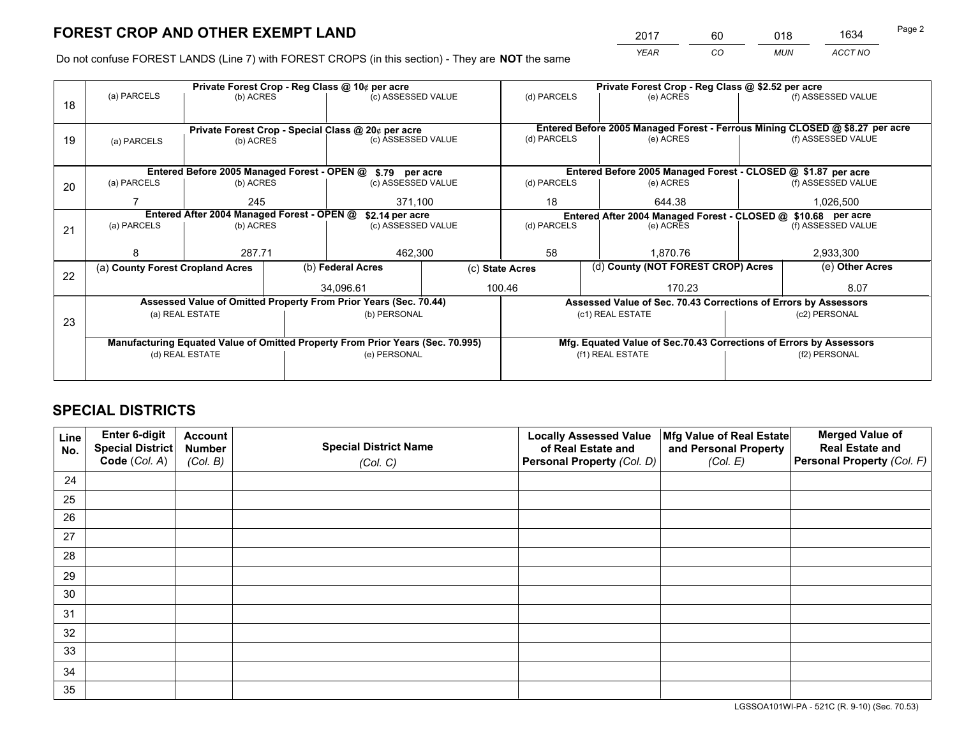*YEAR CO MUN ACCT NO* <sup>2017</sup> <sup>60</sup> <sup>018</sup> <sup>1634</sup>

Do not confuse FOREST LANDS (Line 7) with FOREST CROPS (in this section) - They are **NOT** the same

|                                                               |             |                                                               |                                                  | Private Forest Crop - Reg Class @ \$2.52 per acre                                |                                                                                                                                                                                                                                                                                                                                                                     |                             |                  |                                                                                                                                                                                                                                                                                                                                                                                               |  |
|---------------------------------------------------------------|-------------|---------------------------------------------------------------|--------------------------------------------------|----------------------------------------------------------------------------------|---------------------------------------------------------------------------------------------------------------------------------------------------------------------------------------------------------------------------------------------------------------------------------------------------------------------------------------------------------------------|-----------------------------|------------------|-----------------------------------------------------------------------------------------------------------------------------------------------------------------------------------------------------------------------------------------------------------------------------------------------------------------------------------------------------------------------------------------------|--|
|                                                               |             |                                                               |                                                  |                                                                                  | (d) PARCELS                                                                                                                                                                                                                                                                                                                                                         | (e) ACRES                   |                  | (f) ASSESSED VALUE                                                                                                                                                                                                                                                                                                                                                                            |  |
|                                                               |             |                                                               |                                                  |                                                                                  |                                                                                                                                                                                                                                                                                                                                                                     |                             |                  |                                                                                                                                                                                                                                                                                                                                                                                               |  |
|                                                               |             |                                                               |                                                  |                                                                                  |                                                                                                                                                                                                                                                                                                                                                                     |                             |                  |                                                                                                                                                                                                                                                                                                                                                                                               |  |
| (a) PARCELS                                                   |             |                                                               |                                                  |                                                                                  |                                                                                                                                                                                                                                                                                                                                                                     | (e) ACRES                   |                  | (f) ASSESSED VALUE                                                                                                                                                                                                                                                                                                                                                                            |  |
|                                                               |             |                                                               |                                                  |                                                                                  |                                                                                                                                                                                                                                                                                                                                                                     |                             |                  |                                                                                                                                                                                                                                                                                                                                                                                               |  |
|                                                               |             |                                                               |                                                  |                                                                                  |                                                                                                                                                                                                                                                                                                                                                                     |                             |                  |                                                                                                                                                                                                                                                                                                                                                                                               |  |
| (a) PARCELS                                                   |             |                                                               |                                                  |                                                                                  | (d) PARCELS                                                                                                                                                                                                                                                                                                                                                         | (e) ACRES                   |                  | (f) ASSESSED VALUE                                                                                                                                                                                                                                                                                                                                                                            |  |
|                                                               | 245         |                                                               |                                                  |                                                                                  | 18<br>644.38                                                                                                                                                                                                                                                                                                                                                        |                             |                  | 1,026,500                                                                                                                                                                                                                                                                                                                                                                                     |  |
| Entered After 2004 Managed Forest - OPEN @<br>\$2.14 per acre |             |                                                               |                                                  |                                                                                  |                                                                                                                                                                                                                                                                                                                                                                     |                             |                  |                                                                                                                                                                                                                                                                                                                                                                                               |  |
| (a) PARCELS                                                   |             |                                                               | (c) ASSESSED VALUE                               |                                                                                  | (d) PARCELS                                                                                                                                                                                                                                                                                                                                                         | (e) ACRES                   |                  | (f) ASSESSED VALUE                                                                                                                                                                                                                                                                                                                                                                            |  |
|                                                               |             |                                                               |                                                  |                                                                                  |                                                                                                                                                                                                                                                                                                                                                                     |                             |                  |                                                                                                                                                                                                                                                                                                                                                                                               |  |
| 8                                                             |             |                                                               | 462,300                                          |                                                                                  |                                                                                                                                                                                                                                                                                                                                                                     | 1.870.76                    |                  | 2,933,300                                                                                                                                                                                                                                                                                                                                                                                     |  |
|                                                               |             |                                                               |                                                  | (c) State Acres                                                                  |                                                                                                                                                                                                                                                                                                                                                                     |                             |                  | (e) Other Acres                                                                                                                                                                                                                                                                                                                                                                               |  |
|                                                               |             |                                                               |                                                  |                                                                                  |                                                                                                                                                                                                                                                                                                                                                                     | 170.23                      |                  | 8.07                                                                                                                                                                                                                                                                                                                                                                                          |  |
|                                                               |             |                                                               |                                                  |                                                                                  |                                                                                                                                                                                                                                                                                                                                                                     |                             |                  |                                                                                                                                                                                                                                                                                                                                                                                               |  |
|                                                               |             |                                                               |                                                  |                                                                                  |                                                                                                                                                                                                                                                                                                                                                                     |                             |                  | (c2) PERSONAL                                                                                                                                                                                                                                                                                                                                                                                 |  |
|                                                               |             |                                                               |                                                  |                                                                                  |                                                                                                                                                                                                                                                                                                                                                                     |                             |                  |                                                                                                                                                                                                                                                                                                                                                                                               |  |
|                                                               |             |                                                               |                                                  |                                                                                  |                                                                                                                                                                                                                                                                                                                                                                     |                             |                  |                                                                                                                                                                                                                                                                                                                                                                                               |  |
| (d) REAL ESTATE                                               |             |                                                               | (e) PERSONAL                                     |                                                                                  | (f1) REAL ESTATE                                                                                                                                                                                                                                                                                                                                                    |                             |                  | (f2) PERSONAL                                                                                                                                                                                                                                                                                                                                                                                 |  |
|                                                               |             |                                                               |                                                  |                                                                                  |                                                                                                                                                                                                                                                                                                                                                                     |                             |                  |                                                                                                                                                                                                                                                                                                                                                                                               |  |
|                                                               | (a) PARCELS | 287.71<br>(a) County Forest Cropland Acres<br>(a) REAL ESTATE | (b) ACRES<br>(b) ACRES<br>(b) ACRES<br>(b) ACRES | Private Forest Crop - Reg Class @ 10¢ per acre<br>(b) Federal Acres<br>34.096.61 | (c) ASSESSED VALUE<br>Private Forest Crop - Special Class @ 20¢ per acre<br>(c) ASSESSED VALUE<br>Entered Before 2005 Managed Forest - OPEN @ \$.79 per acre<br>(c) ASSESSED VALUE<br>371,100<br>Assessed Value of Omitted Property From Prior Years (Sec. 70.44)<br>(b) PERSONAL<br>Manufacturing Equated Value of Omitted Property From Prior Years (Sec. 70.995) | (d) PARCELS<br>58<br>100.46 | (c1) REAL ESTATE | Entered Before 2005 Managed Forest - Ferrous Mining CLOSED @ \$8.27 per acre<br>Entered Before 2005 Managed Forest - CLOSED @ \$1.87 per acre<br>Entered After 2004 Managed Forest - CLOSED @ \$10.68 per acre<br>(d) County (NOT FOREST CROP) Acres<br>Assessed Value of Sec. 70.43 Corrections of Errors by Assessors<br>Mfg. Equated Value of Sec.70.43 Corrections of Errors by Assessors |  |

## **SPECIAL DISTRICTS**

| Line<br>No. | Enter 6-digit<br>Special District<br>Code (Col. A) | <b>Account</b><br><b>Number</b><br>(Col. B) | <b>Special District Name</b><br>(Col. C) | <b>Locally Assessed Value</b><br>of Real Estate and<br>Personal Property (Col. D) | Mfg Value of Real Estate<br>and Personal Property<br>(Col. E) | <b>Merged Value of</b><br><b>Real Estate and</b><br>Personal Property (Col. F) |
|-------------|----------------------------------------------------|---------------------------------------------|------------------------------------------|-----------------------------------------------------------------------------------|---------------------------------------------------------------|--------------------------------------------------------------------------------|
| 24          |                                                    |                                             |                                          |                                                                                   |                                                               |                                                                                |
| 25          |                                                    |                                             |                                          |                                                                                   |                                                               |                                                                                |
| 26          |                                                    |                                             |                                          |                                                                                   |                                                               |                                                                                |
| 27          |                                                    |                                             |                                          |                                                                                   |                                                               |                                                                                |
| 28          |                                                    |                                             |                                          |                                                                                   |                                                               |                                                                                |
| 29          |                                                    |                                             |                                          |                                                                                   |                                                               |                                                                                |
| 30          |                                                    |                                             |                                          |                                                                                   |                                                               |                                                                                |
| 31          |                                                    |                                             |                                          |                                                                                   |                                                               |                                                                                |
| 32          |                                                    |                                             |                                          |                                                                                   |                                                               |                                                                                |
| 33          |                                                    |                                             |                                          |                                                                                   |                                                               |                                                                                |
| 34          |                                                    |                                             |                                          |                                                                                   |                                                               |                                                                                |
| 35          |                                                    |                                             |                                          |                                                                                   |                                                               |                                                                                |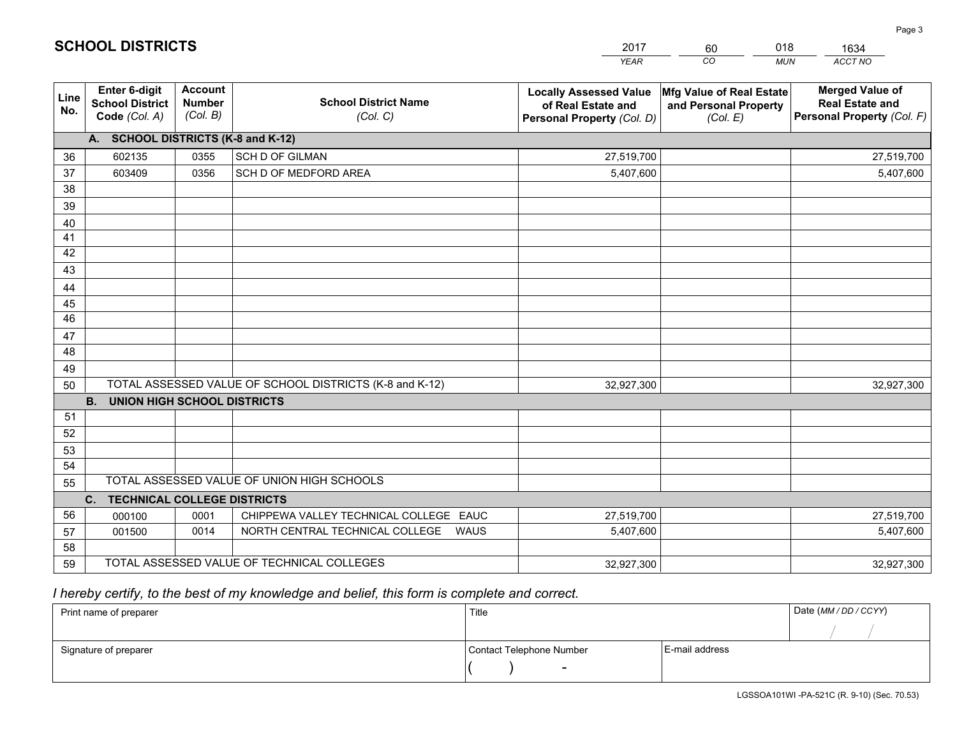|             |                                                          |                                             |                                                         | <b>YEAR</b>                                                                       | CO<br><b>MUN</b>                                              | ACCT NO                                                                        |
|-------------|----------------------------------------------------------|---------------------------------------------|---------------------------------------------------------|-----------------------------------------------------------------------------------|---------------------------------------------------------------|--------------------------------------------------------------------------------|
| Line<br>No. | Enter 6-digit<br><b>School District</b><br>Code (Col. A) | <b>Account</b><br><b>Number</b><br>(Col. B) | <b>School District Name</b><br>(Col. C)                 | <b>Locally Assessed Value</b><br>of Real Estate and<br>Personal Property (Col. D) | Mfg Value of Real Estate<br>and Personal Property<br>(Col. E) | <b>Merged Value of</b><br><b>Real Estate and</b><br>Personal Property (Col. F) |
|             | A. SCHOOL DISTRICTS (K-8 and K-12)                       |                                             |                                                         |                                                                                   |                                                               |                                                                                |
| 36          | 602135                                                   | 0355                                        | SCH D OF GILMAN                                         | 27,519,700                                                                        |                                                               | 27,519,700                                                                     |
| 37          | 603409                                                   | 0356                                        | SCH D OF MEDFORD AREA                                   | 5,407,600                                                                         |                                                               | 5,407,600                                                                      |
| 38          |                                                          |                                             |                                                         |                                                                                   |                                                               |                                                                                |
| 39          |                                                          |                                             |                                                         |                                                                                   |                                                               |                                                                                |
| 40          |                                                          |                                             |                                                         |                                                                                   |                                                               |                                                                                |
| 41          |                                                          |                                             |                                                         |                                                                                   |                                                               |                                                                                |
| 42          |                                                          |                                             |                                                         |                                                                                   |                                                               |                                                                                |
| 43          |                                                          |                                             |                                                         |                                                                                   |                                                               |                                                                                |
| 44          |                                                          |                                             |                                                         |                                                                                   |                                                               |                                                                                |
| 45          |                                                          |                                             |                                                         |                                                                                   |                                                               |                                                                                |
| 46          |                                                          |                                             |                                                         |                                                                                   |                                                               |                                                                                |
| 47          |                                                          |                                             |                                                         |                                                                                   |                                                               |                                                                                |
| 48          |                                                          |                                             |                                                         |                                                                                   |                                                               |                                                                                |
| 49          |                                                          |                                             |                                                         |                                                                                   |                                                               |                                                                                |
| 50          |                                                          |                                             | TOTAL ASSESSED VALUE OF SCHOOL DISTRICTS (K-8 and K-12) | 32,927,300                                                                        |                                                               | 32,927,300                                                                     |
|             | <b>B.</b><br><b>UNION HIGH SCHOOL DISTRICTS</b>          |                                             |                                                         |                                                                                   |                                                               |                                                                                |
| 51          |                                                          |                                             |                                                         |                                                                                   |                                                               |                                                                                |
| 52          |                                                          |                                             |                                                         |                                                                                   |                                                               |                                                                                |
| 53          |                                                          |                                             |                                                         |                                                                                   |                                                               |                                                                                |
| 54          |                                                          |                                             |                                                         |                                                                                   |                                                               |                                                                                |
| 55          |                                                          |                                             | TOTAL ASSESSED VALUE OF UNION HIGH SCHOOLS              |                                                                                   |                                                               |                                                                                |
|             | C. TECHNICAL COLLEGE DISTRICTS                           |                                             |                                                         |                                                                                   |                                                               |                                                                                |
| 56          | 000100                                                   | 0001                                        | CHIPPEWA VALLEY TECHNICAL COLLEGE EAUC                  | 27,519,700                                                                        |                                                               | 27,519,700                                                                     |
| 57          | 001500                                                   | 0014                                        | NORTH CENTRAL TECHNICAL COLLEGE<br><b>WAUS</b>          | 5,407,600                                                                         |                                                               | 5,407,600                                                                      |
| 58          |                                                          |                                             |                                                         |                                                                                   |                                                               |                                                                                |
| 59          |                                                          |                                             | TOTAL ASSESSED VALUE OF TECHNICAL COLLEGES              | 32,927,300                                                                        |                                                               | 32,927,300                                                                     |

60

018

## *I hereby certify, to the best of my knowledge and belief, this form is complete and correct.*

**SCHOOL DISTRICTS**

| Print name of preparer | Title                    |                | Date (MM / DD / CCYY) |
|------------------------|--------------------------|----------------|-----------------------|
|                        |                          |                |                       |
| Signature of preparer  | Contact Telephone Number | E-mail address |                       |
|                        | $\overline{\phantom{0}}$ |                |                       |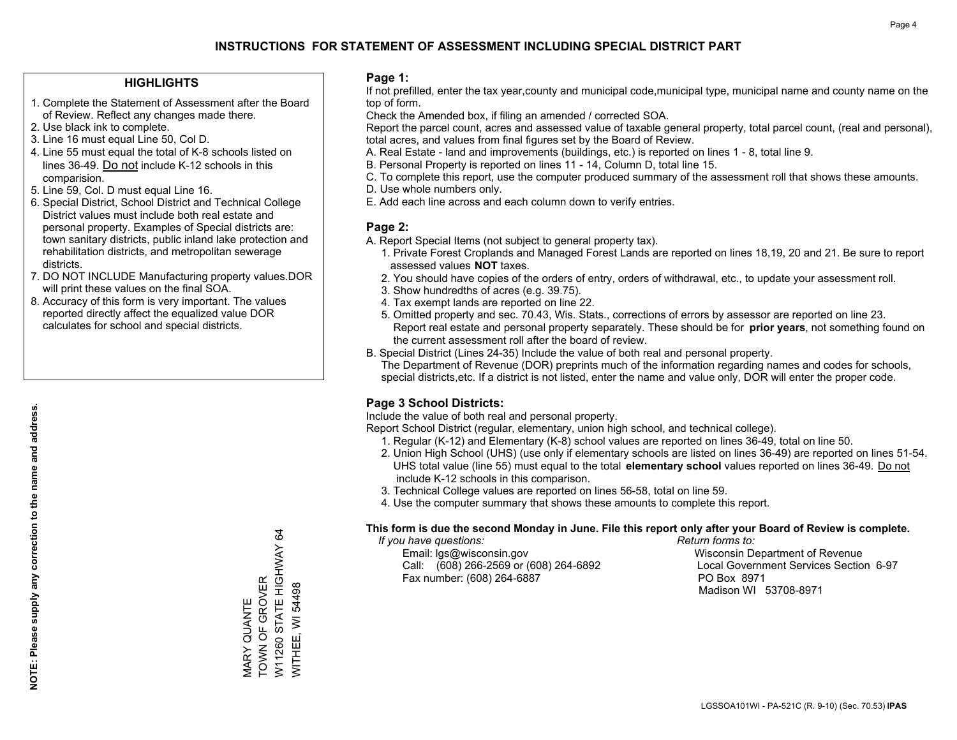## **HIGHLIGHTS**

- 1. Complete the Statement of Assessment after the Board of Review. Reflect any changes made there.
- 2. Use black ink to complete.
- 3. Line 16 must equal Line 50, Col D.
- 4. Line 55 must equal the total of K-8 schools listed on lines 36-49. Do not include K-12 schools in this comparision.
- 5. Line 59, Col. D must equal Line 16.
- 6. Special District, School District and Technical College District values must include both real estate and personal property. Examples of Special districts are: town sanitary districts, public inland lake protection and rehabilitation districts, and metropolitan sewerage districts.
- 7. DO NOT INCLUDE Manufacturing property values.DOR will print these values on the final SOA.

MARY QUANTE TOWN OF GROVER

VIARY QUANTE<br>TOWN OF GROVER

W11260 STATE HIGHWAY 64

W11260 STATE HIGHWAY 64<br>WITHEE, WI 54498

WITHEE, WI 54498

 8. Accuracy of this form is very important. The values reported directly affect the equalized value DOR calculates for school and special districts.

### **Page 1:**

 If not prefilled, enter the tax year,county and municipal code,municipal type, municipal name and county name on the top of form.

Check the Amended box, if filing an amended / corrected SOA.

 Report the parcel count, acres and assessed value of taxable general property, total parcel count, (real and personal), total acres, and values from final figures set by the Board of Review.

- A. Real Estate land and improvements (buildings, etc.) is reported on lines 1 8, total line 9.
- B. Personal Property is reported on lines 11 14, Column D, total line 15.
- C. To complete this report, use the computer produced summary of the assessment roll that shows these amounts.
- D. Use whole numbers only.
- E. Add each line across and each column down to verify entries.

### **Page 2:**

- A. Report Special Items (not subject to general property tax).
- 1. Private Forest Croplands and Managed Forest Lands are reported on lines 18,19, 20 and 21. Be sure to report assessed values **NOT** taxes.
- 2. You should have copies of the orders of entry, orders of withdrawal, etc., to update your assessment roll.
	- 3. Show hundredths of acres (e.g. 39.75).
- 4. Tax exempt lands are reported on line 22.
- 5. Omitted property and sec. 70.43, Wis. Stats., corrections of errors by assessor are reported on line 23. Report real estate and personal property separately. These should be for **prior years**, not something found on the current assessment roll after the board of review.
- B. Special District (Lines 24-35) Include the value of both real and personal property.
- The Department of Revenue (DOR) preprints much of the information regarding names and codes for schools, special districts,etc. If a district is not listed, enter the name and value only, DOR will enter the proper code.

## **Page 3 School Districts:**

Include the value of both real and personal property.

Report School District (regular, elementary, union high school, and technical college).

- 1. Regular (K-12) and Elementary (K-8) school values are reported on lines 36-49, total on line 50.
- 2. Union High School (UHS) (use only if elementary schools are listed on lines 36-49) are reported on lines 51-54. UHS total value (line 55) must equal to the total **elementary school** values reported on lines 36-49. Do notinclude K-12 schools in this comparison.
- 3. Technical College values are reported on lines 56-58, total on line 59.
- 4. Use the computer summary that shows these amounts to complete this report.

#### **This form is due the second Monday in June. File this report only after your Board of Review is complete.**

 *If you have questions: Return forms to:*

 Email: lgs@wisconsin.gov Wisconsin Department of RevenueCall:  $(608)$  266-2569 or  $(608)$  264-6892 Fax number: (608) 264-6887 PO Box 8971

Local Government Services Section 6-97

Madison WI 53708-8971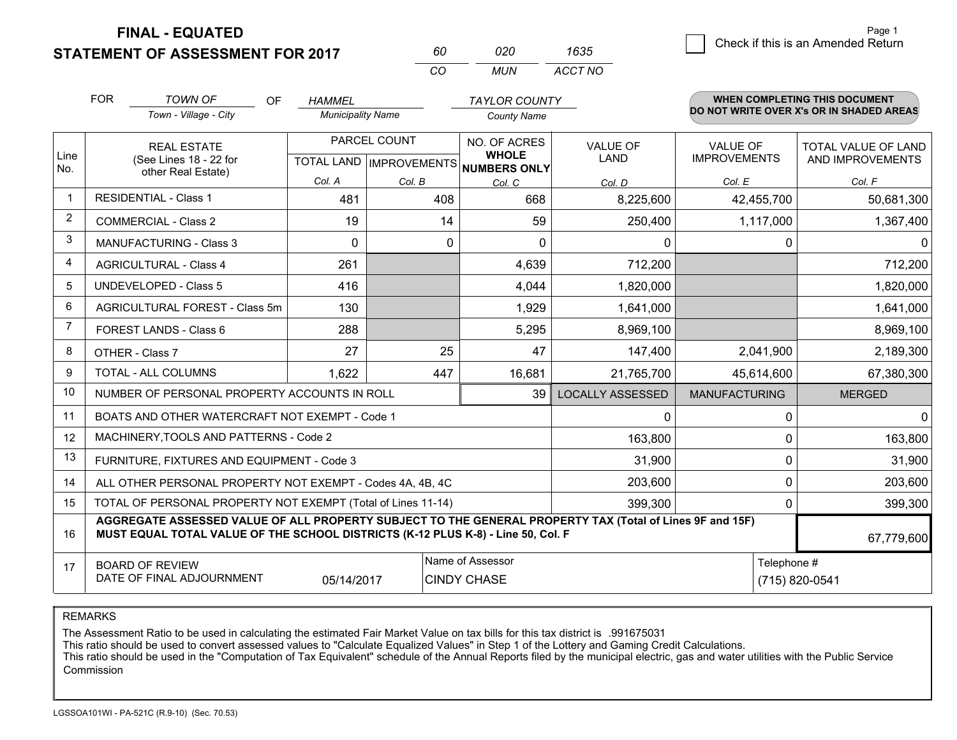**FINAL - EQUATED**

**STATEMENT OF ASSESSMENT FOR 2017** 

| m   | กวก | 1635    |
|-----|-----|---------|
| CO. | MUN | ACCT NO |

|                | <b>FOR</b>                                                                                                                                                                                   | <b>TOWN OF</b><br>OF                                         | <b>HAMMEL</b>            |                                                      | <b>TAYLOR COUNTY</b> |                         |                      | WHEN COMPLETING THIS DOCUMENT<br>DO NOT WRITE OVER X's OR IN SHADED AREAS |
|----------------|----------------------------------------------------------------------------------------------------------------------------------------------------------------------------------------------|--------------------------------------------------------------|--------------------------|------------------------------------------------------|----------------------|-------------------------|----------------------|---------------------------------------------------------------------------|
|                |                                                                                                                                                                                              | Town - Village - City                                        | <b>Municipality Name</b> |                                                      | <b>County Name</b>   |                         |                      |                                                                           |
|                | <b>REAL ESTATE</b>                                                                                                                                                                           |                                                              | PARCEL COUNT             |                                                      | NO. OF ACRES         | <b>VALUE OF</b>         | <b>VALUE OF</b>      | <b>TOTAL VALUE OF LAND</b>                                                |
| Line<br>No.    | (See Lines 18 - 22 for<br>other Real Estate)                                                                                                                                                 |                                                              |                          | <b>WHOLE</b><br>TOTAL LAND IMPROVEMENTS NUMBERS ONLY | <b>LAND</b>          | <b>IMPROVEMENTS</b>     | AND IMPROVEMENTS     |                                                                           |
|                |                                                                                                                                                                                              |                                                              | Col. A                   | Col. B                                               | Col. C               | Col. D                  | Col. E               | Col. F                                                                    |
| -1             |                                                                                                                                                                                              | <b>RESIDENTIAL - Class 1</b>                                 | 481                      | 408                                                  | 668                  | 8,225,600               | 42,455,700           | 50,681,300                                                                |
| 2              |                                                                                                                                                                                              | <b>COMMERCIAL - Class 2</b>                                  | 19                       | 14                                                   | 59                   | 250,400                 | 1,117,000            | 1,367,400                                                                 |
| 3              |                                                                                                                                                                                              | MANUFACTURING - Class 3                                      | $\Omega$                 | $\mathbf 0$                                          | $\mathbf{0}$         | 0                       | 0                    | $\mathbf{0}$                                                              |
| 4              |                                                                                                                                                                                              | <b>AGRICULTURAL - Class 4</b>                                | 261                      |                                                      | 4,639                | 712,200                 |                      | 712,200                                                                   |
| 5              |                                                                                                                                                                                              | UNDEVELOPED - Class 5                                        | 416                      |                                                      | 4,044                | 1,820,000               |                      | 1,820,000                                                                 |
| 6              |                                                                                                                                                                                              | AGRICULTURAL FOREST - Class 5m                               | 130                      |                                                      | 1,929                | 1,641,000               |                      | 1,641,000                                                                 |
| $\overline{7}$ |                                                                                                                                                                                              | FOREST LANDS - Class 6                                       | 288                      |                                                      | 5,295                | 8,969,100               |                      | 8,969,100                                                                 |
| 8              |                                                                                                                                                                                              | OTHER - Class 7                                              | 27                       | 25                                                   | 47                   | 147,400                 | 2,041,900            | 2,189,300                                                                 |
| 9              |                                                                                                                                                                                              | TOTAL - ALL COLUMNS                                          | 1,622                    | 447                                                  | 16,681               | 21,765,700              | 45,614,600           | 67,380,300                                                                |
| 10             |                                                                                                                                                                                              | NUMBER OF PERSONAL PROPERTY ACCOUNTS IN ROLL                 |                          |                                                      | 39                   | <b>LOCALLY ASSESSED</b> | <b>MANUFACTURING</b> | <b>MERGED</b>                                                             |
| 11             |                                                                                                                                                                                              | BOATS AND OTHER WATERCRAFT NOT EXEMPT - Code 1               |                          |                                                      |                      | 0                       | $\Omega$             | $\mathbf{0}$                                                              |
| 12             |                                                                                                                                                                                              | MACHINERY, TOOLS AND PATTERNS - Code 2                       |                          |                                                      |                      | 163,800                 | $\Omega$             | 163,800                                                                   |
| 13             |                                                                                                                                                                                              | FURNITURE, FIXTURES AND EQUIPMENT - Code 3                   |                          |                                                      |                      | 31,900                  | 0                    | 31,900                                                                    |
| 14             |                                                                                                                                                                                              | ALL OTHER PERSONAL PROPERTY NOT EXEMPT - Codes 4A, 4B, 4C    |                          |                                                      |                      | 203,600                 | $\mathbf 0$          | 203,600                                                                   |
| 15             |                                                                                                                                                                                              | TOTAL OF PERSONAL PROPERTY NOT EXEMPT (Total of Lines 11-14) |                          |                                                      |                      | 399,300                 | 0                    | 399,300                                                                   |
| 16             | AGGREGATE ASSESSED VALUE OF ALL PROPERTY SUBJECT TO THE GENERAL PROPERTY TAX (Total of Lines 9F and 15F)<br>MUST EQUAL TOTAL VALUE OF THE SCHOOL DISTRICTS (K-12 PLUS K-8) - Line 50, Col. F |                                                              |                          |                                                      |                      |                         | 67,779,600           |                                                                           |
| 17             |                                                                                                                                                                                              | <b>BOARD OF REVIEW</b>                                       |                          |                                                      | Name of Assessor     |                         | Telephone #          |                                                                           |
|                |                                                                                                                                                                                              | DATE OF FINAL ADJOURNMENT                                    | 05/14/2017               |                                                      | <b>CINDY CHASE</b>   |                         |                      | (715) 820-0541                                                            |

REMARKS

The Assessment Ratio to be used in calculating the estimated Fair Market Value on tax bills for this tax district is .991675031

This ratio should be used to convert assessed values to "Calculate Equalized Values" in Step 1 of the Lottery and Gaming Credit Calculations.<br>This ratio should be used in the "Computation of Tax Equivalent" schedule of the Commission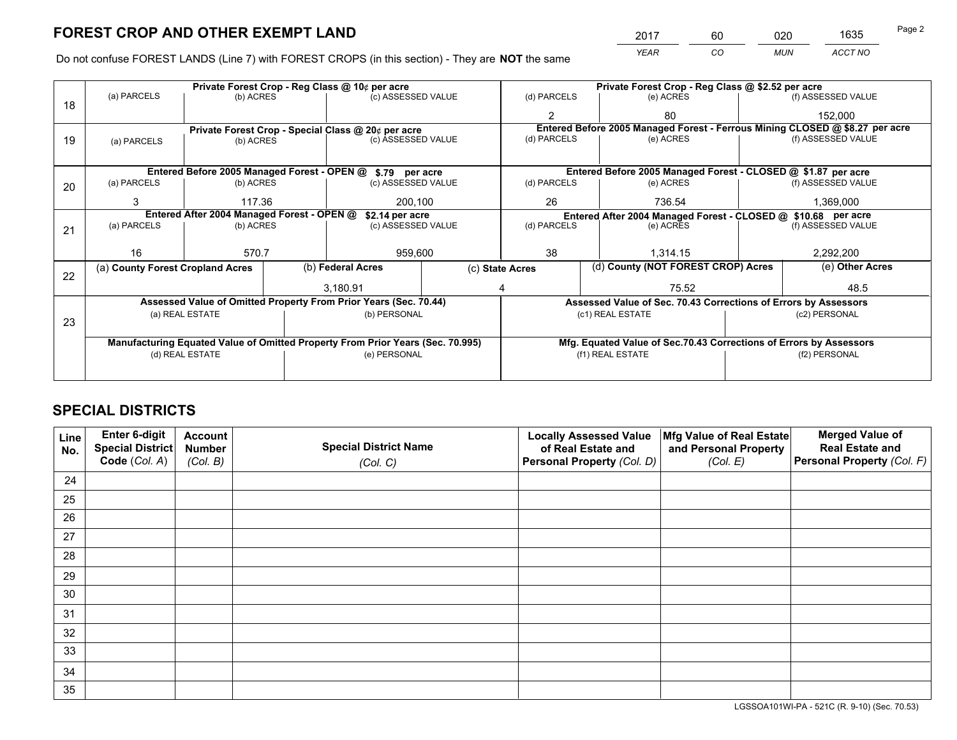*YEAR CO MUN ACCT NO* <sup>2017</sup> <sup>60</sup> <sup>020</sup> <sup>1635</sup> Page 2

Do not confuse FOREST LANDS (Line 7) with FOREST CROPS (in this section) - They are **NOT** the same

|    |                                                                                                                                |                 |              | Private Forest Crop - Reg Class @ 10¢ per acre                   |                 | Private Forest Crop - Reg Class @ \$2.52 per acre |       |                                                                    |               |                                                                              |
|----|--------------------------------------------------------------------------------------------------------------------------------|-----------------|--------------|------------------------------------------------------------------|-----------------|---------------------------------------------------|-------|--------------------------------------------------------------------|---------------|------------------------------------------------------------------------------|
| 18 | (a) PARCELS                                                                                                                    | (b) ACRES       |              | (c) ASSESSED VALUE                                               |                 | (d) PARCELS                                       |       | (e) ACRES                                                          |               | (f) ASSESSED VALUE                                                           |
|    |                                                                                                                                |                 |              |                                                                  |                 |                                                   |       | 80                                                                 |               | 152,000                                                                      |
|    |                                                                                                                                |                 |              | Private Forest Crop - Special Class @ 20¢ per acre               |                 |                                                   |       |                                                                    |               | Entered Before 2005 Managed Forest - Ferrous Mining CLOSED @ \$8.27 per acre |
| 19 | (a) PARCELS                                                                                                                    | (b) ACRES       |              | (c) ASSESSED VALUE                                               |                 | (d) PARCELS                                       |       | (e) ACRES                                                          |               | (f) ASSESSED VALUE                                                           |
|    |                                                                                                                                |                 |              |                                                                  |                 |                                                   |       |                                                                    |               |                                                                              |
|    |                                                                                                                                |                 |              | Entered Before 2005 Managed Forest - OPEN @ \$.79 per acre       |                 |                                                   |       | Entered Before 2005 Managed Forest - CLOSED @ \$1.87 per acre      |               |                                                                              |
| 20 | (a) PARCELS                                                                                                                    | (b) ACRES       |              | (c) ASSESSED VALUE                                               |                 | (d) PARCELS                                       |       | (e) ACRES                                                          |               | (f) ASSESSED VALUE                                                           |
|    | 3                                                                                                                              | 117.36          |              |                                                                  | 26<br>200.100   |                                                   |       | 736.54                                                             |               | 1,369,000                                                                    |
|    | Entered After 2004 Managed Forest - OPEN @<br>\$2.14 per acre<br>Entered After 2004 Managed Forest - CLOSED @ \$10.68 per acre |                 |              |                                                                  |                 |                                                   |       |                                                                    |               |                                                                              |
| 21 | (a) PARCELS                                                                                                                    | (b) ACRES       |              | (c) ASSESSED VALUE                                               |                 | (d) PARCELS<br>(e) ACRES                          |       | (f) ASSESSED VALUE                                                 |               |                                                                              |
|    |                                                                                                                                |                 |              |                                                                  |                 |                                                   |       |                                                                    |               |                                                                              |
|    | 16                                                                                                                             | 570.7           |              | 959,600                                                          |                 | 38<br>1.314.15                                    |       | 2,292,200                                                          |               |                                                                              |
|    | (a) County Forest Cropland Acres                                                                                               |                 |              | (b) Federal Acres                                                | (c) State Acres |                                                   |       | (d) County (NOT FOREST CROP) Acres                                 |               | (e) Other Acres                                                              |
| 22 |                                                                                                                                |                 |              | 3,180.91                                                         |                 |                                                   | 75.52 |                                                                    |               | 48.5                                                                         |
|    |                                                                                                                                |                 |              | Assessed Value of Omitted Property From Prior Years (Sec. 70.44) |                 |                                                   |       | Assessed Value of Sec. 70.43 Corrections of Errors by Assessors    |               |                                                                              |
|    |                                                                                                                                | (a) REAL ESTATE |              | (b) PERSONAL                                                     |                 |                                                   |       | (c1) REAL ESTATE                                                   |               | (c2) PERSONAL                                                                |
| 23 |                                                                                                                                |                 |              |                                                                  |                 |                                                   |       |                                                                    |               |                                                                              |
|    | Manufacturing Equated Value of Omitted Property From Prior Years (Sec. 70.995)                                                 |                 |              |                                                                  |                 |                                                   |       | Mfg. Equated Value of Sec.70.43 Corrections of Errors by Assessors |               |                                                                              |
|    | (d) REAL ESTATE                                                                                                                |                 | (e) PERSONAL |                                                                  |                 | (f1) REAL ESTATE                                  |       |                                                                    | (f2) PERSONAL |                                                                              |
|    |                                                                                                                                |                 |              |                                                                  |                 |                                                   |       |                                                                    |               |                                                                              |

## **SPECIAL DISTRICTS**

| Line<br>No. | Enter 6-digit<br>Special District<br>Code (Col. A) | <b>Account</b><br><b>Number</b> | <b>Special District Name</b> | <b>Locally Assessed Value</b><br>of Real Estate and | Mfg Value of Real Estate<br>and Personal Property | <b>Merged Value of</b><br><b>Real Estate and</b><br>Personal Property (Col. F) |
|-------------|----------------------------------------------------|---------------------------------|------------------------------|-----------------------------------------------------|---------------------------------------------------|--------------------------------------------------------------------------------|
|             |                                                    | (Col. B)                        | (Col. C)                     | Personal Property (Col. D)                          | (Col. E)                                          |                                                                                |
| 24          |                                                    |                                 |                              |                                                     |                                                   |                                                                                |
| 25          |                                                    |                                 |                              |                                                     |                                                   |                                                                                |
| 26          |                                                    |                                 |                              |                                                     |                                                   |                                                                                |
| 27          |                                                    |                                 |                              |                                                     |                                                   |                                                                                |
| 28          |                                                    |                                 |                              |                                                     |                                                   |                                                                                |
| 29          |                                                    |                                 |                              |                                                     |                                                   |                                                                                |
| 30          |                                                    |                                 |                              |                                                     |                                                   |                                                                                |
| 31          |                                                    |                                 |                              |                                                     |                                                   |                                                                                |
| 32          |                                                    |                                 |                              |                                                     |                                                   |                                                                                |
| 33          |                                                    |                                 |                              |                                                     |                                                   |                                                                                |
| 34          |                                                    |                                 |                              |                                                     |                                                   |                                                                                |
| 35          |                                                    |                                 |                              |                                                     |                                                   |                                                                                |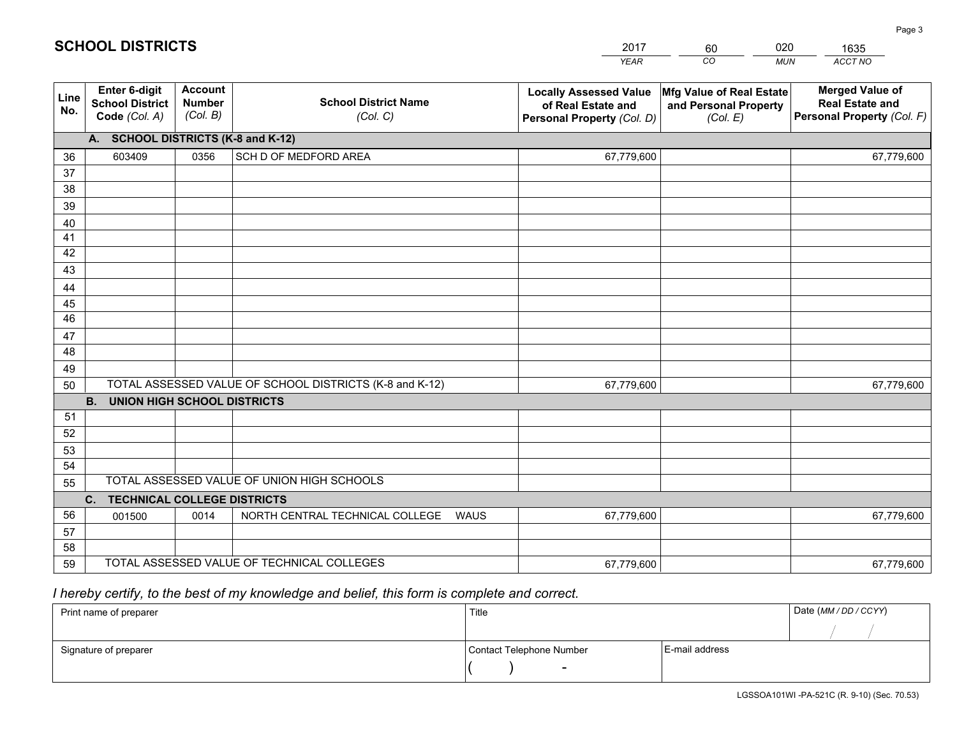|             |                                                                 |                                             |                                                         | <b>YEAR</b>                                                                       | CO<br><b>MUN</b>                                              | ACCT NO                                                                        |
|-------------|-----------------------------------------------------------------|---------------------------------------------|---------------------------------------------------------|-----------------------------------------------------------------------------------|---------------------------------------------------------------|--------------------------------------------------------------------------------|
| Line<br>No. | <b>Enter 6-digit</b><br><b>School District</b><br>Code (Col. A) | <b>Account</b><br><b>Number</b><br>(Col. B) | <b>School District Name</b><br>(Col. C)                 | <b>Locally Assessed Value</b><br>of Real Estate and<br>Personal Property (Col. D) | Mfg Value of Real Estate<br>and Personal Property<br>(Col. E) | <b>Merged Value of</b><br><b>Real Estate and</b><br>Personal Property (Col. F) |
|             | A. SCHOOL DISTRICTS (K-8 and K-12)                              |                                             |                                                         |                                                                                   |                                                               |                                                                                |
| 36          | 603409                                                          | 0356                                        | SCH D OF MEDFORD AREA                                   | 67,779,600                                                                        |                                                               | 67,779,600                                                                     |
| 37          |                                                                 |                                             |                                                         |                                                                                   |                                                               |                                                                                |
| 38          |                                                                 |                                             |                                                         |                                                                                   |                                                               |                                                                                |
| 39          |                                                                 |                                             |                                                         |                                                                                   |                                                               |                                                                                |
| 40          |                                                                 |                                             |                                                         |                                                                                   |                                                               |                                                                                |
| 41          |                                                                 |                                             |                                                         |                                                                                   |                                                               |                                                                                |
| 42<br>43    |                                                                 |                                             |                                                         |                                                                                   |                                                               |                                                                                |
|             |                                                                 |                                             |                                                         |                                                                                   |                                                               |                                                                                |
| 44<br>45    |                                                                 |                                             |                                                         |                                                                                   |                                                               |                                                                                |
| 46          |                                                                 |                                             |                                                         |                                                                                   |                                                               |                                                                                |
| 47          |                                                                 |                                             |                                                         |                                                                                   |                                                               |                                                                                |
| 48          |                                                                 |                                             |                                                         |                                                                                   |                                                               |                                                                                |
| 49          |                                                                 |                                             |                                                         |                                                                                   |                                                               |                                                                                |
| 50          |                                                                 |                                             | TOTAL ASSESSED VALUE OF SCHOOL DISTRICTS (K-8 and K-12) | 67,779,600                                                                        |                                                               | 67,779,600                                                                     |
|             | <b>B.</b><br><b>UNION HIGH SCHOOL DISTRICTS</b>                 |                                             |                                                         |                                                                                   |                                                               |                                                                                |
| 51          |                                                                 |                                             |                                                         |                                                                                   |                                                               |                                                                                |
| 52          |                                                                 |                                             |                                                         |                                                                                   |                                                               |                                                                                |
| 53          |                                                                 |                                             |                                                         |                                                                                   |                                                               |                                                                                |
| 54          |                                                                 |                                             |                                                         |                                                                                   |                                                               |                                                                                |
| 55          |                                                                 |                                             | TOTAL ASSESSED VALUE OF UNION HIGH SCHOOLS              |                                                                                   |                                                               |                                                                                |
|             | C.<br><b>TECHNICAL COLLEGE DISTRICTS</b>                        |                                             |                                                         |                                                                                   |                                                               |                                                                                |
| 56          | 001500                                                          | 0014                                        | NORTH CENTRAL TECHNICAL COLLEGE<br><b>WAUS</b>          | 67,779,600                                                                        |                                                               | 67,779,600                                                                     |
| 57          |                                                                 |                                             |                                                         |                                                                                   |                                                               |                                                                                |
| 58          |                                                                 |                                             |                                                         |                                                                                   |                                                               |                                                                                |
| 59          |                                                                 |                                             | TOTAL ASSESSED VALUE OF TECHNICAL COLLEGES              | 67,779,600                                                                        |                                                               | 67,779,600                                                                     |

2017

60

020

# *I hereby certify, to the best of my knowledge and belief, this form is complete and correct.*

**SCHOOL DISTRICTS**

| Print name of preparer | Title                    |                | Date (MM / DD / CCYY) |
|------------------------|--------------------------|----------------|-----------------------|
|                        |                          |                |                       |
| Signature of preparer  | Contact Telephone Number | E-mail address |                       |
|                        | $\overline{\phantom{0}}$ |                |                       |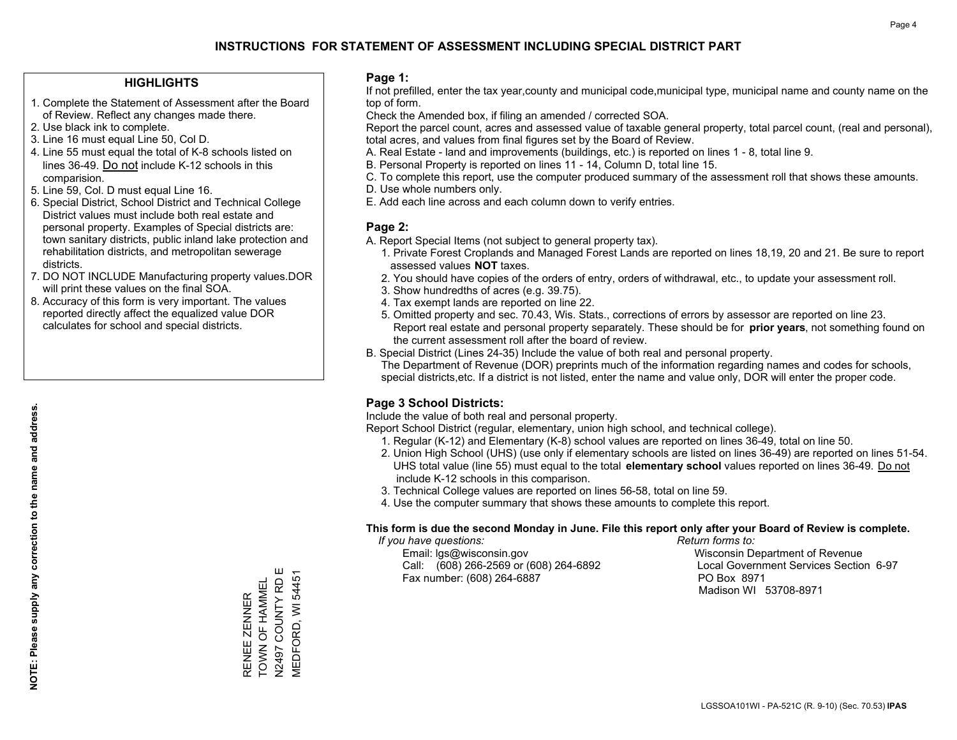### **HIGHLIGHTS**

- 1. Complete the Statement of Assessment after the Board of Review. Reflect any changes made there.
- 2. Use black ink to complete.
- 3. Line 16 must equal Line 50, Col D.
- 4. Line 55 must equal the total of K-8 schools listed on lines 36-49. Do not include K-12 schools in this comparision.
- 5. Line 59, Col. D must equal Line 16.
- 6. Special District, School District and Technical College District values must include both real estate and personal property. Examples of Special districts are: town sanitary districts, public inland lake protection and rehabilitation districts, and metropolitan sewerage districts.
- 7. DO NOT INCLUDE Manufacturing property values.DOR will print these values on the final SOA.

RENEE ZENNER TOWN OF HAMMEL N2497 COUNTY RD E MEDFORD, WI 54451

TOWN OF HAMMEL RENEE ZENNER

VIEDFORD, WI 54451

 8. Accuracy of this form is very important. The values reported directly affect the equalized value DOR calculates for school and special districts.

### **Page 1:**

 If not prefilled, enter the tax year,county and municipal code,municipal type, municipal name and county name on the top of form.

Check the Amended box, if filing an amended / corrected SOA.

 Report the parcel count, acres and assessed value of taxable general property, total parcel count, (real and personal), total acres, and values from final figures set by the Board of Review.

- A. Real Estate land and improvements (buildings, etc.) is reported on lines 1 8, total line 9.
- B. Personal Property is reported on lines 11 14, Column D, total line 15.
- C. To complete this report, use the computer produced summary of the assessment roll that shows these amounts.
- D. Use whole numbers only.
- E. Add each line across and each column down to verify entries.

## **Page 2:**

- A. Report Special Items (not subject to general property tax).
- 1. Private Forest Croplands and Managed Forest Lands are reported on lines 18,19, 20 and 21. Be sure to report assessed values **NOT** taxes.
- 2. You should have copies of the orders of entry, orders of withdrawal, etc., to update your assessment roll.
	- 3. Show hundredths of acres (e.g. 39.75).
- 4. Tax exempt lands are reported on line 22.
- 5. Omitted property and sec. 70.43, Wis. Stats., corrections of errors by assessor are reported on line 23. Report real estate and personal property separately. These should be for **prior years**, not something found on the current assessment roll after the board of review.
- B. Special District (Lines 24-35) Include the value of both real and personal property.

 The Department of Revenue (DOR) preprints much of the information regarding names and codes for schools, special districts,etc. If a district is not listed, enter the name and value only, DOR will enter the proper code.

## **Page 3 School Districts:**

Include the value of both real and personal property.

Report School District (regular, elementary, union high school, and technical college).

- 1. Regular (K-12) and Elementary (K-8) school values are reported on lines 36-49, total on line 50.
- 2. Union High School (UHS) (use only if elementary schools are listed on lines 36-49) are reported on lines 51-54. UHS total value (line 55) must equal to the total **elementary school** values reported on lines 36-49. Do notinclude K-12 schools in this comparison.
- 3. Technical College values are reported on lines 56-58, total on line 59.
- 4. Use the computer summary that shows these amounts to complete this report.

#### **This form is due the second Monday in June. File this report only after your Board of Review is complete.**

 *If you have questions: Return forms to:*

 Email: lgs@wisconsin.gov Wisconsin Department of RevenueCall:  $(608)$  266-2569 or  $(608)$  264-6892 Fax number: (608) 264-6887 PO Box 8971

Local Government Services Section 6-97

Madison WI 53708-8971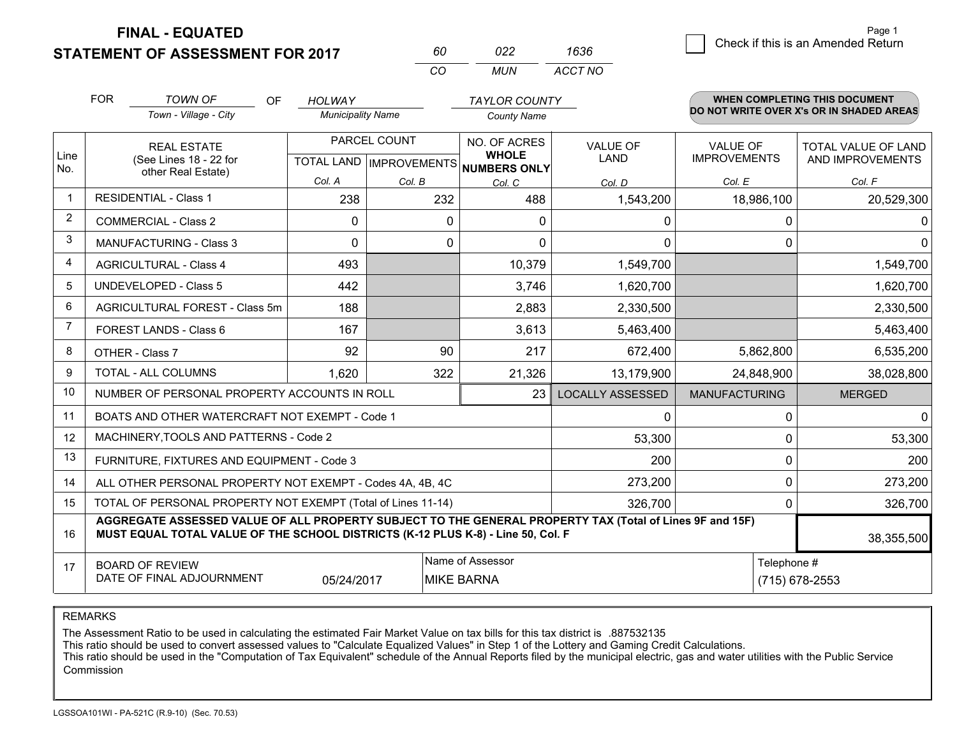**FINAL - EQUATED**

**STATEMENT OF ASSESSMENT FOR 2017** 

| 60 | n22 | 1636    |
|----|-----|---------|
| (  | MUN | ACCT NO |

|                | <b>FOR</b>                                                                                                                                                                                   | <b>TOWN OF</b><br><b>OF</b><br>Town - Village - City               | <b>HOLWAY</b><br><b>Municipality Name</b>                                            |        | <b>TAYLOR COUNTY</b><br><b>County Name</b> |                                |                      | <b>WHEN COMPLETING THIS DOCUMENT</b><br>DO NOT WRITE OVER X's OR IN SHADED AREAS |
|----------------|----------------------------------------------------------------------------------------------------------------------------------------------------------------------------------------------|--------------------------------------------------------------------|--------------------------------------------------------------------------------------|--------|--------------------------------------------|--------------------------------|----------------------|----------------------------------------------------------------------------------|
| Line<br>No.    |                                                                                                                                                                                              | <b>REAL ESTATE</b><br>(See Lines 18 - 22 for<br>other Real Estate) | PARCEL COUNT<br>TOTAL LAND   IMPROVEMENTS   NUMBERS ONLY                             |        | NO. OF ACRES<br><b>WHOLE</b>               | <b>VALUE OF</b><br><b>LAND</b> |                      | TOTAL VALUE OF LAND<br>AND IMPROVEMENTS                                          |
|                |                                                                                                                                                                                              |                                                                    | Col. A                                                                               | Col. B | Col. C                                     | Col. D                         | Col. E               | Col. F                                                                           |
|                |                                                                                                                                                                                              | <b>RESIDENTIAL - Class 1</b>                                       | 238                                                                                  | 232    | 488                                        | 1,543,200                      | 18,986,100           | 20,529,300                                                                       |
| 2              |                                                                                                                                                                                              | <b>COMMERCIAL - Class 2</b>                                        | 0                                                                                    | 0      | $\mathbf{0}$                               | 0                              | 0                    | 0                                                                                |
| 3              |                                                                                                                                                                                              | <b>MANUFACTURING - Class 3</b>                                     | $\Omega$                                                                             | 0      | $\Omega$                                   | 0                              | $\Omega$             | $\Omega$                                                                         |
| 4              |                                                                                                                                                                                              | <b>AGRICULTURAL - Class 4</b>                                      | 493                                                                                  |        | 10,379                                     | 1,549,700                      |                      | 1,549,700                                                                        |
| 5              |                                                                                                                                                                                              | UNDEVELOPED - Class 5                                              | 442                                                                                  |        | 3,746                                      | 1,620,700                      |                      | 1,620,700                                                                        |
| 6              |                                                                                                                                                                                              | AGRICULTURAL FOREST - Class 5m                                     | 188                                                                                  |        | 2,883                                      | 2,330,500                      |                      | 2,330,500                                                                        |
| $\overline{7}$ |                                                                                                                                                                                              | FOREST LANDS - Class 6                                             | 167                                                                                  |        | 3,613                                      | 5,463,400                      |                      | 5,463,400                                                                        |
| 8              |                                                                                                                                                                                              | OTHER - Class 7                                                    | 92                                                                                   | 90     | 217                                        | 672,400                        | 5,862,800            | 6,535,200                                                                        |
| 9              |                                                                                                                                                                                              | TOTAL - ALL COLUMNS                                                | 1,620                                                                                | 322    | 21,326                                     | 13,179,900                     | 24,848,900           | 38,028,800                                                                       |
| 10             |                                                                                                                                                                                              | NUMBER OF PERSONAL PROPERTY ACCOUNTS IN ROLL                       |                                                                                      |        | 23                                         | <b>LOCALLY ASSESSED</b>        | <b>MANUFACTURING</b> | <b>MERGED</b>                                                                    |
| 11             |                                                                                                                                                                                              | BOATS AND OTHER WATERCRAFT NOT EXEMPT - Code 1                     |                                                                                      |        |                                            | 0                              | $\Omega$             | $\Omega$                                                                         |
| 12             |                                                                                                                                                                                              | MACHINERY, TOOLS AND PATTERNS - Code 2                             |                                                                                      |        |                                            | 53,300                         | $\Omega$             | 53,300                                                                           |
| 13             |                                                                                                                                                                                              | FURNITURE, FIXTURES AND EQUIPMENT - Code 3                         |                                                                                      |        |                                            | 200                            | $\mathbf 0$          | 200                                                                              |
| 14             |                                                                                                                                                                                              | ALL OTHER PERSONAL PROPERTY NOT EXEMPT - Codes 4A, 4B, 4C          |                                                                                      |        |                                            | 273,200                        | 0                    | 273,200                                                                          |
| 15             | TOTAL OF PERSONAL PROPERTY NOT EXEMPT (Total of Lines 11-14)                                                                                                                                 |                                                                    |                                                                                      |        |                                            |                                | 0                    | 326,700                                                                          |
| 16             | AGGREGATE ASSESSED VALUE OF ALL PROPERTY SUBJECT TO THE GENERAL PROPERTY TAX (Total of Lines 9F and 15F)<br>MUST EQUAL TOTAL VALUE OF THE SCHOOL DISTRICTS (K-12 PLUS K-8) - Line 50, Col. F |                                                                    |                                                                                      |        |                                            |                                | 38,355,500           |                                                                                  |
| 17             |                                                                                                                                                                                              | <b>BOARD OF REVIEW</b><br>DATE OF FINAL ADJOURNMENT                | Name of Assessor<br>Telephone #<br><b>MIKE BARNA</b><br>05/24/2017<br>(715) 678-2553 |        |                                            |                                |                      |                                                                                  |

REMARKS

The Assessment Ratio to be used in calculating the estimated Fair Market Value on tax bills for this tax district is .887532135

This ratio should be used to convert assessed values to "Calculate Equalized Values" in Step 1 of the Lottery and Gaming Credit Calculations.<br>This ratio should be used in the "Computation of Tax Equivalent" schedule of the Commission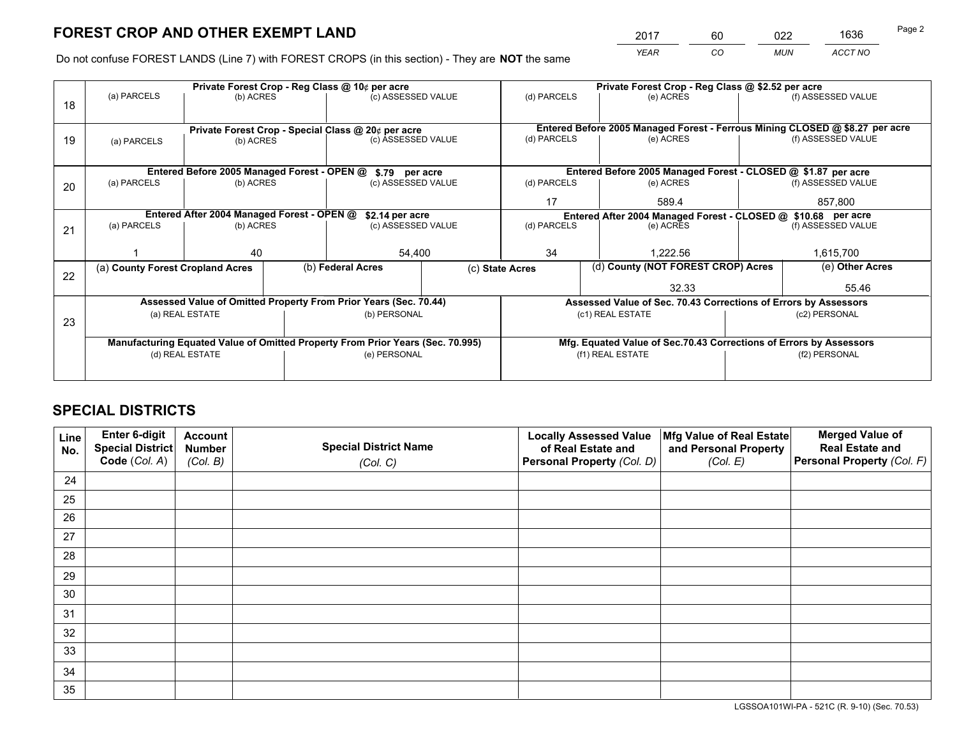*YEAR CO MUN ACCT NO* <sup>2017</sup> <sup>60</sup> <sup>022</sup> <sup>1636</sup>

Do not confuse FOREST LANDS (Line 7) with FOREST CROPS (in this section) - They are **NOT** the same

|    |                                                                                |                                             |  | Private Forest Crop - Reg Class @ 10¢ per acre                   |              | Private Forest Crop - Reg Class @ \$2.52 per acre                  |                                                                              |               |                    |  |
|----|--------------------------------------------------------------------------------|---------------------------------------------|--|------------------------------------------------------------------|--------------|--------------------------------------------------------------------|------------------------------------------------------------------------------|---------------|--------------------|--|
| 18 | (a) PARCELS                                                                    | (b) ACRES                                   |  | (c) ASSESSED VALUE                                               |              | (d) PARCELS                                                        | (e) ACRES                                                                    |               | (f) ASSESSED VALUE |  |
|    |                                                                                |                                             |  |                                                                  |              |                                                                    | Entered Before 2005 Managed Forest - Ferrous Mining CLOSED @ \$8.27 per acre |               |                    |  |
| 19 | Private Forest Crop - Special Class @ 20¢ per acre<br>(b) ACRES<br>(a) PARCELS |                                             |  | (c) ASSESSED VALUE                                               |              | (d) PARCELS                                                        | (e) ACRES                                                                    |               | (f) ASSESSED VALUE |  |
|    |                                                                                | Entered Before 2005 Managed Forest - OPEN @ |  | \$.79 per acre                                                   |              |                                                                    | Entered Before 2005 Managed Forest - CLOSED @ \$1.87 per acre                |               |                    |  |
| 20 | (a) PARCELS                                                                    | (b) ACRES                                   |  | (c) ASSESSED VALUE                                               |              | (d) PARCELS                                                        | (e) ACRES                                                                    |               | (f) ASSESSED VALUE |  |
|    |                                                                                |                                             |  |                                                                  |              | 17                                                                 | 589.4                                                                        |               | 857.800            |  |
|    | Entered After 2004 Managed Forest - OPEN @<br>\$2.14 per acre                  |                                             |  |                                                                  |              |                                                                    | Entered After 2004 Managed Forest - CLOSED @ \$10.68 per acre                |               |                    |  |
| 21 | (a) PARCELS                                                                    | (b) ACRES                                   |  | (c) ASSESSED VALUE                                               |              | (d) PARCELS<br>(e) ACRES                                           |                                                                              |               | (f) ASSESSED VALUE |  |
|    |                                                                                |                                             |  |                                                                  |              |                                                                    |                                                                              |               |                    |  |
|    |                                                                                | 40                                          |  |                                                                  | 54,400<br>34 |                                                                    | 1.222.56                                                                     |               | 1,615,700          |  |
| 22 | (a) County Forest Cropland Acres                                               |                                             |  | (b) Federal Acres                                                |              | (c) State Acres                                                    | (d) County (NOT FOREST CROP) Acres                                           |               | (e) Other Acres    |  |
|    |                                                                                |                                             |  |                                                                  |              |                                                                    | 32.33                                                                        |               | 55.46              |  |
|    |                                                                                |                                             |  | Assessed Value of Omitted Property From Prior Years (Sec. 70.44) |              |                                                                    | Assessed Value of Sec. 70.43 Corrections of Errors by Assessors              |               |                    |  |
| 23 |                                                                                | (a) REAL ESTATE                             |  | (b) PERSONAL                                                     |              |                                                                    | (c1) REAL ESTATE                                                             |               | (c2) PERSONAL      |  |
|    |                                                                                |                                             |  |                                                                  |              |                                                                    |                                                                              |               |                    |  |
|    | Manufacturing Equated Value of Omitted Property From Prior Years (Sec. 70.995) |                                             |  |                                                                  |              | Mfg. Equated Value of Sec.70.43 Corrections of Errors by Assessors |                                                                              |               |                    |  |
|    | (d) REAL ESTATE                                                                |                                             |  | (e) PERSONAL                                                     |              | (f1) REAL ESTATE                                                   |                                                                              | (f2) PERSONAL |                    |  |
|    |                                                                                |                                             |  |                                                                  |              |                                                                    |                                                                              |               |                    |  |

## **SPECIAL DISTRICTS**

| Line<br>No. | Enter 6-digit<br><b>Special District</b> | <b>Account</b><br><b>Number</b> | <b>Special District Name</b> | <b>Locally Assessed Value</b><br>of Real Estate and | Mfg Value of Real Estate<br>and Personal Property | <b>Merged Value of</b><br><b>Real Estate and</b> |
|-------------|------------------------------------------|---------------------------------|------------------------------|-----------------------------------------------------|---------------------------------------------------|--------------------------------------------------|
|             | Code (Col. A)                            | (Col. B)                        | (Col. C)                     | Personal Property (Col. D)                          | (Col. E)                                          | Personal Property (Col. F)                       |
| 24          |                                          |                                 |                              |                                                     |                                                   |                                                  |
| 25          |                                          |                                 |                              |                                                     |                                                   |                                                  |
| 26          |                                          |                                 |                              |                                                     |                                                   |                                                  |
| 27          |                                          |                                 |                              |                                                     |                                                   |                                                  |
| 28          |                                          |                                 |                              |                                                     |                                                   |                                                  |
| 29          |                                          |                                 |                              |                                                     |                                                   |                                                  |
| 30          |                                          |                                 |                              |                                                     |                                                   |                                                  |
| 31          |                                          |                                 |                              |                                                     |                                                   |                                                  |
| 32          |                                          |                                 |                              |                                                     |                                                   |                                                  |
| 33          |                                          |                                 |                              |                                                     |                                                   |                                                  |
| 34          |                                          |                                 |                              |                                                     |                                                   |                                                  |
| 35          |                                          |                                 |                              |                                                     |                                                   |                                                  |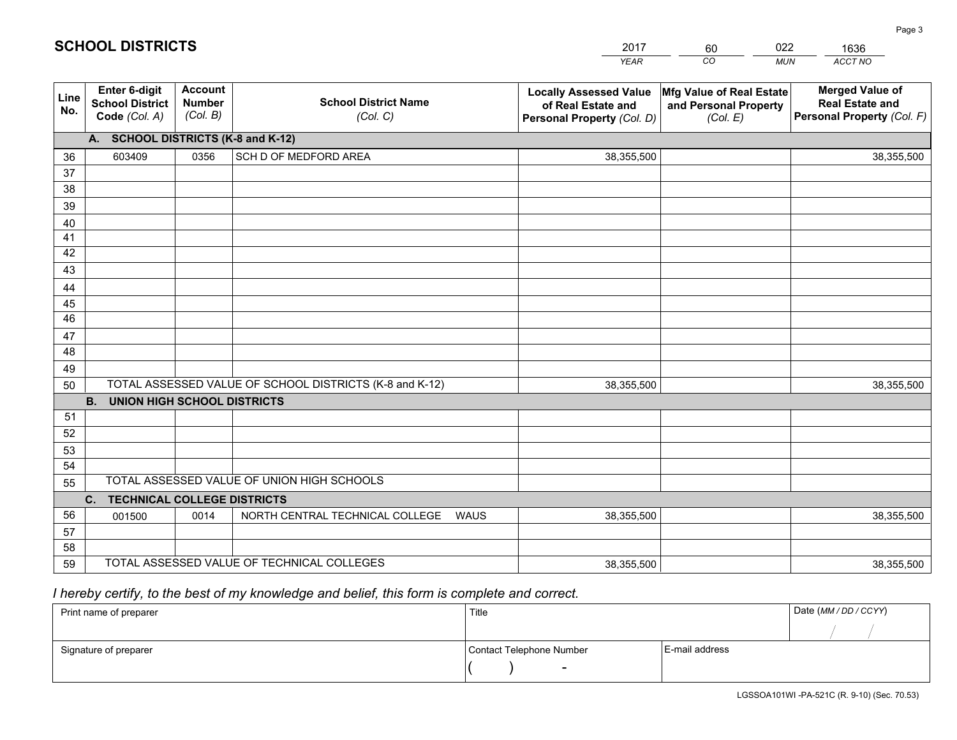|             |                                                                 |                                             |                                                         | <b>YEAR</b>                                                                       | CO<br><b>MUN</b>                                              | ACCT NO                                                                        |
|-------------|-----------------------------------------------------------------|---------------------------------------------|---------------------------------------------------------|-----------------------------------------------------------------------------------|---------------------------------------------------------------|--------------------------------------------------------------------------------|
| Line<br>No. | <b>Enter 6-digit</b><br><b>School District</b><br>Code (Col. A) | <b>Account</b><br><b>Number</b><br>(Col. B) | <b>School District Name</b><br>(Col. C)                 | <b>Locally Assessed Value</b><br>of Real Estate and<br>Personal Property (Col. D) | Mfg Value of Real Estate<br>and Personal Property<br>(Col. E) | <b>Merged Value of</b><br><b>Real Estate and</b><br>Personal Property (Col. F) |
|             | A. SCHOOL DISTRICTS (K-8 and K-12)                              |                                             |                                                         |                                                                                   |                                                               |                                                                                |
| 36          | 603409                                                          | 0356                                        | SCH D OF MEDFORD AREA                                   | 38,355,500                                                                        |                                                               | 38,355,500                                                                     |
| 37          |                                                                 |                                             |                                                         |                                                                                   |                                                               |                                                                                |
| 38          |                                                                 |                                             |                                                         |                                                                                   |                                                               |                                                                                |
| 39          |                                                                 |                                             |                                                         |                                                                                   |                                                               |                                                                                |
| 40          |                                                                 |                                             |                                                         |                                                                                   |                                                               |                                                                                |
| 41          |                                                                 |                                             |                                                         |                                                                                   |                                                               |                                                                                |
| 42          |                                                                 |                                             |                                                         |                                                                                   |                                                               |                                                                                |
| 43          |                                                                 |                                             |                                                         |                                                                                   |                                                               |                                                                                |
| 44          |                                                                 |                                             |                                                         |                                                                                   |                                                               |                                                                                |
| 45<br>46    |                                                                 |                                             |                                                         |                                                                                   |                                                               |                                                                                |
|             |                                                                 |                                             |                                                         |                                                                                   |                                                               |                                                                                |
| 47<br>48    |                                                                 |                                             |                                                         |                                                                                   |                                                               |                                                                                |
| 49          |                                                                 |                                             |                                                         |                                                                                   |                                                               |                                                                                |
| 50          |                                                                 |                                             | TOTAL ASSESSED VALUE OF SCHOOL DISTRICTS (K-8 and K-12) | 38,355,500                                                                        |                                                               | 38,355,500                                                                     |
|             | <b>B.</b><br><b>UNION HIGH SCHOOL DISTRICTS</b>                 |                                             |                                                         |                                                                                   |                                                               |                                                                                |
| 51          |                                                                 |                                             |                                                         |                                                                                   |                                                               |                                                                                |
| 52          |                                                                 |                                             |                                                         |                                                                                   |                                                               |                                                                                |
| 53          |                                                                 |                                             |                                                         |                                                                                   |                                                               |                                                                                |
| 54          |                                                                 |                                             |                                                         |                                                                                   |                                                               |                                                                                |
| 55          |                                                                 |                                             | TOTAL ASSESSED VALUE OF UNION HIGH SCHOOLS              |                                                                                   |                                                               |                                                                                |
|             | <b>TECHNICAL COLLEGE DISTRICTS</b><br>C.                        |                                             |                                                         |                                                                                   |                                                               |                                                                                |
| 56          | 001500                                                          | 0014                                        | NORTH CENTRAL TECHNICAL COLLEGE<br><b>WAUS</b>          | 38,355,500                                                                        |                                                               | 38,355,500                                                                     |
| 57          |                                                                 |                                             |                                                         |                                                                                   |                                                               |                                                                                |
| 58          |                                                                 |                                             |                                                         |                                                                                   |                                                               |                                                                                |
| 59          |                                                                 |                                             | TOTAL ASSESSED VALUE OF TECHNICAL COLLEGES              | 38,355,500                                                                        |                                                               | 38,355,500                                                                     |

2017

60

022

# *I hereby certify, to the best of my knowledge and belief, this form is complete and correct.*

**SCHOOL DISTRICTS**

| Print name of preparer | Title                    |                | Date (MM / DD / CCYY) |
|------------------------|--------------------------|----------------|-----------------------|
|                        |                          |                |                       |
| Signature of preparer  | Contact Telephone Number | E-mail address |                       |
|                        | $\overline{\phantom{0}}$ |                |                       |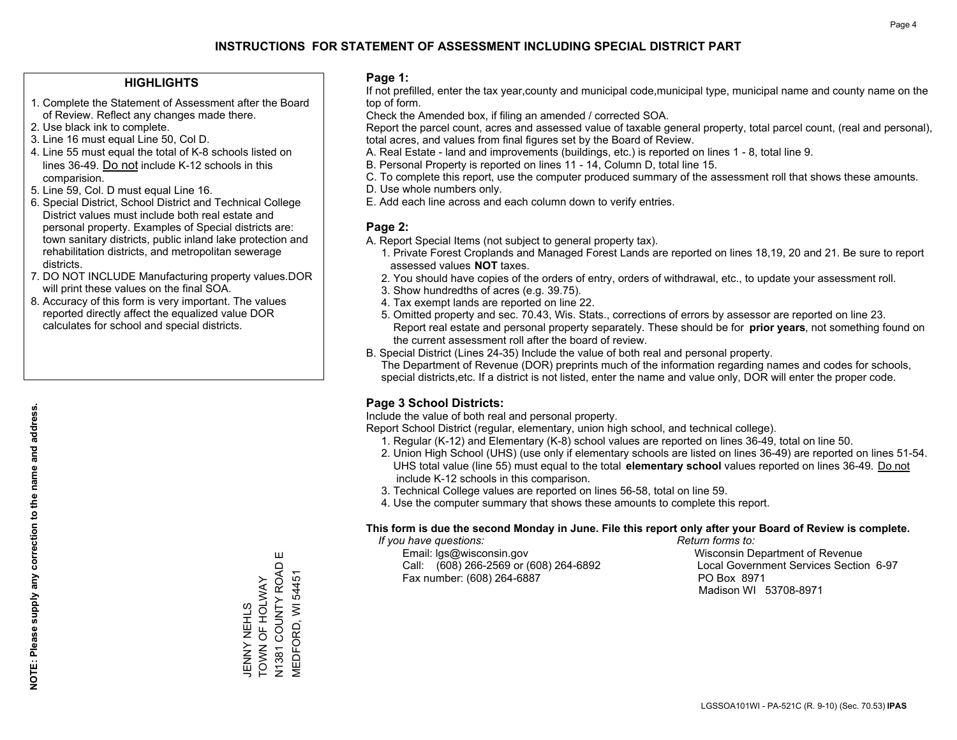### **HIGHLIGHTS**

- 1. Complete the Statement of Assessment after the Board of Review. Reflect any changes made there.
- 2. Use black ink to complete.
- 3. Line 16 must equal Line 50, Col D.
- 4. Line 55 must equal the total of K-8 schools listed on lines 36-49. Do not include K-12 schools in this comparision.
- 5. Line 59, Col. D must equal Line 16.
- 6. Special District, School District and Technical College District values must include both real estate and personal property. Examples of Special districts are: town sanitary districts, public inland lake protection and rehabilitation districts, and metropolitan sewerage districts.
- 7. DO NOT INCLUDE Manufacturing property values.DOR will print these values on the final SOA.
- 8. Accuracy of this form is very important. The values reported directly affect the equalized value DOR calculates for school and special districts.

### **Page 1:**

 If not prefilled, enter the tax year,county and municipal code,municipal type, municipal name and county name on the top of form.

Check the Amended box, if filing an amended / corrected SOA.

 Report the parcel count, acres and assessed value of taxable general property, total parcel count, (real and personal), total acres, and values from final figures set by the Board of Review.

- A. Real Estate land and improvements (buildings, etc.) is reported on lines 1 8, total line 9.
- B. Personal Property is reported on lines 11 14, Column D, total line 15.
- C. To complete this report, use the computer produced summary of the assessment roll that shows these amounts.
- D. Use whole numbers only.
- E. Add each line across and each column down to verify entries.

### **Page 2:**

- A. Report Special Items (not subject to general property tax).
- 1. Private Forest Croplands and Managed Forest Lands are reported on lines 18,19, 20 and 21. Be sure to report assessed values **NOT** taxes.
- 2. You should have copies of the orders of entry, orders of withdrawal, etc., to update your assessment roll.
	- 3. Show hundredths of acres (e.g. 39.75).
- 4. Tax exempt lands are reported on line 22.
- 5. Omitted property and sec. 70.43, Wis. Stats., corrections of errors by assessor are reported on line 23. Report real estate and personal property separately. These should be for **prior years**, not something found on the current assessment roll after the board of review.
- B. Special District (Lines 24-35) Include the value of both real and personal property.
- The Department of Revenue (DOR) preprints much of the information regarding names and codes for schools, special districts,etc. If a district is not listed, enter the name and value only, DOR will enter the proper code.

## **Page 3 School Districts:**

Include the value of both real and personal property.

Report School District (regular, elementary, union high school, and technical college).

- 1. Regular (K-12) and Elementary (K-8) school values are reported on lines 36-49, total on line 50.
- 2. Union High School (UHS) (use only if elementary schools are listed on lines 36-49) are reported on lines 51-54. UHS total value (line 55) must equal to the total **elementary school** values reported on lines 36-49. Do notinclude K-12 schools in this comparison.
- 3. Technical College values are reported on lines 56-58, total on line 59.
- 4. Use the computer summary that shows these amounts to complete this report.

#### **This form is due the second Monday in June. File this report only after your Board of Review is complete.**

 *If you have questions: Return forms to:*

 Email: lgs@wisconsin.gov Wisconsin Department of RevenueCall:  $(608)$  266-2569 or  $(608)$  264-6892 Fax number: (608) 264-6887 PO Box 8971

Local Government Services Section 6-97 Madison WI 53708-8971

Ш N1381 COUNTY ROAD E N1381 COUNTY ROAD<br>MEDFORD, WI 54451 MEDFORD, WI 54451 JENNY NEHLS<br>TOWN OF HOLWAY TOWN OF HOLWAY JENNY NEHLS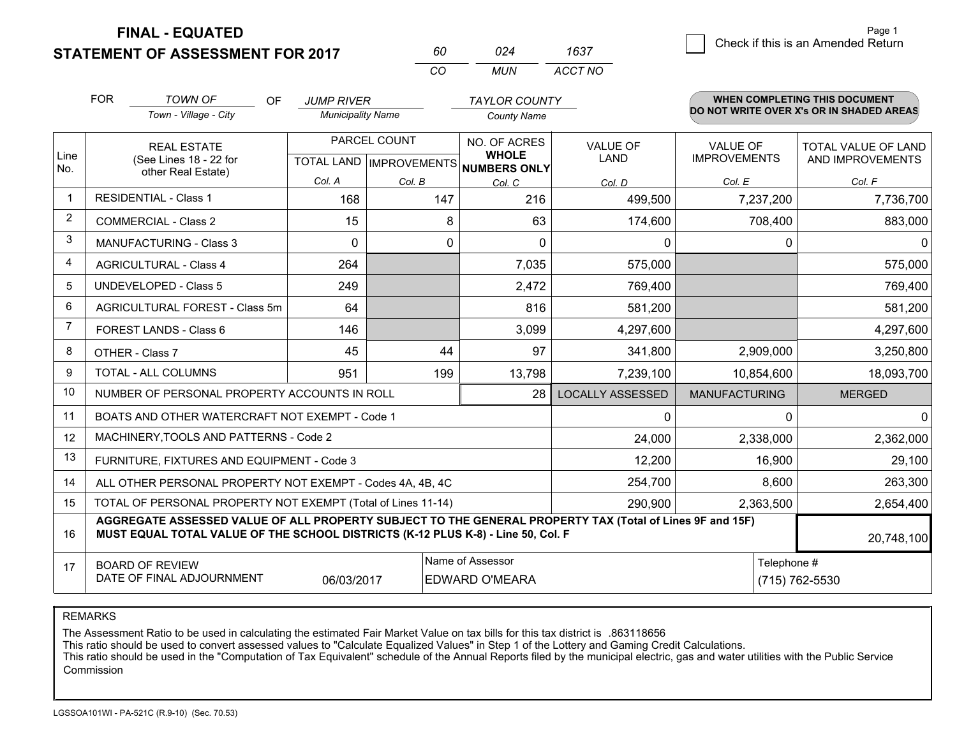**STATEMENT OF ASSESSMENT FOR 2017 FINAL - EQUATED**

Page 1

| 60 | 024 | 1637 | Page 1<br>Check if this is an Amended Return |
|----|-----|------|----------------------------------------------|
|----|-----|------|----------------------------------------------|

*ACCT NO*

|                | <b>FOR</b> | <b>TOWN OF</b><br>OF                                                                                                                                                                         | <b>JUMP RIVER</b>        |              | <b>TAYLOR COUNTY</b>                                                 |                                |                                        | <b>WHEN COMPLETING THIS DOCUMENT</b>           |  |  |
|----------------|------------|----------------------------------------------------------------------------------------------------------------------------------------------------------------------------------------------|--------------------------|--------------|----------------------------------------------------------------------|--------------------------------|----------------------------------------|------------------------------------------------|--|--|
|                |            | Town - Village - City                                                                                                                                                                        | <b>Municipality Name</b> |              | <b>County Name</b>                                                   |                                |                                        | DO NOT WRITE OVER X's OR IN SHADED AREAS       |  |  |
| Line           |            | <b>REAL ESTATE</b><br>(See Lines 18 - 22 for                                                                                                                                                 |                          | PARCEL COUNT | NO. OF ACRES<br><b>WHOLE</b><br>TOTAL LAND IMPROVEMENTS NUMBERS ONLY | <b>VALUE OF</b><br><b>LAND</b> | <b>VALUE OF</b><br><b>IMPROVEMENTS</b> | <b>TOTAL VALUE OF LAND</b><br>AND IMPROVEMENTS |  |  |
| No.            |            | other Real Estate)                                                                                                                                                                           | Col. A                   | Col. B       | Col. C                                                               | Col. D                         | Col. E                                 | Col. F                                         |  |  |
| $\mathbf 1$    |            | <b>RESIDENTIAL - Class 1</b>                                                                                                                                                                 | 168                      | 147          | 216                                                                  | 499,500                        | 7,237,200                              | 7,736,700                                      |  |  |
| $\overline{2}$ |            | <b>COMMERCIAL - Class 2</b>                                                                                                                                                                  | 15                       | 8            | 63                                                                   | 174,600                        | 708,400                                | 883,000                                        |  |  |
| 3              |            | <b>MANUFACTURING - Class 3</b>                                                                                                                                                               | $\Omega$                 | $\Omega$     | 0                                                                    | 0                              |                                        | 0<br>0                                         |  |  |
| 4              |            | <b>AGRICULTURAL - Class 4</b>                                                                                                                                                                | 264                      |              | 7,035                                                                | 575,000                        |                                        | 575,000                                        |  |  |
| 5              |            | <b>UNDEVELOPED - Class 5</b>                                                                                                                                                                 | 249                      |              | 2,472                                                                | 769,400                        |                                        | 769,400                                        |  |  |
| 6              |            | AGRICULTURAL FOREST - Class 5m                                                                                                                                                               | 64                       |              | 816                                                                  | 581,200                        |                                        | 581,200                                        |  |  |
| $\overline{7}$ |            | FOREST LANDS - Class 6                                                                                                                                                                       | 146                      |              | 3,099                                                                | 4,297,600                      |                                        | 4,297,600                                      |  |  |
| 8              |            | OTHER - Class 7                                                                                                                                                                              | 45                       | 44           | 97                                                                   | 341,800                        | 2,909,000                              | 3,250,800                                      |  |  |
| 9              |            | TOTAL - ALL COLUMNS                                                                                                                                                                          | 951                      | 199          | 13,798                                                               | 7,239,100                      | 10,854,600                             | 18,093,700                                     |  |  |
| 10             |            | NUMBER OF PERSONAL PROPERTY ACCOUNTS IN ROLL                                                                                                                                                 |                          |              | 28                                                                   | <b>LOCALLY ASSESSED</b>        | <b>MANUFACTURING</b>                   | <b>MERGED</b>                                  |  |  |
| 11             |            | BOATS AND OTHER WATERCRAFT NOT EXEMPT - Code 1                                                                                                                                               |                          |              |                                                                      | 0                              |                                        | 0<br>0                                         |  |  |
| 12             |            | MACHINERY, TOOLS AND PATTERNS - Code 2                                                                                                                                                       |                          |              |                                                                      | 24,000                         | 2,338,000                              | 2,362,000                                      |  |  |
| 13             |            | FURNITURE, FIXTURES AND EQUIPMENT - Code 3                                                                                                                                                   |                          |              |                                                                      | 12,200                         | 16,900                                 | 29,100                                         |  |  |
| 14             |            | ALL OTHER PERSONAL PROPERTY NOT EXEMPT - Codes 4A, 4B, 4C                                                                                                                                    |                          |              |                                                                      | 254,700                        | 8,600                                  | 263,300                                        |  |  |
| 15             |            | TOTAL OF PERSONAL PROPERTY NOT EXEMPT (Total of Lines 11-14)                                                                                                                                 |                          |              |                                                                      | 290,900                        | 2,363,500                              | 2,654,400                                      |  |  |
| 16             |            | AGGREGATE ASSESSED VALUE OF ALL PROPERTY SUBJECT TO THE GENERAL PROPERTY TAX (Total of Lines 9F and 15F)<br>MUST EQUAL TOTAL VALUE OF THE SCHOOL DISTRICTS (K-12 PLUS K-8) - Line 50, Col. F |                          |              |                                                                      |                                |                                        | 20,748,100                                     |  |  |
| 17             |            | <b>BOARD OF REVIEW</b><br>DATE OF FINAL ADJOURNMENT                                                                                                                                          | 06/03/2017               |              | Name of Assessor<br><b>EDWARD O'MEARA</b>                            | Telephone #<br>(715) 762-5530  |                                        |                                                |  |  |

*CO*

*MUN*

REMARKS

The Assessment Ratio to be used in calculating the estimated Fair Market Value on tax bills for this tax district is .863118656<br>This ratio should be used to convert assessed values to "Calculate Equalized Values" in Step 1 Commission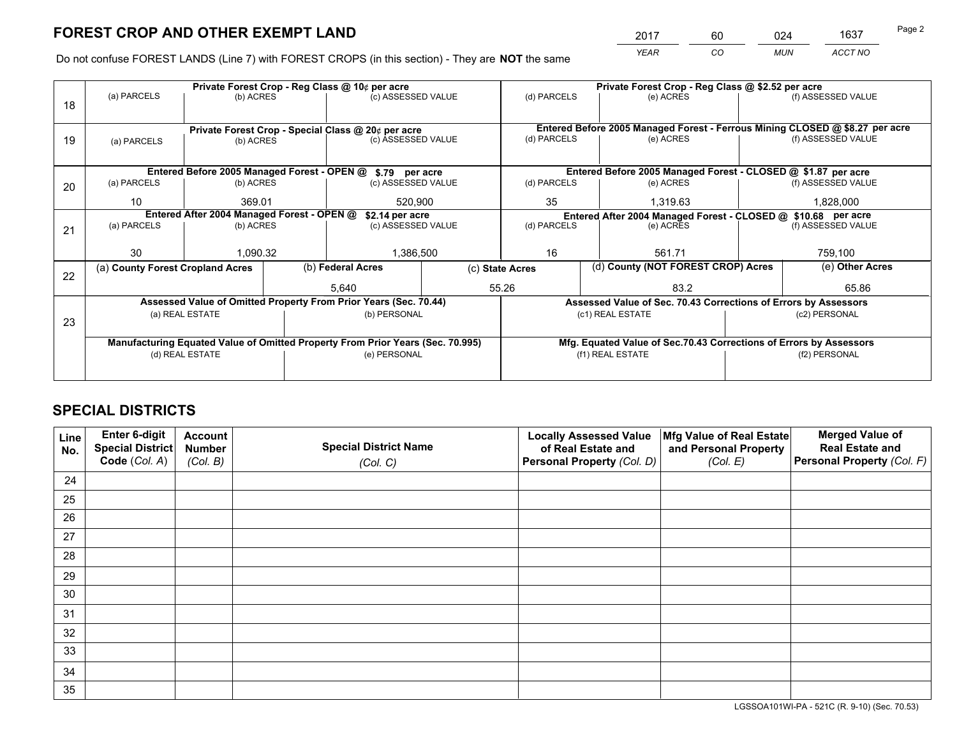*YEAR CO MUN ACCT NO* 2017 60 024 1637

Do not confuse FOREST LANDS (Line 7) with FOREST CROPS (in this section) - They are **NOT** the same

|    |                                                               |                 |  | Private Forest Crop - Reg Class @ 10¢ per acre                                 |                    |                                                                              |             | Private Forest Crop - Reg Class @ \$2.52 per acre                  |               |                    |
|----|---------------------------------------------------------------|-----------------|--|--------------------------------------------------------------------------------|--------------------|------------------------------------------------------------------------------|-------------|--------------------------------------------------------------------|---------------|--------------------|
| 18 | (a) PARCELS                                                   | (b) ACRES       |  | (c) ASSESSED VALUE                                                             |                    | (d) PARCELS                                                                  |             | (e) ACRES                                                          |               | (f) ASSESSED VALUE |
|    |                                                               |                 |  |                                                                                |                    |                                                                              |             |                                                                    |               |                    |
|    |                                                               |                 |  | Private Forest Crop - Special Class @ 20¢ per acre                             |                    | Entered Before 2005 Managed Forest - Ferrous Mining CLOSED @ \$8.27 per acre |             |                                                                    |               |                    |
| 19 | (a) PARCELS                                                   | (b) ACRES       |  | (c) ASSESSED VALUE                                                             |                    | (d) PARCELS                                                                  |             | (e) ACRES                                                          |               | (f) ASSESSED VALUE |
|    |                                                               |                 |  |                                                                                |                    |                                                                              |             |                                                                    |               |                    |
|    | Entered Before 2005 Managed Forest - OPEN @ \$.79 per acre    |                 |  |                                                                                |                    |                                                                              |             | Entered Before 2005 Managed Forest - CLOSED @ \$1.87 per acre      |               |                    |
| 20 | (a) PARCELS<br>(b) ACRES                                      |                 |  | (c) ASSESSED VALUE                                                             |                    | (d) PARCELS                                                                  |             | (e) ACRES                                                          |               | (f) ASSESSED VALUE |
|    | 10                                                            | 369.01          |  | 520.900                                                                        |                    | 35                                                                           |             | 1.319.63                                                           |               | 1,828,000          |
|    | Entered After 2004 Managed Forest - OPEN @<br>\$2.14 per acre |                 |  |                                                                                |                    |                                                                              |             | Entered After 2004 Managed Forest - CLOSED @ \$10.68 per acre      |               |                    |
| 21 | (a) PARCELS                                                   | (b) ACRES       |  |                                                                                | (c) ASSESSED VALUE |                                                                              | (d) PARCELS | (e) ACRES                                                          |               | (f) ASSESSED VALUE |
|    |                                                               |                 |  |                                                                                |                    |                                                                              |             |                                                                    |               |                    |
|    | 30                                                            | 1,090.32        |  | 1,386,500                                                                      |                    | 16                                                                           |             | 561.71                                                             |               | 759,100            |
| 22 | (a) County Forest Cropland Acres                              |                 |  | (b) Federal Acres<br>(c) State Acres                                           |                    |                                                                              |             | (d) County (NOT FOREST CROP) Acres                                 |               | (e) Other Acres    |
|    |                                                               |                 |  | 5,640                                                                          |                    | 55.26                                                                        |             | 83.2                                                               |               | 65.86              |
|    |                                                               |                 |  | Assessed Value of Omitted Property From Prior Years (Sec. 70.44)               |                    |                                                                              |             | Assessed Value of Sec. 70.43 Corrections of Errors by Assessors    |               |                    |
| 23 |                                                               | (a) REAL ESTATE |  | (b) PERSONAL                                                                   |                    |                                                                              |             | (c1) REAL ESTATE                                                   |               | (c2) PERSONAL      |
|    |                                                               |                 |  |                                                                                |                    |                                                                              |             |                                                                    |               |                    |
|    |                                                               |                 |  | Manufacturing Equated Value of Omitted Property From Prior Years (Sec. 70.995) |                    |                                                                              |             | Mfg. Equated Value of Sec.70.43 Corrections of Errors by Assessors |               |                    |
|    | (d) REAL ESTATE                                               |                 |  | (e) PERSONAL                                                                   |                    |                                                                              |             | (f1) REAL ESTATE                                                   | (f2) PERSONAL |                    |
|    |                                                               |                 |  |                                                                                |                    |                                                                              |             |                                                                    |               |                    |

## **SPECIAL DISTRICTS**

| Line<br>No. | Enter 6-digit<br>Special District<br>Code (Col. A) | <b>Account</b><br><b>Number</b> | <b>Special District Name</b> | <b>Locally Assessed Value</b><br>of Real Estate and | Mfg Value of Real Estate<br>and Personal Property | <b>Merged Value of</b><br><b>Real Estate and</b><br>Personal Property (Col. F) |
|-------------|----------------------------------------------------|---------------------------------|------------------------------|-----------------------------------------------------|---------------------------------------------------|--------------------------------------------------------------------------------|
|             |                                                    | (Col. B)                        | (Col. C)                     | Personal Property (Col. D)                          | (Col. E)                                          |                                                                                |
| 24          |                                                    |                                 |                              |                                                     |                                                   |                                                                                |
| 25          |                                                    |                                 |                              |                                                     |                                                   |                                                                                |
| 26          |                                                    |                                 |                              |                                                     |                                                   |                                                                                |
| 27          |                                                    |                                 |                              |                                                     |                                                   |                                                                                |
| 28          |                                                    |                                 |                              |                                                     |                                                   |                                                                                |
| 29          |                                                    |                                 |                              |                                                     |                                                   |                                                                                |
| 30          |                                                    |                                 |                              |                                                     |                                                   |                                                                                |
| 31          |                                                    |                                 |                              |                                                     |                                                   |                                                                                |
| 32          |                                                    |                                 |                              |                                                     |                                                   |                                                                                |
| 33          |                                                    |                                 |                              |                                                     |                                                   |                                                                                |
| 34          |                                                    |                                 |                              |                                                     |                                                   |                                                                                |
| 35          |                                                    |                                 |                              |                                                     |                                                   |                                                                                |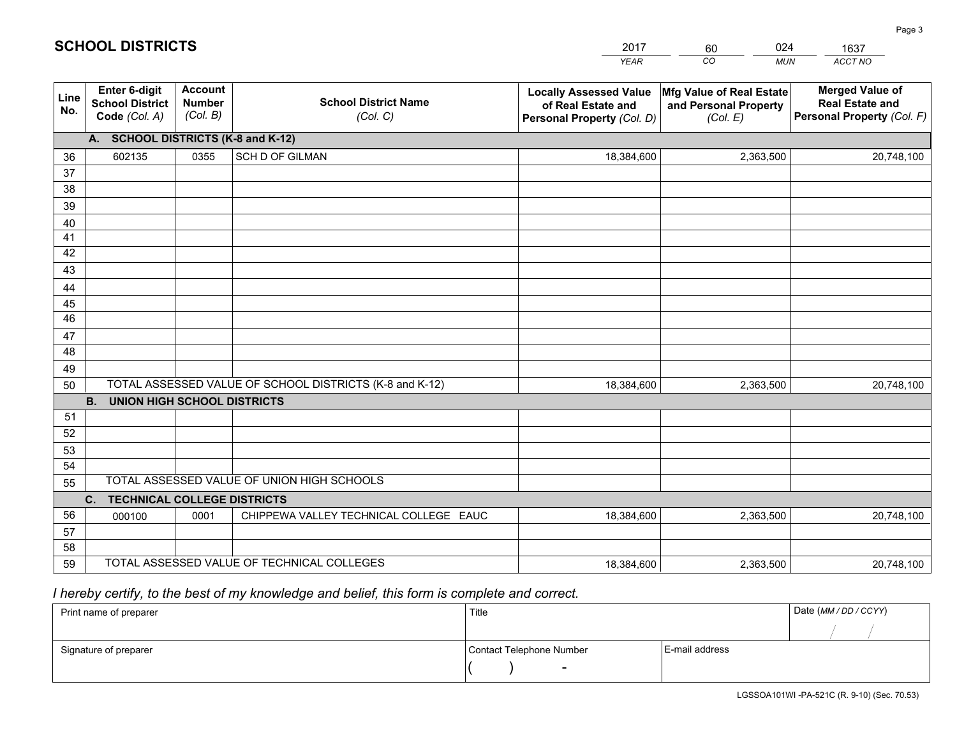|             |                                                                 |                                             |                                                         | <b>YEAR</b>                                                                       | CO<br><b>MUN</b>                                              | ACCT NO                                                                        |
|-------------|-----------------------------------------------------------------|---------------------------------------------|---------------------------------------------------------|-----------------------------------------------------------------------------------|---------------------------------------------------------------|--------------------------------------------------------------------------------|
| Line<br>No. | <b>Enter 6-digit</b><br><b>School District</b><br>Code (Col. A) | <b>Account</b><br><b>Number</b><br>(Col. B) | <b>School District Name</b><br>(Col. C)                 | <b>Locally Assessed Value</b><br>of Real Estate and<br>Personal Property (Col. D) | Mfg Value of Real Estate<br>and Personal Property<br>(Col. E) | <b>Merged Value of</b><br><b>Real Estate and</b><br>Personal Property (Col. F) |
|             | A. SCHOOL DISTRICTS (K-8 and K-12)                              |                                             |                                                         |                                                                                   |                                                               |                                                                                |
| 36          | 602135                                                          | 0355                                        | SCH D OF GILMAN                                         | 18,384,600                                                                        | 2,363,500                                                     | 20,748,100                                                                     |
| 37          |                                                                 |                                             |                                                         |                                                                                   |                                                               |                                                                                |
| 38          |                                                                 |                                             |                                                         |                                                                                   |                                                               |                                                                                |
| 39          |                                                                 |                                             |                                                         |                                                                                   |                                                               |                                                                                |
| 40          |                                                                 |                                             |                                                         |                                                                                   |                                                               |                                                                                |
| 41<br>42    |                                                                 |                                             |                                                         |                                                                                   |                                                               |                                                                                |
| 43          |                                                                 |                                             |                                                         |                                                                                   |                                                               |                                                                                |
| 44          |                                                                 |                                             |                                                         |                                                                                   |                                                               |                                                                                |
| 45          |                                                                 |                                             |                                                         |                                                                                   |                                                               |                                                                                |
| 46          |                                                                 |                                             |                                                         |                                                                                   |                                                               |                                                                                |
| 47          |                                                                 |                                             |                                                         |                                                                                   |                                                               |                                                                                |
| 48          |                                                                 |                                             |                                                         |                                                                                   |                                                               |                                                                                |
| 49          |                                                                 |                                             |                                                         |                                                                                   |                                                               |                                                                                |
| 50          |                                                                 |                                             | TOTAL ASSESSED VALUE OF SCHOOL DISTRICTS (K-8 and K-12) | 18,384,600                                                                        | 2,363,500                                                     | 20,748,100                                                                     |
|             | <b>B. UNION HIGH SCHOOL DISTRICTS</b>                           |                                             |                                                         |                                                                                   |                                                               |                                                                                |
| 51          |                                                                 |                                             |                                                         |                                                                                   |                                                               |                                                                                |
| 52          |                                                                 |                                             |                                                         |                                                                                   |                                                               |                                                                                |
| 53<br>54    |                                                                 |                                             |                                                         |                                                                                   |                                                               |                                                                                |
| 55          |                                                                 |                                             | TOTAL ASSESSED VALUE OF UNION HIGH SCHOOLS              |                                                                                   |                                                               |                                                                                |
|             | C.<br><b>TECHNICAL COLLEGE DISTRICTS</b>                        |                                             |                                                         |                                                                                   |                                                               |                                                                                |
| 56          | 000100                                                          | 0001                                        | CHIPPEWA VALLEY TECHNICAL COLLEGE EAUC                  | 18,384,600                                                                        | 2,363,500                                                     | 20,748,100                                                                     |
| 57          |                                                                 |                                             |                                                         |                                                                                   |                                                               |                                                                                |
| 58          |                                                                 |                                             |                                                         |                                                                                   |                                                               |                                                                                |
| 59          |                                                                 |                                             | TOTAL ASSESSED VALUE OF TECHNICAL COLLEGES              | 18,384,600                                                                        | 2,363,500                                                     | 20,748,100                                                                     |

2017

60

024

 *I hereby certify, to the best of my knowledge and belief, this form is complete and correct.*

**SCHOOL DISTRICTS**

| Print name of preparer | Title                    | Date (MM / DD / CCYY) |  |
|------------------------|--------------------------|-----------------------|--|
|                        |                          |                       |  |
| Signature of preparer  | Contact Telephone Number | E-mail address        |  |
|                        | $\sim$                   |                       |  |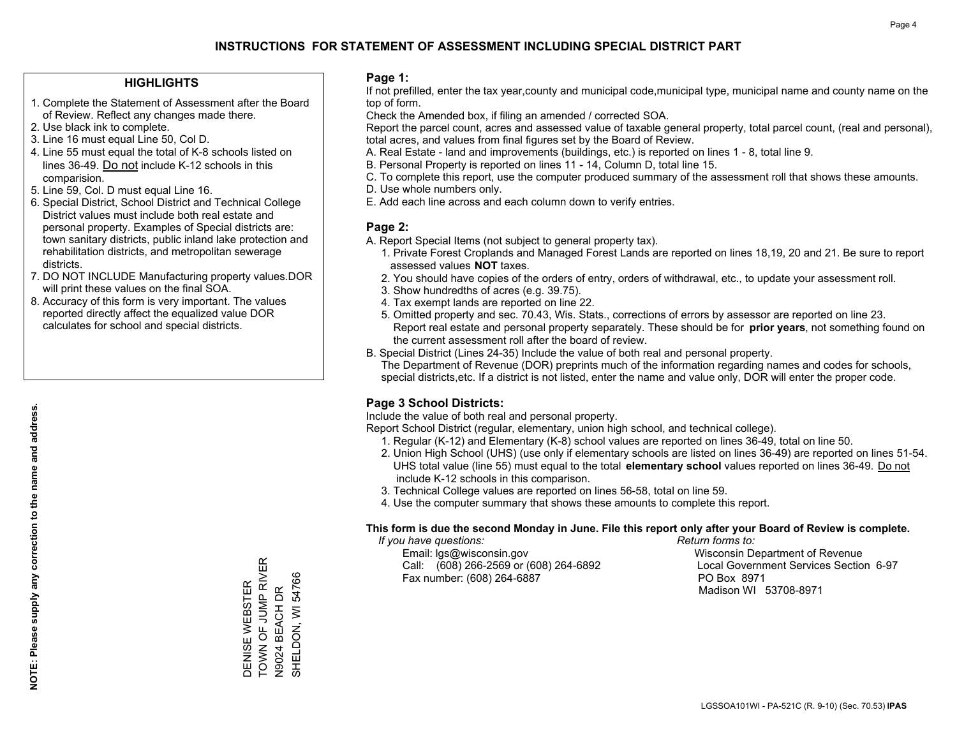### **HIGHLIGHTS**

- 1. Complete the Statement of Assessment after the Board of Review. Reflect any changes made there.
- 2. Use black ink to complete.
- 3. Line 16 must equal Line 50, Col D.
- 4. Line 55 must equal the total of K-8 schools listed on lines 36-49. Do not include K-12 schools in this comparision.
- 5. Line 59, Col. D must equal Line 16.
- 6. Special District, School District and Technical College District values must include both real estate and personal property. Examples of Special districts are: town sanitary districts, public inland lake protection and rehabilitation districts, and metropolitan sewerage districts.
- 7. DO NOT INCLUDE Manufacturing property values.DOR will print these values on the final SOA.

DENISE WEBSTER TOWN OF JUMP RIVER N9024 BEACH DR SHELDON, WI 54766

DENISE WEBSTER

- - - - - - - - - - - - - - - - - -<br>TOWN OF JUMP RIVER

SHELDON, WI 54766

N9024 BEACH DR

 8. Accuracy of this form is very important. The values reported directly affect the equalized value DOR calculates for school and special districts.

### **Page 1:**

 If not prefilled, enter the tax year,county and municipal code,municipal type, municipal name and county name on the top of form.

Check the Amended box, if filing an amended / corrected SOA.

 Report the parcel count, acres and assessed value of taxable general property, total parcel count, (real and personal), total acres, and values from final figures set by the Board of Review.

- A. Real Estate land and improvements (buildings, etc.) is reported on lines 1 8, total line 9.
- B. Personal Property is reported on lines 11 14, Column D, total line 15.
- C. To complete this report, use the computer produced summary of the assessment roll that shows these amounts.
- D. Use whole numbers only.
- E. Add each line across and each column down to verify entries.

### **Page 2:**

- A. Report Special Items (not subject to general property tax).
- 1. Private Forest Croplands and Managed Forest Lands are reported on lines 18,19, 20 and 21. Be sure to report assessed values **NOT** taxes.
- 2. You should have copies of the orders of entry, orders of withdrawal, etc., to update your assessment roll.
	- 3. Show hundredths of acres (e.g. 39.75).
- 4. Tax exempt lands are reported on line 22.
- 5. Omitted property and sec. 70.43, Wis. Stats., corrections of errors by assessor are reported on line 23. Report real estate and personal property separately. These should be for **prior years**, not something found on the current assessment roll after the board of review.
- B. Special District (Lines 24-35) Include the value of both real and personal property.

 The Department of Revenue (DOR) preprints much of the information regarding names and codes for schools, special districts,etc. If a district is not listed, enter the name and value only, DOR will enter the proper code.

## **Page 3 School Districts:**

Include the value of both real and personal property.

Report School District (regular, elementary, union high school, and technical college).

- 1. Regular (K-12) and Elementary (K-8) school values are reported on lines 36-49, total on line 50.
- 2. Union High School (UHS) (use only if elementary schools are listed on lines 36-49) are reported on lines 51-54. UHS total value (line 55) must equal to the total **elementary school** values reported on lines 36-49. Do notinclude K-12 schools in this comparison.
- 3. Technical College values are reported on lines 56-58, total on line 59.
- 4. Use the computer summary that shows these amounts to complete this report.

#### **This form is due the second Monday in June. File this report only after your Board of Review is complete.**

 *If you have questions: Return forms to:*

 Email: lgs@wisconsin.gov Wisconsin Department of RevenueCall:  $(608)$  266-2569 or  $(608)$  264-6892 Fax number: (608) 264-6887 PO Box 8971

Local Government Services Section 6-97 Madison WI 53708-8971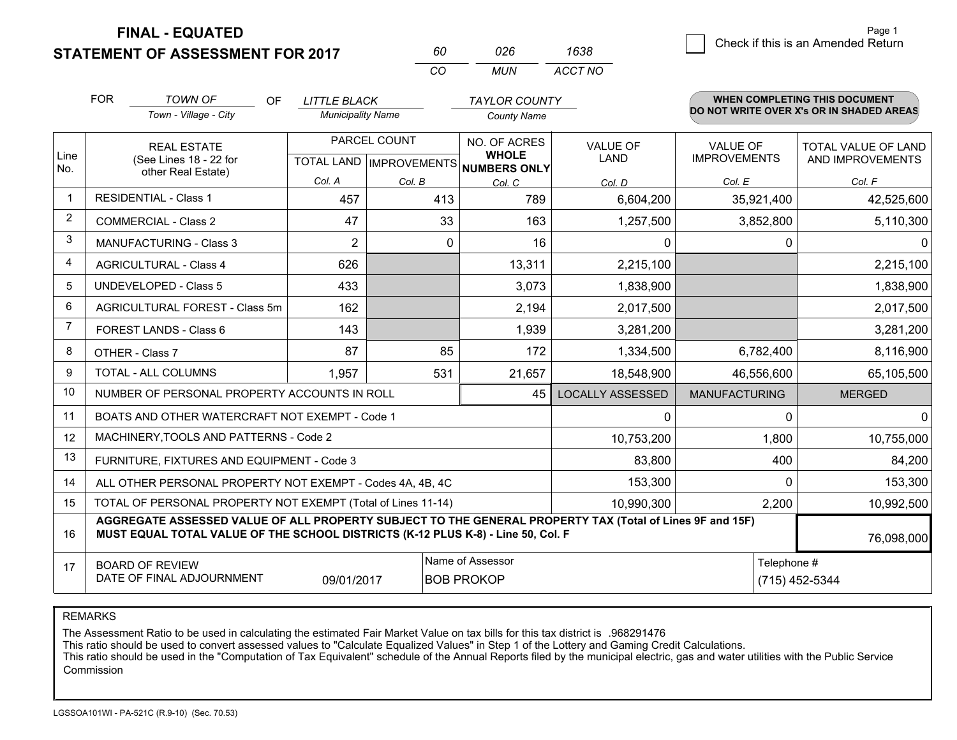**STATEMENT OF ASSESSMENT FOR 2017 FINAL - EQUATED**

 $\overline{\mathcal{B}}$  Check if this is an Amended Return Page 1

|                | <b>FOR</b><br><b>TOWN OF</b><br>Town - Village - City                                                                                                                                        | OF<br><b>LITTLE BLACK</b><br><b>Municipality Name</b> |                                                      | <b>TAYLOR COUNTY</b><br><b>County Name</b> |                                |                                        | <b>WHEN COMPLETING THIS DOCUMENT</b><br>DO NOT WRITE OVER X's OR IN SHADED AREAS |
|----------------|----------------------------------------------------------------------------------------------------------------------------------------------------------------------------------------------|-------------------------------------------------------|------------------------------------------------------|--------------------------------------------|--------------------------------|----------------------------------------|----------------------------------------------------------------------------------|
| Line<br>No.    | <b>REAL ESTATE</b><br>(See Lines 18 - 22 for                                                                                                                                                 |                                                       | PARCEL COUNT<br>TOTAL LAND IMPROVEMENTS NUMBERS ONLY | NO. OF ACRES<br><b>WHOLE</b>               | <b>VALUE OF</b><br><b>LAND</b> | <b>VALUE OF</b><br><b>IMPROVEMENTS</b> | TOTAL VALUE OF LAND<br>AND IMPROVEMENTS                                          |
|                | other Real Estate)                                                                                                                                                                           | Col. A                                                | Col. B                                               | Col. C                                     | Col. D                         | Col. E                                 | Col. F                                                                           |
| $\mathbf 1$    | <b>RESIDENTIAL - Class 1</b>                                                                                                                                                                 | 457                                                   | 413                                                  | 789                                        | 6,604,200                      | 35,921,400                             | 42,525,600                                                                       |
| $\overline{2}$ | <b>COMMERCIAL - Class 2</b>                                                                                                                                                                  | 47                                                    | 33                                                   | 163                                        | 1,257,500                      | 3,852,800                              | 5,110,300                                                                        |
| 3              | <b>MANUFACTURING - Class 3</b>                                                                                                                                                               | $\overline{2}$                                        | $\mathbf{0}$                                         | 16                                         | 0                              | 0                                      | $\overline{0}$                                                                   |
| $\overline{4}$ | <b>AGRICULTURAL - Class 4</b>                                                                                                                                                                | 626                                                   |                                                      | 13,311                                     | 2,215,100                      |                                        | 2,215,100                                                                        |
| 5              | <b>UNDEVELOPED - Class 5</b>                                                                                                                                                                 | 433                                                   |                                                      | 3,073                                      | 1,838,900                      |                                        | 1,838,900                                                                        |
| 6              | AGRICULTURAL FOREST - Class 5m                                                                                                                                                               | 162                                                   |                                                      | 2,194                                      | 2,017,500                      |                                        | 2,017,500                                                                        |
| $\overline{7}$ | FOREST LANDS - Class 6                                                                                                                                                                       | 143                                                   |                                                      | 1,939                                      | 3,281,200                      |                                        | 3,281,200                                                                        |
| 8              | OTHER - Class 7                                                                                                                                                                              | 87                                                    | 85                                                   | 172                                        | 1,334,500                      | 6,782,400                              | 8,116,900                                                                        |
| 9              | TOTAL - ALL COLUMNS                                                                                                                                                                          | 1,957                                                 | 531                                                  | 21,657                                     | 18,548,900                     | 46,556,600                             | 65,105,500                                                                       |
| 10             | NUMBER OF PERSONAL PROPERTY ACCOUNTS IN ROLL                                                                                                                                                 |                                                       |                                                      | 45                                         | <b>LOCALLY ASSESSED</b>        | <b>MANUFACTURING</b>                   | <b>MERGED</b>                                                                    |
| 11             | BOATS AND OTHER WATERCRAFT NOT EXEMPT - Code 1                                                                                                                                               |                                                       |                                                      |                                            | $\Omega$                       | 0                                      | $\overline{0}$                                                                   |
| 12             | MACHINERY, TOOLS AND PATTERNS - Code 2                                                                                                                                                       |                                                       |                                                      |                                            | 10,753,200                     | 1,800                                  | 10,755,000                                                                       |
| 13             | FURNITURE, FIXTURES AND EQUIPMENT - Code 3                                                                                                                                                   |                                                       |                                                      |                                            | 83,800                         | 400                                    | 84,200                                                                           |
| 14             | ALL OTHER PERSONAL PROPERTY NOT EXEMPT - Codes 4A, 4B, 4C                                                                                                                                    |                                                       |                                                      |                                            | 153,300                        | $\Omega$                               | 153,300                                                                          |
| 15             | TOTAL OF PERSONAL PROPERTY NOT EXEMPT (Total of Lines 11-14)                                                                                                                                 |                                                       |                                                      |                                            | 10,990,300                     | 2,200                                  | 10,992,500                                                                       |
| 16             | AGGREGATE ASSESSED VALUE OF ALL PROPERTY SUBJECT TO THE GENERAL PROPERTY TAX (Total of Lines 9F and 15F)<br>MUST EQUAL TOTAL VALUE OF THE SCHOOL DISTRICTS (K-12 PLUS K-8) - Line 50, Col. F |                                                       |                                                      |                                            |                                |                                        | 76,098,000                                                                       |
| 17             | Name of Assessor<br>Telephone #<br><b>BOARD OF REVIEW</b><br>DATE OF FINAL ADJOURNMENT<br>(715) 452-5344<br>09/01/2017<br><b>BOB PROKOP</b>                                                  |                                                       |                                                      |                                            |                                |                                        |                                                                                  |

*MUN*

*ACCT NO1638*

*<sup>60</sup> <sup>026</sup>*

*CO*

REMARKS

The Assessment Ratio to be used in calculating the estimated Fair Market Value on tax bills for this tax district is .968291476<br>This ratio should be used to convert assessed values to "Calculate Equalized Values" in Step 1 Commission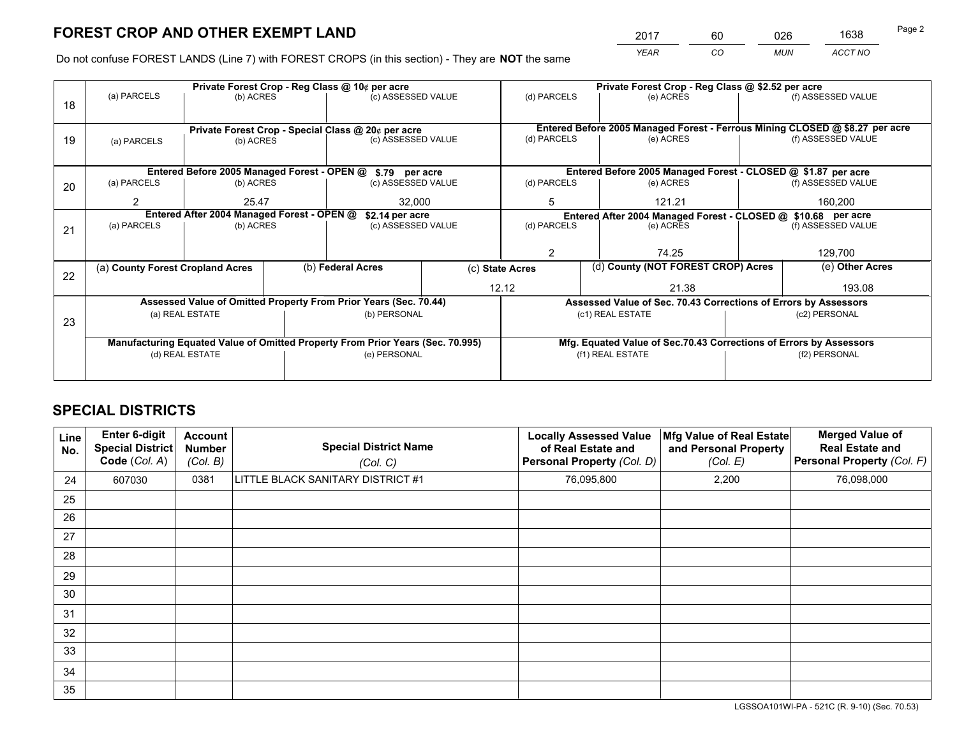*YEAR CO MUN ACCT NO* <sup>2017</sup> <sup>60</sup> <sup>026</sup> <sup>1638</sup>

Do not confuse FOREST LANDS (Line 7) with FOREST CROPS (in this section) - They are **NOT** the same

|    |                                                            |                                            |  | Private Forest Crop - Reg Class @ 10¢ per acre                                 |                                                               |                                                               |                                                                              | Private Forest Crop - Reg Class @ \$2.52 per acre                  |               |                    |  |
|----|------------------------------------------------------------|--------------------------------------------|--|--------------------------------------------------------------------------------|---------------------------------------------------------------|---------------------------------------------------------------|------------------------------------------------------------------------------|--------------------------------------------------------------------|---------------|--------------------|--|
| 18 | (a) PARCELS                                                | (b) ACRES                                  |  | (c) ASSESSED VALUE                                                             |                                                               | (d) PARCELS                                                   |                                                                              | (e) ACRES                                                          |               | (f) ASSESSED VALUE |  |
|    |                                                            |                                            |  |                                                                                |                                                               |                                                               |                                                                              |                                                                    |               |                    |  |
|    |                                                            |                                            |  | Private Forest Crop - Special Class @ 20¢ per acre                             |                                                               |                                                               | Entered Before 2005 Managed Forest - Ferrous Mining CLOSED @ \$8.27 per acre |                                                                    |               |                    |  |
| 19 | (a) PARCELS                                                | (b) ACRES                                  |  | (c) ASSESSED VALUE                                                             |                                                               | (d) PARCELS<br>(e) ACRES                                      |                                                                              |                                                                    |               | (f) ASSESSED VALUE |  |
|    |                                                            |                                            |  |                                                                                |                                                               |                                                               |                                                                              |                                                                    |               |                    |  |
|    | Entered Before 2005 Managed Forest - OPEN @ \$.79 per acre |                                            |  |                                                                                | Entered Before 2005 Managed Forest - CLOSED @ \$1.87 per acre |                                                               |                                                                              |                                                                    |               |                    |  |
| 20 | (a) PARCELS                                                | (b) ACRES                                  |  | (c) ASSESSED VALUE                                                             |                                                               | (d) PARCELS                                                   |                                                                              | (e) ACRES                                                          |               | (f) ASSESSED VALUE |  |
|    | 2                                                          | 32.000<br>25.47                            |  |                                                                                | 5                                                             |                                                               | 121.21                                                                       |                                                                    | 160.200       |                    |  |
|    |                                                            | Entered After 2004 Managed Forest - OPEN @ |  |                                                                                |                                                               | Entered After 2004 Managed Forest - CLOSED @ \$10.68 per acre |                                                                              |                                                                    |               |                    |  |
|    | (a) PARCELS                                                | (b) ACRES                                  |  | \$2.14 per acre                                                                | (d) PARCELS<br>(c) ASSESSED VALUE                             |                                                               |                                                                              | (e) ACRES                                                          |               | (f) ASSESSED VALUE |  |
| 21 |                                                            |                                            |  |                                                                                |                                                               |                                                               |                                                                              |                                                                    |               |                    |  |
|    |                                                            |                                            |  |                                                                                |                                                               | $\overline{2}$                                                |                                                                              | 74.25                                                              |               | 129,700            |  |
|    | (a) County Forest Cropland Acres                           |                                            |  | (b) Federal Acres                                                              |                                                               | (c) State Acres                                               |                                                                              | (d) County (NOT FOREST CROP) Acres                                 |               | (e) Other Acres    |  |
| 22 |                                                            |                                            |  |                                                                                |                                                               |                                                               |                                                                              |                                                                    |               |                    |  |
|    |                                                            |                                            |  |                                                                                | 12.12                                                         |                                                               |                                                                              | 21.38                                                              |               | 193.08             |  |
|    |                                                            |                                            |  | Assessed Value of Omitted Property From Prior Years (Sec. 70.44)               |                                                               |                                                               |                                                                              | Assessed Value of Sec. 70.43 Corrections of Errors by Assessors    |               |                    |  |
| 23 |                                                            | (a) REAL ESTATE                            |  | (b) PERSONAL                                                                   |                                                               |                                                               |                                                                              | (c1) REAL ESTATE                                                   |               | (c2) PERSONAL      |  |
|    |                                                            |                                            |  |                                                                                |                                                               |                                                               |                                                                              |                                                                    |               |                    |  |
|    |                                                            |                                            |  | Manufacturing Equated Value of Omitted Property From Prior Years (Sec. 70.995) |                                                               |                                                               |                                                                              | Mfg. Equated Value of Sec.70.43 Corrections of Errors by Assessors |               |                    |  |
|    | (d) REAL ESTATE                                            |                                            |  | (e) PERSONAL                                                                   |                                                               |                                                               |                                                                              | (f1) REAL ESTATE                                                   | (f2) PERSONAL |                    |  |
|    |                                                            |                                            |  |                                                                                |                                                               |                                                               |                                                                              |                                                                    |               |                    |  |
|    |                                                            |                                            |  |                                                                                |                                                               |                                                               |                                                                              |                                                                    |               |                    |  |

## **SPECIAL DISTRICTS**

| Line<br>No. | Enter 6-digit<br><b>Special District</b><br>Code (Col. A) | <b>Account</b><br><b>Number</b><br>(Col. B) | <b>Special District Name</b><br>(Col. C) | <b>Locally Assessed Value</b><br>of Real Estate and<br><b>Personal Property (Col. D)</b> | Mfg Value of Real Estate<br>and Personal Property<br>(Col. E) | <b>Merged Value of</b><br><b>Real Estate and</b><br>Personal Property (Col. F) |
|-------------|-----------------------------------------------------------|---------------------------------------------|------------------------------------------|------------------------------------------------------------------------------------------|---------------------------------------------------------------|--------------------------------------------------------------------------------|
| 24          | 607030                                                    | 0381                                        | LITTLE BLACK SANITARY DISTRICT #1        | 76,095,800                                                                               | 2,200                                                         | 76,098,000                                                                     |
| 25          |                                                           |                                             |                                          |                                                                                          |                                                               |                                                                                |
| 26          |                                                           |                                             |                                          |                                                                                          |                                                               |                                                                                |
| 27          |                                                           |                                             |                                          |                                                                                          |                                                               |                                                                                |
| 28          |                                                           |                                             |                                          |                                                                                          |                                                               |                                                                                |
| 29          |                                                           |                                             |                                          |                                                                                          |                                                               |                                                                                |
| 30          |                                                           |                                             |                                          |                                                                                          |                                                               |                                                                                |
| 31          |                                                           |                                             |                                          |                                                                                          |                                                               |                                                                                |
| 32          |                                                           |                                             |                                          |                                                                                          |                                                               |                                                                                |
| 33          |                                                           |                                             |                                          |                                                                                          |                                                               |                                                                                |
| 34          |                                                           |                                             |                                          |                                                                                          |                                                               |                                                                                |
| 35          |                                                           |                                             |                                          |                                                                                          |                                                               |                                                                                |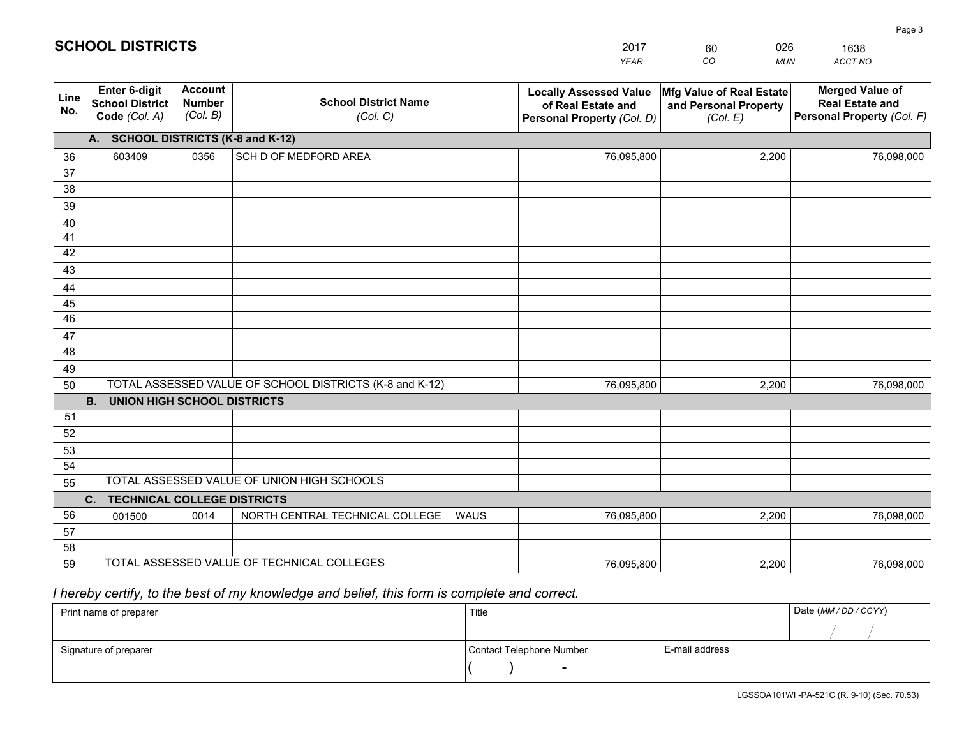|             |                                                                 |                                             |                                                         | <b>YEAR</b>                                                                       | CO<br><b>MUN</b>                                              | ACCT NO                                                                        |
|-------------|-----------------------------------------------------------------|---------------------------------------------|---------------------------------------------------------|-----------------------------------------------------------------------------------|---------------------------------------------------------------|--------------------------------------------------------------------------------|
| Line<br>No. | <b>Enter 6-digit</b><br><b>School District</b><br>Code (Col. A) | <b>Account</b><br><b>Number</b><br>(Col. B) | <b>School District Name</b><br>(Col. C)                 | <b>Locally Assessed Value</b><br>of Real Estate and<br>Personal Property (Col. D) | Mfg Value of Real Estate<br>and Personal Property<br>(Col. E) | <b>Merged Value of</b><br><b>Real Estate and</b><br>Personal Property (Col. F) |
|             | A. SCHOOL DISTRICTS (K-8 and K-12)                              |                                             |                                                         |                                                                                   |                                                               |                                                                                |
| 36          | 603409                                                          | 0356                                        | SCH D OF MEDFORD AREA                                   | 76,095,800                                                                        | 2.200                                                         | 76,098,000                                                                     |
| 37          |                                                                 |                                             |                                                         |                                                                                   |                                                               |                                                                                |
| 38          |                                                                 |                                             |                                                         |                                                                                   |                                                               |                                                                                |
| 39          |                                                                 |                                             |                                                         |                                                                                   |                                                               |                                                                                |
| 40          |                                                                 |                                             |                                                         |                                                                                   |                                                               |                                                                                |
| 41<br>42    |                                                                 |                                             |                                                         |                                                                                   |                                                               |                                                                                |
| 43          |                                                                 |                                             |                                                         |                                                                                   |                                                               |                                                                                |
|             |                                                                 |                                             |                                                         |                                                                                   |                                                               |                                                                                |
| 44<br>45    |                                                                 |                                             |                                                         |                                                                                   |                                                               |                                                                                |
| 46          |                                                                 |                                             |                                                         |                                                                                   |                                                               |                                                                                |
| 47          |                                                                 |                                             |                                                         |                                                                                   |                                                               |                                                                                |
| 48          |                                                                 |                                             |                                                         |                                                                                   |                                                               |                                                                                |
| 49          |                                                                 |                                             |                                                         |                                                                                   |                                                               |                                                                                |
| 50          |                                                                 |                                             | TOTAL ASSESSED VALUE OF SCHOOL DISTRICTS (K-8 and K-12) | 76,095,800                                                                        | 2,200                                                         | 76,098,000                                                                     |
|             | <b>B.</b><br>UNION HIGH SCHOOL DISTRICTS                        |                                             |                                                         |                                                                                   |                                                               |                                                                                |
| 51          |                                                                 |                                             |                                                         |                                                                                   |                                                               |                                                                                |
| 52          |                                                                 |                                             |                                                         |                                                                                   |                                                               |                                                                                |
| 53          |                                                                 |                                             |                                                         |                                                                                   |                                                               |                                                                                |
| 54          |                                                                 |                                             |                                                         |                                                                                   |                                                               |                                                                                |
| 55          |                                                                 |                                             | TOTAL ASSESSED VALUE OF UNION HIGH SCHOOLS              |                                                                                   |                                                               |                                                                                |
|             | C.<br><b>TECHNICAL COLLEGE DISTRICTS</b>                        |                                             |                                                         |                                                                                   |                                                               |                                                                                |
| 56          | 001500                                                          | 0014                                        | NORTH CENTRAL TECHNICAL COLLEGE<br>WAUS                 | 76,095,800                                                                        | 2,200                                                         | 76,098,000                                                                     |
| 57<br>58    |                                                                 |                                             |                                                         |                                                                                   |                                                               |                                                                                |
| 59          |                                                                 |                                             | TOTAL ASSESSED VALUE OF TECHNICAL COLLEGES              | 76,095,800                                                                        | 2,200                                                         | 76,098,000                                                                     |
|             |                                                                 |                                             |                                                         |                                                                                   |                                                               |                                                                                |

2017

60

026

 *I hereby certify, to the best of my knowledge and belief, this form is complete and correct.*

**SCHOOL DISTRICTS**

| Print name of preparer | Title                    | Date (MM/DD/CCYY) |  |
|------------------------|--------------------------|-------------------|--|
|                        |                          |                   |  |
| Signature of preparer  | Contact Telephone Number | E-mail address    |  |
|                        | $\sim$                   |                   |  |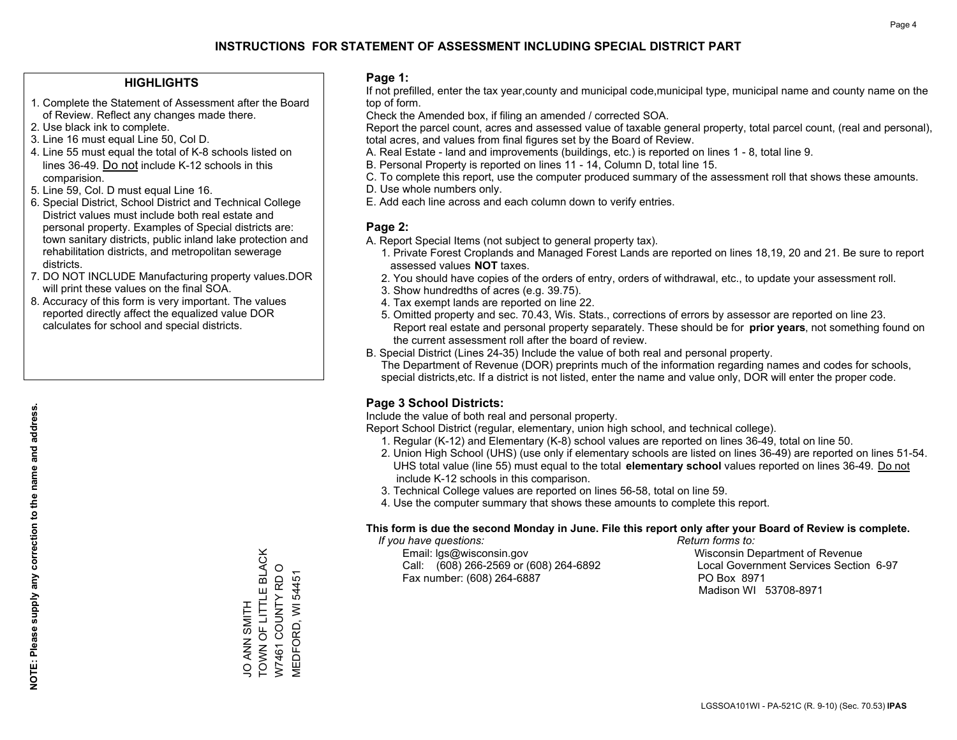### **HIGHLIGHTS**

- 1. Complete the Statement of Assessment after the Board of Review. Reflect any changes made there.
- 2. Use black ink to complete.
- 3. Line 16 must equal Line 50, Col D.
- 4. Line 55 must equal the total of K-8 schools listed on lines 36-49. Do not include K-12 schools in this comparision.
- 5. Line 59, Col. D must equal Line 16.
- 6. Special District, School District and Technical College District values must include both real estate and personal property. Examples of Special districts are: town sanitary districts, public inland lake protection and rehabilitation districts, and metropolitan sewerage districts.
- 7. DO NOT INCLUDE Manufacturing property values.DOR will print these values on the final SOA.
- 8. Accuracy of this form is very important. The values reported directly affect the equalized value DOR calculates for school and special districts.

### **Page 1:**

 If not prefilled, enter the tax year,county and municipal code,municipal type, municipal name and county name on the top of form.

Check the Amended box, if filing an amended / corrected SOA.

 Report the parcel count, acres and assessed value of taxable general property, total parcel count, (real and personal), total acres, and values from final figures set by the Board of Review.

- A. Real Estate land and improvements (buildings, etc.) is reported on lines 1 8, total line 9.
- B. Personal Property is reported on lines 11 14, Column D, total line 15.
- C. To complete this report, use the computer produced summary of the assessment roll that shows these amounts.
- D. Use whole numbers only.
- E. Add each line across and each column down to verify entries.

### **Page 2:**

- A. Report Special Items (not subject to general property tax).
- 1. Private Forest Croplands and Managed Forest Lands are reported on lines 18,19, 20 and 21. Be sure to report assessed values **NOT** taxes.
- 2. You should have copies of the orders of entry, orders of withdrawal, etc., to update your assessment roll.
	- 3. Show hundredths of acres (e.g. 39.75).
- 4. Tax exempt lands are reported on line 22.
- 5. Omitted property and sec. 70.43, Wis. Stats., corrections of errors by assessor are reported on line 23. Report real estate and personal property separately. These should be for **prior years**, not something found on the current assessment roll after the board of review.
- B. Special District (Lines 24-35) Include the value of both real and personal property.
- The Department of Revenue (DOR) preprints much of the information regarding names and codes for schools, special districts,etc. If a district is not listed, enter the name and value only, DOR will enter the proper code.

## **Page 3 School Districts:**

Include the value of both real and personal property.

Report School District (regular, elementary, union high school, and technical college).

- 1. Regular (K-12) and Elementary (K-8) school values are reported on lines 36-49, total on line 50.
- 2. Union High School (UHS) (use only if elementary schools are listed on lines 36-49) are reported on lines 51-54. UHS total value (line 55) must equal to the total **elementary school** values reported on lines 36-49. Do notinclude K-12 schools in this comparison.
- 3. Technical College values are reported on lines 56-58, total on line 59.
- 4. Use the computer summary that shows these amounts to complete this report.

#### **This form is due the second Monday in June. File this report only after your Board of Review is complete.**

 *If you have questions: Return forms to:*

 Email: lgs@wisconsin.gov Wisconsin Department of RevenueCall:  $(608)$  266-2569 or  $(608)$  264-6892 Fax number: (608) 264-6887 PO Box 8971

Local Government Services Section 6-97 Madison WI 53708-8971

TOWN OF LITTLE BLACK JO ANN SMITH<br>TOWN OF LITTLE BLACK W7461 COUNTY RD O W7461 COUNTY RD O **MEDFORD, WI 54451** MEDFORD, WI 54451 HIMNS NAK<br>O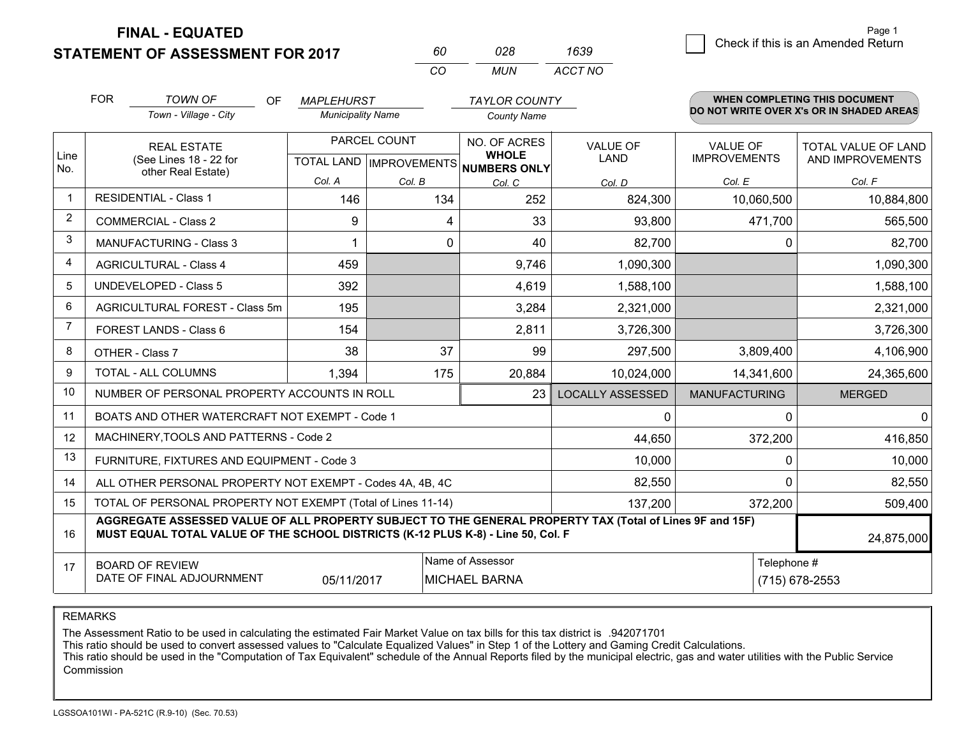**STATEMENT OF ASSESSMENT FOR 2017** 

**FINAL - EQUATED**

|                | <b>FOR</b>                                                                        | <b>TOWN OF</b><br><b>OF</b>                                                                                                                                                                  | <b>MAPLEHURST</b>        |              | <b>TAYLOR COUNTY</b>                 |                         |                      | <b>WHEN COMPLETING THIS DOCUMENT</b>     |
|----------------|-----------------------------------------------------------------------------------|----------------------------------------------------------------------------------------------------------------------------------------------------------------------------------------------|--------------------------|--------------|--------------------------------------|-------------------------|----------------------|------------------------------------------|
|                |                                                                                   | Town - Village - City                                                                                                                                                                        | <b>Municipality Name</b> |              | <b>County Name</b>                   |                         |                      | DO NOT WRITE OVER X's OR IN SHADED AREAS |
| Line           |                                                                                   | <b>REAL ESTATE</b>                                                                                                                                                                           |                          | PARCEL COUNT | NO. OF ACRES<br><b>WHOLE</b>         | <b>VALUE OF</b>         | <b>VALUE OF</b>      | TOTAL VALUE OF LAND                      |
| No.            |                                                                                   | (See Lines 18 - 22 for<br>other Real Estate)                                                                                                                                                 |                          |              | TOTAL LAND IMPROVEMENTS NUMBERS ONLY | <b>LAND</b>             | <b>IMPROVEMENTS</b>  | AND IMPROVEMENTS                         |
|                |                                                                                   |                                                                                                                                                                                              | Col. A                   | Col. B       | Col. C                               | Col. D                  | Col. E               | Col. F                                   |
| $\mathbf{1}$   |                                                                                   | <b>RESIDENTIAL - Class 1</b>                                                                                                                                                                 | 146                      | 134          | 252                                  | 824,300                 | 10,060,500           | 10,884,800                               |
| $\overline{2}$ |                                                                                   | <b>COMMERCIAL - Class 2</b>                                                                                                                                                                  | 9                        | 4            | 33                                   | 93,800                  | 471,700              | 565,500                                  |
| 3              |                                                                                   | <b>MANUFACTURING - Class 3</b>                                                                                                                                                               | 1                        | 0            | 40                                   | 82,700                  | 0                    | 82,700                                   |
| $\overline{4}$ |                                                                                   | <b>AGRICULTURAL - Class 4</b>                                                                                                                                                                | 459                      |              | 9,746                                | 1,090,300               |                      | 1,090,300                                |
| 5              |                                                                                   | <b>UNDEVELOPED - Class 5</b>                                                                                                                                                                 | 392                      |              | 4,619                                | 1,588,100               |                      | 1,588,100                                |
| 6              |                                                                                   | AGRICULTURAL FOREST - Class 5m                                                                                                                                                               | 195                      |              | 3,284                                | 2,321,000               |                      | 2,321,000                                |
| $\overline{7}$ |                                                                                   | FOREST LANDS - Class 6                                                                                                                                                                       | 154                      |              | 2,811                                | 3,726,300               |                      | 3,726,300                                |
| 8              |                                                                                   | OTHER - Class 7                                                                                                                                                                              | 38                       | 37           | 99                                   | 297,500                 | 3,809,400            | 4,106,900                                |
| 9              |                                                                                   | TOTAL - ALL COLUMNS                                                                                                                                                                          | 1,394                    | 175          | 20,884                               | 10,024,000              | 14,341,600           | 24,365,600                               |
| 10             |                                                                                   | NUMBER OF PERSONAL PROPERTY ACCOUNTS IN ROLL                                                                                                                                                 |                          |              | 23                                   | <b>LOCALLY ASSESSED</b> | <b>MANUFACTURING</b> | <b>MERGED</b>                            |
| 11             |                                                                                   | BOATS AND OTHER WATERCRAFT NOT EXEMPT - Code 1                                                                                                                                               |                          |              |                                      | $\mathbf{0}$            | $\Omega$             | $\mathbf 0$                              |
| 12             |                                                                                   | MACHINERY, TOOLS AND PATTERNS - Code 2                                                                                                                                                       |                          |              |                                      | 44,650                  | 372,200              | 416,850                                  |
| 13             |                                                                                   | FURNITURE, FIXTURES AND EQUIPMENT - Code 3                                                                                                                                                   |                          |              |                                      | 10,000                  | 0                    | 10,000                                   |
| 14             |                                                                                   | ALL OTHER PERSONAL PROPERTY NOT EXEMPT - Codes 4A, 4B, 4C                                                                                                                                    |                          |              |                                      | 82,550                  | $\Omega$             | 82,550                                   |
| 15             |                                                                                   | TOTAL OF PERSONAL PROPERTY NOT EXEMPT (Total of Lines 11-14)                                                                                                                                 |                          |              |                                      | 137,200                 | 372,200              | 509,400                                  |
| 16             |                                                                                   | AGGREGATE ASSESSED VALUE OF ALL PROPERTY SUBJECT TO THE GENERAL PROPERTY TAX (Total of Lines 9F and 15F)<br>MUST EQUAL TOTAL VALUE OF THE SCHOOL DISTRICTS (K-12 PLUS K-8) - Line 50, Col. F |                          |              |                                      |                         |                      | 24,875,000                               |
| 17             |                                                                                   | <b>BOARD OF REVIEW</b>                                                                                                                                                                       |                          |              | Name of Assessor                     |                         | Telephone #          |                                          |
|                | DATE OF FINAL ADJOURNMENT<br>05/11/2017<br><b>MICHAEL BARNA</b><br>(715) 678-2553 |                                                                                                                                                                                              |                          |              |                                      |                         |                      |                                          |

*CO*

*MUN*

*ACCT NO1639*

*<sup>60</sup> <sup>028</sup>*

REMARKS

The Assessment Ratio to be used in calculating the estimated Fair Market Value on tax bills for this tax district is .942071701<br>This ratio should be used to convert assessed values to "Calculate Equalized Values" in Step 1 Commission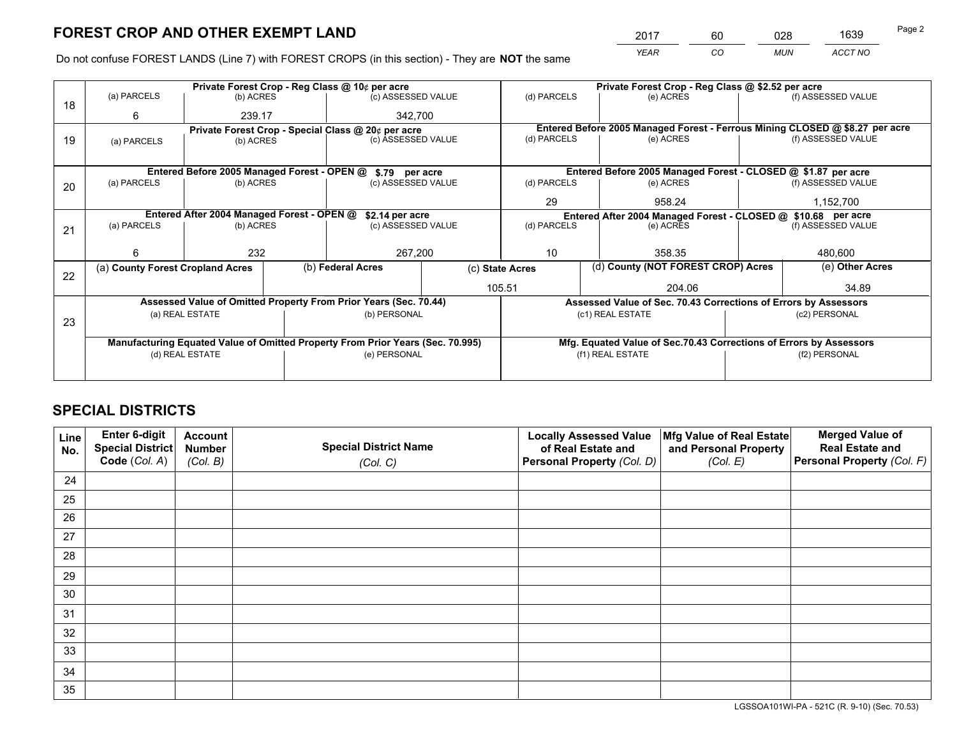*YEAR CO MUN ACCT NO* <sup>2017</sup> <sup>60</sup> <sup>028</sup> <sup>1639</sup>

Do not confuse FOREST LANDS (Line 7) with FOREST CROPS (in this section) - They are **NOT** the same

|    | Private Forest Crop - Reg Class @ 10¢ per acre                                 |                                                               |  |                                                                  |                                                               | Private Forest Crop - Reg Class @ \$2.52 per acre                  |                                                                              |               |                    |  |
|----|--------------------------------------------------------------------------------|---------------------------------------------------------------|--|------------------------------------------------------------------|---------------------------------------------------------------|--------------------------------------------------------------------|------------------------------------------------------------------------------|---------------|--------------------|--|
| 18 | (a) PARCELS                                                                    | (b) ACRES                                                     |  | (c) ASSESSED VALUE                                               |                                                               | (d) PARCELS                                                        | (e) ACRES                                                                    |               | (f) ASSESSED VALUE |  |
|    | 6                                                                              | 239.17                                                        |  | 342.700                                                          |                                                               |                                                                    |                                                                              |               |                    |  |
|    |                                                                                |                                                               |  | Private Forest Crop - Special Class @ 20¢ per acre               |                                                               |                                                                    | Entered Before 2005 Managed Forest - Ferrous Mining CLOSED @ \$8.27 per acre |               |                    |  |
| 19 | (a) PARCELS                                                                    | (b) ACRES                                                     |  | (c) ASSESSED VALUE                                               |                                                               | (d) PARCELS                                                        | (e) ACRES                                                                    |               | (f) ASSESSED VALUE |  |
|    |                                                                                |                                                               |  |                                                                  |                                                               |                                                                    |                                                                              |               |                    |  |
|    |                                                                                | Entered Before 2005 Managed Forest - OPEN @                   |  | \$.79 per acre                                                   |                                                               |                                                                    | Entered Before 2005 Managed Forest - CLOSED @ \$1.87 per acre                |               |                    |  |
| 20 | (a) PARCELS                                                                    | (b) ACRES                                                     |  | (c) ASSESSED VALUE                                               |                                                               | (d) PARCELS                                                        | (e) ACRES                                                                    |               | (f) ASSESSED VALUE |  |
|    |                                                                                |                                                               |  |                                                                  |                                                               | 29                                                                 | 958.24                                                                       |               | 1,152,700          |  |
|    |                                                                                | Entered After 2004 Managed Forest - OPEN @<br>\$2.14 per acre |  |                                                                  | Entered After 2004 Managed Forest - CLOSED @ \$10.68 per acre |                                                                    |                                                                              |               |                    |  |
| 21 | (a) PARCELS                                                                    | (b) ACRES                                                     |  | (c) ASSESSED VALUE                                               |                                                               | (d) PARCELS                                                        | (e) ACRES                                                                    |               | (f) ASSESSED VALUE |  |
|    |                                                                                |                                                               |  |                                                                  |                                                               |                                                                    |                                                                              |               |                    |  |
|    | 6                                                                              | 232                                                           |  | 267,200                                                          |                                                               | 10<br>358.35                                                       |                                                                              | 480.600       |                    |  |
| 22 | (a) County Forest Cropland Acres                                               |                                                               |  | (b) Federal Acres                                                |                                                               | (c) State Acres                                                    | (d) County (NOT FOREST CROP) Acres                                           |               | (e) Other Acres    |  |
|    |                                                                                |                                                               |  |                                                                  | 105.51                                                        |                                                                    | 204.06                                                                       |               | 34.89              |  |
|    |                                                                                |                                                               |  | Assessed Value of Omitted Property From Prior Years (Sec. 70.44) |                                                               |                                                                    | Assessed Value of Sec. 70.43 Corrections of Errors by Assessors              |               |                    |  |
|    |                                                                                | (a) REAL ESTATE                                               |  | (b) PERSONAL                                                     |                                                               | (c1) REAL ESTATE                                                   |                                                                              | (c2) PERSONAL |                    |  |
| 23 |                                                                                |                                                               |  |                                                                  |                                                               |                                                                    |                                                                              |               |                    |  |
|    | Manufacturing Equated Value of Omitted Property From Prior Years (Sec. 70.995) |                                                               |  |                                                                  |                                                               | Mfg. Equated Value of Sec.70.43 Corrections of Errors by Assessors |                                                                              |               |                    |  |
|    |                                                                                | (d) REAL ESTATE                                               |  | (e) PERSONAL                                                     |                                                               |                                                                    | (f1) REAL ESTATE                                                             |               | (f2) PERSONAL      |  |
|    |                                                                                |                                                               |  |                                                                  |                                                               |                                                                    |                                                                              |               |                    |  |
|    |                                                                                |                                                               |  |                                                                  |                                                               |                                                                    |                                                                              |               |                    |  |

## **SPECIAL DISTRICTS**

| Line<br>No. | Enter 6-digit<br>Special District<br>Code (Col. A) | <b>Account</b><br><b>Number</b><br>(Col. B) | <b>Special District Name</b><br>(Col. C) | <b>Locally Assessed Value</b><br>of Real Estate and<br>Personal Property (Col. D) | Mfg Value of Real Estate<br>and Personal Property<br>(Col. E) | <b>Merged Value of</b><br><b>Real Estate and</b><br>Personal Property (Col. F) |
|-------------|----------------------------------------------------|---------------------------------------------|------------------------------------------|-----------------------------------------------------------------------------------|---------------------------------------------------------------|--------------------------------------------------------------------------------|
| 24          |                                                    |                                             |                                          |                                                                                   |                                                               |                                                                                |
| 25          |                                                    |                                             |                                          |                                                                                   |                                                               |                                                                                |
| 26          |                                                    |                                             |                                          |                                                                                   |                                                               |                                                                                |
| 27          |                                                    |                                             |                                          |                                                                                   |                                                               |                                                                                |
| 28          |                                                    |                                             |                                          |                                                                                   |                                                               |                                                                                |
| 29          |                                                    |                                             |                                          |                                                                                   |                                                               |                                                                                |
| 30          |                                                    |                                             |                                          |                                                                                   |                                                               |                                                                                |
| 31          |                                                    |                                             |                                          |                                                                                   |                                                               |                                                                                |
| 32          |                                                    |                                             |                                          |                                                                                   |                                                               |                                                                                |
| 33          |                                                    |                                             |                                          |                                                                                   |                                                               |                                                                                |
| 34          |                                                    |                                             |                                          |                                                                                   |                                                               |                                                                                |
| 35          |                                                    |                                             |                                          |                                                                                   |                                                               |                                                                                |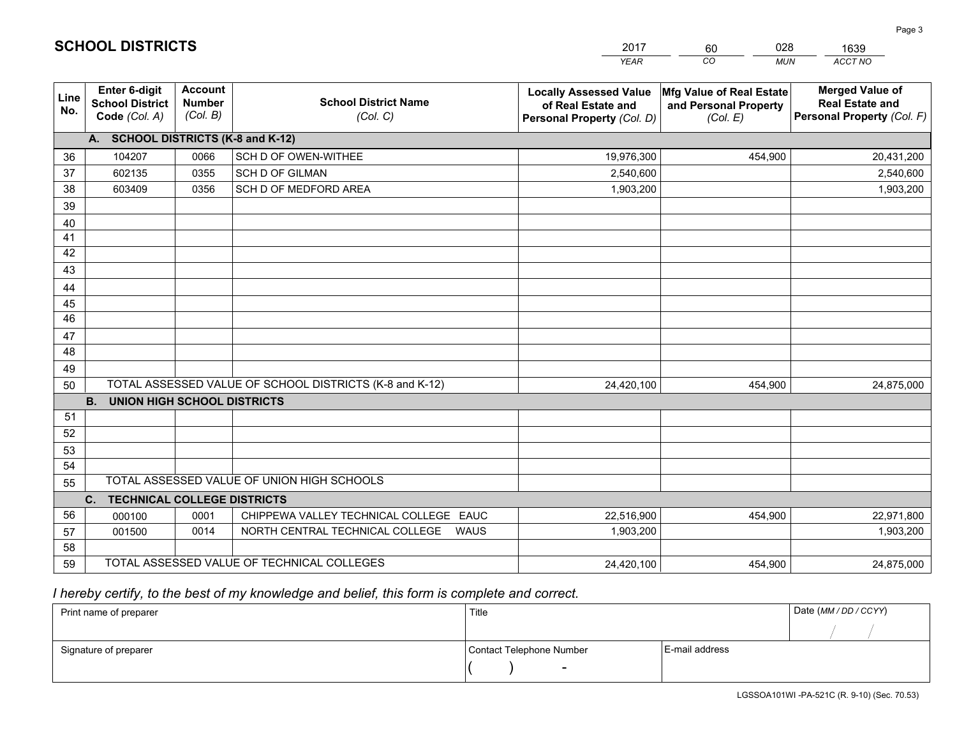|                 |                                                          |                                             |                                                         | <b>YEAR</b>                                                                       | CO<br><b>MUN</b>                                              | ACCT NO                                                                        |
|-----------------|----------------------------------------------------------|---------------------------------------------|---------------------------------------------------------|-----------------------------------------------------------------------------------|---------------------------------------------------------------|--------------------------------------------------------------------------------|
| Line<br>No.     | Enter 6-digit<br><b>School District</b><br>Code (Col. A) | <b>Account</b><br><b>Number</b><br>(Col. B) | <b>School District Name</b><br>(Col. C)                 | <b>Locally Assessed Value</b><br>of Real Estate and<br>Personal Property (Col. D) | Mfg Value of Real Estate<br>and Personal Property<br>(Col. E) | <b>Merged Value of</b><br><b>Real Estate and</b><br>Personal Property (Col. F) |
|                 | A. SCHOOL DISTRICTS (K-8 and K-12)                       |                                             |                                                         |                                                                                   |                                                               |                                                                                |
| 36              | 104207                                                   | 0066                                        | SCH D OF OWEN-WITHEE                                    | 19,976,300                                                                        | 454,900                                                       | 20,431,200                                                                     |
| 37              | 602135                                                   | 0355                                        | <b>SCH D OF GILMAN</b>                                  | 2,540,600                                                                         |                                                               | 2,540,600                                                                      |
| 38              | 603409                                                   | 0356                                        | SCH D OF MEDFORD AREA                                   | 1,903,200                                                                         |                                                               | 1,903,200                                                                      |
| 39              |                                                          |                                             |                                                         |                                                                                   |                                                               |                                                                                |
| 40              |                                                          |                                             |                                                         |                                                                                   |                                                               |                                                                                |
| 41              |                                                          |                                             |                                                         |                                                                                   |                                                               |                                                                                |
| 42              |                                                          |                                             |                                                         |                                                                                   |                                                               |                                                                                |
| 43              |                                                          |                                             |                                                         |                                                                                   |                                                               |                                                                                |
| 44              |                                                          |                                             |                                                         |                                                                                   |                                                               |                                                                                |
| 45              |                                                          |                                             |                                                         |                                                                                   |                                                               |                                                                                |
| $\overline{46}$ |                                                          |                                             |                                                         |                                                                                   |                                                               |                                                                                |
| 47              |                                                          |                                             |                                                         |                                                                                   |                                                               |                                                                                |
| 48              |                                                          |                                             |                                                         |                                                                                   |                                                               |                                                                                |
| 49              |                                                          |                                             |                                                         |                                                                                   |                                                               |                                                                                |
| 50              |                                                          |                                             | TOTAL ASSESSED VALUE OF SCHOOL DISTRICTS (K-8 and K-12) | 24,420,100                                                                        | 454,900                                                       | 24,875,000                                                                     |
|                 | <b>B.</b><br><b>UNION HIGH SCHOOL DISTRICTS</b>          |                                             |                                                         |                                                                                   |                                                               |                                                                                |
| 51              |                                                          |                                             |                                                         |                                                                                   |                                                               |                                                                                |
| 52              |                                                          |                                             |                                                         |                                                                                   |                                                               |                                                                                |
| 53<br>54        |                                                          |                                             |                                                         |                                                                                   |                                                               |                                                                                |
|                 |                                                          |                                             | TOTAL ASSESSED VALUE OF UNION HIGH SCHOOLS              |                                                                                   |                                                               |                                                                                |
| 55              |                                                          |                                             |                                                         |                                                                                   |                                                               |                                                                                |
| 56              | C.<br><b>TECHNICAL COLLEGE DISTRICTS</b><br>000100       | 0001                                        | CHIPPEWA VALLEY TECHNICAL COLLEGE EAUC                  | 22,516,900                                                                        | 454,900                                                       | 22,971,800                                                                     |
| 57              | 001500                                                   | 0014                                        | NORTH CENTRAL TECHNICAL COLLEGE<br>WAUS                 | 1,903,200                                                                         |                                                               | 1,903,200                                                                      |
| 58              |                                                          |                                             |                                                         |                                                                                   |                                                               |                                                                                |
| 59              |                                                          |                                             | TOTAL ASSESSED VALUE OF TECHNICAL COLLEGES              | 24,420,100                                                                        | 454,900                                                       | 24,875,000                                                                     |

 *I hereby certify, to the best of my knowledge and belief, this form is complete and correct.*

| Print name of preparer | Title                    |                | Date (MM/DD/CCYY) |
|------------------------|--------------------------|----------------|-------------------|
|                        |                          |                |                   |
| Signature of preparer  | Contact Telephone Number | E-mail address |                   |
|                        | $\overline{\phantom{a}}$ |                |                   |

| <b>SCHOOL DISTRICTS</b> |  |
|-------------------------|--|
|-------------------------|--|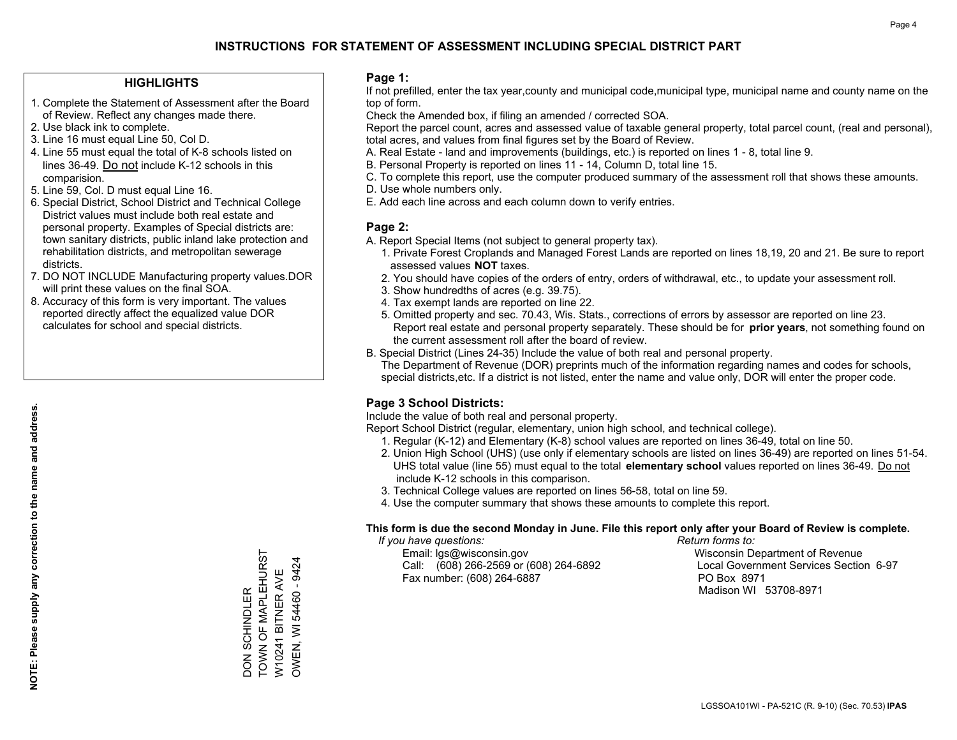### **HIGHLIGHTS**

- 1. Complete the Statement of Assessment after the Board of Review. Reflect any changes made there.
- 2. Use black ink to complete.
- 3. Line 16 must equal Line 50, Col D.
- 4. Line 55 must equal the total of K-8 schools listed on lines 36-49. Do not include K-12 schools in this comparision.
- 5. Line 59, Col. D must equal Line 16.
- 6. Special District, School District and Technical College District values must include both real estate and personal property. Examples of Special districts are: town sanitary districts, public inland lake protection and rehabilitation districts, and metropolitan sewerage districts.
- 7. DO NOT INCLUDE Manufacturing property values.DOR will print these values on the final SOA.
- 8. Accuracy of this form is very important. The values reported directly affect the equalized value DOR calculates for school and special districts.

### **Page 1:**

 If not prefilled, enter the tax year,county and municipal code,municipal type, municipal name and county name on the top of form.

Check the Amended box, if filing an amended / corrected SOA.

 Report the parcel count, acres and assessed value of taxable general property, total parcel count, (real and personal), total acres, and values from final figures set by the Board of Review.

- A. Real Estate land and improvements (buildings, etc.) is reported on lines 1 8, total line 9.
- B. Personal Property is reported on lines 11 14, Column D, total line 15.
- C. To complete this report, use the computer produced summary of the assessment roll that shows these amounts.
- D. Use whole numbers only.
- E. Add each line across and each column down to verify entries.

## **Page 2:**

- A. Report Special Items (not subject to general property tax).
- 1. Private Forest Croplands and Managed Forest Lands are reported on lines 18,19, 20 and 21. Be sure to report assessed values **NOT** taxes.
- 2. You should have copies of the orders of entry, orders of withdrawal, etc., to update your assessment roll.
	- 3. Show hundredths of acres (e.g. 39.75).
- 4. Tax exempt lands are reported on line 22.
- 5. Omitted property and sec. 70.43, Wis. Stats., corrections of errors by assessor are reported on line 23. Report real estate and personal property separately. These should be for **prior years**, not something found on the current assessment roll after the board of review.
- B. Special District (Lines 24-35) Include the value of both real and personal property.
- The Department of Revenue (DOR) preprints much of the information regarding names and codes for schools, special districts,etc. If a district is not listed, enter the name and value only, DOR will enter the proper code.

## **Page 3 School Districts:**

Include the value of both real and personal property.

Report School District (regular, elementary, union high school, and technical college).

- 1. Regular (K-12) and Elementary (K-8) school values are reported on lines 36-49, total on line 50.
- 2. Union High School (UHS) (use only if elementary schools are listed on lines 36-49) are reported on lines 51-54. UHS total value (line 55) must equal to the total **elementary school** values reported on lines 36-49. Do notinclude K-12 schools in this comparison.
- 3. Technical College values are reported on lines 56-58, total on line 59.
- 4. Use the computer summary that shows these amounts to complete this report.

#### **This form is due the second Monday in June. File this report only after your Board of Review is complete.**

 *If you have questions: Return forms to:*

 Email: lgs@wisconsin.gov Wisconsin Department of RevenueCall:  $(608)$  266-2569 or  $(608)$  264-6892 Fax number: (608) 264-6887 PO Box 8971

Local Government Services Section 6-97 Madison WI 53708-8971

TOWN OF MAPLEHURST DON SCHINDLER<br>TOWN OF MAPLEHURST W10241 BITNER AVE<br>OWEN, WI 54460 - 9424 OWEN, WI 54460 - 9424 W10241 BITNER AVE DON SCHINDLER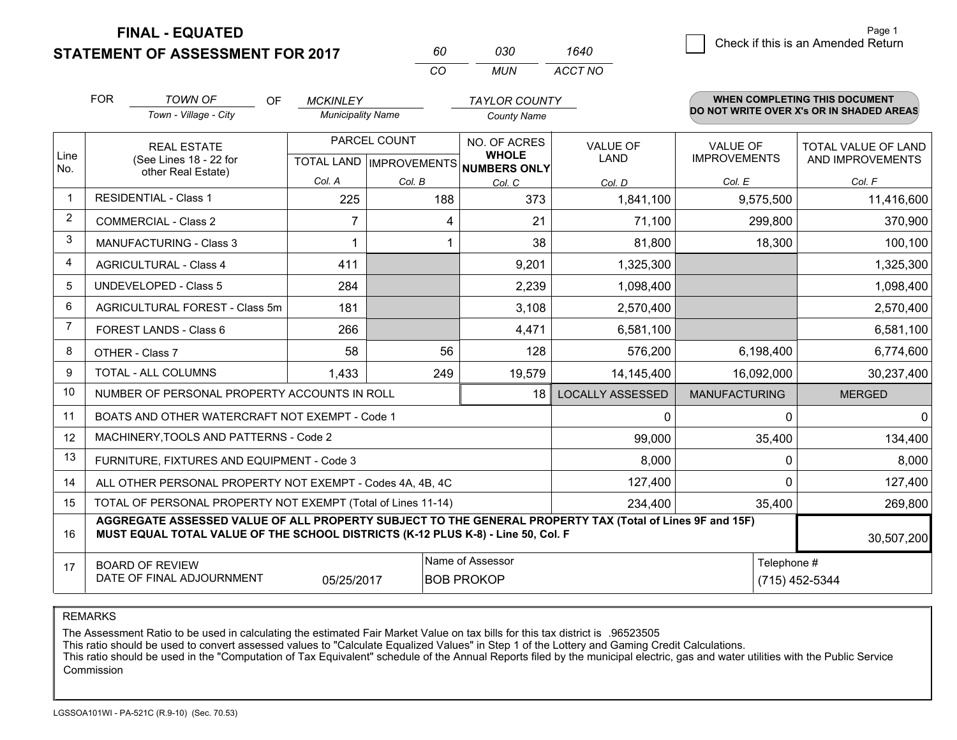**FINAL - EQUATED**

**STATEMENT OF ASSESSMENT FOR 2017** 

| 60  | กาก | 1640    |
|-----|-----|---------|
| CO. | MUN | ACCT NO |

|             | <b>FOR</b><br><b>TOWN OF</b><br><b>OF</b><br><b>MCKINLEY</b><br>Town - Village - City<br><b>Municipality Name</b>                                                                            |                                                     | <b>TAYLOR COUNTY</b><br><b>County Name</b> |                                                                               |                                   | <b>WHEN COMPLETING THIS DOCUMENT</b><br>DO NOT WRITE OVER X's OR IN SHADED AREAS |                                                          |
|-------------|----------------------------------------------------------------------------------------------------------------------------------------------------------------------------------------------|-----------------------------------------------------|--------------------------------------------|-------------------------------------------------------------------------------|-----------------------------------|----------------------------------------------------------------------------------|----------------------------------------------------------|
| Line<br>No. | <b>REAL ESTATE</b><br>(See Lines 18 - 22 for<br>other Real Estate)                                                                                                                           | Col. A                                              | PARCEL COUNT<br>Col. B                     | NO. OF ACRES<br><b>WHOLE</b><br>TOTAL LAND MPROVEMENTS NUMBERS ONLY<br>Col. C | <b>VALUE OF</b><br>LAND<br>Col. D | <b>VALUE OF</b><br><b>IMPROVEMENTS</b><br>Col. E                                 | <b>TOTAL VALUE OF LAND</b><br>AND IMPROVEMENTS<br>Col. F |
| $\mathbf 1$ | <b>RESIDENTIAL - Class 1</b>                                                                                                                                                                 | 225                                                 | 188                                        | 373                                                                           | 1,841,100                         | 9,575,500                                                                        | 11,416,600                                               |
| 2           | <b>COMMERCIAL - Class 2</b>                                                                                                                                                                  | 7                                                   | 4                                          | 21                                                                            | 71,100                            | 299,800                                                                          | 370,900                                                  |
| 3           | <b>MANUFACTURING - Class 3</b>                                                                                                                                                               |                                                     |                                            | 38                                                                            | 81,800                            | 18,300                                                                           | 100,100                                                  |
| 4           | <b>AGRICULTURAL - Class 4</b>                                                                                                                                                                | 411                                                 |                                            | 9,201                                                                         | 1,325,300                         |                                                                                  | 1,325,300                                                |
| 5           | <b>UNDEVELOPED - Class 5</b>                                                                                                                                                                 | 284                                                 |                                            | 2,239                                                                         | 1,098,400                         |                                                                                  | 1,098,400                                                |
| 6           | AGRICULTURAL FOREST - Class 5m                                                                                                                                                               | 181                                                 |                                            | 3,108                                                                         | 2,570,400                         |                                                                                  | 2,570,400                                                |
| 7           | FOREST LANDS - Class 6                                                                                                                                                                       | 266                                                 |                                            | 4,471                                                                         | 6,581,100                         |                                                                                  | 6,581,100                                                |
| 8           | OTHER - Class 7                                                                                                                                                                              | 58                                                  | 56                                         | 128                                                                           | 576,200                           | 6,198,400                                                                        | 6,774,600                                                |
| 9           | TOTAL - ALL COLUMNS                                                                                                                                                                          | 1,433                                               | 249                                        | 19,579                                                                        | 14,145,400                        | 16,092,000                                                                       | 30,237,400                                               |
| 10          | NUMBER OF PERSONAL PROPERTY ACCOUNTS IN ROLL                                                                                                                                                 |                                                     |                                            | 18                                                                            | <b>LOCALLY ASSESSED</b>           | <b>MANUFACTURING</b>                                                             | <b>MERGED</b>                                            |
| 11          | BOATS AND OTHER WATERCRAFT NOT EXEMPT - Code 1                                                                                                                                               |                                                     |                                            |                                                                               | 0                                 | $\Omega$                                                                         | $\overline{0}$                                           |
| 12          | MACHINERY, TOOLS AND PATTERNS - Code 2                                                                                                                                                       |                                                     |                                            |                                                                               | 99,000                            | 35,400                                                                           | 134,400                                                  |
| 13          | FURNITURE, FIXTURES AND EQUIPMENT - Code 3                                                                                                                                                   |                                                     |                                            |                                                                               | 8,000                             | 0                                                                                | 8,000                                                    |
| 14          | ALL OTHER PERSONAL PROPERTY NOT EXEMPT - Codes 4A, 4B, 4C                                                                                                                                    |                                                     |                                            |                                                                               | 127,400                           | O                                                                                | 127,400                                                  |
| 15          | TOTAL OF PERSONAL PROPERTY NOT EXEMPT (Total of Lines 11-14)                                                                                                                                 |                                                     | 234,400                                    | 35,400                                                                        | 269,800                           |                                                                                  |                                                          |
| 16          | AGGREGATE ASSESSED VALUE OF ALL PROPERTY SUBJECT TO THE GENERAL PROPERTY TAX (Total of Lines 9F and 15F)<br>MUST EQUAL TOTAL VALUE OF THE SCHOOL DISTRICTS (K-12 PLUS K-8) - Line 50, Col. F |                                                     |                                            |                                                                               |                                   |                                                                                  | 30,507,200                                               |
| 17          | <b>BOARD OF REVIEW</b><br>DATE OF FINAL ADJOURNMENT                                                                                                                                          | Name of Assessor<br>05/25/2017<br><b>BOB PROKOP</b> |                                            | Telephone #                                                                   | (715) 452-5344                    |                                                                                  |                                                          |

REMARKS

The Assessment Ratio to be used in calculating the estimated Fair Market Value on tax bills for this tax district is .96523505

This ratio should be used to convert assessed values to "Calculate Equalized Values" in Step 1 of the Lottery and Gaming Credit Calculations.<br>This ratio should be used in the "Computation of Tax Equivalent" schedule of the Commission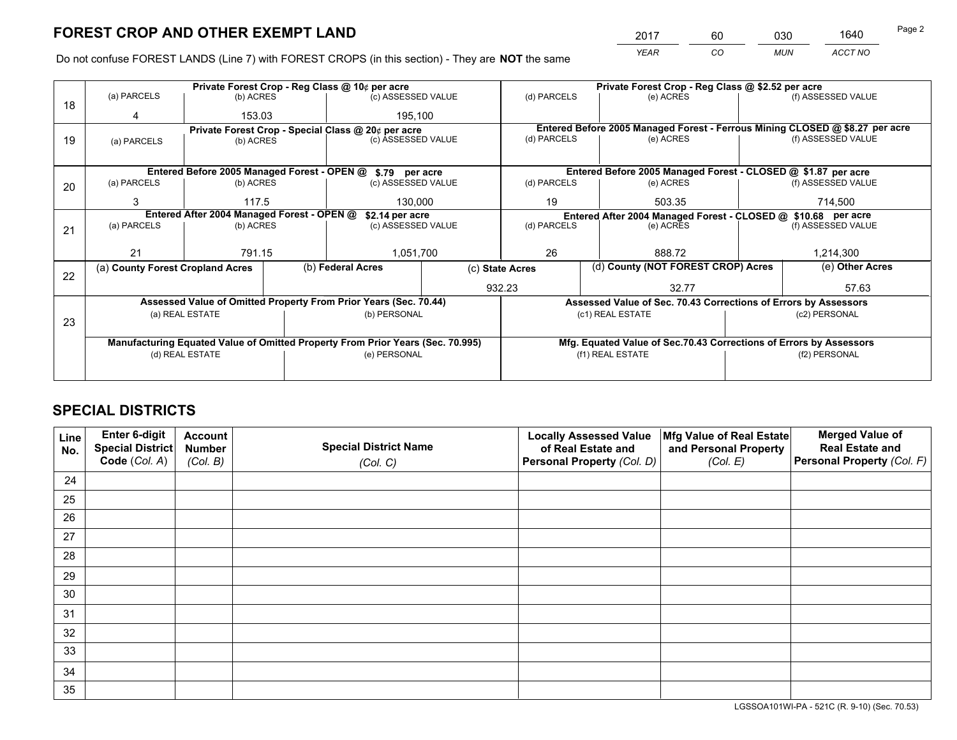*YEAR CO MUN ACCT NO* <sup>2017</sup> <sup>60</sup> <sup>030</sup> <sup>1640</sup>

Do not confuse FOREST LANDS (Line 7) with FOREST CROPS (in this section) - They are **NOT** the same

|    | Private Forest Crop - Reg Class @ 10¢ per acre                                 |                                             |  |                                                                  |                  | Private Forest Crop - Reg Class @ \$2.52 per acre                  |                                                                              |                    |                    |
|----|--------------------------------------------------------------------------------|---------------------------------------------|--|------------------------------------------------------------------|------------------|--------------------------------------------------------------------|------------------------------------------------------------------------------|--------------------|--------------------|
| 18 | (a) PARCELS                                                                    | (b) ACRES                                   |  | (c) ASSESSED VALUE                                               |                  | (d) PARCELS                                                        | (e) ACRES                                                                    |                    | (f) ASSESSED VALUE |
|    |                                                                                | 153.03                                      |  | 195,100                                                          |                  |                                                                    |                                                                              |                    |                    |
|    |                                                                                |                                             |  | Private Forest Crop - Special Class @ 20¢ per acre               |                  |                                                                    | Entered Before 2005 Managed Forest - Ferrous Mining CLOSED @ \$8.27 per acre |                    |                    |
| 19 | (a) PARCELS                                                                    | (b) ACRES                                   |  | (c) ASSESSED VALUE                                               |                  | (d) PARCELS                                                        | (e) ACRES                                                                    |                    | (f) ASSESSED VALUE |
|    |                                                                                |                                             |  |                                                                  |                  |                                                                    |                                                                              |                    |                    |
|    |                                                                                | Entered Before 2005 Managed Forest - OPEN @ |  | \$.79 per acre                                                   |                  |                                                                    | Entered Before 2005 Managed Forest - CLOSED @ \$1.87 per acre                |                    |                    |
| 20 | (a) PARCELS                                                                    | (b) ACRES                                   |  | (c) ASSESSED VALUE                                               |                  | (d) PARCELS                                                        | (e) ACRES                                                                    |                    | (f) ASSESSED VALUE |
|    | 3                                                                              | 117.5                                       |  | 130,000                                                          |                  | 19                                                                 | 503.35                                                                       |                    | 714.500            |
|    |                                                                                | Entered After 2004 Managed Forest - OPEN @  |  | \$2.14 per acre                                                  |                  | Entered After 2004 Managed Forest - CLOSED @ \$10.68 per acre      |                                                                              |                    |                    |
| 21 | (a) PARCELS                                                                    | (b) ACRES                                   |  | (c) ASSESSED VALUE                                               |                  | (d) PARCELS<br>(e) ACRES                                           |                                                                              | (f) ASSESSED VALUE |                    |
|    |                                                                                |                                             |  |                                                                  |                  |                                                                    |                                                                              |                    |                    |
|    | 21                                                                             | 791.15                                      |  | 1,051,700                                                        |                  | 26                                                                 | 888.72                                                                       |                    | 1,214,300          |
|    | (a) County Forest Cropland Acres                                               |                                             |  | (b) Federal Acres                                                |                  | (c) State Acres                                                    | (d) County (NOT FOREST CROP) Acres                                           |                    | (e) Other Acres    |
| 22 |                                                                                |                                             |  |                                                                  | 932.23           |                                                                    | 32.77                                                                        |                    | 57.63              |
|    |                                                                                |                                             |  | Assessed Value of Omitted Property From Prior Years (Sec. 70.44) |                  | Assessed Value of Sec. 70.43 Corrections of Errors by Assessors    |                                                                              |                    |                    |
|    |                                                                                | (a) REAL ESTATE                             |  | (b) PERSONAL                                                     |                  | (c1) REAL ESTATE                                                   |                                                                              | (c2) PERSONAL      |                    |
| 23 |                                                                                |                                             |  |                                                                  |                  |                                                                    |                                                                              |                    |                    |
|    | Manufacturing Equated Value of Omitted Property From Prior Years (Sec. 70.995) |                                             |  |                                                                  |                  | Mfg. Equated Value of Sec.70.43 Corrections of Errors by Assessors |                                                                              |                    |                    |
|    | (d) REAL ESTATE<br>(e) PERSONAL                                                |                                             |  |                                                                  | (f1) REAL ESTATE |                                                                    | (f2) PERSONAL                                                                |                    |                    |
|    |                                                                                |                                             |  |                                                                  |                  |                                                                    |                                                                              |                    |                    |

## **SPECIAL DISTRICTS**

| Line<br>No. | Enter 6-digit<br>Special District<br>Code (Col. A) | <b>Account</b><br><b>Number</b> | <b>Special District Name</b> | <b>Locally Assessed Value</b><br>of Real Estate and | Mfg Value of Real Estate<br>and Personal Property | <b>Merged Value of</b><br><b>Real Estate and</b><br>Personal Property (Col. F) |
|-------------|----------------------------------------------------|---------------------------------|------------------------------|-----------------------------------------------------|---------------------------------------------------|--------------------------------------------------------------------------------|
|             |                                                    | (Col. B)                        | (Col. C)                     | Personal Property (Col. D)                          | (Col. E)                                          |                                                                                |
| 24          |                                                    |                                 |                              |                                                     |                                                   |                                                                                |
| 25          |                                                    |                                 |                              |                                                     |                                                   |                                                                                |
| 26          |                                                    |                                 |                              |                                                     |                                                   |                                                                                |
| 27          |                                                    |                                 |                              |                                                     |                                                   |                                                                                |
| 28          |                                                    |                                 |                              |                                                     |                                                   |                                                                                |
| 29          |                                                    |                                 |                              |                                                     |                                                   |                                                                                |
| 30          |                                                    |                                 |                              |                                                     |                                                   |                                                                                |
| 31          |                                                    |                                 |                              |                                                     |                                                   |                                                                                |
| 32          |                                                    |                                 |                              |                                                     |                                                   |                                                                                |
| 33          |                                                    |                                 |                              |                                                     |                                                   |                                                                                |
| 34          |                                                    |                                 |                              |                                                     |                                                   |                                                                                |
| 35          |                                                    |                                 |                              |                                                     |                                                   |                                                                                |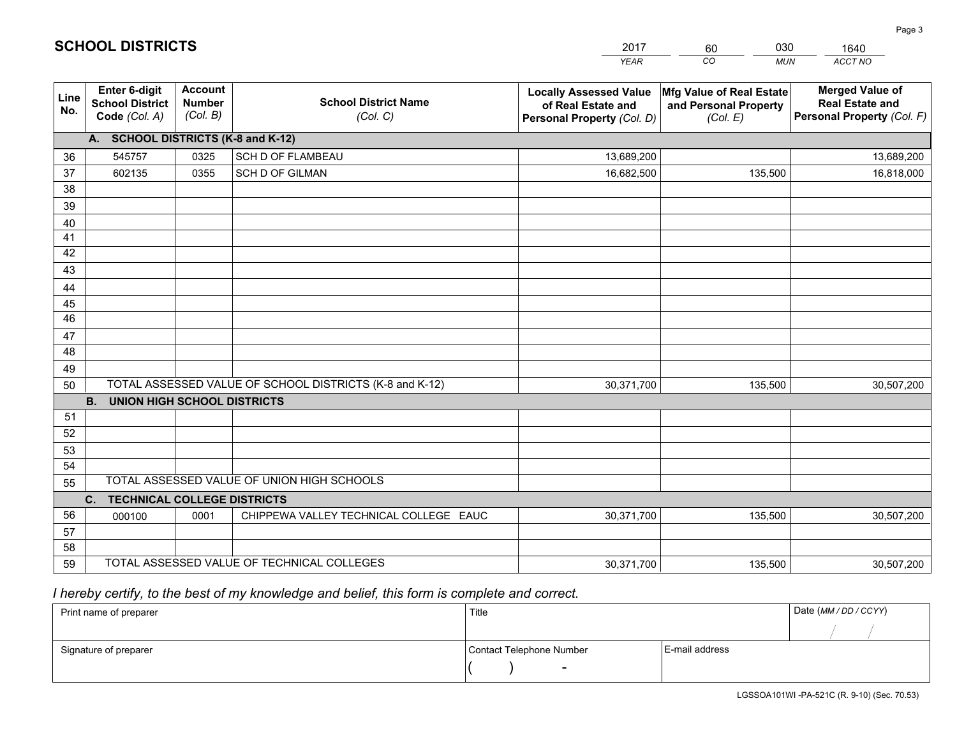|             |                                                                 |                                             |                                                         | <b>YEAR</b>                                                                       | CO<br><b>MUN</b>                                              | ACCT NO                                                                        |
|-------------|-----------------------------------------------------------------|---------------------------------------------|---------------------------------------------------------|-----------------------------------------------------------------------------------|---------------------------------------------------------------|--------------------------------------------------------------------------------|
| Line<br>No. | <b>Enter 6-digit</b><br><b>School District</b><br>Code (Col. A) | <b>Account</b><br><b>Number</b><br>(Col. B) | <b>School District Name</b><br>(Col. C)                 | <b>Locally Assessed Value</b><br>of Real Estate and<br>Personal Property (Col. D) | Mfg Value of Real Estate<br>and Personal Property<br>(Col. E) | <b>Merged Value of</b><br><b>Real Estate and</b><br>Personal Property (Col. F) |
|             | A. SCHOOL DISTRICTS (K-8 and K-12)                              |                                             |                                                         |                                                                                   |                                                               |                                                                                |
| 36          | 545757                                                          | 0325                                        | SCH D OF FLAMBEAU                                       | 13,689,200                                                                        |                                                               | 13,689,200                                                                     |
| 37          | 602135                                                          | 0355                                        | SCH D OF GILMAN                                         | 16,682,500                                                                        | 135,500                                                       | 16,818,000                                                                     |
| 38          |                                                                 |                                             |                                                         |                                                                                   |                                                               |                                                                                |
| 39          |                                                                 |                                             |                                                         |                                                                                   |                                                               |                                                                                |
| 40          |                                                                 |                                             |                                                         |                                                                                   |                                                               |                                                                                |
| 41          |                                                                 |                                             |                                                         |                                                                                   |                                                               |                                                                                |
| 42          |                                                                 |                                             |                                                         |                                                                                   |                                                               |                                                                                |
| 43          |                                                                 |                                             |                                                         |                                                                                   |                                                               |                                                                                |
| 44          |                                                                 |                                             |                                                         |                                                                                   |                                                               |                                                                                |
| 45<br>46    |                                                                 |                                             |                                                         |                                                                                   |                                                               |                                                                                |
|             |                                                                 |                                             |                                                         |                                                                                   |                                                               |                                                                                |
| 47<br>48    |                                                                 |                                             |                                                         |                                                                                   |                                                               |                                                                                |
| 49          |                                                                 |                                             |                                                         |                                                                                   |                                                               |                                                                                |
| 50          |                                                                 |                                             | TOTAL ASSESSED VALUE OF SCHOOL DISTRICTS (K-8 and K-12) | 30,371,700                                                                        | 135,500                                                       | 30,507,200                                                                     |
|             | <b>B.</b><br><b>UNION HIGH SCHOOL DISTRICTS</b>                 |                                             |                                                         |                                                                                   |                                                               |                                                                                |
| 51          |                                                                 |                                             |                                                         |                                                                                   |                                                               |                                                                                |
| 52          |                                                                 |                                             |                                                         |                                                                                   |                                                               |                                                                                |
| 53          |                                                                 |                                             |                                                         |                                                                                   |                                                               |                                                                                |
| 54          |                                                                 |                                             |                                                         |                                                                                   |                                                               |                                                                                |
| 55          |                                                                 |                                             | TOTAL ASSESSED VALUE OF UNION HIGH SCHOOLS              |                                                                                   |                                                               |                                                                                |
|             | C.<br><b>TECHNICAL COLLEGE DISTRICTS</b>                        |                                             |                                                         |                                                                                   |                                                               |                                                                                |
| 56          | 000100                                                          | 0001                                        | CHIPPEWA VALLEY TECHNICAL COLLEGE EAUC                  | 30,371,700                                                                        | 135,500                                                       | 30,507,200                                                                     |
| 57          |                                                                 |                                             |                                                         |                                                                                   |                                                               |                                                                                |
| 58          |                                                                 |                                             |                                                         |                                                                                   |                                                               |                                                                                |
| 59          |                                                                 |                                             | TOTAL ASSESSED VALUE OF TECHNICAL COLLEGES              | 30,371,700                                                                        | 135,500                                                       | 30,507,200                                                                     |

2017

60

030

 *I hereby certify, to the best of my knowledge and belief, this form is complete and correct.*

**SCHOOL DISTRICTS**

| Print name of preparer | Title                    |                | Date (MM / DD / CCYY) |
|------------------------|--------------------------|----------------|-----------------------|
|                        |                          |                |                       |
| Signature of preparer  | Contact Telephone Number | E-mail address |                       |
|                        | $\sim$                   |                |                       |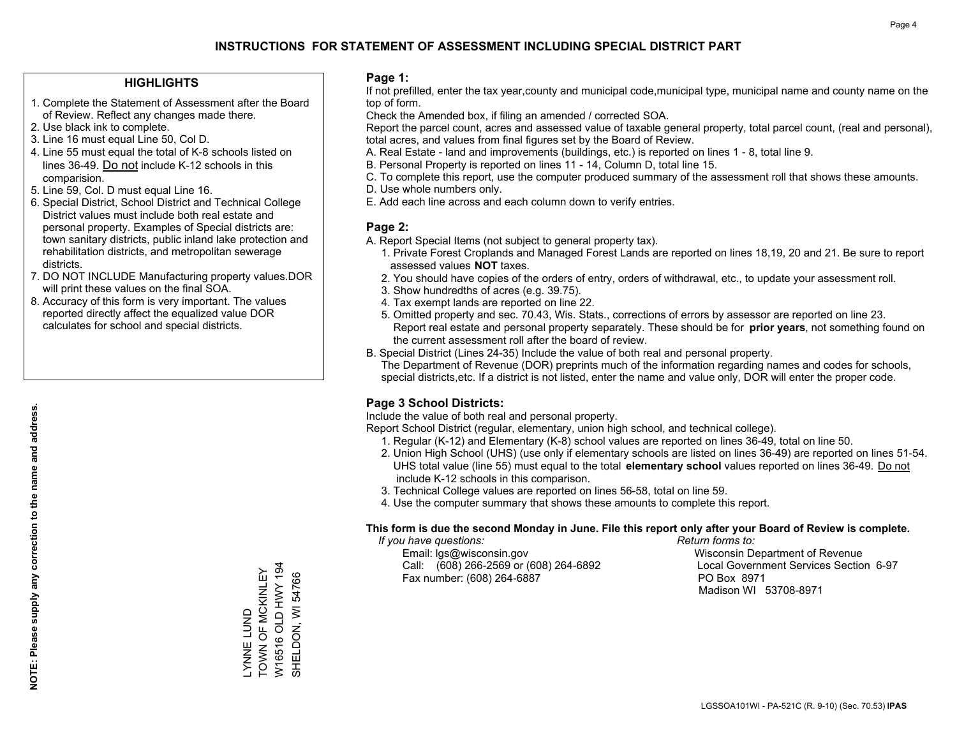### **HIGHLIGHTS**

- 1. Complete the Statement of Assessment after the Board of Review. Reflect any changes made there.
- 2. Use black ink to complete.
- 3. Line 16 must equal Line 50, Col D.
- 4. Line 55 must equal the total of K-8 schools listed on lines 36-49. Do not include K-12 schools in this comparision.
- 5. Line 59, Col. D must equal Line 16.
- 6. Special District, School District and Technical College District values must include both real estate and personal property. Examples of Special districts are: town sanitary districts, public inland lake protection and rehabilitation districts, and metropolitan sewerage districts.
- 7. DO NOT INCLUDE Manufacturing property values.DOR will print these values on the final SOA.
- 8. Accuracy of this form is very important. The values reported directly affect the equalized value DOR calculates for school and special districts.

### **Page 1:**

 If not prefilled, enter the tax year,county and municipal code,municipal type, municipal name and county name on the top of form.

Check the Amended box, if filing an amended / corrected SOA.

 Report the parcel count, acres and assessed value of taxable general property, total parcel count, (real and personal), total acres, and values from final figures set by the Board of Review.

- A. Real Estate land and improvements (buildings, etc.) is reported on lines 1 8, total line 9.
- B. Personal Property is reported on lines 11 14, Column D, total line 15.
- C. To complete this report, use the computer produced summary of the assessment roll that shows these amounts.
- D. Use whole numbers only.
- E. Add each line across and each column down to verify entries.

## **Page 2:**

- A. Report Special Items (not subject to general property tax).
- 1. Private Forest Croplands and Managed Forest Lands are reported on lines 18,19, 20 and 21. Be sure to report assessed values **NOT** taxes.
- 2. You should have copies of the orders of entry, orders of withdrawal, etc., to update your assessment roll.
	- 3. Show hundredths of acres (e.g. 39.75).
- 4. Tax exempt lands are reported on line 22.
- 5. Omitted property and sec. 70.43, Wis. Stats., corrections of errors by assessor are reported on line 23. Report real estate and personal property separately. These should be for **prior years**, not something found on the current assessment roll after the board of review.
- B. Special District (Lines 24-35) Include the value of both real and personal property.

 The Department of Revenue (DOR) preprints much of the information regarding names and codes for schools, special districts,etc. If a district is not listed, enter the name and value only, DOR will enter the proper code.

## **Page 3 School Districts:**

Include the value of both real and personal property.

Report School District (regular, elementary, union high school, and technical college).

- 1. Regular (K-12) and Elementary (K-8) school values are reported on lines 36-49, total on line 50.
- 2. Union High School (UHS) (use only if elementary schools are listed on lines 36-49) are reported on lines 51-54. UHS total value (line 55) must equal to the total **elementary school** values reported on lines 36-49. Do notinclude K-12 schools in this comparison.
- 3. Technical College values are reported on lines 56-58, total on line 59.
- 4. Use the computer summary that shows these amounts to complete this report.

#### **This form is due the second Monday in June. File this report only after your Board of Review is complete.**

 *If you have questions: Return forms to:*

 Email: lgs@wisconsin.gov Wisconsin Department of RevenueCall:  $(608)$  266-2569 or  $(608)$  264-6892 Fax number: (608) 264-6887 PO Box 8971

Local Government Services Section 6-97 Madison WI 53708-8971

W16516 OLD HWY 194 W16516 OLD HWY 194 TOWN OF MCKINLEY \_YNNE LUND<br>TOWN OF MCKINLEY SHELDON, WI 54766 SHELDON, WI 54766 LYNNE LUND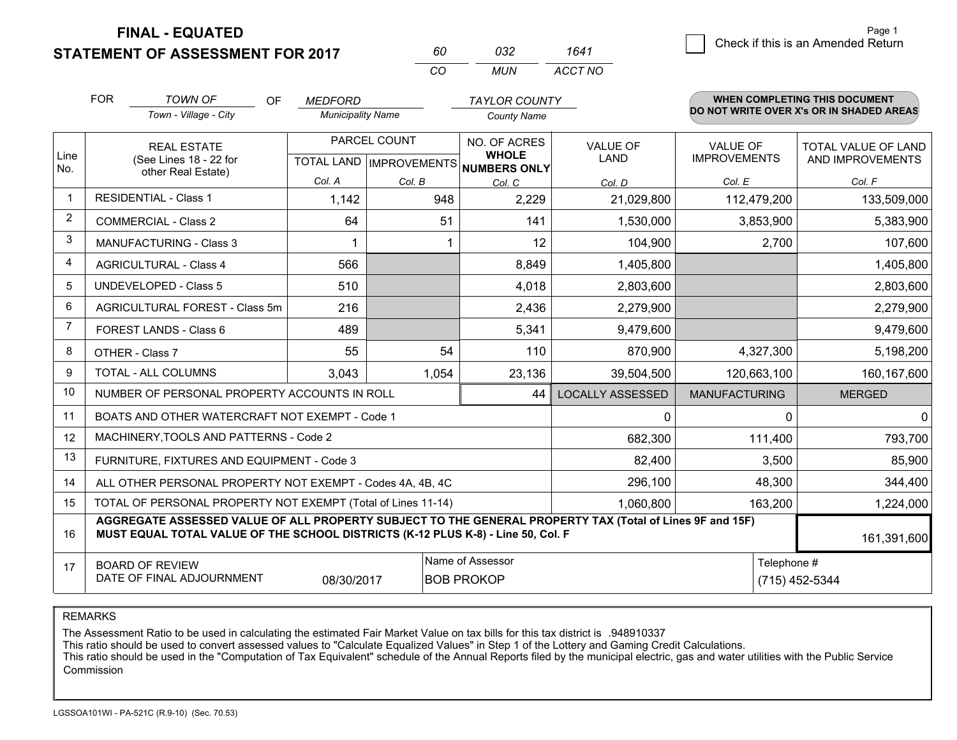**FINAL - EQUATED**

**STATEMENT OF ASSESSMENT FOR 2017** 

| 60. | กจว  | 1641    |
|-----|------|---------|
| (   | MUN. | ACCT NO |

|                | <b>FOR</b>                     | <b>TOWN OF</b><br><b>OF</b>                                                                                                                                                                  | <b>MEDFORD</b>           |              | <b>TAYLOR COUNTY</b>                                     |                         |                      | <b>WHEN COMPLETING THIS DOCUMENT</b><br>DO NOT WRITE OVER X's OR IN SHADED AREAS |
|----------------|--------------------------------|----------------------------------------------------------------------------------------------------------------------------------------------------------------------------------------------|--------------------------|--------------|----------------------------------------------------------|-------------------------|----------------------|----------------------------------------------------------------------------------|
|                |                                | Town - Village - City                                                                                                                                                                        | <b>Municipality Name</b> |              | <b>County Name</b>                                       |                         |                      |                                                                                  |
|                |                                | <b>REAL ESTATE</b>                                                                                                                                                                           |                          | PARCEL COUNT | NO. OF ACRES                                             | <b>VALUE OF</b>         | <b>VALUE OF</b>      | <b>TOTAL VALUE OF LAND</b>                                                       |
| Line<br>No.    |                                | (See Lines 18 - 22 for<br>other Real Estate)                                                                                                                                                 |                          |              | <b>WHOLE</b><br>TOTAL LAND   IMPROVEMENTS   NUMBERS ONLY | LAND                    | <b>IMPROVEMENTS</b>  | AND IMPROVEMENTS                                                                 |
|                |                                |                                                                                                                                                                                              | Col. A                   | Col. B       | Col. C                                                   | Col. D                  | Col. E               | Col. F                                                                           |
|                |                                | <b>RESIDENTIAL - Class 1</b>                                                                                                                                                                 | 1,142                    | 948          | 2,229                                                    | 21,029,800              | 112,479,200          | 133,509,000                                                                      |
| 2              |                                | <b>COMMERCIAL - Class 2</b>                                                                                                                                                                  | 64                       | 51           | 141                                                      | 1,530,000               | 3,853,900            | 5,383,900                                                                        |
| 3              |                                | <b>MANUFACTURING - Class 3</b>                                                                                                                                                               | -1                       |              | 12                                                       | 104,900                 | 2,700                | 107,600                                                                          |
| 4              |                                | <b>AGRICULTURAL - Class 4</b>                                                                                                                                                                | 566                      |              | 8,849                                                    | 1,405,800               |                      | 1,405,800                                                                        |
| 5              | <b>UNDEVELOPED - Class 5</b>   |                                                                                                                                                                                              | 510                      |              | 4,018                                                    | 2,803,600               |                      | 2,803,600                                                                        |
| 6              | AGRICULTURAL FOREST - Class 5m |                                                                                                                                                                                              | 216                      |              | 2,436                                                    | 2,279,900               |                      | 2,279,900                                                                        |
| $\overline{7}$ |                                | <b>FOREST LANDS - Class 6</b>                                                                                                                                                                | 489                      |              | 5,341                                                    | 9,479,600               |                      | 9,479,600                                                                        |
| 8              |                                | OTHER - Class 7                                                                                                                                                                              | 55                       | 54           | 110                                                      | 870,900                 | 4,327,300            | 5,198,200                                                                        |
| 9              |                                | TOTAL - ALL COLUMNS                                                                                                                                                                          | 3,043                    | 1,054        | 23,136                                                   | 39,504,500              | 120,663,100          | 160,167,600                                                                      |
| 10             |                                | NUMBER OF PERSONAL PROPERTY ACCOUNTS IN ROLL                                                                                                                                                 |                          |              | 44                                                       | <b>LOCALLY ASSESSED</b> | <b>MANUFACTURING</b> | <b>MERGED</b>                                                                    |
| 11             |                                | BOATS AND OTHER WATERCRAFT NOT EXEMPT - Code 1                                                                                                                                               |                          |              |                                                          | 0                       | $\Omega$             | 0                                                                                |
| 12             |                                | MACHINERY, TOOLS AND PATTERNS - Code 2                                                                                                                                                       |                          |              |                                                          | 682,300                 | 111,400              | 793,700                                                                          |
| 13             |                                | FURNITURE, FIXTURES AND EQUIPMENT - Code 3                                                                                                                                                   |                          |              |                                                          | 82,400                  | 3,500                | 85,900                                                                           |
| 14             |                                | ALL OTHER PERSONAL PROPERTY NOT EXEMPT - Codes 4A, 4B, 4C                                                                                                                                    |                          |              |                                                          | 296,100                 | 48,300               | 344,400                                                                          |
| 15             |                                | TOTAL OF PERSONAL PROPERTY NOT EXEMPT (Total of Lines 11-14)                                                                                                                                 |                          |              |                                                          | 1,060,800               | 163,200              | 1,224,000                                                                        |
| 16             |                                | AGGREGATE ASSESSED VALUE OF ALL PROPERTY SUBJECT TO THE GENERAL PROPERTY TAX (Total of Lines 9F and 15F)<br>MUST EQUAL TOTAL VALUE OF THE SCHOOL DISTRICTS (K-12 PLUS K-8) - Line 50, Col. F |                          |              |                                                          |                         |                      | 161,391,600                                                                      |
| 17             |                                | <b>BOARD OF REVIEW</b>                                                                                                                                                                       |                          |              | Name of Assessor                                         |                         | Telephone #          |                                                                                  |
|                |                                | DATE OF FINAL ADJOURNMENT                                                                                                                                                                    | 08/30/2017               |              | <b>BOB PROKOP</b>                                        |                         |                      | (715) 452-5344                                                                   |

REMARKS

The Assessment Ratio to be used in calculating the estimated Fair Market Value on tax bills for this tax district is .948910337

This ratio should be used to convert assessed values to "Calculate Equalized Values" in Step 1 of the Lottery and Gaming Credit Calculations.<br>This ratio should be used in the "Computation of Tax Equivalent" schedule of the Commission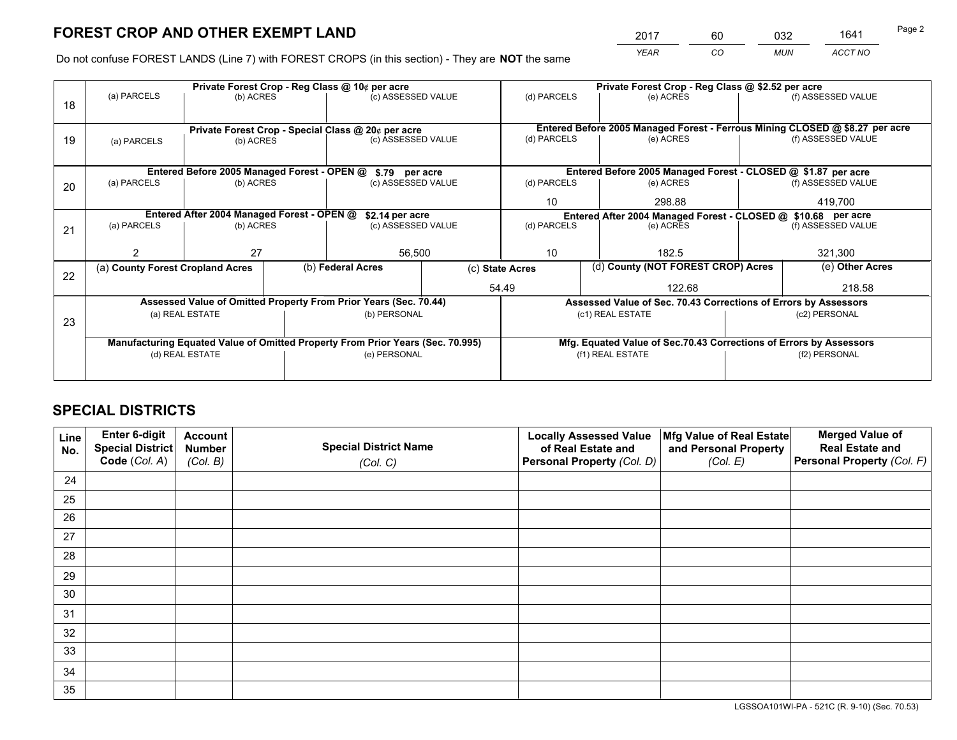*YEAR CO MUN ACCT NO* <sup>2017</sup> <sup>60</sup> <sup>032</sup> <sup>1641</sup>

Do not confuse FOREST LANDS (Line 7) with FOREST CROPS (in this section) - They are **NOT** the same

|    |                                  |                                            |  | Private Forest Crop - Reg Class @ 10¢ per acre                                 |              |                                                                              | Private Forest Crop - Reg Class @ \$2.52 per acre               |       |               |                                                                    |  |
|----|----------------------------------|--------------------------------------------|--|--------------------------------------------------------------------------------|--------------|------------------------------------------------------------------------------|-----------------------------------------------------------------|-------|---------------|--------------------------------------------------------------------|--|
| 18 | (a) PARCELS                      | (b) ACRES                                  |  | (c) ASSESSED VALUE                                                             |              | (d) PARCELS                                                                  | (e) ACRES                                                       |       |               | (f) ASSESSED VALUE                                                 |  |
|    |                                  |                                            |  |                                                                                |              |                                                                              |                                                                 |       |               |                                                                    |  |
|    |                                  |                                            |  | Private Forest Crop - Special Class @ 20¢ per acre                             |              | Entered Before 2005 Managed Forest - Ferrous Mining CLOSED @ \$8.27 per acre |                                                                 |       |               |                                                                    |  |
| 19 | (a) PARCELS                      | (b) ACRES                                  |  | (c) ASSESSED VALUE                                                             |              | (d) PARCELS                                                                  | (e) ACRES                                                       |       |               | (f) ASSESSED VALUE                                                 |  |
|    |                                  |                                            |  |                                                                                |              |                                                                              |                                                                 |       |               |                                                                    |  |
|    |                                  |                                            |  | Entered Before 2005 Managed Forest - OPEN @ \$.79 per acre                     |              |                                                                              |                                                                 |       |               | Entered Before 2005 Managed Forest - CLOSED @ \$1.87 per acre      |  |
| 20 | (a) PARCELS                      | (b) ACRES                                  |  | (c) ASSESSED VALUE                                                             |              | (d) PARCELS                                                                  | (e) ACRES                                                       |       |               | (f) ASSESSED VALUE                                                 |  |
|    |                                  |                                            |  |                                                                                |              | 10                                                                           | 298.88                                                          |       | 419,700       |                                                                    |  |
|    |                                  | Entered After 2004 Managed Forest - OPEN @ |  | \$2.14 per acre                                                                |              |                                                                              |                                                                 |       |               | Entered After 2004 Managed Forest - CLOSED @ \$10.68 per acre      |  |
| 21 | (a) PARCELS                      | (b) ACRES                                  |  | (c) ASSESSED VALUE                                                             |              | (d) PARCELS                                                                  | (e) ACRES                                                       |       |               | (f) ASSESSED VALUE                                                 |  |
|    |                                  |                                            |  |                                                                                |              |                                                                              |                                                                 |       |               |                                                                    |  |
|    |                                  | 27                                         |  |                                                                                | 56,500<br>10 |                                                                              |                                                                 | 182.5 |               | 321,300                                                            |  |
| 22 | (a) County Forest Cropland Acres |                                            |  | (b) Federal Acres                                                              |              | (d) County (NOT FOREST CROP) Acres<br>(c) State Acres                        |                                                                 |       |               | (e) Other Acres                                                    |  |
|    |                                  |                                            |  |                                                                                | 54.49        |                                                                              | 122.68                                                          |       |               | 218.58                                                             |  |
|    |                                  |                                            |  | Assessed Value of Omitted Property From Prior Years (Sec. 70.44)               |              |                                                                              | Assessed Value of Sec. 70.43 Corrections of Errors by Assessors |       |               |                                                                    |  |
| 23 |                                  | (a) REAL ESTATE                            |  | (b) PERSONAL                                                                   |              |                                                                              | (c1) REAL ESTATE                                                |       |               | (c2) PERSONAL                                                      |  |
|    |                                  |                                            |  |                                                                                |              |                                                                              |                                                                 |       |               |                                                                    |  |
|    |                                  |                                            |  | Manufacturing Equated Value of Omitted Property From Prior Years (Sec. 70.995) |              |                                                                              |                                                                 |       |               | Mfg. Equated Value of Sec.70.43 Corrections of Errors by Assessors |  |
|    | (d) REAL ESTATE                  |                                            |  | (e) PERSONAL                                                                   |              |                                                                              | (f1) REAL ESTATE                                                |       | (f2) PERSONAL |                                                                    |  |
|    |                                  |                                            |  |                                                                                |              |                                                                              |                                                                 |       |               |                                                                    |  |

## **SPECIAL DISTRICTS**

| Line<br>No. | Enter 6-digit<br>Special District<br>Code (Col. A) | <b>Account</b><br><b>Number</b><br>(Col. B) | <b>Special District Name</b><br>(Col. C) | <b>Locally Assessed Value</b><br>of Real Estate and<br>Personal Property (Col. D) | Mfg Value of Real Estate<br>and Personal Property<br>(Col. E) | <b>Merged Value of</b><br><b>Real Estate and</b><br>Personal Property (Col. F) |
|-------------|----------------------------------------------------|---------------------------------------------|------------------------------------------|-----------------------------------------------------------------------------------|---------------------------------------------------------------|--------------------------------------------------------------------------------|
| 24          |                                                    |                                             |                                          |                                                                                   |                                                               |                                                                                |
| 25          |                                                    |                                             |                                          |                                                                                   |                                                               |                                                                                |
| 26          |                                                    |                                             |                                          |                                                                                   |                                                               |                                                                                |
| 27          |                                                    |                                             |                                          |                                                                                   |                                                               |                                                                                |
| 28          |                                                    |                                             |                                          |                                                                                   |                                                               |                                                                                |
| 29          |                                                    |                                             |                                          |                                                                                   |                                                               |                                                                                |
| 30          |                                                    |                                             |                                          |                                                                                   |                                                               |                                                                                |
| 31          |                                                    |                                             |                                          |                                                                                   |                                                               |                                                                                |
| 32          |                                                    |                                             |                                          |                                                                                   |                                                               |                                                                                |
| 33          |                                                    |                                             |                                          |                                                                                   |                                                               |                                                                                |
| 34          |                                                    |                                             |                                          |                                                                                   |                                                               |                                                                                |
| 35          |                                                    |                                             |                                          |                                                                                   |                                                               |                                                                                |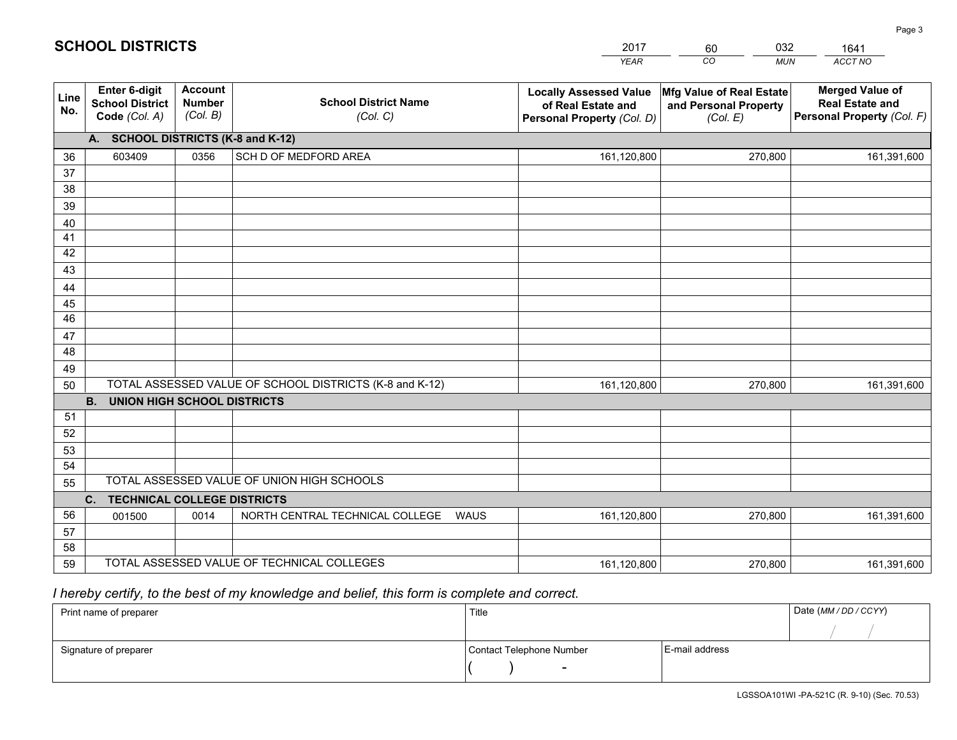|             |                                                          |                                             |                                                         | <b>YEAR</b>                                                                       | CO<br><b>MUN</b>                                              | ACCT NO                                                                        |  |  |  |  |
|-------------|----------------------------------------------------------|---------------------------------------------|---------------------------------------------------------|-----------------------------------------------------------------------------------|---------------------------------------------------------------|--------------------------------------------------------------------------------|--|--|--|--|
| Line<br>No. | Enter 6-digit<br><b>School District</b><br>Code (Col. A) | <b>Account</b><br><b>Number</b><br>(Col. B) | <b>School District Name</b><br>(Col. C)                 | <b>Locally Assessed Value</b><br>of Real Estate and<br>Personal Property (Col. D) | Mfg Value of Real Estate<br>and Personal Property<br>(Col. E) | <b>Merged Value of</b><br><b>Real Estate and</b><br>Personal Property (Col. F) |  |  |  |  |
|             | A. SCHOOL DISTRICTS (K-8 and K-12)                       |                                             |                                                         |                                                                                   |                                                               |                                                                                |  |  |  |  |
| 36          | 603409                                                   | 0356                                        | SCH D OF MEDFORD AREA                                   | 161,120,800                                                                       | 270,800                                                       | 161,391,600                                                                    |  |  |  |  |
| 37          |                                                          |                                             |                                                         |                                                                                   |                                                               |                                                                                |  |  |  |  |
| 38          |                                                          |                                             |                                                         |                                                                                   |                                                               |                                                                                |  |  |  |  |
| 39          |                                                          |                                             |                                                         |                                                                                   |                                                               |                                                                                |  |  |  |  |
| 40          |                                                          |                                             |                                                         |                                                                                   |                                                               |                                                                                |  |  |  |  |
| 41<br>42    |                                                          |                                             |                                                         |                                                                                   |                                                               |                                                                                |  |  |  |  |
| 43          |                                                          |                                             |                                                         |                                                                                   |                                                               |                                                                                |  |  |  |  |
|             |                                                          |                                             |                                                         |                                                                                   |                                                               |                                                                                |  |  |  |  |
| 44<br>45    |                                                          |                                             |                                                         |                                                                                   |                                                               |                                                                                |  |  |  |  |
| 46          |                                                          |                                             |                                                         |                                                                                   |                                                               |                                                                                |  |  |  |  |
| 47          |                                                          |                                             |                                                         |                                                                                   |                                                               |                                                                                |  |  |  |  |
| 48          |                                                          |                                             |                                                         |                                                                                   |                                                               |                                                                                |  |  |  |  |
| 49          |                                                          |                                             |                                                         |                                                                                   |                                                               |                                                                                |  |  |  |  |
| 50          |                                                          |                                             | TOTAL ASSESSED VALUE OF SCHOOL DISTRICTS (K-8 and K-12) | 161,120,800                                                                       | 270,800                                                       | 161,391,600                                                                    |  |  |  |  |
|             | <b>B.</b><br>UNION HIGH SCHOOL DISTRICTS                 |                                             |                                                         |                                                                                   |                                                               |                                                                                |  |  |  |  |
| 51          |                                                          |                                             |                                                         |                                                                                   |                                                               |                                                                                |  |  |  |  |
| 52          |                                                          |                                             |                                                         |                                                                                   |                                                               |                                                                                |  |  |  |  |
| 53          |                                                          |                                             |                                                         |                                                                                   |                                                               |                                                                                |  |  |  |  |
| 54          |                                                          |                                             |                                                         |                                                                                   |                                                               |                                                                                |  |  |  |  |
| 55          | TOTAL ASSESSED VALUE OF UNION HIGH SCHOOLS               |                                             |                                                         |                                                                                   |                                                               |                                                                                |  |  |  |  |
|             | C.<br><b>TECHNICAL COLLEGE DISTRICTS</b>                 |                                             |                                                         |                                                                                   |                                                               |                                                                                |  |  |  |  |
| 56          | 001500                                                   | 0014                                        | NORTH CENTRAL TECHNICAL COLLEGE<br>WAUS                 | 161,120,800                                                                       | 270,800                                                       | 161,391,600                                                                    |  |  |  |  |
| 57<br>58    |                                                          |                                             |                                                         |                                                                                   |                                                               |                                                                                |  |  |  |  |
| 59          |                                                          |                                             | TOTAL ASSESSED VALUE OF TECHNICAL COLLEGES              | 161,120,800                                                                       | 270,800                                                       | 161,391,600                                                                    |  |  |  |  |
|             |                                                          |                                             |                                                         |                                                                                   |                                                               |                                                                                |  |  |  |  |

2017

60

032

 *I hereby certify, to the best of my knowledge and belief, this form is complete and correct.*

**SCHOOL DISTRICTS**

| Print name of preparer | Title                    | Date (MM / DD / CCYY) |  |
|------------------------|--------------------------|-----------------------|--|
|                        |                          |                       |  |
| Signature of preparer  | Contact Telephone Number | E-mail address        |  |
|                        | $\overline{\phantom{0}}$ |                       |  |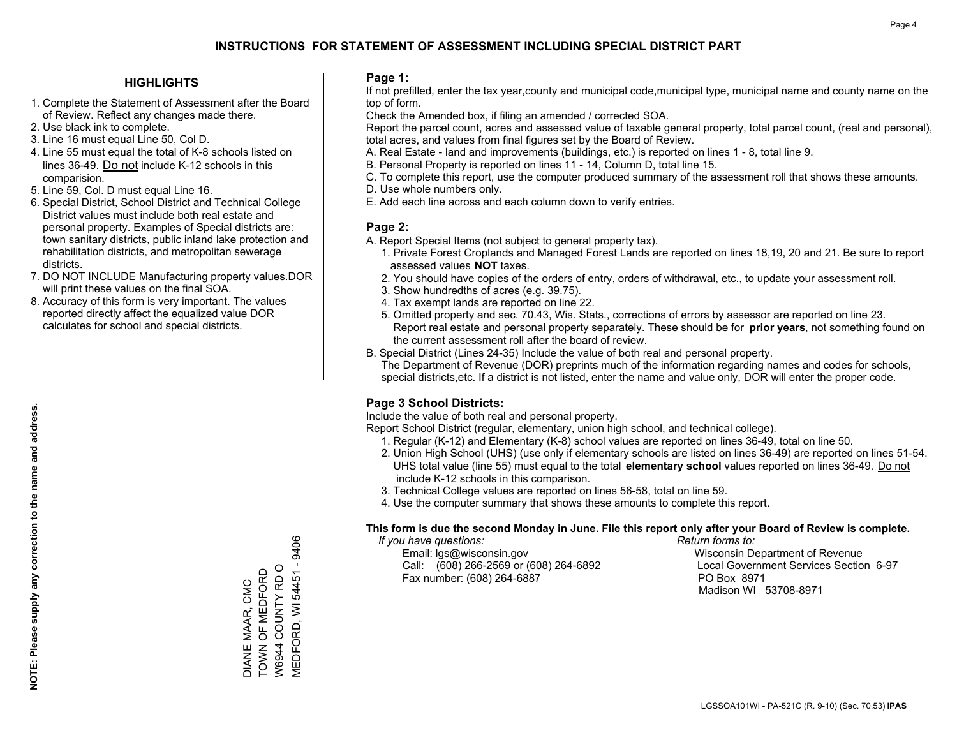### **HIGHLIGHTS**

- 1. Complete the Statement of Assessment after the Board of Review. Reflect any changes made there.
- 2. Use black ink to complete.
- 3. Line 16 must equal Line 50, Col D.
- 4. Line 55 must equal the total of K-8 schools listed on lines 36-49. Do not include K-12 schools in this comparision.
- 5. Line 59, Col. D must equal Line 16.
- 6. Special District, School District and Technical College District values must include both real estate and personal property. Examples of Special districts are: town sanitary districts, public inland lake protection and rehabilitation districts, and metropolitan sewerage districts.
- 7. DO NOT INCLUDE Manufacturing property values.DOR will print these values on the final SOA.
- 8. Accuracy of this form is very important. The values reported directly affect the equalized value DOR calculates for school and special districts.

### **Page 1:**

 If not prefilled, enter the tax year,county and municipal code,municipal type, municipal name and county name on the top of form.

Check the Amended box, if filing an amended / corrected SOA.

 Report the parcel count, acres and assessed value of taxable general property, total parcel count, (real and personal), total acres, and values from final figures set by the Board of Review.

- A. Real Estate land and improvements (buildings, etc.) is reported on lines 1 8, total line 9.
- B. Personal Property is reported on lines 11 14, Column D, total line 15.
- C. To complete this report, use the computer produced summary of the assessment roll that shows these amounts.
- D. Use whole numbers only.
- E. Add each line across and each column down to verify entries.

## **Page 2:**

- A. Report Special Items (not subject to general property tax).
- 1. Private Forest Croplands and Managed Forest Lands are reported on lines 18,19, 20 and 21. Be sure to report assessed values **NOT** taxes.
- 2. You should have copies of the orders of entry, orders of withdrawal, etc., to update your assessment roll.
	- 3. Show hundredths of acres (e.g. 39.75).
- 4. Tax exempt lands are reported on line 22.
- 5. Omitted property and sec. 70.43, Wis. Stats., corrections of errors by assessor are reported on line 23. Report real estate and personal property separately. These should be for **prior years**, not something found on the current assessment roll after the board of review.
- B. Special District (Lines 24-35) Include the value of both real and personal property.

 The Department of Revenue (DOR) preprints much of the information regarding names and codes for schools, special districts,etc. If a district is not listed, enter the name and value only, DOR will enter the proper code.

## **Page 3 School Districts:**

Include the value of both real and personal property.

Report School District (regular, elementary, union high school, and technical college).

- 1. Regular (K-12) and Elementary (K-8) school values are reported on lines 36-49, total on line 50.
- 2. Union High School (UHS) (use only if elementary schools are listed on lines 36-49) are reported on lines 51-54. UHS total value (line 55) must equal to the total **elementary school** values reported on lines 36-49. Do notinclude K-12 schools in this comparison.
- 3. Technical College values are reported on lines 56-58, total on line 59.
- 4. Use the computer summary that shows these amounts to complete this report.

#### **This form is due the second Monday in June. File this report only after your Board of Review is complete.**

 *If you have questions: Return forms to:*

 Email: lgs@wisconsin.gov Wisconsin Department of RevenueCall:  $(608)$  266-2569 or  $(608)$  264-6892 Fax number: (608) 264-6887 PO Box 8971

Local Government Services Section 6-97 Madison WI 53708-8971

DIANE MAAR, CMC<br>TOWN OF MEDFORD DIANE MAAR, CMC

TOWN OF MEDFORD W6944 COUNTY RD O MEDFORD, WI 54451 - 9406

9406

**MEDFORD, WI 54451 -**W6944 COUNTY RD O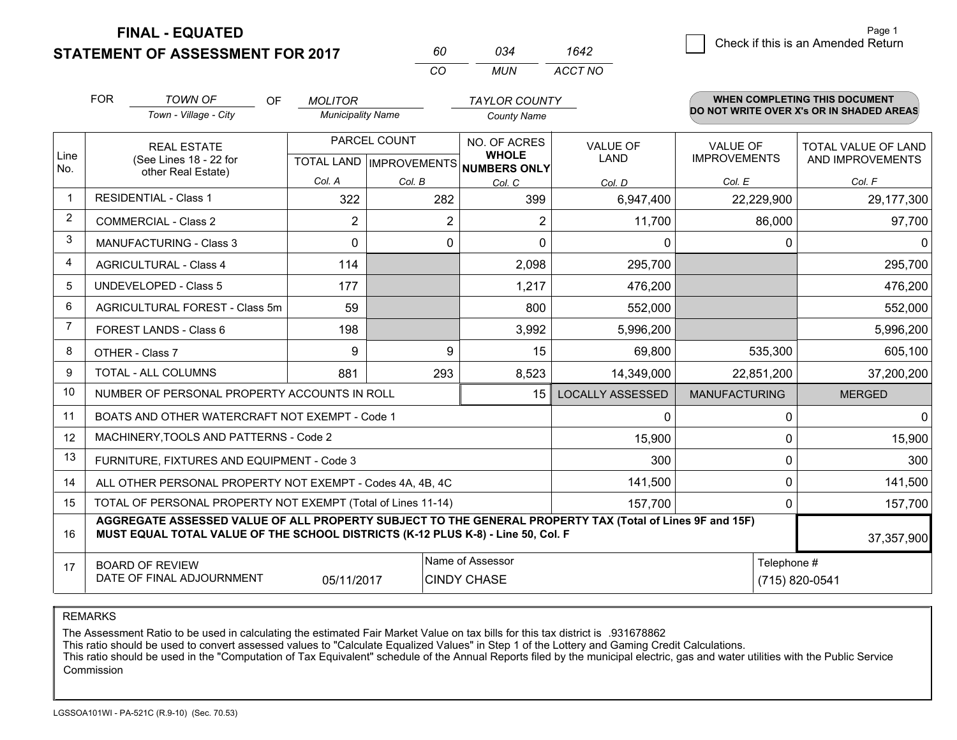**FINAL - EQUATED**

**STATEMENT OF ASSESSMENT FOR 2017** 

| 60  | กว4 | 1642    |
|-----|-----|---------|
| CO. | MUN | ACCT NO |

|             | <b>FOR</b>                                                                                                                 | <b>TOWN OF</b><br><b>OF</b><br>Town - Village - City                                                                                                                                         | <b>MOLITOR</b><br><b>Municipality Name</b> |              | <b>TAYLOR COUNTY</b><br><b>County Name</b>                          |                                |                                        | <b>WHEN COMPLETING THIS DOCUMENT</b><br>DO NOT WRITE OVER X's OR IN SHADED AREAS |
|-------------|----------------------------------------------------------------------------------------------------------------------------|----------------------------------------------------------------------------------------------------------------------------------------------------------------------------------------------|--------------------------------------------|--------------|---------------------------------------------------------------------|--------------------------------|----------------------------------------|----------------------------------------------------------------------------------|
| Line<br>No. |                                                                                                                            | <b>REAL ESTATE</b><br>(See Lines 18 - 22 for                                                                                                                                                 |                                            | PARCEL COUNT | NO. OF ACRES<br><b>WHOLE</b><br>TOTAL LAND MPROVEMENTS NUMBERS ONLY | <b>VALUE OF</b><br><b>LAND</b> | <b>VALUE OF</b><br><b>IMPROVEMENTS</b> | <b>TOTAL VALUE OF LAND</b><br>AND IMPROVEMENTS                                   |
|             |                                                                                                                            | other Real Estate)                                                                                                                                                                           | Col. A                                     | Col. B       | Col. C                                                              | Col. D                         | Col. E                                 | Col. F                                                                           |
| $\mathbf 1$ |                                                                                                                            | <b>RESIDENTIAL - Class 1</b>                                                                                                                                                                 | 322                                        | 282          | 399                                                                 | 6,947,400                      | 22,229,900                             | 29,177,300                                                                       |
| 2           |                                                                                                                            | <b>COMMERCIAL - Class 2</b>                                                                                                                                                                  | $\overline{2}$                             | 2            | $\overline{2}$                                                      | 11,700                         | 86,000                                 | 97,700                                                                           |
| 3           |                                                                                                                            | <b>MANUFACTURING - Class 3</b>                                                                                                                                                               | $\Omega$                                   | $\Omega$     | $\Omega$                                                            | 0                              | $\Omega$                               | 0                                                                                |
| 4           |                                                                                                                            | <b>AGRICULTURAL - Class 4</b>                                                                                                                                                                | 114                                        |              | 2,098                                                               | 295,700                        |                                        | 295,700                                                                          |
| 5           |                                                                                                                            | <b>UNDEVELOPED - Class 5</b>                                                                                                                                                                 | 177                                        |              | 1,217                                                               | 476,200                        |                                        | 476,200                                                                          |
| 6           | AGRICULTURAL FOREST - Class 5m<br>FOREST LANDS - Class 6                                                                   |                                                                                                                                                                                              | 59                                         |              | 800                                                                 | 552,000                        |                                        | 552,000                                                                          |
| 7           |                                                                                                                            |                                                                                                                                                                                              | 198                                        |              | 3,992                                                               | 5,996,200                      |                                        | 5,996,200                                                                        |
| 8           |                                                                                                                            | OTHER - Class 7                                                                                                                                                                              | 9                                          | 9            | 15                                                                  | 69,800                         | 535,300                                | 605,100                                                                          |
| 9           |                                                                                                                            | TOTAL - ALL COLUMNS                                                                                                                                                                          | 881                                        | 293          | 8,523                                                               | 14,349,000                     | 22,851,200                             | 37,200,200                                                                       |
| 10          |                                                                                                                            | NUMBER OF PERSONAL PROPERTY ACCOUNTS IN ROLL                                                                                                                                                 |                                            |              | 15 <sup>1</sup>                                                     | <b>LOCALLY ASSESSED</b>        | <b>MANUFACTURING</b>                   | <b>MERGED</b>                                                                    |
| 11          |                                                                                                                            | BOATS AND OTHER WATERCRAFT NOT EXEMPT - Code 1                                                                                                                                               |                                            |              |                                                                     | 0                              | $\mathbf{0}$                           | 0                                                                                |
| 12          |                                                                                                                            | MACHINERY, TOOLS AND PATTERNS - Code 2                                                                                                                                                       |                                            |              |                                                                     | 15,900                         | $\Omega$                               | 15,900                                                                           |
| 13          |                                                                                                                            | FURNITURE, FIXTURES AND EQUIPMENT - Code 3                                                                                                                                                   |                                            |              |                                                                     | 300                            | $\mathbf{0}$                           | 300                                                                              |
| 14          |                                                                                                                            | ALL OTHER PERSONAL PROPERTY NOT EXEMPT - Codes 4A, 4B, 4C                                                                                                                                    |                                            |              |                                                                     | 141,500                        | $\Omega$                               | 141,500                                                                          |
| 15          |                                                                                                                            | TOTAL OF PERSONAL PROPERTY NOT EXEMPT (Total of Lines 11-14)                                                                                                                                 |                                            |              |                                                                     | 157,700                        | $\mathbf 0$                            | 157,700                                                                          |
| 16          |                                                                                                                            | AGGREGATE ASSESSED VALUE OF ALL PROPERTY SUBJECT TO THE GENERAL PROPERTY TAX (Total of Lines 9F and 15F)<br>MUST EQUAL TOTAL VALUE OF THE SCHOOL DISTRICTS (K-12 PLUS K-8) - Line 50, Col. F |                                            |              |                                                                     |                                |                                        | 37,357,900                                                                       |
| 17          | Name of Assessor<br>Telephone #<br><b>BOARD OF REVIEW</b><br>DATE OF FINAL ADJOURNMENT<br>05/11/2017<br><b>CINDY CHASE</b> |                                                                                                                                                                                              |                                            |              |                                                                     | (715) 820-0541                 |                                        |                                                                                  |

REMARKS

The Assessment Ratio to be used in calculating the estimated Fair Market Value on tax bills for this tax district is .931678862

This ratio should be used to convert assessed values to "Calculate Equalized Values" in Step 1 of the Lottery and Gaming Credit Calculations.<br>This ratio should be used in the "Computation of Tax Equivalent" schedule of the Commission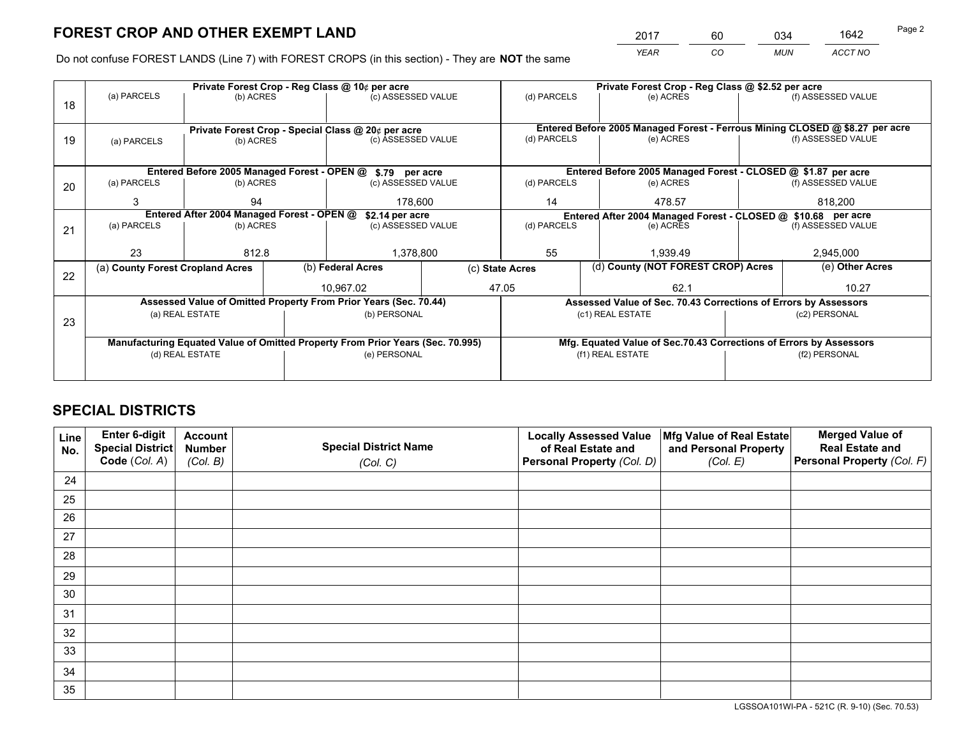*YEAR CO MUN ACCT NO* 2017 60 034 1642

Do not confuse FOREST LANDS (Line 7) with FOREST CROPS (in this section) - They are **NOT** the same

|    |                                                               |                 |  | Private Forest Crop - Reg Class @ 10¢ per acre                                 |             |                                                                              |  | Private Forest Crop - Reg Class @ \$2.52 per acre                  |               |                    |
|----|---------------------------------------------------------------|-----------------|--|--------------------------------------------------------------------------------|-------------|------------------------------------------------------------------------------|--|--------------------------------------------------------------------|---------------|--------------------|
| 18 | (a) PARCELS                                                   | (b) ACRES       |  | (c) ASSESSED VALUE                                                             |             | (d) PARCELS                                                                  |  | (e) ACRES                                                          |               | (f) ASSESSED VALUE |
|    |                                                               |                 |  |                                                                                |             |                                                                              |  |                                                                    |               |                    |
|    |                                                               |                 |  | Private Forest Crop - Special Class @ 20¢ per acre                             |             | Entered Before 2005 Managed Forest - Ferrous Mining CLOSED @ \$8.27 per acre |  |                                                                    |               |                    |
| 19 | (a) PARCELS                                                   | (b) ACRES       |  | (c) ASSESSED VALUE                                                             |             | (d) PARCELS                                                                  |  | (e) ACRES                                                          |               | (f) ASSESSED VALUE |
|    |                                                               |                 |  |                                                                                |             |                                                                              |  |                                                                    |               |                    |
|    | Entered Before 2005 Managed Forest - OPEN @ \$.79 per acre    |                 |  |                                                                                |             |                                                                              |  | Entered Before 2005 Managed Forest - CLOSED @ \$1.87 per acre      |               |                    |
| 20 | (a) PARCELS<br>(b) ACRES                                      |                 |  | (c) ASSESSED VALUE                                                             |             | (d) PARCELS                                                                  |  | (e) ACRES                                                          |               | (f) ASSESSED VALUE |
|    | 3                                                             | 94              |  | 178.600                                                                        |             | 14                                                                           |  | 478.57                                                             | 818.200       |                    |
|    | Entered After 2004 Managed Forest - OPEN @<br>\$2.14 per acre |                 |  |                                                                                |             |                                                                              |  | Entered After 2004 Managed Forest - CLOSED @ \$10.68 per acre      |               |                    |
| 21 | (a) PARCELS                                                   | (b) ACRES       |  | (c) ASSESSED VALUE                                                             | (d) PARCELS |                                                                              |  | (e) ACRES                                                          |               | (f) ASSESSED VALUE |
|    |                                                               |                 |  |                                                                                |             |                                                                              |  |                                                                    |               |                    |
|    | 23                                                            | 812.8           |  | 1,378,800                                                                      |             | 55<br>1.939.49                                                               |  | 2,945,000                                                          |               |                    |
| 22 | (a) County Forest Cropland Acres                              |                 |  | (b) Federal Acres                                                              |             | (c) State Acres                                                              |  | (d) County (NOT FOREST CROP) Acres                                 |               | (e) Other Acres    |
|    |                                                               |                 |  | 10,967.02                                                                      |             | 47.05                                                                        |  | 62.1                                                               |               | 10.27              |
|    |                                                               |                 |  | Assessed Value of Omitted Property From Prior Years (Sec. 70.44)               |             |                                                                              |  | Assessed Value of Sec. 70.43 Corrections of Errors by Assessors    |               |                    |
| 23 |                                                               | (a) REAL ESTATE |  | (b) PERSONAL                                                                   |             |                                                                              |  | (c1) REAL ESTATE                                                   |               | (c2) PERSONAL      |
|    |                                                               |                 |  |                                                                                |             |                                                                              |  |                                                                    |               |                    |
|    |                                                               |                 |  | Manufacturing Equated Value of Omitted Property From Prior Years (Sec. 70.995) |             |                                                                              |  | Mfg. Equated Value of Sec.70.43 Corrections of Errors by Assessors |               |                    |
|    | (d) REAL ESTATE                                               |                 |  | (e) PERSONAL                                                                   |             |                                                                              |  | (f1) REAL ESTATE                                                   | (f2) PERSONAL |                    |
|    |                                                               |                 |  |                                                                                |             |                                                                              |  |                                                                    |               |                    |

## **SPECIAL DISTRICTS**

| Line<br>No. | Enter 6-digit<br><b>Special District</b> | <b>Account</b><br><b>Number</b> | <b>Special District Name</b> | <b>Locally Assessed Value</b><br>of Real Estate and | Mfg Value of Real Estate<br>and Personal Property | <b>Merged Value of</b><br><b>Real Estate and</b> |
|-------------|------------------------------------------|---------------------------------|------------------------------|-----------------------------------------------------|---------------------------------------------------|--------------------------------------------------|
|             | Code (Col. A)                            | (Col. B)                        | (Col. C)                     | Personal Property (Col. D)                          | (Col. E)                                          | Personal Property (Col. F)                       |
| 24          |                                          |                                 |                              |                                                     |                                                   |                                                  |
| 25          |                                          |                                 |                              |                                                     |                                                   |                                                  |
| 26          |                                          |                                 |                              |                                                     |                                                   |                                                  |
| 27          |                                          |                                 |                              |                                                     |                                                   |                                                  |
| 28          |                                          |                                 |                              |                                                     |                                                   |                                                  |
| 29          |                                          |                                 |                              |                                                     |                                                   |                                                  |
| 30          |                                          |                                 |                              |                                                     |                                                   |                                                  |
| 31          |                                          |                                 |                              |                                                     |                                                   |                                                  |
| 32          |                                          |                                 |                              |                                                     |                                                   |                                                  |
| 33          |                                          |                                 |                              |                                                     |                                                   |                                                  |
| 34          |                                          |                                 |                              |                                                     |                                                   |                                                  |
| 35          |                                          |                                 |                              |                                                     |                                                   |                                                  |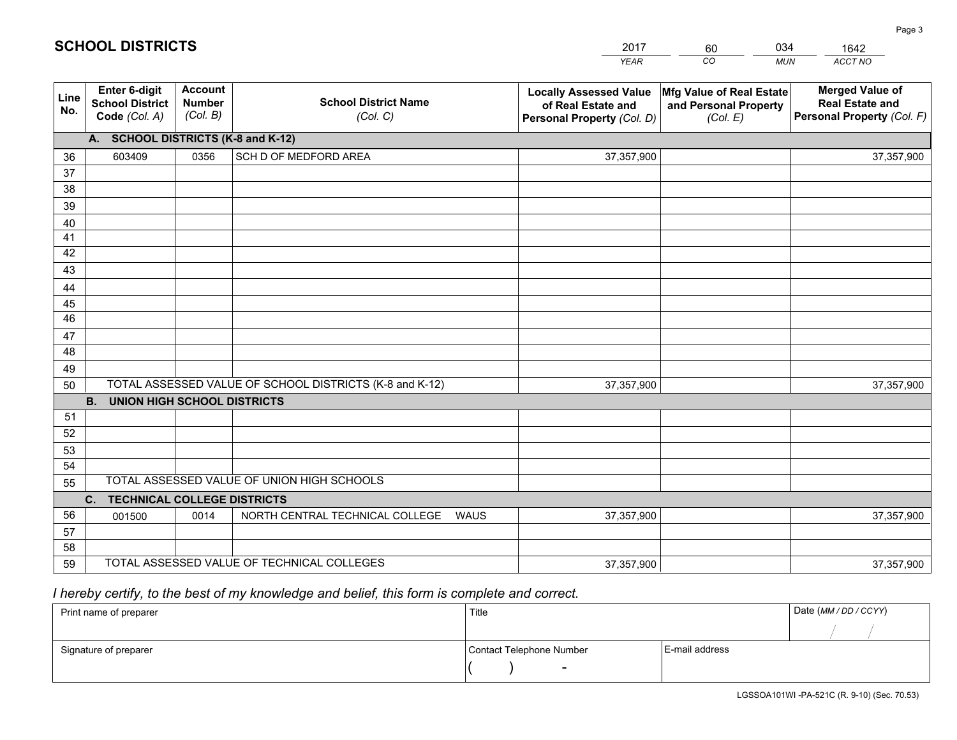|             |                                                          |                                             |                                                         | <b>YEAR</b>                                                                       | CO<br><b>MUN</b>                                              | ACCT NO                                                                        |
|-------------|----------------------------------------------------------|---------------------------------------------|---------------------------------------------------------|-----------------------------------------------------------------------------------|---------------------------------------------------------------|--------------------------------------------------------------------------------|
| Line<br>No. | Enter 6-digit<br><b>School District</b><br>Code (Col. A) | <b>Account</b><br><b>Number</b><br>(Col. B) | <b>School District Name</b><br>(Col. C)                 | <b>Locally Assessed Value</b><br>of Real Estate and<br>Personal Property (Col. D) | Mfg Value of Real Estate<br>and Personal Property<br>(Col. E) | <b>Merged Value of</b><br><b>Real Estate and</b><br>Personal Property (Col. F) |
|             | A. SCHOOL DISTRICTS (K-8 and K-12)                       |                                             |                                                         |                                                                                   |                                                               |                                                                                |
| 36          | 603409                                                   | 0356                                        | SCH D OF MEDFORD AREA                                   | 37,357,900                                                                        |                                                               | 37,357,900                                                                     |
| 37          |                                                          |                                             |                                                         |                                                                                   |                                                               |                                                                                |
| 38          |                                                          |                                             |                                                         |                                                                                   |                                                               |                                                                                |
| 39          |                                                          |                                             |                                                         |                                                                                   |                                                               |                                                                                |
| 40          |                                                          |                                             |                                                         |                                                                                   |                                                               |                                                                                |
| 41          |                                                          |                                             |                                                         |                                                                                   |                                                               |                                                                                |
| 42          |                                                          |                                             |                                                         |                                                                                   |                                                               |                                                                                |
| 43          |                                                          |                                             |                                                         |                                                                                   |                                                               |                                                                                |
| 44<br>45    |                                                          |                                             |                                                         |                                                                                   |                                                               |                                                                                |
| 46          |                                                          |                                             |                                                         |                                                                                   |                                                               |                                                                                |
| 47          |                                                          |                                             |                                                         |                                                                                   |                                                               |                                                                                |
| 48          |                                                          |                                             |                                                         |                                                                                   |                                                               |                                                                                |
| 49          |                                                          |                                             |                                                         |                                                                                   |                                                               |                                                                                |
| 50          |                                                          |                                             | TOTAL ASSESSED VALUE OF SCHOOL DISTRICTS (K-8 and K-12) | 37,357,900                                                                        |                                                               | 37,357,900                                                                     |
|             | <b>B.</b><br><b>UNION HIGH SCHOOL DISTRICTS</b>          |                                             |                                                         |                                                                                   |                                                               |                                                                                |
| 51          |                                                          |                                             |                                                         |                                                                                   |                                                               |                                                                                |
| 52          |                                                          |                                             |                                                         |                                                                                   |                                                               |                                                                                |
| 53          |                                                          |                                             |                                                         |                                                                                   |                                                               |                                                                                |
| 54          |                                                          |                                             |                                                         |                                                                                   |                                                               |                                                                                |
| 55          |                                                          |                                             | TOTAL ASSESSED VALUE OF UNION HIGH SCHOOLS              |                                                                                   |                                                               |                                                                                |
|             | C.<br><b>TECHNICAL COLLEGE DISTRICTS</b>                 |                                             |                                                         |                                                                                   |                                                               |                                                                                |
| 56          | 001500                                                   | 0014                                        | NORTH CENTRAL TECHNICAL COLLEGE<br><b>WAUS</b>          | 37,357,900                                                                        |                                                               | 37,357,900                                                                     |
| 57          |                                                          |                                             |                                                         |                                                                                   |                                                               |                                                                                |
| 58          |                                                          |                                             |                                                         |                                                                                   |                                                               |                                                                                |
| 59          |                                                          |                                             | TOTAL ASSESSED VALUE OF TECHNICAL COLLEGES              | 37,357,900                                                                        |                                                               | 37,357,900                                                                     |

2017

60

034

# *I hereby certify, to the best of my knowledge and belief, this form is complete and correct.*

**SCHOOL DISTRICTS**

| Print name of preparer | Title                    | Date (MM / DD / CCYY) |  |
|------------------------|--------------------------|-----------------------|--|
|                        |                          |                       |  |
| Signature of preparer  | Contact Telephone Number | E-mail address        |  |
|                        | $\overline{\phantom{0}}$ |                       |  |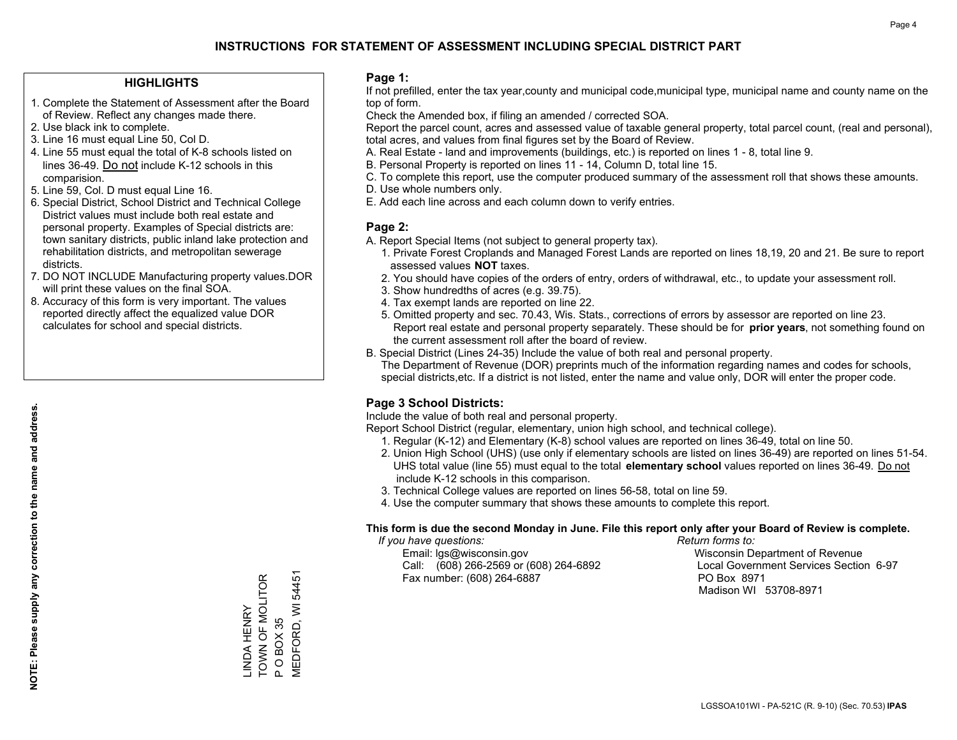### **HIGHLIGHTS**

- 1. Complete the Statement of Assessment after the Board of Review. Reflect any changes made there.
- 2. Use black ink to complete.
- 3. Line 16 must equal Line 50, Col D.
- 4. Line 55 must equal the total of K-8 schools listed on lines 36-49. Do not include K-12 schools in this comparision.
- 5. Line 59, Col. D must equal Line 16.
- 6. Special District, School District and Technical College District values must include both real estate and personal property. Examples of Special districts are: town sanitary districts, public inland lake protection and rehabilitation districts, and metropolitan sewerage districts.
- 7. DO NOT INCLUDE Manufacturing property values.DOR will print these values on the final SOA.

LINDA HENRY TOWN OF MOLITOR

\_INDA HENRY<br>TOWN OF MOLITOR

P O BOX 35

 $\Delta$ 

O BOX 35

MEDFORD, WI 54451

**MEDFORD, WI 54451** 

 8. Accuracy of this form is very important. The values reported directly affect the equalized value DOR calculates for school and special districts.

### **Page 1:**

 If not prefilled, enter the tax year,county and municipal code,municipal type, municipal name and county name on the top of form.

Check the Amended box, if filing an amended / corrected SOA.

 Report the parcel count, acres and assessed value of taxable general property, total parcel count, (real and personal), total acres, and values from final figures set by the Board of Review.

- A. Real Estate land and improvements (buildings, etc.) is reported on lines 1 8, total line 9.
- B. Personal Property is reported on lines 11 14, Column D, total line 15.
- C. To complete this report, use the computer produced summary of the assessment roll that shows these amounts.
- D. Use whole numbers only.
- E. Add each line across and each column down to verify entries.

### **Page 2:**

- A. Report Special Items (not subject to general property tax).
- 1. Private Forest Croplands and Managed Forest Lands are reported on lines 18,19, 20 and 21. Be sure to report assessed values **NOT** taxes.
- 2. You should have copies of the orders of entry, orders of withdrawal, etc., to update your assessment roll.
	- 3. Show hundredths of acres (e.g. 39.75).
- 4. Tax exempt lands are reported on line 22.
- 5. Omitted property and sec. 70.43, Wis. Stats., corrections of errors by assessor are reported on line 23. Report real estate and personal property separately. These should be for **prior years**, not something found on the current assessment roll after the board of review.
- B. Special District (Lines 24-35) Include the value of both real and personal property.
- The Department of Revenue (DOR) preprints much of the information regarding names and codes for schools, special districts,etc. If a district is not listed, enter the name and value only, DOR will enter the proper code.

## **Page 3 School Districts:**

Include the value of both real and personal property.

Report School District (regular, elementary, union high school, and technical college).

- 1. Regular (K-12) and Elementary (K-8) school values are reported on lines 36-49, total on line 50.
- 2. Union High School (UHS) (use only if elementary schools are listed on lines 36-49) are reported on lines 51-54. UHS total value (line 55) must equal to the total **elementary school** values reported on lines 36-49. Do notinclude K-12 schools in this comparison.
- 3. Technical College values are reported on lines 56-58, total on line 59.
- 4. Use the computer summary that shows these amounts to complete this report.

#### **This form is due the second Monday in June. File this report only after your Board of Review is complete.**

 *If you have questions: Return forms to:*

 Email: lgs@wisconsin.gov Wisconsin Department of RevenueCall:  $(608)$  266-2569 or  $(608)$  264-6892 Fax number: (608) 264-6887 PO Box 8971

Local Government Services Section 6-97 Madison WI 53708-8971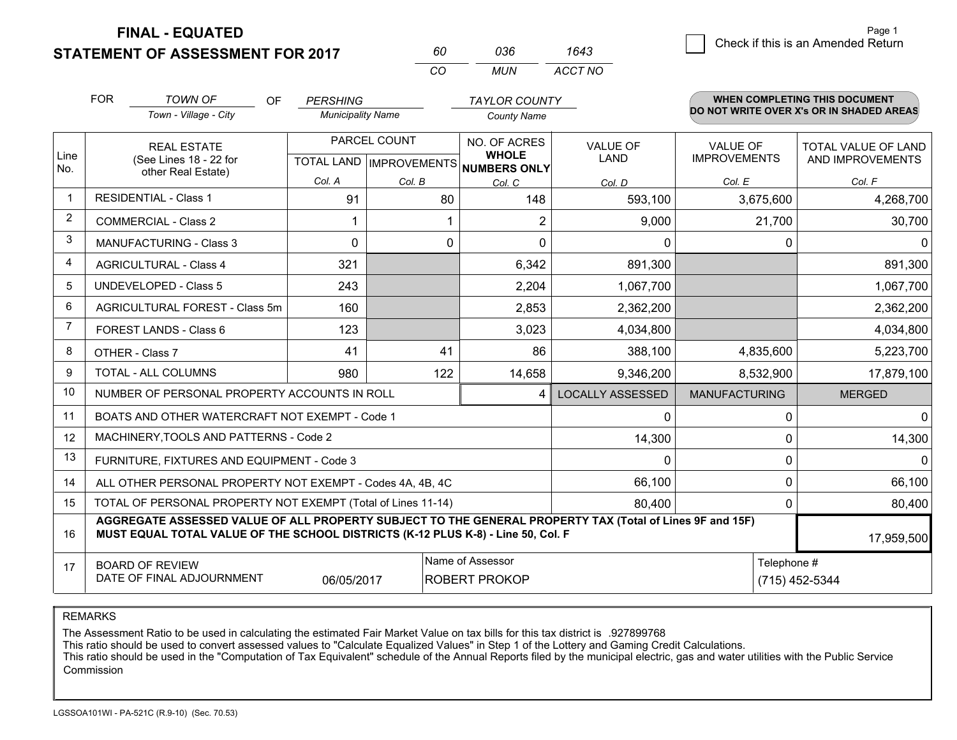**FINAL - EQUATED**

**STATEMENT OF ASSESSMENT FOR 2017** 

*CO MUN <sup>60</sup> <sup>036</sup> ACCT NO1643*

3 Check if this is an Amended Return Page 1

|             | <b>FOR</b>                                                                                                                                                                                                 | <b>TOWN OF</b><br><b>OF</b><br>Town - Village - City         | <b>PERSHING</b><br><b>Municipality Name</b> |              | <b>TAYLOR COUNTY</b><br><b>County Name</b>               |                         |                      | WHEN COMPLETING THIS DOCUMENT<br>DO NOT WRITE OVER X's OR IN SHADED AREAS |
|-------------|------------------------------------------------------------------------------------------------------------------------------------------------------------------------------------------------------------|--------------------------------------------------------------|---------------------------------------------|--------------|----------------------------------------------------------|-------------------------|----------------------|---------------------------------------------------------------------------|
|             |                                                                                                                                                                                                            | <b>REAL ESTATE</b>                                           |                                             | PARCEL COUNT | NO. OF ACRES                                             | <b>VALUE OF</b>         | <b>VALUE OF</b>      | TOTAL VALUE OF LAND                                                       |
| Line<br>No. |                                                                                                                                                                                                            | (See Lines 18 - 22 for<br>other Real Estate)                 |                                             |              | <b>WHOLE</b><br>TOTAL LAND   IMPROVEMENTS   NUMBERS ONLY | LAND                    | <b>IMPROVEMENTS</b>  | AND IMPROVEMENTS                                                          |
|             |                                                                                                                                                                                                            |                                                              | Col. A                                      | Col. B       | Col. C                                                   | Col. D                  | Col. E               | Col. F                                                                    |
| -1          |                                                                                                                                                                                                            | <b>RESIDENTIAL - Class 1</b>                                 | 91                                          | 80           | 148                                                      | 593,100                 | 3,675,600            | 4,268,700                                                                 |
| 2           |                                                                                                                                                                                                            | COMMERCIAL - Class 2                                         |                                             |              | 2                                                        | 9,000                   | 21,700               | 30,700                                                                    |
| 3           |                                                                                                                                                                                                            | <b>MANUFACTURING - Class 3</b>                               | $\Omega$                                    | $\Omega$     | $\Omega$                                                 | $\Omega$                | $\Omega$             | $\Omega$                                                                  |
| 4           |                                                                                                                                                                                                            | <b>AGRICULTURAL - Class 4</b>                                | 321                                         |              | 6,342                                                    | 891,300                 |                      | 891,300                                                                   |
| 5           |                                                                                                                                                                                                            | UNDEVELOPED - Class 5                                        | 243                                         |              | 2,204                                                    | 1,067,700               |                      | 1,067,700                                                                 |
| 6           |                                                                                                                                                                                                            | AGRICULTURAL FOREST - Class 5m                               | 160                                         |              | 2,853                                                    | 2,362,200               |                      | 2,362,200                                                                 |
| 7           | FOREST LANDS - Class 6                                                                                                                                                                                     |                                                              | 123                                         |              | 3,023                                                    | 4,034,800               |                      | 4,034,800                                                                 |
| 8           |                                                                                                                                                                                                            | OTHER - Class 7                                              | 41                                          | 41           | 86                                                       | 388,100                 | 4,835,600            | 5,223,700                                                                 |
| 9           |                                                                                                                                                                                                            | TOTAL - ALL COLUMNS                                          | 980                                         | 122          | 14,658                                                   | 9,346,200               | 8,532,900            | 17,879,100                                                                |
| 10          |                                                                                                                                                                                                            | NUMBER OF PERSONAL PROPERTY ACCOUNTS IN ROLL                 |                                             |              | $\boldsymbol{4}$                                         | <b>LOCALLY ASSESSED</b> | <b>MANUFACTURING</b> | <b>MERGED</b>                                                             |
| 11          |                                                                                                                                                                                                            | BOATS AND OTHER WATERCRAFT NOT EXEMPT - Code 1               |                                             |              |                                                          | 0                       | $\Omega$             | $\mathbf 0$                                                               |
| 12          |                                                                                                                                                                                                            | MACHINERY, TOOLS AND PATTERNS - Code 2                       |                                             |              |                                                          | 14,300                  | $\mathbf 0$          | 14,300                                                                    |
| 13          |                                                                                                                                                                                                            | FURNITURE, FIXTURES AND EQUIPMENT - Code 3                   |                                             |              |                                                          | $\Omega$                | $\mathbf 0$          | $\Omega$                                                                  |
| 14          |                                                                                                                                                                                                            | ALL OTHER PERSONAL PROPERTY NOT EXEMPT - Codes 4A, 4B, 4C    |                                             |              |                                                          | 66,100                  | 0                    | 66,100                                                                    |
| 15          |                                                                                                                                                                                                            | TOTAL OF PERSONAL PROPERTY NOT EXEMPT (Total of Lines 11-14) |                                             |              |                                                          | 80,400                  | 0                    | 80,400                                                                    |
| 16          | AGGREGATE ASSESSED VALUE OF ALL PROPERTY SUBJECT TO THE GENERAL PROPERTY TAX (Total of Lines 9F and 15F)<br>MUST EQUAL TOTAL VALUE OF THE SCHOOL DISTRICTS (K-12 PLUS K-8) - Line 50, Col. F<br>17,959,500 |                                                              |                                             |              |                                                          |                         |                      |                                                                           |
| 17          | Name of Assessor<br><b>BOARD OF REVIEW</b><br>DATE OF FINAL ADJOURNMENT<br>06/05/2017<br>ROBERT PROKOP                                                                                                     |                                                              |                                             |              |                                                          |                         | Telephone #          | (715) 452-5344                                                            |

REMARKS

The Assessment Ratio to be used in calculating the estimated Fair Market Value on tax bills for this tax district is .927899768<br>This ratio should be used to convert assessed values to "Calculate Equalized Values" in Step 1 Commission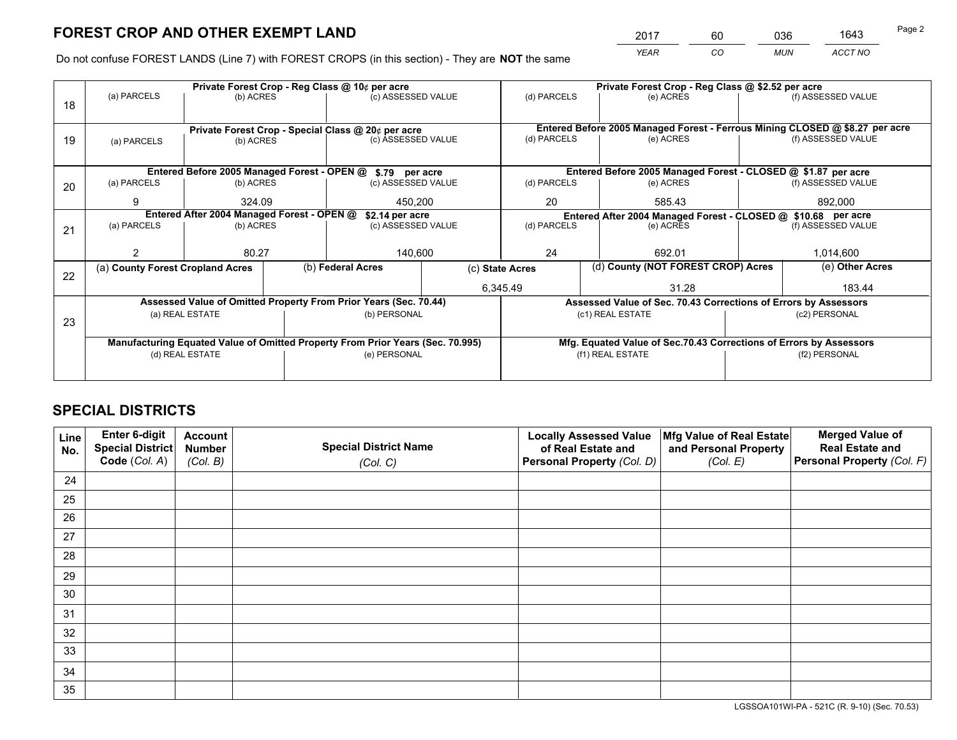*YEAR CO MUN ACCT NO* <sup>2017</sup> <sup>60</sup> <sup>036</sup> <sup>1643</sup>

Do not confuse FOREST LANDS (Line 7) with FOREST CROPS (in this section) - They are **NOT** the same

|    | Private Forest Crop - Reg Class @ 10¢ per acre                                 |                                                    |  |                    |                                                                              | Private Forest Crop - Reg Class @ \$2.52 per acre                  |               |                                    |                    |                    |
|----|--------------------------------------------------------------------------------|----------------------------------------------------|--|--------------------|------------------------------------------------------------------------------|--------------------------------------------------------------------|---------------|------------------------------------|--------------------|--------------------|
| 18 | (a) PARCELS<br>(b) ACRES                                                       |                                                    |  | (c) ASSESSED VALUE | (d) PARCELS                                                                  |                                                                    | (e) ACRES     |                                    | (f) ASSESSED VALUE |                    |
|    |                                                                                |                                                    |  |                    |                                                                              |                                                                    |               |                                    |                    |                    |
|    |                                                                                | Private Forest Crop - Special Class @ 20¢ per acre |  |                    | Entered Before 2005 Managed Forest - Ferrous Mining CLOSED @ \$8.27 per acre |                                                                    |               |                                    |                    |                    |
| 19 | (a) PARCELS                                                                    | (c) ASSESSED VALUE<br>(b) ACRES                    |  |                    | (d) PARCELS                                                                  |                                                                    | (e) ACRES     |                                    | (f) ASSESSED VALUE |                    |
|    |                                                                                |                                                    |  |                    |                                                                              |                                                                    |               |                                    |                    |                    |
|    | Entered Before 2005 Managed Forest - OPEN @ \$.79 per acre                     |                                                    |  |                    |                                                                              | Entered Before 2005 Managed Forest - CLOSED @ \$1.87 per acre      |               |                                    |                    |                    |
| 20 | (a) PARCELS                                                                    | (b) ACRES                                          |  | (c) ASSESSED VALUE |                                                                              | (d) PARCELS                                                        |               | (e) ACRES                          |                    | (f) ASSESSED VALUE |
|    | 9                                                                              | 324.09                                             |  | 450.200            |                                                                              | 20                                                                 |               | 585.43                             |                    | 892.000            |
|    | Entered After 2004 Managed Forest - OPEN @<br>\$2.14 per acre                  |                                                    |  |                    |                                                                              | Entered After 2004 Managed Forest - CLOSED @ \$10.68 per acre      |               |                                    |                    |                    |
| 21 | (a) PARCELS                                                                    | (b) ACRES<br>(c) ASSESSED VALUE                    |  |                    | (d) PARCELS                                                                  |                                                                    | (e) ACRES     | (f) ASSESSED VALUE                 |                    |                    |
|    |                                                                                |                                                    |  |                    |                                                                              |                                                                    |               |                                    |                    |                    |
|    |                                                                                | 80.27<br>140,600                                   |  |                    | 24                                                                           |                                                                    | 692.01        |                                    | 1,014,600          |                    |
| 22 | (a) County Forest Cropland Acres                                               |                                                    |  | (b) Federal Acres  | (c) State Acres                                                              |                                                                    |               | (d) County (NOT FOREST CROP) Acres |                    | (e) Other Acres    |
|    |                                                                                |                                                    |  |                    | 6,345.49                                                                     |                                                                    |               | 31.28                              |                    | 183.44             |
|    | Assessed Value of Omitted Property From Prior Years (Sec. 70.44)               |                                                    |  |                    |                                                                              | Assessed Value of Sec. 70.43 Corrections of Errors by Assessors    |               |                                    |                    |                    |
| 23 | (a) REAL ESTATE<br>(b) PERSONAL                                                |                                                    |  |                    |                                                                              |                                                                    |               | (c1) REAL ESTATE                   |                    | (c2) PERSONAL      |
|    |                                                                                |                                                    |  |                    |                                                                              |                                                                    |               |                                    |                    |                    |
|    | Manufacturing Equated Value of Omitted Property From Prior Years (Sec. 70.995) |                                                    |  |                    |                                                                              | Mfg. Equated Value of Sec.70.43 Corrections of Errors by Assessors |               |                                    |                    |                    |
|    | (d) REAL ESTATE                                                                |                                                    |  | (e) PERSONAL       | (f1) REAL ESTATE                                                             |                                                                    | (f2) PERSONAL |                                    |                    |                    |
|    |                                                                                |                                                    |  |                    |                                                                              |                                                                    |               |                                    |                    |                    |

## **SPECIAL DISTRICTS**

| Line<br>No. | Enter 6-digit<br>Special District<br>Code (Col. A) | <b>Account</b><br><b>Number</b><br>(Col. B) | <b>Special District Name</b><br>(Col. C) | <b>Locally Assessed Value</b><br>of Real Estate and<br>Personal Property (Col. D) | Mfg Value of Real Estate<br>and Personal Property<br>(Col. E) | <b>Merged Value of</b><br><b>Real Estate and</b><br>Personal Property (Col. F) |
|-------------|----------------------------------------------------|---------------------------------------------|------------------------------------------|-----------------------------------------------------------------------------------|---------------------------------------------------------------|--------------------------------------------------------------------------------|
| 24          |                                                    |                                             |                                          |                                                                                   |                                                               |                                                                                |
| 25          |                                                    |                                             |                                          |                                                                                   |                                                               |                                                                                |
| 26          |                                                    |                                             |                                          |                                                                                   |                                                               |                                                                                |
| 27          |                                                    |                                             |                                          |                                                                                   |                                                               |                                                                                |
| 28          |                                                    |                                             |                                          |                                                                                   |                                                               |                                                                                |
| 29          |                                                    |                                             |                                          |                                                                                   |                                                               |                                                                                |
| 30          |                                                    |                                             |                                          |                                                                                   |                                                               |                                                                                |
| 31          |                                                    |                                             |                                          |                                                                                   |                                                               |                                                                                |
| 32          |                                                    |                                             |                                          |                                                                                   |                                                               |                                                                                |
| 33          |                                                    |                                             |                                          |                                                                                   |                                                               |                                                                                |
| 34          |                                                    |                                             |                                          |                                                                                   |                                                               |                                                                                |
| 35          |                                                    |                                             |                                          |                                                                                   |                                                               |                                                                                |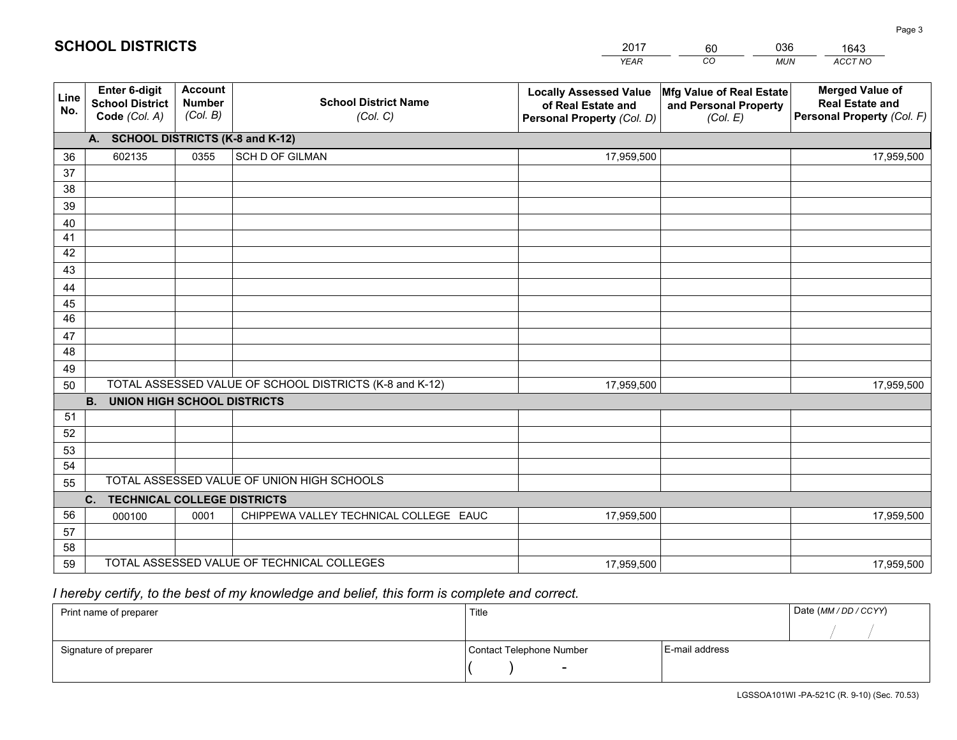|             |                                                          |                                             |                                                         | <b>YEAR</b>                                                                       | CO<br><b>MUN</b>                                              | ACCT NO                                                                        |
|-------------|----------------------------------------------------------|---------------------------------------------|---------------------------------------------------------|-----------------------------------------------------------------------------------|---------------------------------------------------------------|--------------------------------------------------------------------------------|
| Line<br>No. | Enter 6-digit<br><b>School District</b><br>Code (Col. A) | <b>Account</b><br><b>Number</b><br>(Col. B) | <b>School District Name</b><br>(Col. C)                 | <b>Locally Assessed Value</b><br>of Real Estate and<br>Personal Property (Col. D) | Mfg Value of Real Estate<br>and Personal Property<br>(Col. E) | <b>Merged Value of</b><br><b>Real Estate and</b><br>Personal Property (Col. F) |
|             | A. SCHOOL DISTRICTS (K-8 and K-12)                       |                                             |                                                         |                                                                                   |                                                               |                                                                                |
| 36          | 602135                                                   | 0355                                        | SCH D OF GILMAN                                         | 17,959,500                                                                        |                                                               | 17,959,500                                                                     |
| 37          |                                                          |                                             |                                                         |                                                                                   |                                                               |                                                                                |
| 38          |                                                          |                                             |                                                         |                                                                                   |                                                               |                                                                                |
| 39          |                                                          |                                             |                                                         |                                                                                   |                                                               |                                                                                |
| 40          |                                                          |                                             |                                                         |                                                                                   |                                                               |                                                                                |
| 41          |                                                          |                                             |                                                         |                                                                                   |                                                               |                                                                                |
| 42          |                                                          |                                             |                                                         |                                                                                   |                                                               |                                                                                |
| 43          |                                                          |                                             |                                                         |                                                                                   |                                                               |                                                                                |
| 44          |                                                          |                                             |                                                         |                                                                                   |                                                               |                                                                                |
| 45<br>46    |                                                          |                                             |                                                         |                                                                                   |                                                               |                                                                                |
|             |                                                          |                                             |                                                         |                                                                                   |                                                               |                                                                                |
| 47<br>48    |                                                          |                                             |                                                         |                                                                                   |                                                               |                                                                                |
| 49          |                                                          |                                             |                                                         |                                                                                   |                                                               |                                                                                |
| 50          |                                                          |                                             | TOTAL ASSESSED VALUE OF SCHOOL DISTRICTS (K-8 and K-12) | 17,959,500                                                                        |                                                               | 17,959,500                                                                     |
|             | <b>B.</b><br><b>UNION HIGH SCHOOL DISTRICTS</b>          |                                             |                                                         |                                                                                   |                                                               |                                                                                |
| 51          |                                                          |                                             |                                                         |                                                                                   |                                                               |                                                                                |
| 52          |                                                          |                                             |                                                         |                                                                                   |                                                               |                                                                                |
| 53          |                                                          |                                             |                                                         |                                                                                   |                                                               |                                                                                |
| 54          |                                                          |                                             |                                                         |                                                                                   |                                                               |                                                                                |
| 55          |                                                          |                                             | TOTAL ASSESSED VALUE OF UNION HIGH SCHOOLS              |                                                                                   |                                                               |                                                                                |
|             | C. TECHNICAL COLLEGE DISTRICTS                           |                                             |                                                         |                                                                                   |                                                               |                                                                                |
| 56          | 000100                                                   | 0001                                        | CHIPPEWA VALLEY TECHNICAL COLLEGE EAUC                  | 17,959,500                                                                        |                                                               | 17,959,500                                                                     |
| 57          |                                                          |                                             |                                                         |                                                                                   |                                                               |                                                                                |
| 58          |                                                          |                                             |                                                         |                                                                                   |                                                               |                                                                                |
| 59          |                                                          |                                             | TOTAL ASSESSED VALUE OF TECHNICAL COLLEGES              | 17,959,500                                                                        |                                                               | 17,959,500                                                                     |

# *I hereby certify, to the best of my knowledge and belief, this form is complete and correct.*

| Print name of preparer | Title                    | Date (MM / DD / CCYY) |
|------------------------|--------------------------|-----------------------|
|                        |                          |                       |
| Signature of preparer  | Contact Telephone Number | E-mail address        |
|                        | $\overline{\phantom{0}}$ |                       |

# **SCHOOL DISTRICTS**

201760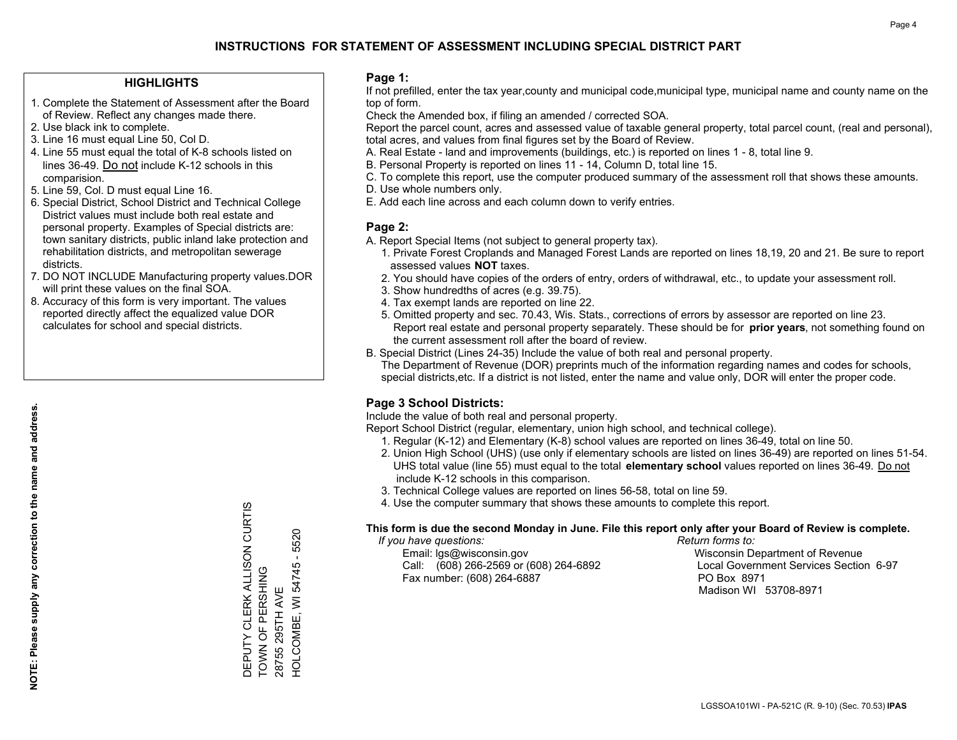### **HIGHLIGHTS**

- 1. Complete the Statement of Assessment after the Board of Review. Reflect any changes made there.
- 2. Use black ink to complete.
- 3. Line 16 must equal Line 50, Col D.
- 4. Line 55 must equal the total of K-8 schools listed on lines 36-49. Do not include K-12 schools in this comparision.
- 5. Line 59, Col. D must equal Line 16.
- 6. Special District, School District and Technical College District values must include both real estate and personal property. Examples of Special districts are: town sanitary districts, public inland lake protection and rehabilitation districts, and metropolitan sewerage districts.
- 7. DO NOT INCLUDE Manufacturing property values.DOR will print these values on the final SOA.
- 8. Accuracy of this form is very important. The values reported directly affect the equalized value DOR calculates for school and special districts.

#### **Page 1:**

 If not prefilled, enter the tax year,county and municipal code,municipal type, municipal name and county name on the top of form.

Check the Amended box, if filing an amended / corrected SOA.

 Report the parcel count, acres and assessed value of taxable general property, total parcel count, (real and personal), total acres, and values from final figures set by the Board of Review.

- A. Real Estate land and improvements (buildings, etc.) is reported on lines 1 8, total line 9.
- B. Personal Property is reported on lines 11 14, Column D, total line 15.
- C. To complete this report, use the computer produced summary of the assessment roll that shows these amounts.
- D. Use whole numbers only.
- E. Add each line across and each column down to verify entries.

### **Page 2:**

- A. Report Special Items (not subject to general property tax).
- 1. Private Forest Croplands and Managed Forest Lands are reported on lines 18,19, 20 and 21. Be sure to report assessed values **NOT** taxes.
- 2. You should have copies of the orders of entry, orders of withdrawal, etc., to update your assessment roll.
	- 3. Show hundredths of acres (e.g. 39.75).
- 4. Tax exempt lands are reported on line 22.
- 5. Omitted property and sec. 70.43, Wis. Stats., corrections of errors by assessor are reported on line 23. Report real estate and personal property separately. These should be for **prior years**, not something found on the current assessment roll after the board of review.
- B. Special District (Lines 24-35) Include the value of both real and personal property.
- The Department of Revenue (DOR) preprints much of the information regarding names and codes for schools, special districts,etc. If a district is not listed, enter the name and value only, DOR will enter the proper code.

## **Page 3 School Districts:**

Include the value of both real and personal property.

Report School District (regular, elementary, union high school, and technical college).

- 1. Regular (K-12) and Elementary (K-8) school values are reported on lines 36-49, total on line 50.
- 2. Union High School (UHS) (use only if elementary schools are listed on lines 36-49) are reported on lines 51-54. UHS total value (line 55) must equal to the total **elementary school** values reported on lines 36-49. Do notinclude K-12 schools in this comparison.
- 3. Technical College values are reported on lines 56-58, total on line 59.
- 4. Use the computer summary that shows these amounts to complete this report.

#### **This form is due the second Monday in June. File this report only after your Board of Review is complete.**

 *If you have questions: Return forms to:*

 Email: lgs@wisconsin.gov Wisconsin Department of RevenueCall:  $(608)$  266-2569 or  $(608)$  264-6892 Fax number: (608) 264-6887 PO Box 8971

Local Government Services Section 6-97 Madison WI 53708-8971

**NOTE: Please supply any correction to the name and address.** NOTE: Please supply any correction to the name and address.

DEPUTY CLERK ALLISON CURTIS<br>TOWN OF PERSHING DEPUTY CLERK ALLISON CURTIS 5520 HOLCOMBE, WI 54745 -TOWN OF PERSHING 28755 295TH AVE 28755 295TH AVE

HOLCOMBE, WI 54745 - 5520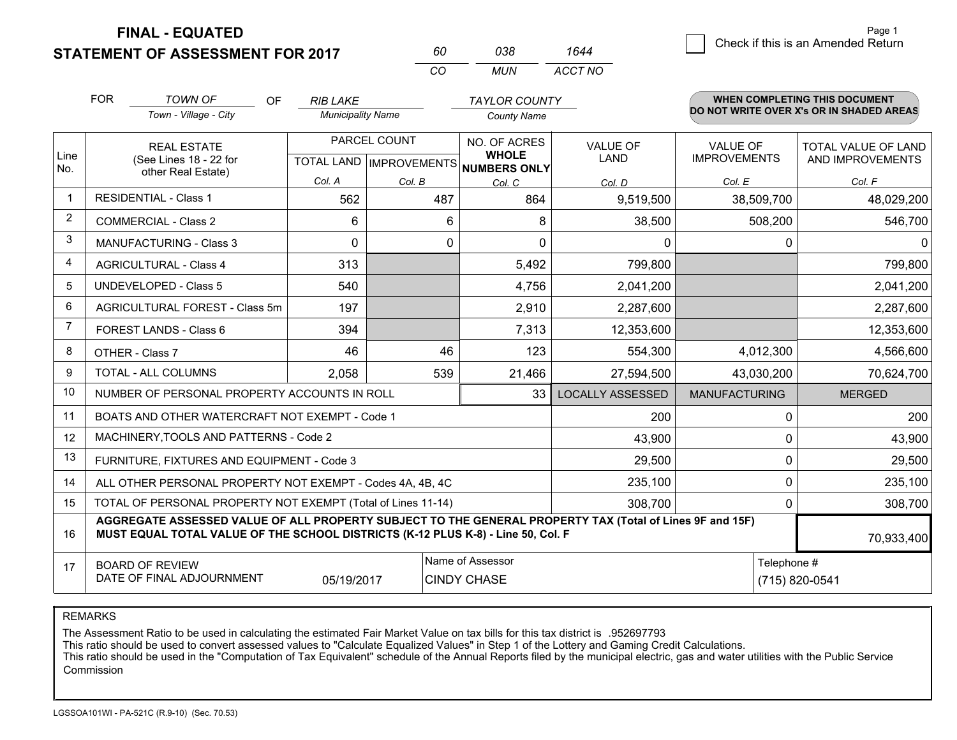**FINAL - EQUATED**

**STATEMENT OF ASSESSMENT FOR 2017** 

| 60  | 038. | 1644    |  |
|-----|------|---------|--|
| -CO | MUN  | ACCT NO |  |

|              | <b>FOR</b>                                                                   | <b>TOWN OF</b><br>OF.                                                                                                                                                                        | <b>RIB LAKE</b>          |                           | <b>TAYLOR COUNTY</b>                |                         |                      | <b>WHEN COMPLETING THIS DOCUMENT</b>     |
|--------------|------------------------------------------------------------------------------|----------------------------------------------------------------------------------------------------------------------------------------------------------------------------------------------|--------------------------|---------------------------|-------------------------------------|-------------------------|----------------------|------------------------------------------|
|              |                                                                              | Town - Village - City                                                                                                                                                                        | <b>Municipality Name</b> |                           | <b>County Name</b>                  |                         |                      | DO NOT WRITE OVER X's OR IN SHADED AREAS |
|              | <b>REAL ESTATE</b>                                                           |                                                                                                                                                                                              |                          | PARCEL COUNT              | NO. OF ACRES                        | <b>VALUE OF</b>         | VALUE OF             | <b>TOTAL VALUE OF LAND</b>               |
| Line<br>No.  |                                                                              | (See Lines 18 - 22 for<br>other Real Estate)                                                                                                                                                 |                          | TOTAL LAND   IMPROVEMENTS | <b>WHOLE</b><br><b>NUMBERS ONLY</b> | LAND                    | <b>IMPROVEMENTS</b>  | AND IMPROVEMENTS                         |
|              |                                                                              |                                                                                                                                                                                              | Col. A                   | Col. B                    | Col. C                              | Col. D                  | Col. E               | Col. F                                   |
| $\mathbf{1}$ |                                                                              | <b>RESIDENTIAL - Class 1</b>                                                                                                                                                                 | 562                      | 487                       | 864                                 | 9,519,500               | 38,509,700           | 48,029,200                               |
| 2            |                                                                              | <b>COMMERCIAL - Class 2</b>                                                                                                                                                                  | 6                        | 6                         | 8                                   | 38,500                  | 508,200              | 546,700                                  |
| 3            |                                                                              | <b>MANUFACTURING - Class 3</b>                                                                                                                                                               | $\Omega$                 | 0                         | $\Omega$                            | 0                       | $\Omega$             | $\Omega$                                 |
| 4            |                                                                              | <b>AGRICULTURAL - Class 4</b>                                                                                                                                                                | 313                      |                           | 5,492                               | 799,800                 |                      | 799,800                                  |
| 5            |                                                                              | <b>UNDEVELOPED - Class 5</b>                                                                                                                                                                 | 540                      |                           | 4,756                               | 2,041,200               |                      | 2,041,200                                |
| 6            |                                                                              | AGRICULTURAL FOREST - Class 5m                                                                                                                                                               | 197                      |                           | 2,910                               | 2,287,600               |                      | 2,287,600                                |
| 7            |                                                                              | FOREST LANDS - Class 6                                                                                                                                                                       | 394                      |                           | 7,313                               | 12,353,600              |                      | 12,353,600                               |
| 8            |                                                                              | OTHER - Class 7                                                                                                                                                                              | 46                       | 46                        | 123                                 | 554,300                 | 4,012,300            | 4,566,600                                |
| 9            |                                                                              | <b>TOTAL - ALL COLUMNS</b>                                                                                                                                                                   | 2,058                    | 539                       | 21,466                              | 27,594,500              | 43,030,200           | 70,624,700                               |
| 10           |                                                                              | NUMBER OF PERSONAL PROPERTY ACCOUNTS IN ROLL                                                                                                                                                 |                          |                           | 33                                  | <b>LOCALLY ASSESSED</b> | <b>MANUFACTURING</b> | <b>MERGED</b>                            |
| 11           |                                                                              | BOATS AND OTHER WATERCRAFT NOT EXEMPT - Code 1                                                                                                                                               |                          |                           |                                     | 200                     | 0                    | 200                                      |
| 12           |                                                                              | MACHINERY, TOOLS AND PATTERNS - Code 2                                                                                                                                                       |                          |                           |                                     | 43,900                  | 0                    | 43,900                                   |
| 13           |                                                                              | FURNITURE, FIXTURES AND EQUIPMENT - Code 3                                                                                                                                                   |                          |                           |                                     | 29,500                  | 0                    | 29,500                                   |
| 14           | 0<br>235,100<br>ALL OTHER PERSONAL PROPERTY NOT EXEMPT - Codes 4A, 4B, 4C    |                                                                                                                                                                                              |                          |                           |                                     | 235,100                 |                      |                                          |
| 15           | TOTAL OF PERSONAL PROPERTY NOT EXEMPT (Total of Lines 11-14)<br>308,700<br>0 |                                                                                                                                                                                              |                          |                           | 308,700                             |                         |                      |                                          |
| 16           |                                                                              | AGGREGATE ASSESSED VALUE OF ALL PROPERTY SUBJECT TO THE GENERAL PROPERTY TAX (Total of Lines 9F and 15F)<br>MUST EQUAL TOTAL VALUE OF THE SCHOOL DISTRICTS (K-12 PLUS K-8) - Line 50, Col. F |                          |                           |                                     |                         |                      | 70,933,400                               |
| 17           |                                                                              | <b>BOARD OF REVIEW</b>                                                                                                                                                                       |                          |                           | Name of Assessor                    |                         | Telephone #          |                                          |
|              |                                                                              | DATE OF FINAL ADJOURNMENT                                                                                                                                                                    | 05/19/2017               |                           | <b>CINDY CHASE</b>                  |                         |                      | (715) 820-0541                           |

REMARKS

The Assessment Ratio to be used in calculating the estimated Fair Market Value on tax bills for this tax district is .952697793

This ratio should be used to convert assessed values to "Calculate Equalized Values" in Step 1 of the Lottery and Gaming Credit Calculations.

 This ratio should be used in the "Computation of Tax Equivalent" schedule of the Annual Reports filed by the municipal electric, gas and water utilities with the Public Service Commission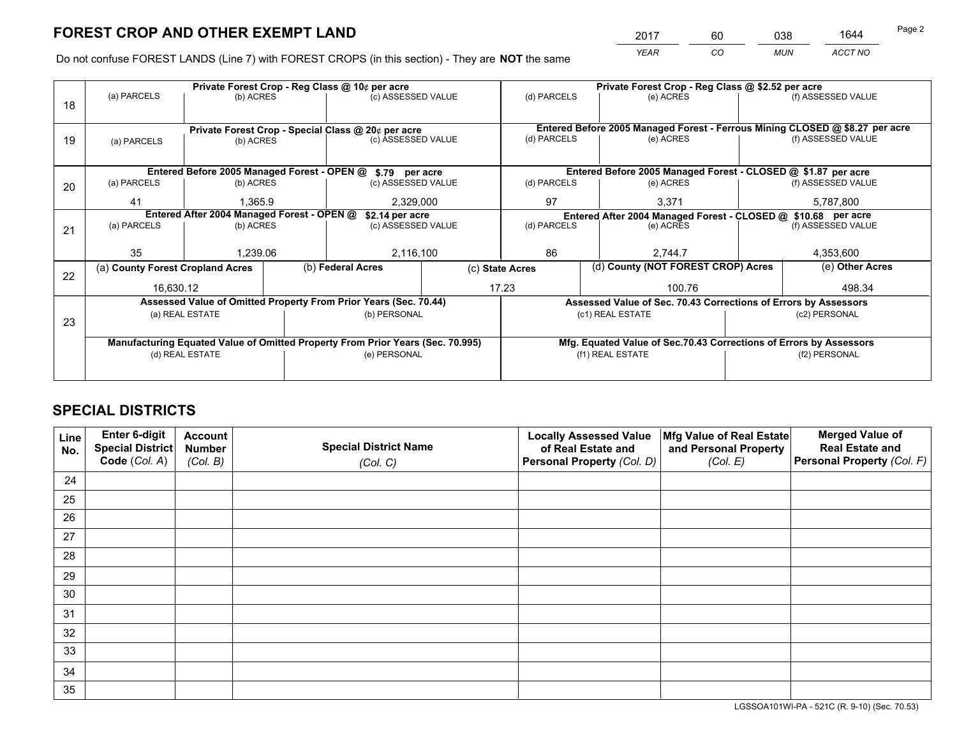*YEAR CO MUN ACCT NO* <sup>2017</sup> <sup>60</sup> <sup>038</sup> <sup>1644</sup>

Do not confuse FOREST LANDS (Line 7) with FOREST CROPS (in this section) - They are **NOT** the same

|    |                                  |                                                                                                                                |           | Private Forest Crop - Reg Class @ 10¢ per acre                                 |  |                 | Private Forest Crop - Reg Class @ \$2.52 per acre                            |  |                    |  |
|----|----------------------------------|--------------------------------------------------------------------------------------------------------------------------------|-----------|--------------------------------------------------------------------------------|--|-----------------|------------------------------------------------------------------------------|--|--------------------|--|
| 18 | (a) PARCELS                      | (b) ACRES                                                                                                                      |           | (c) ASSESSED VALUE                                                             |  | (d) PARCELS     | (e) ACRES                                                                    |  | (f) ASSESSED VALUE |  |
|    |                                  |                                                                                                                                |           | Private Forest Crop - Special Class @ 20¢ per acre                             |  |                 | Entered Before 2005 Managed Forest - Ferrous Mining CLOSED @ \$8.27 per acre |  |                    |  |
| 19 | (a) PARCELS                      | (b) ACRES                                                                                                                      |           | (c) ASSESSED VALUE                                                             |  | (d) PARCELS     | (e) ACRES                                                                    |  | (f) ASSESSED VALUE |  |
|    |                                  |                                                                                                                                |           |                                                                                |  |                 |                                                                              |  |                    |  |
|    |                                  |                                                                                                                                |           | Entered Before 2005 Managed Forest - OPEN @ \$.79 per acre                     |  |                 | Entered Before 2005 Managed Forest - CLOSED @ \$1.87 per acre                |  |                    |  |
| 20 | (a) PARCELS                      | (b) ACRES                                                                                                                      |           | (c) ASSESSED VALUE                                                             |  | (d) PARCELS     | (e) ACRES                                                                    |  | (f) ASSESSED VALUE |  |
|    | 41                               | 1,365.9                                                                                                                        | 2,329,000 |                                                                                |  | 97              | 3,371                                                                        |  | 5,787,800          |  |
|    |                                  | Entered After 2004 Managed Forest - OPEN @<br>\$2.14 per acre<br>Entered After 2004 Managed Forest - CLOSED @ \$10.68 per acre |           |                                                                                |  |                 |                                                                              |  |                    |  |
| 21 | (a) PARCELS                      | (b) ACRES                                                                                                                      |           | (c) ASSESSED VALUE                                                             |  | (d) PARCELS     | (e) ACRES                                                                    |  | (f) ASSESSED VALUE |  |
|    |                                  |                                                                                                                                |           |                                                                                |  |                 |                                                                              |  |                    |  |
|    | 35                               | 1,239.06                                                                                                                       |           | 2,116,100                                                                      |  | 86<br>2.744.7   |                                                                              |  | 4,353,600          |  |
| 22 | (a) County Forest Cropland Acres |                                                                                                                                |           | (b) Federal Acres                                                              |  | (c) State Acres | (d) County (NOT FOREST CROP) Acres                                           |  | (e) Other Acres    |  |
|    | 16,630.12                        |                                                                                                                                |           |                                                                                |  | 17.23<br>100.76 |                                                                              |  | 498.34             |  |
|    |                                  |                                                                                                                                |           | Assessed Value of Omitted Property From Prior Years (Sec. 70.44)               |  |                 | Assessed Value of Sec. 70.43 Corrections of Errors by Assessors              |  |                    |  |
| 23 |                                  | (a) REAL ESTATE<br>(b) PERSONAL<br>(c1) REAL ESTATE<br>(c2) PERSONAL                                                           |           |                                                                                |  |                 |                                                                              |  |                    |  |
|    |                                  |                                                                                                                                |           |                                                                                |  |                 |                                                                              |  |                    |  |
|    |                                  |                                                                                                                                |           | Manufacturing Equated Value of Omitted Property From Prior Years (Sec. 70.995) |  |                 | Mfg. Equated Value of Sec.70.43 Corrections of Errors by Assessors           |  |                    |  |
|    |                                  | (d) REAL ESTATE                                                                                                                |           | (e) PERSONAL                                                                   |  |                 | (f1) REAL ESTATE                                                             |  | (f2) PERSONAL      |  |
|    |                                  |                                                                                                                                |           |                                                                                |  |                 |                                                                              |  |                    |  |

## **SPECIAL DISTRICTS**

| Line<br>No. | Enter 6-digit<br>Special District<br>Code (Col. A) | <b>Account</b><br><b>Number</b> | <b>Special District Name</b> | <b>Locally Assessed Value</b><br>of Real Estate and | Mfg Value of Real Estate<br>and Personal Property | <b>Merged Value of</b><br><b>Real Estate and</b><br>Personal Property (Col. F) |
|-------------|----------------------------------------------------|---------------------------------|------------------------------|-----------------------------------------------------|---------------------------------------------------|--------------------------------------------------------------------------------|
|             |                                                    | (Col. B)                        | (Col. C)                     | Personal Property (Col. D)                          | (Col. E)                                          |                                                                                |
| 24          |                                                    |                                 |                              |                                                     |                                                   |                                                                                |
| 25          |                                                    |                                 |                              |                                                     |                                                   |                                                                                |
| 26          |                                                    |                                 |                              |                                                     |                                                   |                                                                                |
| 27          |                                                    |                                 |                              |                                                     |                                                   |                                                                                |
| 28          |                                                    |                                 |                              |                                                     |                                                   |                                                                                |
| 29          |                                                    |                                 |                              |                                                     |                                                   |                                                                                |
| 30          |                                                    |                                 |                              |                                                     |                                                   |                                                                                |
| 31          |                                                    |                                 |                              |                                                     |                                                   |                                                                                |
| 32          |                                                    |                                 |                              |                                                     |                                                   |                                                                                |
| 33          |                                                    |                                 |                              |                                                     |                                                   |                                                                                |
| 34          |                                                    |                                 |                              |                                                     |                                                   |                                                                                |
| 35          |                                                    |                                 |                              |                                                     |                                                   |                                                                                |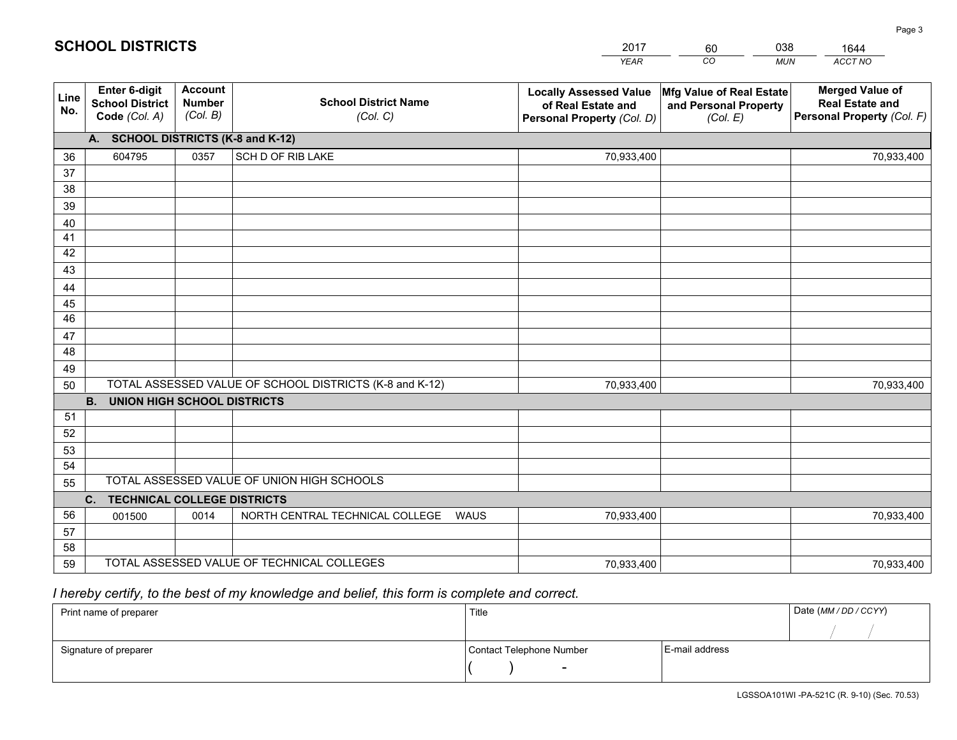|             |                                                          |                                             |                                                         | YEAR                                                                              | CO.<br><b>MUN</b>                                             | ACCT NO                                                                        |
|-------------|----------------------------------------------------------|---------------------------------------------|---------------------------------------------------------|-----------------------------------------------------------------------------------|---------------------------------------------------------------|--------------------------------------------------------------------------------|
| Line<br>No. | Enter 6-digit<br><b>School District</b><br>Code (Col. A) | <b>Account</b><br><b>Number</b><br>(Col. B) | <b>School District Name</b><br>(Col. C)                 | <b>Locally Assessed Value</b><br>of Real Estate and<br>Personal Property (Col. D) | Mfg Value of Real Estate<br>and Personal Property<br>(Col. E) | <b>Merged Value of</b><br><b>Real Estate and</b><br>Personal Property (Col. F) |
|             | <b>A.</b>                                                |                                             | <b>SCHOOL DISTRICTS (K-8 and K-12)</b>                  |                                                                                   |                                                               |                                                                                |
| 36          | 604795                                                   | 0357                                        | SCH D OF RIB LAKE                                       | 70,933,400                                                                        |                                                               | 70,933,400                                                                     |
| 37          |                                                          |                                             |                                                         |                                                                                   |                                                               |                                                                                |
| 38          |                                                          |                                             |                                                         |                                                                                   |                                                               |                                                                                |
| 39          |                                                          |                                             |                                                         |                                                                                   |                                                               |                                                                                |
| 40          |                                                          |                                             |                                                         |                                                                                   |                                                               |                                                                                |
| 41<br>42    |                                                          |                                             |                                                         |                                                                                   |                                                               |                                                                                |
| 43          |                                                          |                                             |                                                         |                                                                                   |                                                               |                                                                                |
| 44          |                                                          |                                             |                                                         |                                                                                   |                                                               |                                                                                |
| 45          |                                                          |                                             |                                                         |                                                                                   |                                                               |                                                                                |
| 46          |                                                          |                                             |                                                         |                                                                                   |                                                               |                                                                                |
| 47          |                                                          |                                             |                                                         |                                                                                   |                                                               |                                                                                |
| 48          |                                                          |                                             |                                                         |                                                                                   |                                                               |                                                                                |
| 49          |                                                          |                                             |                                                         |                                                                                   |                                                               |                                                                                |
| 50          |                                                          |                                             | TOTAL ASSESSED VALUE OF SCHOOL DISTRICTS (K-8 and K-12) | 70,933,400                                                                        |                                                               | 70,933,400                                                                     |
|             | <b>UNION HIGH SCHOOL DISTRICTS</b><br><b>B.</b>          |                                             |                                                         |                                                                                   |                                                               |                                                                                |
| 51          |                                                          |                                             |                                                         |                                                                                   |                                                               |                                                                                |
| 52          |                                                          |                                             |                                                         |                                                                                   |                                                               |                                                                                |
| 53          |                                                          |                                             |                                                         |                                                                                   |                                                               |                                                                                |
| 54          |                                                          |                                             | TOTAL ASSESSED VALUE OF UNION HIGH SCHOOLS              |                                                                                   |                                                               |                                                                                |
| 55          |                                                          |                                             |                                                         |                                                                                   |                                                               |                                                                                |
| 56          | $C_{1}$<br><b>TECHNICAL COLLEGE DISTRICTS</b>            |                                             |                                                         |                                                                                   |                                                               |                                                                                |
| 57          | 001500                                                   | 0014                                        | NORTH CENTRAL TECHNICAL COLLEGE<br><b>WAUS</b>          | 70,933,400                                                                        |                                                               | 70,933,400                                                                     |
| 58          |                                                          |                                             |                                                         |                                                                                   |                                                               |                                                                                |
| 59          |                                                          |                                             | TOTAL ASSESSED VALUE OF TECHNICAL COLLEGES              | 70,933,400                                                                        |                                                               | 70,933,400                                                                     |

60

038

 *I hereby certify, to the best of my knowledge and belief, this form is complete and correct.*

**SCHOOL DISTRICTS**

| Print name of preparer | Title                    |                | Date (MM / DD / CCYY) |
|------------------------|--------------------------|----------------|-----------------------|
|                        |                          |                |                       |
| Signature of preparer  | Contact Telephone Number | E-mail address |                       |
|                        | $\sim$                   |                |                       |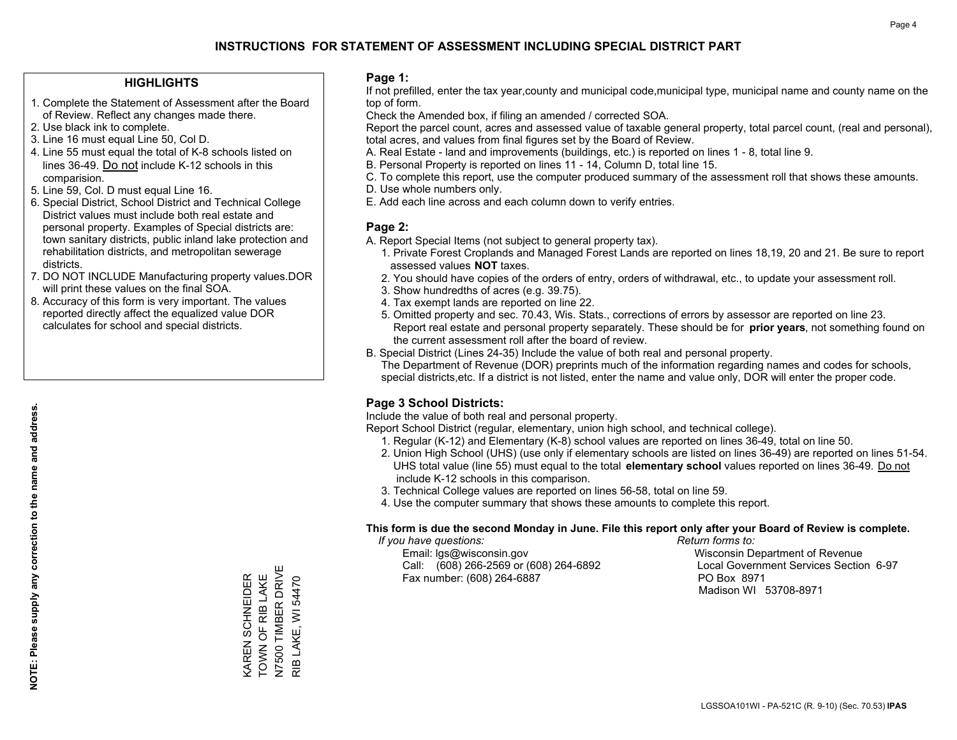#### **HIGHLIGHTS**

- 1. Complete the Statement of Assessment after the Board of Review. Reflect any changes made there.
- 2. Use black ink to complete.
- 3. Line 16 must equal Line 50, Col D.
- 4. Line 55 must equal the total of K-8 schools listed on lines 36-49. Do not include K-12 schools in this comparision.
- 5. Line 59, Col. D must equal Line 16.
- 6. Special District, School District and Technical College District values must include both real estate and personal property. Examples of Special districts are: town sanitary districts, public inland lake protection and rehabilitation districts, and metropolitan sewerage districts.
- 7. DO NOT INCLUDE Manufacturing property values.DOR will print these values on the final SOA.
- 8. Accuracy of this form is very important. The values reported directly affect the equalized value DOR calculates for school and special districts.

#### **Page 1:**

 If not prefilled, enter the tax year,county and municipal code,municipal type, municipal name and county name on the top of form.

Check the Amended box, if filing an amended / corrected SOA.

 Report the parcel count, acres and assessed value of taxable general property, total parcel count, (real and personal), total acres, and values from final figures set by the Board of Review.

- A. Real Estate land and improvements (buildings, etc.) is reported on lines 1 8, total line 9.
- B. Personal Property is reported on lines 11 14, Column D, total line 15.
- C. To complete this report, use the computer produced summary of the assessment roll that shows these amounts.
- D. Use whole numbers only.
- E. Add each line across and each column down to verify entries.

### **Page 2:**

- A. Report Special Items (not subject to general property tax).
- 1. Private Forest Croplands and Managed Forest Lands are reported on lines 18,19, 20 and 21. Be sure to report assessed values **NOT** taxes.
- 2. You should have copies of the orders of entry, orders of withdrawal, etc., to update your assessment roll.
	- 3. Show hundredths of acres (e.g. 39.75).
- 4. Tax exempt lands are reported on line 22.
- 5. Omitted property and sec. 70.43, Wis. Stats., corrections of errors by assessor are reported on line 23. Report real estate and personal property separately. These should be for **prior years**, not something found on the current assessment roll after the board of review.
- B. Special District (Lines 24-35) Include the value of both real and personal property.

 The Department of Revenue (DOR) preprints much of the information regarding names and codes for schools, special districts,etc. If a district is not listed, enter the name and value only, DOR will enter the proper code.

## **Page 3 School Districts:**

Include the value of both real and personal property.

Report School District (regular, elementary, union high school, and technical college).

- 1. Regular (K-12) and Elementary (K-8) school values are reported on lines 36-49, total on line 50.
- 2. Union High School (UHS) (use only if elementary schools are listed on lines 36-49) are reported on lines 51-54. UHS total value (line 55) must equal to the total **elementary school** values reported on lines 36-49. Do notinclude K-12 schools in this comparison.
- 3. Technical College values are reported on lines 56-58, total on line 59.
- 4. Use the computer summary that shows these amounts to complete this report.

#### **This form is due the second Monday in June. File this report only after your Board of Review is complete.**

 *If you have questions: Return forms to:*

 Email: lgs@wisconsin.gov Wisconsin Department of RevenueCall:  $(608)$  266-2569 or  $(608)$  264-6892 Fax number: (608) 264-6887 PO Box 8971

Local Government Services Section 6-97

Madison WI 53708-8971

KAREN SCHNEIDER<br>TOWN OF RIB LAKE<br>N7500 TIMBER DRIVE N7500 TIMBER DRIVE TOWN OF RIB LAKE KAREN SCHNEIDER RIB LAKE, WI 54470 RIB LAKE, WI 54470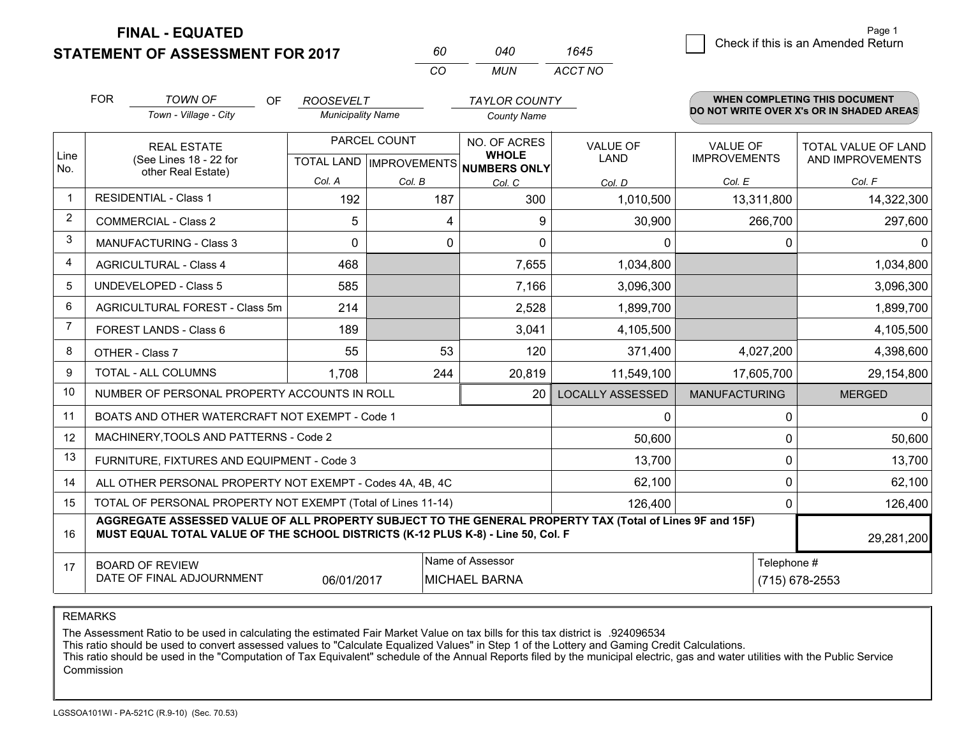**STATEMENT OF ASSESSMENT FOR 2017** 

**FINAL - EQUATED**

|                |                                                                                                                                                                                              |                          | CO           | <b>MUN</b>                                           | <b>ACCT NO</b>          |                      |                                          |  |
|----------------|----------------------------------------------------------------------------------------------------------------------------------------------------------------------------------------------|--------------------------|--------------|------------------------------------------------------|-------------------------|----------------------|------------------------------------------|--|
|                | <b>FOR</b><br><b>TOWN OF</b><br><b>OF</b>                                                                                                                                                    | <b>ROOSEVELT</b>         |              | <b>TAYLOR COUNTY</b>                                 |                         |                      | WHEN COMPLETING THIS DOCUMENT            |  |
|                | Town - Village - City                                                                                                                                                                        | <b>Municipality Name</b> |              | <b>County Name</b>                                   |                         |                      | DO NOT WRITE OVER X's OR IN SHADED AREAS |  |
|                | <b>REAL ESTATE</b>                                                                                                                                                                           |                          | PARCEL COUNT | NO. OF ACRES                                         | <b>VALUE OF</b>         | <b>VALUE OF</b>      | TOTAL VALUE OF LAND                      |  |
| Line<br>No.    | (See Lines 18 - 22 for                                                                                                                                                                       |                          |              | <b>WHOLE</b><br>TOTAL LAND IMPROVEMENTS NUMBERS ONLY | LAND                    | <b>IMPROVEMENTS</b>  | AND IMPROVEMENTS                         |  |
|                | other Real Estate)                                                                                                                                                                           | Col. A                   | Col. B       | Col. C                                               | Col. D                  | Col. E               | Col. F                                   |  |
| $\overline{1}$ | <b>RESIDENTIAL - Class 1</b>                                                                                                                                                                 | 192                      | 187          | 300                                                  | 1,010,500               | 13,311,800           | 14,322,300                               |  |
| $\overline{2}$ | <b>COMMERCIAL - Class 2</b>                                                                                                                                                                  | 5                        | 4            | 9                                                    | 30,900                  | 266,700              | 297,600                                  |  |
| 3              | <b>MANUFACTURING - Class 3</b>                                                                                                                                                               | $\Omega$                 | $\Omega$     | $\Omega$                                             | $\Omega$                | $\mathbf{0}$         | 0                                        |  |
| 4              | <b>AGRICULTURAL - Class 4</b>                                                                                                                                                                | 468                      |              | 7,655                                                | 1,034,800               |                      | 1,034,800                                |  |
| 5              | <b>UNDEVELOPED - Class 5</b>                                                                                                                                                                 | 585                      |              | 7,166                                                | 3,096,300               |                      | 3,096,300                                |  |
| 6              | AGRICULTURAL FOREST - Class 5m<br>214                                                                                                                                                        |                          |              | 2,528                                                | 1,899,700               |                      | 1,899,700                                |  |
| $\overline{7}$ | FOREST LANDS - Class 6                                                                                                                                                                       | 189                      |              | 3,041                                                | 4,105,500               |                      | 4,105,500                                |  |
| 8              | OTHER - Class 7                                                                                                                                                                              | 55                       | 53           | 120                                                  | 371,400                 | 4,027,200            | 4,398,600                                |  |
| 9              | TOTAL - ALL COLUMNS                                                                                                                                                                          | 1,708                    | 244          | 20,819                                               | 11,549,100              | 17,605,700           | 29,154,800                               |  |
| 10             | NUMBER OF PERSONAL PROPERTY ACCOUNTS IN ROLL                                                                                                                                                 |                          |              | 20                                                   | <b>LOCALLY ASSESSED</b> | <b>MANUFACTURING</b> | <b>MERGED</b>                            |  |
| 11             | BOATS AND OTHER WATERCRAFT NOT EXEMPT - Code 1                                                                                                                                               |                          |              |                                                      | 0                       | 0                    | $\mathbf 0$                              |  |
| 12             | MACHINERY, TOOLS AND PATTERNS - Code 2                                                                                                                                                       |                          |              |                                                      | 50,600                  | 0                    | 50,600                                   |  |
| 13             | FURNITURE, FIXTURES AND EQUIPMENT - Code 3                                                                                                                                                   |                          |              |                                                      | 13,700                  | 0                    | 13,700                                   |  |
| 14             | ALL OTHER PERSONAL PROPERTY NOT EXEMPT - Codes 4A, 4B, 4C                                                                                                                                    |                          |              |                                                      | 62,100                  | 0                    | 62,100                                   |  |
| 15             | TOTAL OF PERSONAL PROPERTY NOT EXEMPT (Total of Lines 11-14)                                                                                                                                 |                          |              |                                                      | 126,400                 | $\mathbf{0}$         | 126,400                                  |  |
| 16             | AGGREGATE ASSESSED VALUE OF ALL PROPERTY SUBJECT TO THE GENERAL PROPERTY TAX (Total of Lines 9F and 15F)<br>MUST EQUAL TOTAL VALUE OF THE SCHOOL DISTRICTS (K-12 PLUS K-8) - Line 50, Col. F |                          |              |                                                      |                         |                      | 29,281,200                               |  |
| 17             | <b>BOARD OF REVIEW</b>                                                                                                                                                                       |                          |              | Name of Assessor                                     |                         | Telephone #          |                                          |  |
|                | DATE OF FINAL ADJOURNMENT                                                                                                                                                                    | 06/01/2017               |              | <b>MICHAEL BARNA</b>                                 |                         |                      | (715) 678-2553                           |  |

*<sup>60</sup> <sup>040</sup>*

*1645*

REMARKS

The Assessment Ratio to be used in calculating the estimated Fair Market Value on tax bills for this tax district is .924096534<br>This ratio should be used to convert assessed values to "Calculate Equalized Values" in Step 1 Commission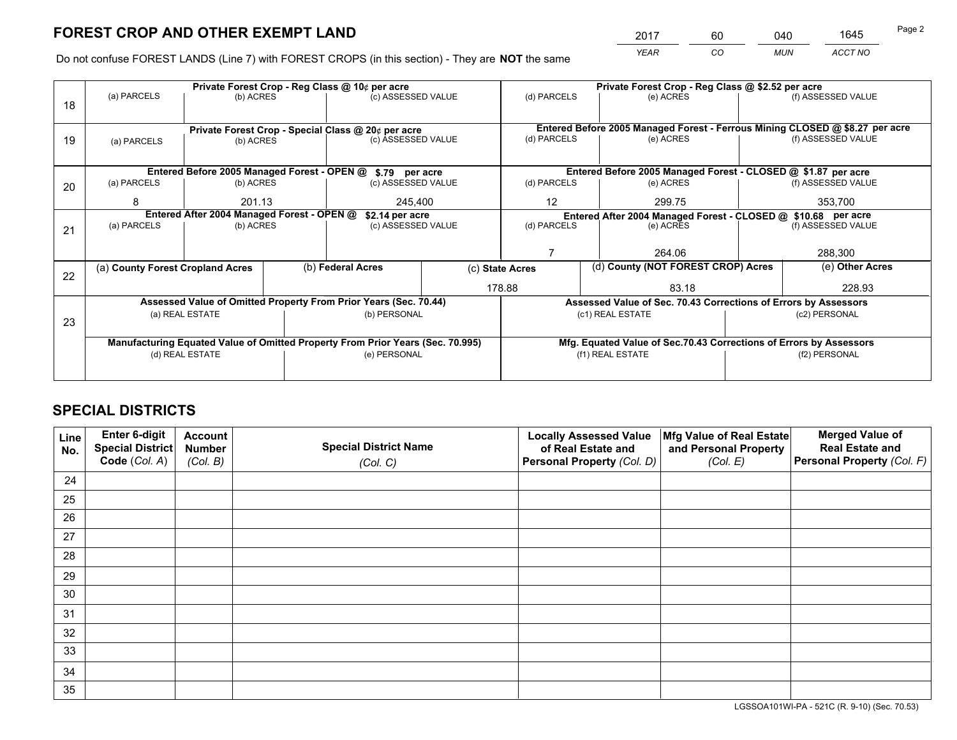*YEAR CO MUN ACCT NO* <sup>2017</sup> <sup>60</sup> <sup>040</sup> <sup>1645</sup>

Do not confuse FOREST LANDS (Line 7) with FOREST CROPS (in this section) - They are **NOT** the same

|    |                                                     |                                                                                                                                |                                                             | Private Forest Crop - Reg Class @ 10¢ per acre                                 |                    |                                   | Private Forest Crop - Reg Class @ \$2.52 per acre                            |  |                    |
|----|-----------------------------------------------------|--------------------------------------------------------------------------------------------------------------------------------|-------------------------------------------------------------|--------------------------------------------------------------------------------|--------------------|-----------------------------------|------------------------------------------------------------------------------|--|--------------------|
| 18 | (a) PARCELS                                         | (b) ACRES                                                                                                                      |                                                             | (c) ASSESSED VALUE                                                             |                    | (d) PARCELS                       | (e) ACRES                                                                    |  | (f) ASSESSED VALUE |
|    |                                                     |                                                                                                                                |                                                             |                                                                                |                    |                                   |                                                                              |  |                    |
|    |                                                     |                                                                                                                                |                                                             | Private Forest Crop - Special Class @ 20¢ per acre                             |                    |                                   | Entered Before 2005 Managed Forest - Ferrous Mining CLOSED @ \$8.27 per acre |  |                    |
| 19 | (a) PARCELS                                         | (b) ACRES                                                                                                                      |                                                             | (c) ASSESSED VALUE                                                             |                    | (d) PARCELS                       | (e) ACRES                                                                    |  | (f) ASSESSED VALUE |
|    |                                                     |                                                                                                                                |                                                             |                                                                                |                    |                                   |                                                                              |  |                    |
|    |                                                     |                                                                                                                                |                                                             | Entered Before 2005 Managed Forest - OPEN @ \$.79 per acre                     |                    |                                   | Entered Before 2005 Managed Forest - CLOSED @ \$1.87 per acre                |  |                    |
| 20 | (a) PARCELS                                         | (b) ACRES                                                                                                                      |                                                             | (c) ASSESSED VALUE                                                             |                    | (d) PARCELS                       | (e) ACRES                                                                    |  | (f) ASSESSED VALUE |
|    | 8                                                   | 201.13                                                                                                                         |                                                             | 245.400                                                                        |                    | $12 \overline{ }$                 | 299.75                                                                       |  | 353,700            |
|    |                                                     | Entered After 2004 Managed Forest - OPEN @<br>\$2.14 per acre<br>Entered After 2004 Managed Forest - CLOSED @ \$10.68 per acre |                                                             |                                                                                |                    |                                   |                                                                              |  |                    |
| 21 | (a) PARCELS                                         |                                                                                                                                | (d) PARCELS<br>(c) ASSESSED VALUE<br>(b) ACRES<br>(e) ACRES |                                                                                | (f) ASSESSED VALUE |                                   |                                                                              |  |                    |
|    |                                                     |                                                                                                                                |                                                             |                                                                                |                    |                                   |                                                                              |  |                    |
|    |                                                     |                                                                                                                                |                                                             |                                                                                |                    |                                   | 264.06                                                                       |  | 288,300            |
| 22 | (a) County Forest Cropland Acres                    |                                                                                                                                |                                                             | (b) Federal Acres                                                              |                    | (c) State Acres                   | (d) County (NOT FOREST CROP) Acres                                           |  | (e) Other Acres    |
|    |                                                     |                                                                                                                                |                                                             |                                                                                |                    | 178.88                            | 83.18                                                                        |  | 228.93             |
|    |                                                     |                                                                                                                                |                                                             | Assessed Value of Omitted Property From Prior Years (Sec. 70.44)               |                    |                                   | Assessed Value of Sec. 70.43 Corrections of Errors by Assessors              |  |                    |
| 23 | (a) REAL ESTATE<br>(b) PERSONAL<br>(c1) REAL ESTATE |                                                                                                                                | (c2) PERSONAL                                               |                                                                                |                    |                                   |                                                                              |  |                    |
|    |                                                     |                                                                                                                                |                                                             |                                                                                |                    |                                   |                                                                              |  |                    |
|    |                                                     |                                                                                                                                |                                                             | Manufacturing Equated Value of Omitted Property From Prior Years (Sec. 70.995) |                    |                                   | Mfg. Equated Value of Sec.70.43 Corrections of Errors by Assessors           |  |                    |
|    |                                                     | (d) REAL ESTATE                                                                                                                |                                                             | (e) PERSONAL                                                                   |                    | (f1) REAL ESTATE<br>(f2) PERSONAL |                                                                              |  |                    |
|    |                                                     |                                                                                                                                |                                                             |                                                                                |                    |                                   |                                                                              |  |                    |

## **SPECIAL DISTRICTS**

| Line<br>No. | Enter 6-digit<br>Special District<br>Code (Col. A) | <b>Account</b><br><b>Number</b><br>(Col. B) | <b>Special District Name</b><br>(Col. C) | <b>Locally Assessed Value</b><br>of Real Estate and<br>Personal Property (Col. D) | Mfg Value of Real Estate<br>and Personal Property<br>(Col. E) | <b>Merged Value of</b><br><b>Real Estate and</b><br>Personal Property (Col. F) |
|-------------|----------------------------------------------------|---------------------------------------------|------------------------------------------|-----------------------------------------------------------------------------------|---------------------------------------------------------------|--------------------------------------------------------------------------------|
| 24          |                                                    |                                             |                                          |                                                                                   |                                                               |                                                                                |
| 25          |                                                    |                                             |                                          |                                                                                   |                                                               |                                                                                |
| 26          |                                                    |                                             |                                          |                                                                                   |                                                               |                                                                                |
| 27          |                                                    |                                             |                                          |                                                                                   |                                                               |                                                                                |
| 28          |                                                    |                                             |                                          |                                                                                   |                                                               |                                                                                |
| 29          |                                                    |                                             |                                          |                                                                                   |                                                               |                                                                                |
| 30          |                                                    |                                             |                                          |                                                                                   |                                                               |                                                                                |
| 31          |                                                    |                                             |                                          |                                                                                   |                                                               |                                                                                |
| 32          |                                                    |                                             |                                          |                                                                                   |                                                               |                                                                                |
| 33          |                                                    |                                             |                                          |                                                                                   |                                                               |                                                                                |
| 34          |                                                    |                                             |                                          |                                                                                   |                                                               |                                                                                |
| 35          |                                                    |                                             |                                          |                                                                                   |                                                               |                                                                                |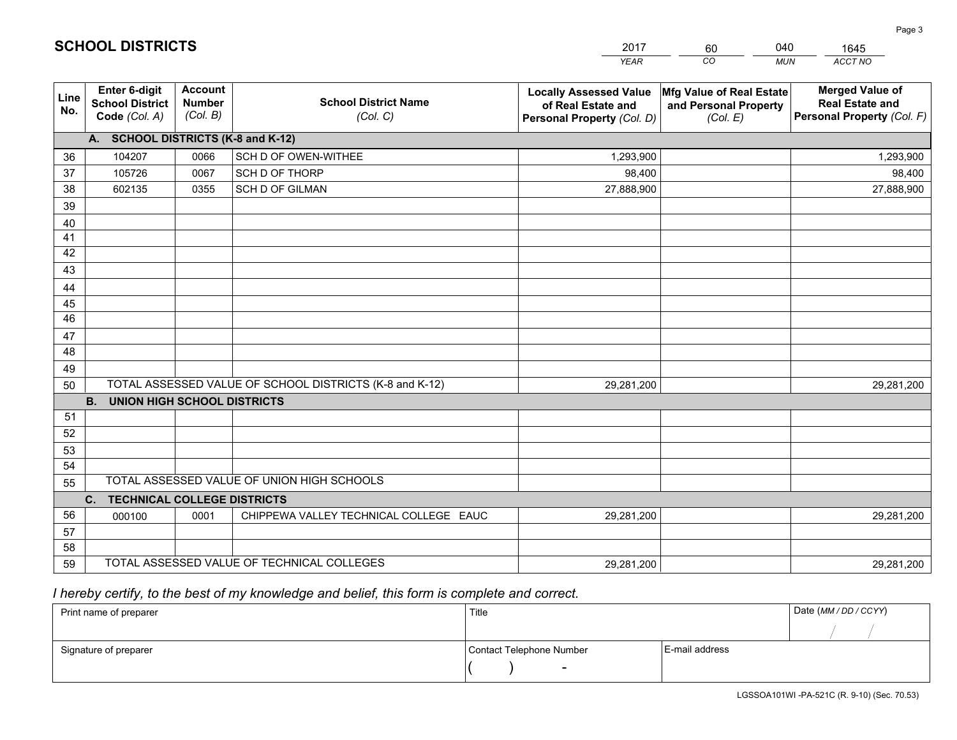|             |                                                          |                                             |                                                         | <b>YEAR</b>                                                                       | CO<br><b>MUN</b>                                              | ACCT NO                                                                        |
|-------------|----------------------------------------------------------|---------------------------------------------|---------------------------------------------------------|-----------------------------------------------------------------------------------|---------------------------------------------------------------|--------------------------------------------------------------------------------|
| Line<br>No. | Enter 6-digit<br><b>School District</b><br>Code (Col. A) | <b>Account</b><br><b>Number</b><br>(Col. B) | <b>School District Name</b><br>(Col. C)                 | <b>Locally Assessed Value</b><br>of Real Estate and<br>Personal Property (Col. D) | Mfg Value of Real Estate<br>and Personal Property<br>(Col. E) | <b>Merged Value of</b><br><b>Real Estate and</b><br>Personal Property (Col. F) |
|             | A. SCHOOL DISTRICTS (K-8 and K-12)                       |                                             |                                                         |                                                                                   |                                                               |                                                                                |
| 36          | 104207                                                   | 0066                                        | SCH D OF OWEN-WITHEE                                    | 1,293,900                                                                         |                                                               | 1,293,900                                                                      |
| 37          | 105726                                                   | 0067                                        | SCH D OF THORP                                          | 98,400                                                                            |                                                               | 98,400                                                                         |
| 38          | 602135                                                   | 0355                                        | <b>SCH D OF GILMAN</b>                                  | 27,888,900                                                                        |                                                               | 27,888,900                                                                     |
| 39          |                                                          |                                             |                                                         |                                                                                   |                                                               |                                                                                |
| 40          |                                                          |                                             |                                                         |                                                                                   |                                                               |                                                                                |
| 41          |                                                          |                                             |                                                         |                                                                                   |                                                               |                                                                                |
| 42          |                                                          |                                             |                                                         |                                                                                   |                                                               |                                                                                |
| 43          |                                                          |                                             |                                                         |                                                                                   |                                                               |                                                                                |
| 44          |                                                          |                                             |                                                         |                                                                                   |                                                               |                                                                                |
| 45          |                                                          |                                             |                                                         |                                                                                   |                                                               |                                                                                |
| 46          |                                                          |                                             |                                                         |                                                                                   |                                                               |                                                                                |
| 47          |                                                          |                                             |                                                         |                                                                                   |                                                               |                                                                                |
| 48          |                                                          |                                             |                                                         |                                                                                   |                                                               |                                                                                |
| 49          |                                                          |                                             |                                                         |                                                                                   |                                                               |                                                                                |
| 50          | <b>B.</b><br><b>UNION HIGH SCHOOL DISTRICTS</b>          |                                             | TOTAL ASSESSED VALUE OF SCHOOL DISTRICTS (K-8 and K-12) | 29,281,200                                                                        |                                                               | 29,281,200                                                                     |
| 51          |                                                          |                                             |                                                         |                                                                                   |                                                               |                                                                                |
| 52          |                                                          |                                             |                                                         |                                                                                   |                                                               |                                                                                |
| 53          |                                                          |                                             |                                                         |                                                                                   |                                                               |                                                                                |
| 54          |                                                          |                                             |                                                         |                                                                                   |                                                               |                                                                                |
| 55          |                                                          |                                             | TOTAL ASSESSED VALUE OF UNION HIGH SCHOOLS              |                                                                                   |                                                               |                                                                                |
|             | C. TECHNICAL COLLEGE DISTRICTS                           |                                             |                                                         |                                                                                   |                                                               |                                                                                |
| 56          | 000100                                                   | 0001                                        | CHIPPEWA VALLEY TECHNICAL COLLEGE EAUC                  | 29,281,200                                                                        |                                                               | 29,281,200                                                                     |
| 57          |                                                          |                                             |                                                         |                                                                                   |                                                               |                                                                                |
| 58          |                                                          |                                             |                                                         |                                                                                   |                                                               |                                                                                |
| 59          |                                                          |                                             | TOTAL ASSESSED VALUE OF TECHNICAL COLLEGES              | 29,281,200                                                                        |                                                               | 29,281,200                                                                     |

60

040

 *I hereby certify, to the best of my knowledge and belief, this form is complete and correct.*

**SCHOOL DISTRICTS**

| Print name of preparer | Title                    |                | Date (MM / DD / CCYY) |
|------------------------|--------------------------|----------------|-----------------------|
|                        |                          |                |                       |
| Signature of preparer  | Contact Telephone Number | E-mail address |                       |
|                        | $\sim$                   |                |                       |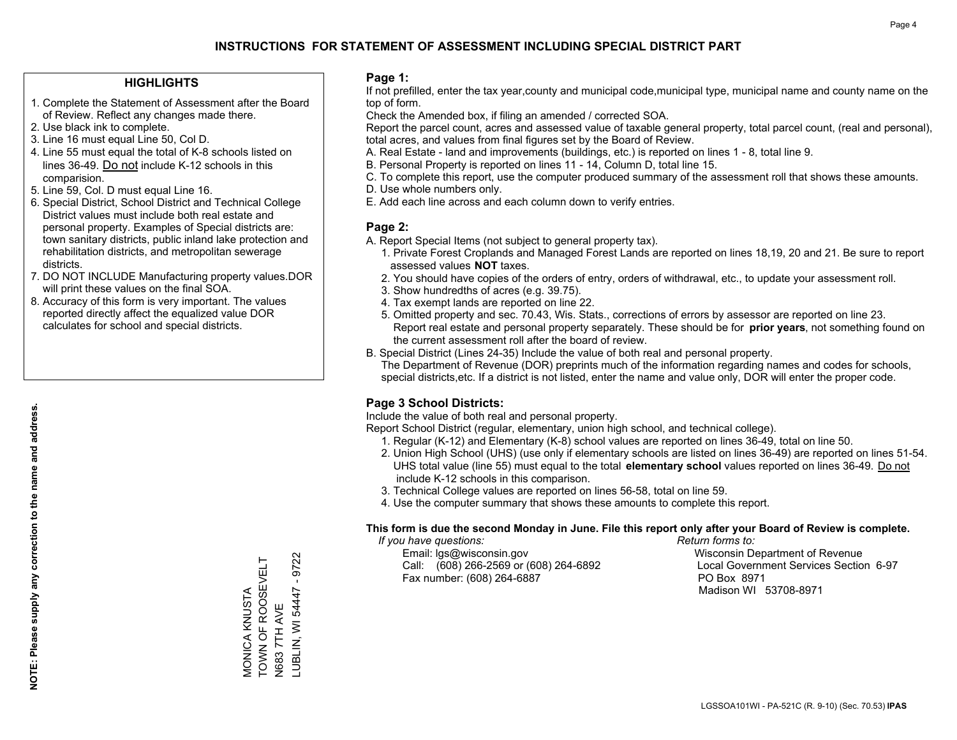#### **HIGHLIGHTS**

- 1. Complete the Statement of Assessment after the Board of Review. Reflect any changes made there.
- 2. Use black ink to complete.
- 3. Line 16 must equal Line 50, Col D.
- 4. Line 55 must equal the total of K-8 schools listed on lines 36-49. Do not include K-12 schools in this comparision.
- 5. Line 59, Col. D must equal Line 16.
- 6. Special District, School District and Technical College District values must include both real estate and personal property. Examples of Special districts are: town sanitary districts, public inland lake protection and rehabilitation districts, and metropolitan sewerage districts.
- 7. DO NOT INCLUDE Manufacturing property values.DOR will print these values on the final SOA.

MONICA KNUSTA TOWN OF ROOSEVELT

MONICA KNUSTA<br>TOWN OF ROOSEVELT

N683 7TH AVE

N683 7TH AVE<br>LUBLIN, WI 54447 -

LUBLIN, WI 54447 - 9722

 $-9722$ 

 8. Accuracy of this form is very important. The values reported directly affect the equalized value DOR calculates for school and special districts.

#### **Page 1:**

 If not prefilled, enter the tax year,county and municipal code,municipal type, municipal name and county name on the top of form.

Check the Amended box, if filing an amended / corrected SOA.

 Report the parcel count, acres and assessed value of taxable general property, total parcel count, (real and personal), total acres, and values from final figures set by the Board of Review.

- A. Real Estate land and improvements (buildings, etc.) is reported on lines 1 8, total line 9.
- B. Personal Property is reported on lines 11 14, Column D, total line 15.
- C. To complete this report, use the computer produced summary of the assessment roll that shows these amounts.
- D. Use whole numbers only.
- E. Add each line across and each column down to verify entries.

#### **Page 2:**

- A. Report Special Items (not subject to general property tax).
- 1. Private Forest Croplands and Managed Forest Lands are reported on lines 18,19, 20 and 21. Be sure to report assessed values **NOT** taxes.
- 2. You should have copies of the orders of entry, orders of withdrawal, etc., to update your assessment roll.
	- 3. Show hundredths of acres (e.g. 39.75).
- 4. Tax exempt lands are reported on line 22.
- 5. Omitted property and sec. 70.43, Wis. Stats., corrections of errors by assessor are reported on line 23. Report real estate and personal property separately. These should be for **prior years**, not something found on the current assessment roll after the board of review.
- B. Special District (Lines 24-35) Include the value of both real and personal property.

 The Department of Revenue (DOR) preprints much of the information regarding names and codes for schools, special districts,etc. If a district is not listed, enter the name and value only, DOR will enter the proper code.

## **Page 3 School Districts:**

Include the value of both real and personal property.

Report School District (regular, elementary, union high school, and technical college).

- 1. Regular (K-12) and Elementary (K-8) school values are reported on lines 36-49, total on line 50.
- 2. Union High School (UHS) (use only if elementary schools are listed on lines 36-49) are reported on lines 51-54. UHS total value (line 55) must equal to the total **elementary school** values reported on lines 36-49. Do notinclude K-12 schools in this comparison.
- 3. Technical College values are reported on lines 56-58, total on line 59.
- 4. Use the computer summary that shows these amounts to complete this report.

#### **This form is due the second Monday in June. File this report only after your Board of Review is complete.**

 *If you have questions: Return forms to:*

 Email: lgs@wisconsin.gov Wisconsin Department of RevenueCall:  $(608)$  266-2569 or  $(608)$  264-6892 Fax number: (608) 264-6887 PO Box 8971

Local Government Services Section 6-97

Madison WI 53708-8971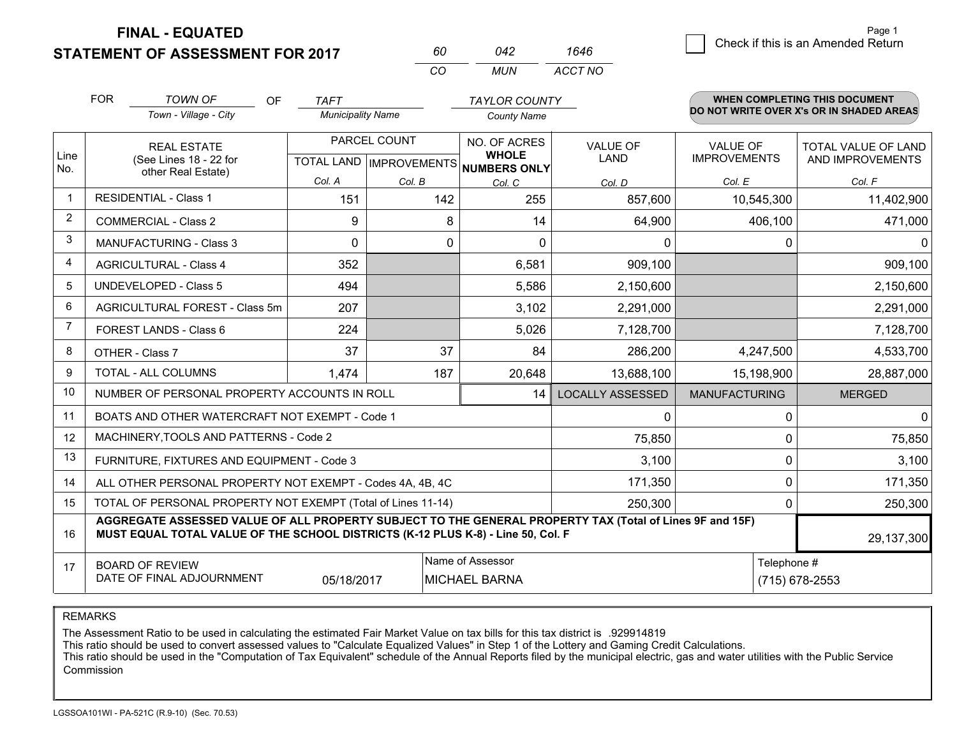**FINAL - EQUATED**

**STATEMENT OF ASSESSMENT FOR 2017** 

| 60  | 042 | 1646    |
|-----|-----|---------|
| CO. | MUN | ACCT NO |

|             | <b>FOR</b>                     | <b>TOWN OF</b><br><b>OF</b>                                                                                                                                                                  | <b>TAFT</b>              |                           | <b>TAYLOR COUNTY</b>                |                         |                      | <b>WHEN COMPLETING THIS DOCUMENT</b>     |
|-------------|--------------------------------|----------------------------------------------------------------------------------------------------------------------------------------------------------------------------------------------|--------------------------|---------------------------|-------------------------------------|-------------------------|----------------------|------------------------------------------|
|             |                                | Town - Village - City                                                                                                                                                                        | <b>Municipality Name</b> |                           | <b>County Name</b>                  |                         |                      | DO NOT WRITE OVER X's OR IN SHADED AREAS |
|             |                                | <b>REAL ESTATE</b>                                                                                                                                                                           |                          | PARCEL COUNT              | NO. OF ACRES                        | <b>VALUE OF</b>         | <b>VALUE OF</b>      | <b>TOTAL VALUE OF LAND</b>               |
| Line<br>No. |                                | (See Lines 18 - 22 for<br>other Real Estate)                                                                                                                                                 |                          | TOTAL LAND   IMPROVEMENTS | <b>WHOLE</b><br><b>NUMBERS ONLY</b> | LAND                    | <b>IMPROVEMENTS</b>  | AND IMPROVEMENTS                         |
|             |                                |                                                                                                                                                                                              | Col. A                   | Col. B                    | Col. C                              | Col. D                  | Col. E               | Col. F                                   |
|             |                                | <b>RESIDENTIAL - Class 1</b>                                                                                                                                                                 | 151                      | 142                       | 255                                 | 857,600                 | 10,545,300           | 11,402,900                               |
| 2           |                                | <b>COMMERCIAL - Class 2</b>                                                                                                                                                                  | 9                        | 8                         | 14                                  | 64,900                  | 406,100              | 471,000                                  |
| 3           |                                | <b>MANUFACTURING - Class 3</b>                                                                                                                                                               | $\Omega$                 | 0                         | $\Omega$                            | 0                       | 0                    | 0                                        |
| 4           |                                | <b>AGRICULTURAL - Class 4</b>                                                                                                                                                                | 352                      |                           | 6,581                               | 909,100                 |                      | 909,100                                  |
| 5           |                                | <b>UNDEVELOPED - Class 5</b>                                                                                                                                                                 | 494                      |                           | 5,586                               | 2,150,600               |                      | 2,150,600                                |
| 6           | AGRICULTURAL FOREST - Class 5m |                                                                                                                                                                                              | 207                      |                           | 3,102                               | 2,291,000               |                      | 2,291,000                                |
| 7           |                                | FOREST LANDS - Class 6                                                                                                                                                                       | 224                      |                           | 5,026                               | 7,128,700               |                      | 7,128,700                                |
| 8           |                                | OTHER - Class 7                                                                                                                                                                              | 37                       | 37                        | 84                                  | 286,200                 | 4,247,500            | 4,533,700                                |
| 9           |                                | TOTAL - ALL COLUMNS                                                                                                                                                                          | 1,474                    | 187                       | 20,648                              | 13,688,100              | 15,198,900           | 28,887,000                               |
| 10          |                                | NUMBER OF PERSONAL PROPERTY ACCOUNTS IN ROLL                                                                                                                                                 |                          |                           | 14                                  | <b>LOCALLY ASSESSED</b> | <b>MANUFACTURING</b> | <b>MERGED</b>                            |
| 11          |                                | BOATS AND OTHER WATERCRAFT NOT EXEMPT - Code 1                                                                                                                                               |                          |                           |                                     | 0                       | 0                    | $\mathbf 0$                              |
| 12          |                                | MACHINERY, TOOLS AND PATTERNS - Code 2                                                                                                                                                       |                          |                           |                                     | 75,850                  | 0                    | 75,850                                   |
| 13          |                                | FURNITURE, FIXTURES AND EQUIPMENT - Code 3                                                                                                                                                   |                          |                           |                                     | 3,100                   | 0                    | 3,100                                    |
| 14          |                                | ALL OTHER PERSONAL PROPERTY NOT EXEMPT - Codes 4A, 4B, 4C                                                                                                                                    |                          |                           |                                     | 171,350                 | $\Omega$             | 171,350                                  |
| 15          |                                | TOTAL OF PERSONAL PROPERTY NOT EXEMPT (Total of Lines 11-14)                                                                                                                                 |                          |                           |                                     | 250,300                 | 0                    | 250,300                                  |
| 16          |                                | AGGREGATE ASSESSED VALUE OF ALL PROPERTY SUBJECT TO THE GENERAL PROPERTY TAX (Total of Lines 9F and 15F)<br>MUST EQUAL TOTAL VALUE OF THE SCHOOL DISTRICTS (K-12 PLUS K-8) - Line 50, Col. F |                          |                           |                                     |                         |                      | 29,137,300                               |
| 17          |                                | <b>BOARD OF REVIEW</b>                                                                                                                                                                       |                          |                           | Name of Assessor                    |                         | Telephone #          |                                          |
|             |                                | DATE OF FINAL ADJOURNMENT                                                                                                                                                                    | 05/18/2017               |                           | <b>MICHAEL BARNA</b>                |                         |                      | (715) 678-2553                           |

REMARKS

The Assessment Ratio to be used in calculating the estimated Fair Market Value on tax bills for this tax district is .929914819

This ratio should be used to convert assessed values to "Calculate Equalized Values" in Step 1 of the Lottery and Gaming Credit Calculations.<br>This ratio should be used in the "Computation of Tax Equivalent" schedule of the Commission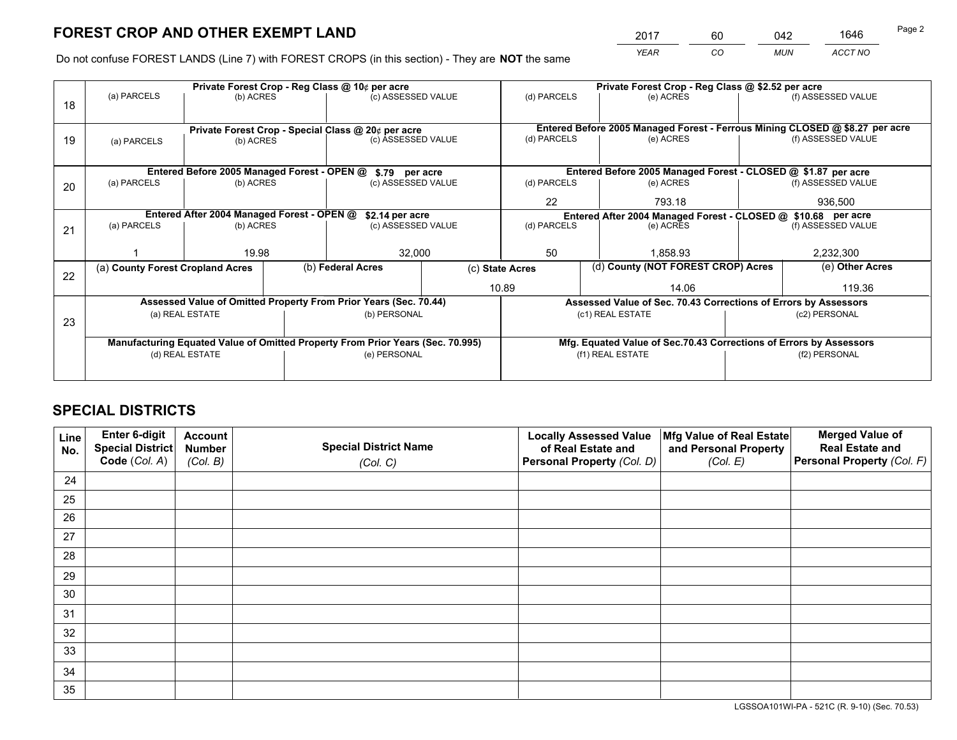*YEAR CO MUN ACCT NO* <sup>2017</sup> <sup>60</sup> <sup>042</sup> <sup>1646</sup>

Do not confuse FOREST LANDS (Line 7) with FOREST CROPS (in this section) - They are **NOT** the same

|    |                                                               |                 |  | Private Forest Crop - Reg Class @ 10¢ per acre                                 |                 |                                                                              |        | Private Forest Crop - Reg Class @ \$2.52 per acre                  |               |                    |
|----|---------------------------------------------------------------|-----------------|--|--------------------------------------------------------------------------------|-----------------|------------------------------------------------------------------------------|--------|--------------------------------------------------------------------|---------------|--------------------|
| 18 | (a) PARCELS                                                   | (b) ACRES       |  | (c) ASSESSED VALUE                                                             |                 | (d) PARCELS                                                                  |        | (e) ACRES                                                          |               | (f) ASSESSED VALUE |
|    |                                                               |                 |  |                                                                                |                 |                                                                              |        |                                                                    |               |                    |
|    |                                                               |                 |  | Private Forest Crop - Special Class @ 20¢ per acre                             |                 | Entered Before 2005 Managed Forest - Ferrous Mining CLOSED @ \$8.27 per acre |        |                                                                    |               |                    |
| 19 | (a) PARCELS                                                   | (b) ACRES       |  | (c) ASSESSED VALUE                                                             | (d) PARCELS     |                                                                              |        | (e) ACRES                                                          |               | (f) ASSESSED VALUE |
|    |                                                               |                 |  |                                                                                |                 |                                                                              |        |                                                                    |               |                    |
|    |                                                               |                 |  | Entered Before 2005 Managed Forest - OPEN @ \$.79 per acre                     |                 |                                                                              |        | Entered Before 2005 Managed Forest - CLOSED @ \$1.87 per acre      |               |                    |
| 20 | (a) PARCELS                                                   | (b) ACRES       |  | (c) ASSESSED VALUE                                                             |                 | (d) PARCELS                                                                  |        | (e) ACRES                                                          |               | (f) ASSESSED VALUE |
|    |                                                               |                 |  |                                                                                | 22              |                                                                              | 793.18 | 936,500                                                            |               |                    |
|    | Entered After 2004 Managed Forest - OPEN @<br>\$2.14 per acre |                 |  |                                                                                |                 |                                                                              |        | Entered After 2004 Managed Forest - CLOSED @ \$10.68 per acre      |               |                    |
| 21 | (a) PARCELS                                                   | (b) ACRES       |  | (c) ASSESSED VALUE                                                             |                 | (d) PARCELS                                                                  |        | (e) ACRES                                                          |               | (f) ASSESSED VALUE |
|    |                                                               |                 |  |                                                                                |                 |                                                                              |        |                                                                    |               |                    |
|    |                                                               | 19.98           |  | 32,000                                                                         |                 | 50<br>1.858.93                                                               |        | 2,232,300                                                          |               |                    |
| 22 | (a) County Forest Cropland Acres                              |                 |  | (b) Federal Acres                                                              | (c) State Acres |                                                                              |        | (d) County (NOT FOREST CROP) Acres                                 |               | (e) Other Acres    |
|    |                                                               |                 |  |                                                                                | 10.89           |                                                                              |        | 14.06                                                              |               | 119.36             |
|    |                                                               |                 |  | Assessed Value of Omitted Property From Prior Years (Sec. 70.44)               |                 |                                                                              |        | Assessed Value of Sec. 70.43 Corrections of Errors by Assessors    |               |                    |
|    |                                                               | (a) REAL ESTATE |  | (b) PERSONAL                                                                   |                 |                                                                              |        | (c1) REAL ESTATE                                                   |               | (c2) PERSONAL      |
| 23 |                                                               |                 |  |                                                                                |                 |                                                                              |        |                                                                    |               |                    |
|    |                                                               |                 |  | Manufacturing Equated Value of Omitted Property From Prior Years (Sec. 70.995) |                 |                                                                              |        | Mfg. Equated Value of Sec.70.43 Corrections of Errors by Assessors |               |                    |
|    | (d) REAL ESTATE                                               |                 |  | (e) PERSONAL                                                                   |                 |                                                                              |        | (f1) REAL ESTATE                                                   | (f2) PERSONAL |                    |
|    |                                                               |                 |  |                                                                                |                 |                                                                              |        |                                                                    |               |                    |

## **SPECIAL DISTRICTS**

| Line<br>No. | Enter 6-digit<br>Special District<br>Code (Col. A) | <b>Account</b><br><b>Number</b><br>(Col. B) | <b>Special District Name</b><br>(Col. C) | <b>Locally Assessed Value</b><br>of Real Estate and<br>Personal Property (Col. D) | Mfg Value of Real Estate<br>and Personal Property<br>(Col. E) | <b>Merged Value of</b><br><b>Real Estate and</b><br>Personal Property (Col. F) |
|-------------|----------------------------------------------------|---------------------------------------------|------------------------------------------|-----------------------------------------------------------------------------------|---------------------------------------------------------------|--------------------------------------------------------------------------------|
| 24          |                                                    |                                             |                                          |                                                                                   |                                                               |                                                                                |
| 25          |                                                    |                                             |                                          |                                                                                   |                                                               |                                                                                |
| 26          |                                                    |                                             |                                          |                                                                                   |                                                               |                                                                                |
| 27          |                                                    |                                             |                                          |                                                                                   |                                                               |                                                                                |
| 28          |                                                    |                                             |                                          |                                                                                   |                                                               |                                                                                |
| 29          |                                                    |                                             |                                          |                                                                                   |                                                               |                                                                                |
| 30          |                                                    |                                             |                                          |                                                                                   |                                                               |                                                                                |
| 31          |                                                    |                                             |                                          |                                                                                   |                                                               |                                                                                |
| 32          |                                                    |                                             |                                          |                                                                                   |                                                               |                                                                                |
| 33          |                                                    |                                             |                                          |                                                                                   |                                                               |                                                                                |
| 34          |                                                    |                                             |                                          |                                                                                   |                                                               |                                                                                |
| 35          |                                                    |                                             |                                          |                                                                                   |                                                               |                                                                                |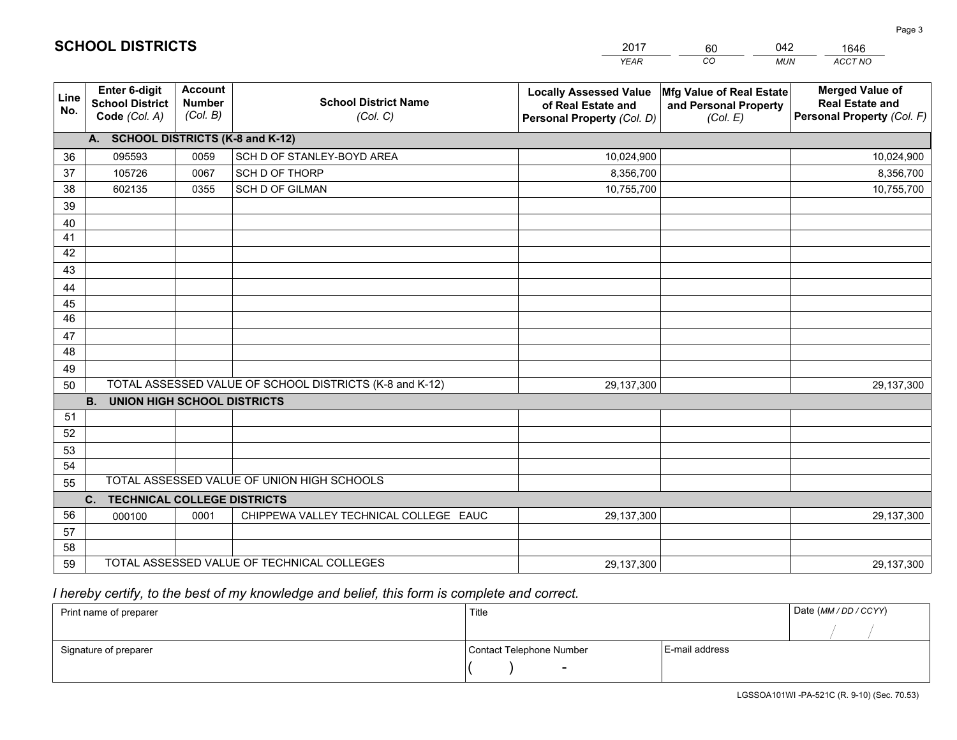|             |                                                          |                                             |                                                         | <b>YEAR</b>                                                                       | CO<br><b>MUN</b>                                              | ACCT NO                                                                        |
|-------------|----------------------------------------------------------|---------------------------------------------|---------------------------------------------------------|-----------------------------------------------------------------------------------|---------------------------------------------------------------|--------------------------------------------------------------------------------|
| Line<br>No. | Enter 6-digit<br><b>School District</b><br>Code (Col. A) | <b>Account</b><br><b>Number</b><br>(Col. B) | <b>School District Name</b><br>(Col. C)                 | <b>Locally Assessed Value</b><br>of Real Estate and<br>Personal Property (Col. D) | Mfg Value of Real Estate<br>and Personal Property<br>(Col. E) | <b>Merged Value of</b><br><b>Real Estate and</b><br>Personal Property (Col. F) |
|             | A. SCHOOL DISTRICTS (K-8 and K-12)                       |                                             |                                                         |                                                                                   |                                                               |                                                                                |
| 36          | 095593                                                   | 0059                                        | SCH D OF STANLEY-BOYD AREA                              | 10,024,900                                                                        |                                                               | 10,024,900                                                                     |
| 37          | 105726                                                   | 0067                                        | SCH D OF THORP                                          | 8,356,700                                                                         |                                                               | 8,356,700                                                                      |
| 38          | 602135                                                   | 0355                                        | <b>SCH D OF GILMAN</b>                                  | 10,755,700                                                                        |                                                               | 10,755,700                                                                     |
| 39          |                                                          |                                             |                                                         |                                                                                   |                                                               |                                                                                |
| 40          |                                                          |                                             |                                                         |                                                                                   |                                                               |                                                                                |
| 41          |                                                          |                                             |                                                         |                                                                                   |                                                               |                                                                                |
| 42          |                                                          |                                             |                                                         |                                                                                   |                                                               |                                                                                |
| 43          |                                                          |                                             |                                                         |                                                                                   |                                                               |                                                                                |
| 44          |                                                          |                                             |                                                         |                                                                                   |                                                               |                                                                                |
| 45          |                                                          |                                             |                                                         |                                                                                   |                                                               |                                                                                |
| 46          |                                                          |                                             |                                                         |                                                                                   |                                                               |                                                                                |
| 47          |                                                          |                                             |                                                         |                                                                                   |                                                               |                                                                                |
| 48          |                                                          |                                             |                                                         |                                                                                   |                                                               |                                                                                |
| 49          |                                                          |                                             |                                                         |                                                                                   |                                                               |                                                                                |
| 50          |                                                          |                                             | TOTAL ASSESSED VALUE OF SCHOOL DISTRICTS (K-8 and K-12) | 29,137,300                                                                        |                                                               | 29,137,300                                                                     |
|             | <b>B.</b><br><b>UNION HIGH SCHOOL DISTRICTS</b>          |                                             |                                                         |                                                                                   |                                                               |                                                                                |
| 51          |                                                          |                                             |                                                         |                                                                                   |                                                               |                                                                                |
| 52          |                                                          |                                             |                                                         |                                                                                   |                                                               |                                                                                |
| 53<br>54    |                                                          |                                             |                                                         |                                                                                   |                                                               |                                                                                |
|             |                                                          |                                             | TOTAL ASSESSED VALUE OF UNION HIGH SCHOOLS              |                                                                                   |                                                               |                                                                                |
| 55          |                                                          |                                             |                                                         |                                                                                   |                                                               |                                                                                |
| 56          | C. TECHNICAL COLLEGE DISTRICTS                           |                                             |                                                         |                                                                                   |                                                               |                                                                                |
| 57          | 000100                                                   | 0001                                        | CHIPPEWA VALLEY TECHNICAL COLLEGE EAUC                  | 29,137,300                                                                        |                                                               | 29,137,300                                                                     |
| 58          |                                                          |                                             |                                                         |                                                                                   |                                                               |                                                                                |
| 59          |                                                          |                                             | TOTAL ASSESSED VALUE OF TECHNICAL COLLEGES              | 29,137,300                                                                        |                                                               | 29,137,300                                                                     |
|             |                                                          |                                             |                                                         |                                                                                   |                                                               |                                                                                |

60

042

 *I hereby certify, to the best of my knowledge and belief, this form is complete and correct.*

**SCHOOL DISTRICTS**

| Print name of preparer | Title                    |                | Date (MM / DD / CCYY) |
|------------------------|--------------------------|----------------|-----------------------|
|                        |                          |                |                       |
| Signature of preparer  | Contact Telephone Number | E-mail address |                       |
|                        | $\sim$                   |                |                       |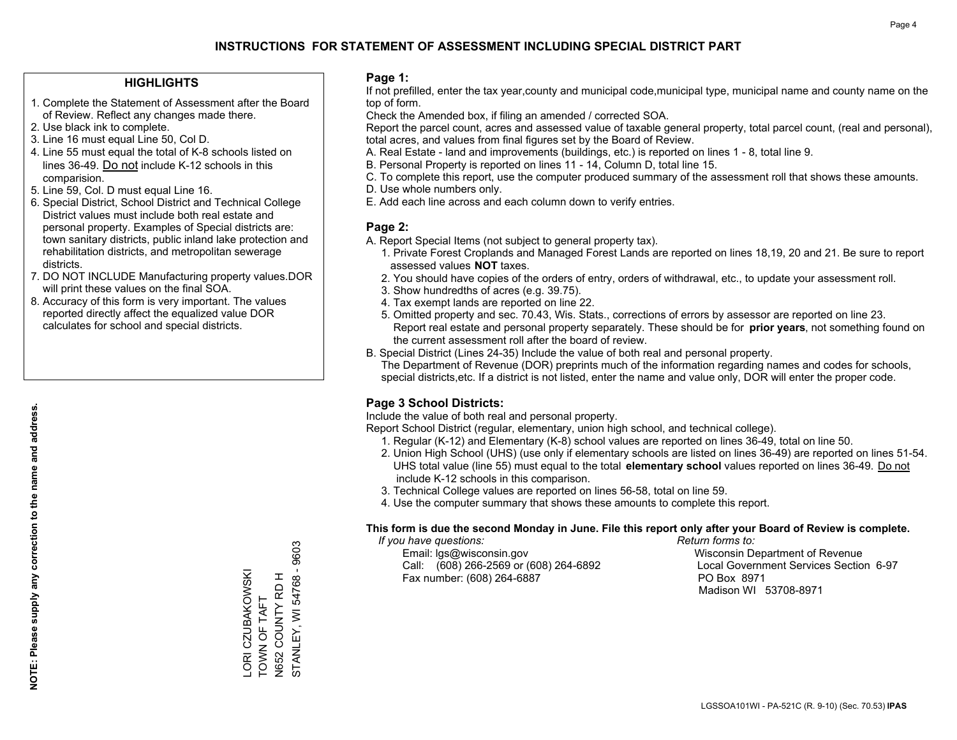#### **HIGHLIGHTS**

- 1. Complete the Statement of Assessment after the Board of Review. Reflect any changes made there.
- 2. Use black ink to complete.
- 3. Line 16 must equal Line 50, Col D.
- 4. Line 55 must equal the total of K-8 schools listed on lines 36-49. Do not include K-12 schools in this comparision.
- 5. Line 59, Col. D must equal Line 16.
- 6. Special District, School District and Technical College District values must include both real estate and personal property. Examples of Special districts are: town sanitary districts, public inland lake protection and rehabilitation districts, and metropolitan sewerage districts.
- 7. DO NOT INCLUDE Manufacturing property values.DOR will print these values on the final SOA.
- 8. Accuracy of this form is very important. The values reported directly affect the equalized value DOR calculates for school and special districts.

#### **Page 1:**

 If not prefilled, enter the tax year,county and municipal code,municipal type, municipal name and county name on the top of form.

Check the Amended box, if filing an amended / corrected SOA.

 Report the parcel count, acres and assessed value of taxable general property, total parcel count, (real and personal), total acres, and values from final figures set by the Board of Review.

- A. Real Estate land and improvements (buildings, etc.) is reported on lines 1 8, total line 9.
- B. Personal Property is reported on lines 11 14, Column D, total line 15.
- C. To complete this report, use the computer produced summary of the assessment roll that shows these amounts.
- D. Use whole numbers only.
- E. Add each line across and each column down to verify entries.

#### **Page 2:**

- A. Report Special Items (not subject to general property tax).
- 1. Private Forest Croplands and Managed Forest Lands are reported on lines 18,19, 20 and 21. Be sure to report assessed values **NOT** taxes.
- 2. You should have copies of the orders of entry, orders of withdrawal, etc., to update your assessment roll.
	- 3. Show hundredths of acres (e.g. 39.75).
- 4. Tax exempt lands are reported on line 22.
- 5. Omitted property and sec. 70.43, Wis. Stats., corrections of errors by assessor are reported on line 23. Report real estate and personal property separately. These should be for **prior years**, not something found on the current assessment roll after the board of review.
- B. Special District (Lines 24-35) Include the value of both real and personal property.
- The Department of Revenue (DOR) preprints much of the information regarding names and codes for schools, special districts,etc. If a district is not listed, enter the name and value only, DOR will enter the proper code.

## **Page 3 School Districts:**

Include the value of both real and personal property.

Report School District (regular, elementary, union high school, and technical college).

- 1. Regular (K-12) and Elementary (K-8) school values are reported on lines 36-49, total on line 50.
- 2. Union High School (UHS) (use only if elementary schools are listed on lines 36-49) are reported on lines 51-54. UHS total value (line 55) must equal to the total **elementary school** values reported on lines 36-49. Do notinclude K-12 schools in this comparison.
- 3. Technical College values are reported on lines 56-58, total on line 59.
- 4. Use the computer summary that shows these amounts to complete this report.

#### **This form is due the second Monday in June. File this report only after your Board of Review is complete.**

 *If you have questions: Return forms to:*

 Email: lgs@wisconsin.gov Wisconsin Department of RevenueCall:  $(608)$  266-2569 or  $(608)$  264-6892 Fax number: (608) 264-6887 PO Box 8971

Local Government Services Section 6-97 Madison WI 53708-8971

9603 STANLEY, WI 54768 - 9603 STANLEY, WI 54768 -ORI CZUBAKOWSKI LORI CZUBAKOWSKI N652 COUNTY RD H N652 COUNTY RD H TOWN OF TAFT TOWN OF TAFT

**NOTE: Please supply any correction to the name and address.**

NOTE: Please supply any correction to the name and address.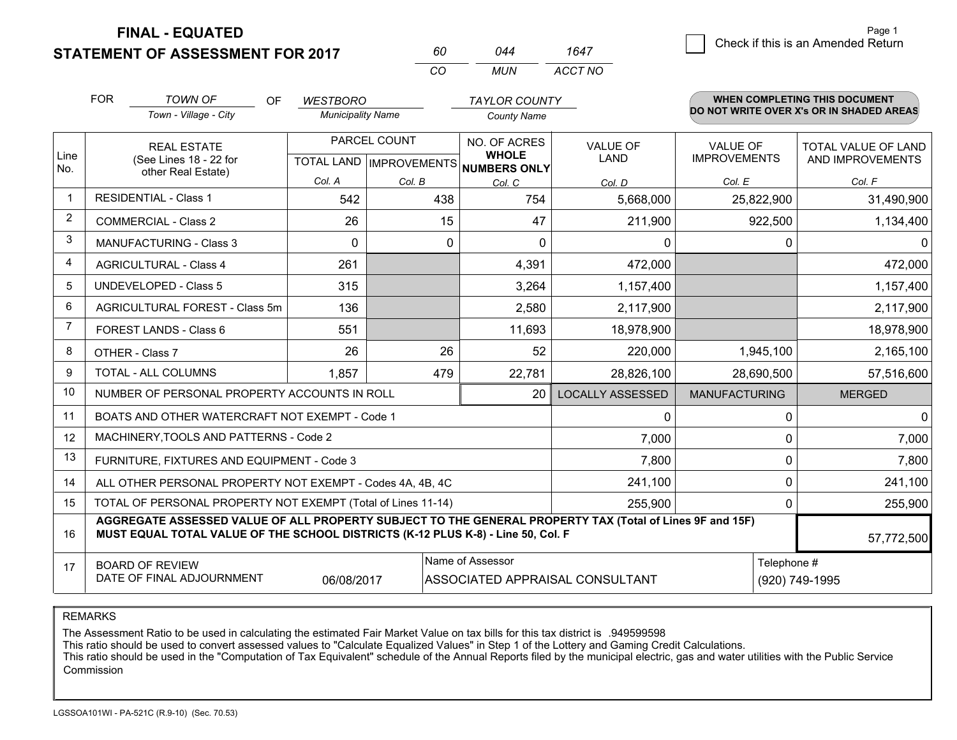**STATEMENT OF ASSESSMENT FOR 2017 FINAL - EQUATED**

|                |                                                                                                                                                                                              |                          | CO           | <b>MUN</b>                                               | <b>ACCT NO</b>                  |                      |                                          |
|----------------|----------------------------------------------------------------------------------------------------------------------------------------------------------------------------------------------|--------------------------|--------------|----------------------------------------------------------|---------------------------------|----------------------|------------------------------------------|
|                | <b>FOR</b><br><b>TOWN OF</b><br><b>OF</b>                                                                                                                                                    | <b>WESTBORO</b>          |              | <b>TAYLOR COUNTY</b>                                     |                                 |                      | WHEN COMPLETING THIS DOCUMENT            |
|                | Town - Village - City                                                                                                                                                                        | <b>Municipality Name</b> |              | <b>County Name</b>                                       |                                 |                      | DO NOT WRITE OVER X's OR IN SHADED AREAS |
|                | <b>REAL ESTATE</b>                                                                                                                                                                           |                          | PARCEL COUNT | NO. OF ACRES                                             | VALUE OF                        | <b>VALUE OF</b>      | TOTAL VALUE OF LAND                      |
| Line<br>No.    | (See Lines 18 - 22 for<br>other Real Estate)                                                                                                                                                 |                          |              | <b>WHOLE</b><br>TOTAL LAND   IMPROVEMENTS   NUMBERS ONLY | <b>LAND</b>                     | <b>IMPROVEMENTS</b>  | AND IMPROVEMENTS                         |
|                |                                                                                                                                                                                              | Col. A                   | Col. B       | Col. C                                                   | Col. D                          | Col. E               | Col. F                                   |
| 1              | <b>RESIDENTIAL - Class 1</b>                                                                                                                                                                 | 542                      | 438          | 754                                                      | 5,668,000                       | 25,822,900           | 31,490,900                               |
| $\overline{2}$ | <b>COMMERCIAL - Class 2</b>                                                                                                                                                                  | 26                       | 15           | 47                                                       | 211,900                         | 922,500              | 1,134,400                                |
| 3              | <b>MANUFACTURING - Class 3</b>                                                                                                                                                               | $\Omega$                 | $\Omega$     | $\Omega$                                                 | 0                               | 0                    |                                          |
| 4              | <b>AGRICULTURAL - Class 4</b>                                                                                                                                                                | 261                      |              | 4,391                                                    | 472,000                         |                      | 472,000                                  |
| 5              | <b>UNDEVELOPED - Class 5</b>                                                                                                                                                                 | 315                      |              | 3,264                                                    | 1,157,400                       |                      | 1,157,400                                |
| 6              | AGRICULTURAL FOREST - Class 5m                                                                                                                                                               | 136                      |              | 2,580                                                    | 2,117,900                       |                      | 2,117,900                                |
| $\overline{7}$ | FOREST LANDS - Class 6                                                                                                                                                                       | 551                      |              | 11,693                                                   | 18,978,900                      |                      | 18,978,900                               |
| 8              | OTHER - Class 7                                                                                                                                                                              | 26                       | 26           | 52                                                       | 220,000                         | 1,945,100            | 2,165,100                                |
| 9              | TOTAL - ALL COLUMNS                                                                                                                                                                          | 1,857                    | 479          | 22,781                                                   | 28,826,100                      | 28,690,500           | 57,516,600                               |
| 10             | NUMBER OF PERSONAL PROPERTY ACCOUNTS IN ROLL                                                                                                                                                 |                          |              | 20                                                       | <b>LOCALLY ASSESSED</b>         | <b>MANUFACTURING</b> | <b>MERGED</b>                            |
| 11             | BOATS AND OTHER WATERCRAFT NOT EXEMPT - Code 1                                                                                                                                               |                          |              |                                                          | 0                               | 0                    | $\Omega$                                 |
| 12             | MACHINERY, TOOLS AND PATTERNS - Code 2                                                                                                                                                       |                          |              |                                                          | 7,000                           | 0                    | 7,000                                    |
| 13             | FURNITURE, FIXTURES AND EQUIPMENT - Code 3                                                                                                                                                   |                          |              |                                                          | 7,800                           | 0                    | 7,800                                    |
| 14             | ALL OTHER PERSONAL PROPERTY NOT EXEMPT - Codes 4A, 4B, 4C                                                                                                                                    |                          |              |                                                          | 241,100                         | 0                    | 241,100                                  |
| 15             | TOTAL OF PERSONAL PROPERTY NOT EXEMPT (Total of Lines 11-14)                                                                                                                                 |                          |              |                                                          | 255,900                         | 0                    | 255,900                                  |
| 16             | AGGREGATE ASSESSED VALUE OF ALL PROPERTY SUBJECT TO THE GENERAL PROPERTY TAX (Total of Lines 9F and 15F)<br>MUST EQUAL TOTAL VALUE OF THE SCHOOL DISTRICTS (K-12 PLUS K-8) - Line 50, Col. F |                          |              |                                                          |                                 |                      | 57,772,500                               |
| 17             | <b>BOARD OF REVIEW</b>                                                                                                                                                                       |                          |              | Name of Assessor                                         |                                 |                      | Telephone #                              |
|                | DATE OF FINAL ADJOURNMENT                                                                                                                                                                    | 06/08/2017               |              |                                                          | ASSOCIATED APPRAISAL CONSULTANT |                      | (920) 749-1995                           |

*<sup>60</sup> <sup>044</sup>*

*1647*

REMARKS

The Assessment Ratio to be used in calculating the estimated Fair Market Value on tax bills for this tax district is .949599598<br>This ratio should be used to convert assessed values to "Calculate Equalized Values" in Step 1 Commission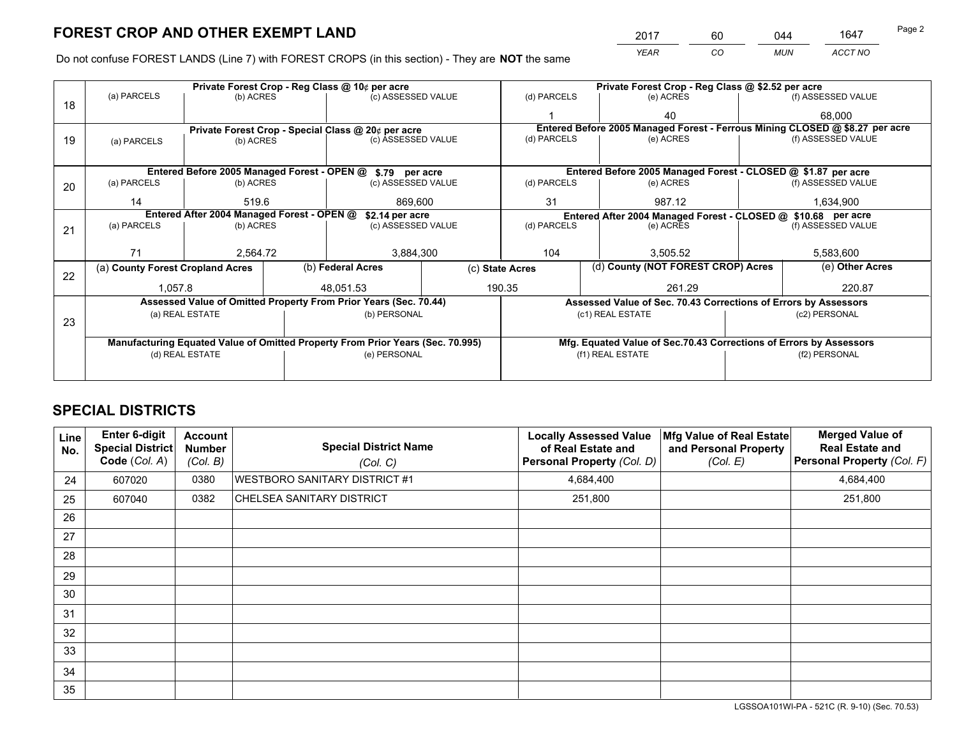*YEAR CO MUN ACCT NO* 2017 60 044 1647 Page 2

Do not confuse FOREST LANDS (Line 7) with FOREST CROPS (in this section) - They are **NOT** the same

|    |                                                               |                 |  | Private Forest Crop - Reg Class @ 10¢ per acre                                 |                 |                                                                              |           | Private Forest Crop - Reg Class @ \$2.52 per acre                  |                    |                    |
|----|---------------------------------------------------------------|-----------------|--|--------------------------------------------------------------------------------|-----------------|------------------------------------------------------------------------------|-----------|--------------------------------------------------------------------|--------------------|--------------------|
| 18 | (a) PARCELS                                                   | (b) ACRES       |  | (c) ASSESSED VALUE                                                             |                 | (d) PARCELS                                                                  |           | (e) ACRES                                                          |                    | (f) ASSESSED VALUE |
|    |                                                               |                 |  |                                                                                |                 |                                                                              |           | 40                                                                 |                    | 68.000             |
|    |                                                               |                 |  | Private Forest Crop - Special Class @ 20¢ per acre                             |                 | Entered Before 2005 Managed Forest - Ferrous Mining CLOSED @ \$8.27 per acre |           |                                                                    |                    |                    |
| 19 | (a) PARCELS                                                   | (b) ACRES       |  | (c) ASSESSED VALUE                                                             |                 | (d) PARCELS                                                                  |           | (e) ACRES                                                          |                    | (f) ASSESSED VALUE |
|    |                                                               |                 |  |                                                                                |                 |                                                                              |           |                                                                    |                    |                    |
|    |                                                               |                 |  | Entered Before 2005 Managed Forest - OPEN @ \$.79 per acre                     |                 |                                                                              |           | Entered Before 2005 Managed Forest - CLOSED @ \$1.87 per acre      |                    |                    |
| 20 | (a) PARCELS<br>(b) ACRES                                      |                 |  | (c) ASSESSED VALUE                                                             |                 | (d) PARCELS                                                                  |           | (e) ACRES                                                          |                    | (f) ASSESSED VALUE |
|    | 14                                                            | 519.6           |  | 869,600                                                                        |                 | 31<br>987.12                                                                 |           | 1,634,900                                                          |                    |                    |
|    | Entered After 2004 Managed Forest - OPEN @<br>\$2.14 per acre |                 |  |                                                                                |                 |                                                                              |           | Entered After 2004 Managed Forest - CLOSED @ \$10.68 per acre      |                    |                    |
| 21 | (a) PARCELS                                                   | (b) ACRES       |  | (c) ASSESSED VALUE                                                             | (d) PARCELS     |                                                                              | (e) ACRES |                                                                    | (f) ASSESSED VALUE |                    |
|    |                                                               |                 |  |                                                                                |                 |                                                                              |           |                                                                    |                    |                    |
|    | 71                                                            | 2,564.72        |  | 3,884,300                                                                      |                 | 104<br>3,505.52                                                              |           | 5,583,600                                                          |                    |                    |
| 22 | (a) County Forest Cropland Acres                              |                 |  | (b) Federal Acres                                                              | (c) State Acres |                                                                              |           | (d) County (NOT FOREST CROP) Acres                                 |                    | (e) Other Acres    |
|    | 1,057.8                                                       |                 |  | 48,051.53                                                                      |                 | 190.35                                                                       |           | 261.29                                                             |                    | 220.87             |
|    |                                                               |                 |  | Assessed Value of Omitted Property From Prior Years (Sec. 70.44)               |                 |                                                                              |           | Assessed Value of Sec. 70.43 Corrections of Errors by Assessors    |                    |                    |
|    |                                                               | (a) REAL ESTATE |  | (b) PERSONAL                                                                   |                 |                                                                              |           | (c1) REAL ESTATE                                                   |                    | (c2) PERSONAL      |
| 23 |                                                               |                 |  |                                                                                |                 |                                                                              |           |                                                                    |                    |                    |
|    |                                                               |                 |  | Manufacturing Equated Value of Omitted Property From Prior Years (Sec. 70.995) |                 |                                                                              |           | Mfg. Equated Value of Sec.70.43 Corrections of Errors by Assessors |                    |                    |
|    |                                                               | (d) REAL ESTATE |  | (e) PERSONAL                                                                   |                 |                                                                              |           | (f1) REAL ESTATE                                                   | (f2) PERSONAL      |                    |
|    |                                                               |                 |  |                                                                                |                 |                                                                              |           |                                                                    |                    |                    |

## **SPECIAL DISTRICTS**

| <b>Line</b><br>No. | Enter 6-digit<br><b>Special District</b><br>Code (Col. A) | <b>Account</b><br><b>Number</b><br>(Col. B) | <b>Special District Name</b><br>(Col. C) | <b>Locally Assessed Value</b><br>of Real Estate and<br>Personal Property (Col. D) | Mfg Value of Real Estate<br>and Personal Property<br>(Col. E) | <b>Merged Value of</b><br><b>Real Estate and</b><br>Personal Property (Col. F) |
|--------------------|-----------------------------------------------------------|---------------------------------------------|------------------------------------------|-----------------------------------------------------------------------------------|---------------------------------------------------------------|--------------------------------------------------------------------------------|
| 24                 | 607020                                                    | 0380                                        | <b>WESTBORO SANITARY DISTRICT #1</b>     | 4,684,400                                                                         |                                                               | 4,684,400                                                                      |
| 25                 | 607040                                                    | 0382                                        | CHELSEA SANITARY DISTRICT                | 251,800                                                                           |                                                               | 251,800                                                                        |
| 26                 |                                                           |                                             |                                          |                                                                                   |                                                               |                                                                                |
| 27                 |                                                           |                                             |                                          |                                                                                   |                                                               |                                                                                |
| 28                 |                                                           |                                             |                                          |                                                                                   |                                                               |                                                                                |
| 29                 |                                                           |                                             |                                          |                                                                                   |                                                               |                                                                                |
| 30                 |                                                           |                                             |                                          |                                                                                   |                                                               |                                                                                |
| 31                 |                                                           |                                             |                                          |                                                                                   |                                                               |                                                                                |
| 32                 |                                                           |                                             |                                          |                                                                                   |                                                               |                                                                                |
| 33                 |                                                           |                                             |                                          |                                                                                   |                                                               |                                                                                |
| 34                 |                                                           |                                             |                                          |                                                                                   |                                                               |                                                                                |
| 35                 |                                                           |                                             |                                          |                                                                                   |                                                               |                                                                                |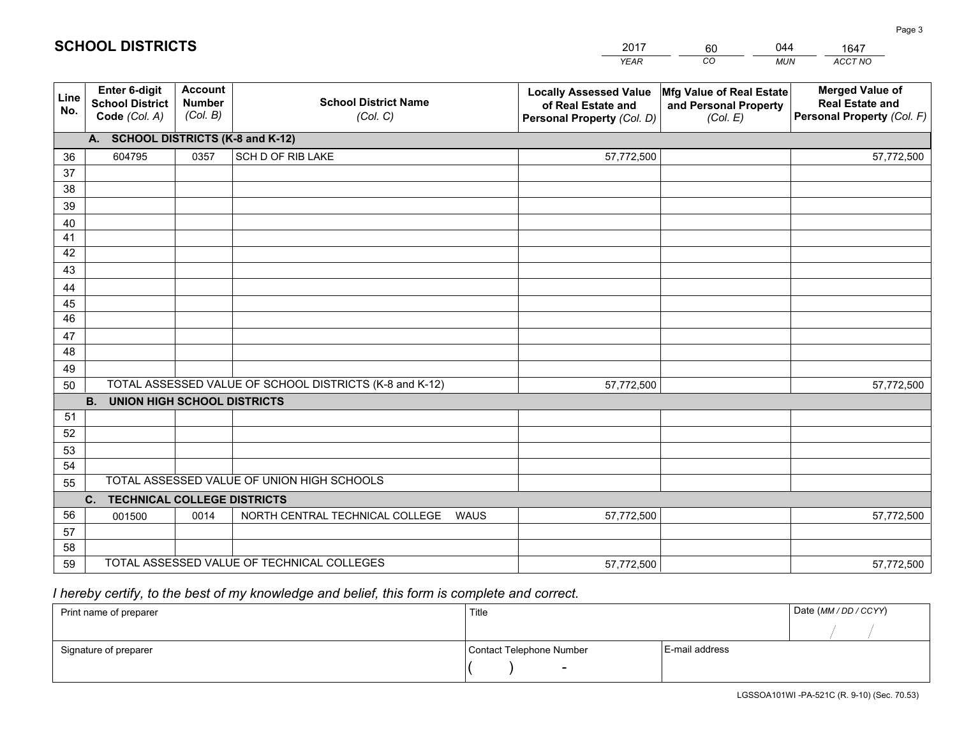|             |                                                          |                                             |                                                         | YEAR                                                                              | CO.<br><b>MUN</b>                                             | ACCT NO                                                                        |
|-------------|----------------------------------------------------------|---------------------------------------------|---------------------------------------------------------|-----------------------------------------------------------------------------------|---------------------------------------------------------------|--------------------------------------------------------------------------------|
| Line<br>No. | Enter 6-digit<br><b>School District</b><br>Code (Col. A) | <b>Account</b><br><b>Number</b><br>(Col. B) | <b>School District Name</b><br>(Col. C)                 | <b>Locally Assessed Value</b><br>of Real Estate and<br>Personal Property (Col. D) | Mfg Value of Real Estate<br>and Personal Property<br>(Col. E) | <b>Merged Value of</b><br><b>Real Estate and</b><br>Personal Property (Col. F) |
|             | A. SCHOOL DISTRICTS (K-8 and K-12)                       |                                             |                                                         |                                                                                   |                                                               |                                                                                |
| 36          | 604795                                                   | 0357                                        | SCH D OF RIB LAKE                                       | 57,772,500                                                                        |                                                               | 57,772,500                                                                     |
| 37          |                                                          |                                             |                                                         |                                                                                   |                                                               |                                                                                |
| 38          |                                                          |                                             |                                                         |                                                                                   |                                                               |                                                                                |
| 39          |                                                          |                                             |                                                         |                                                                                   |                                                               |                                                                                |
| 40          |                                                          |                                             |                                                         |                                                                                   |                                                               |                                                                                |
| 41          |                                                          |                                             |                                                         |                                                                                   |                                                               |                                                                                |
| 42          |                                                          |                                             |                                                         |                                                                                   |                                                               |                                                                                |
| 43          |                                                          |                                             |                                                         |                                                                                   |                                                               |                                                                                |
| 44          |                                                          |                                             |                                                         |                                                                                   |                                                               |                                                                                |
| 45<br>46    |                                                          |                                             |                                                         |                                                                                   |                                                               |                                                                                |
| 47          |                                                          |                                             |                                                         |                                                                                   |                                                               |                                                                                |
| 48          |                                                          |                                             |                                                         |                                                                                   |                                                               |                                                                                |
| 49          |                                                          |                                             |                                                         |                                                                                   |                                                               |                                                                                |
| 50          |                                                          |                                             | TOTAL ASSESSED VALUE OF SCHOOL DISTRICTS (K-8 and K-12) | 57,772,500                                                                        |                                                               | 57,772,500                                                                     |
|             | <b>UNION HIGH SCHOOL DISTRICTS</b><br><b>B.</b>          |                                             |                                                         |                                                                                   |                                                               |                                                                                |
| 51          |                                                          |                                             |                                                         |                                                                                   |                                                               |                                                                                |
| 52          |                                                          |                                             |                                                         |                                                                                   |                                                               |                                                                                |
| 53          |                                                          |                                             |                                                         |                                                                                   |                                                               |                                                                                |
| 54          |                                                          |                                             |                                                         |                                                                                   |                                                               |                                                                                |
| 55          |                                                          |                                             | TOTAL ASSESSED VALUE OF UNION HIGH SCHOOLS              |                                                                                   |                                                               |                                                                                |
|             | C.<br><b>TECHNICAL COLLEGE DISTRICTS</b>                 |                                             |                                                         |                                                                                   |                                                               |                                                                                |
| 56          | 001500                                                   | 0014                                        | NORTH CENTRAL TECHNICAL COLLEGE<br><b>WAUS</b>          | 57,772,500                                                                        |                                                               | 57,772,500                                                                     |
| 57          |                                                          |                                             |                                                         |                                                                                   |                                                               |                                                                                |
| 58          |                                                          |                                             |                                                         |                                                                                   |                                                               |                                                                                |
| 59          |                                                          |                                             | TOTAL ASSESSED VALUE OF TECHNICAL COLLEGES              | 57,772,500                                                                        |                                                               | 57,772,500                                                                     |

60

044

 *I hereby certify, to the best of my knowledge and belief, this form is complete and correct.*

**SCHOOL DISTRICTS**

| Print name of preparer | Title                    |                | Date (MM / DD / CCYY) |
|------------------------|--------------------------|----------------|-----------------------|
|                        |                          |                |                       |
| Signature of preparer  | Contact Telephone Number | E-mail address |                       |
|                        | $\overline{\phantom{0}}$ |                |                       |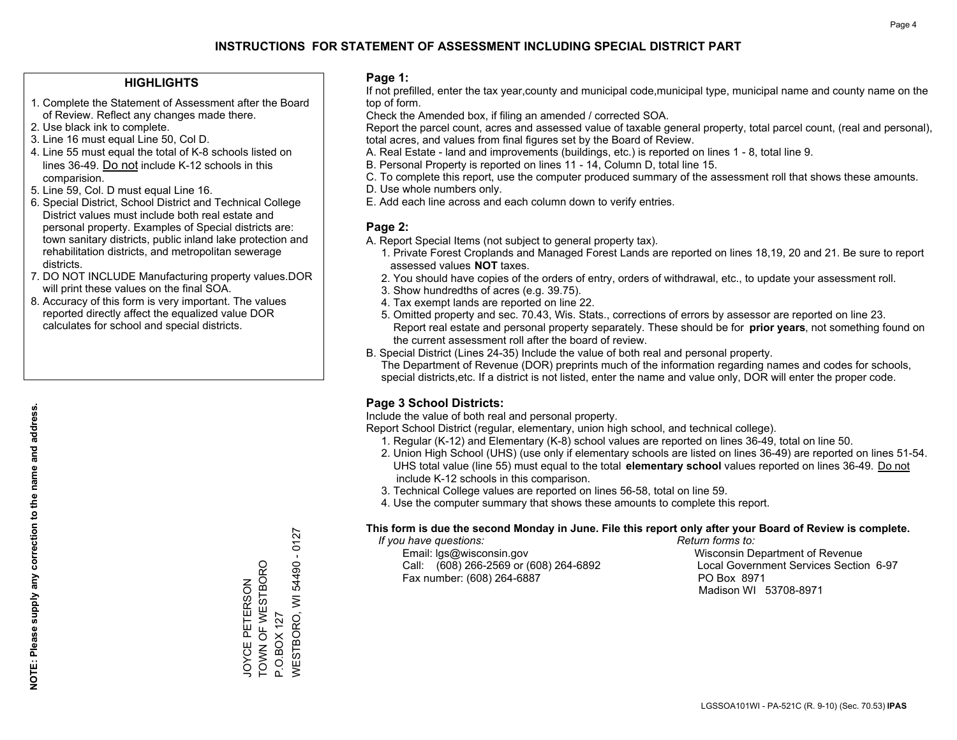#### **HIGHLIGHTS**

- 1. Complete the Statement of Assessment after the Board of Review. Reflect any changes made there.
- 2. Use black ink to complete.
- 3. Line 16 must equal Line 50, Col D.
- 4. Line 55 must equal the total of K-8 schools listed on lines 36-49. Do not include K-12 schools in this comparision.
- 5. Line 59, Col. D must equal Line 16.
- 6. Special District, School District and Technical College District values must include both real estate and personal property. Examples of Special districts are: town sanitary districts, public inland lake protection and rehabilitation districts, and metropolitan sewerage districts.
- 7. DO NOT INCLUDE Manufacturing property values.DOR will print these values on the final SOA.
- 8. Accuracy of this form is very important. The values reported directly affect the equalized value DOR calculates for school and special districts.

#### **Page 1:**

 If not prefilled, enter the tax year,county and municipal code,municipal type, municipal name and county name on the top of form.

Check the Amended box, if filing an amended / corrected SOA.

 Report the parcel count, acres and assessed value of taxable general property, total parcel count, (real and personal), total acres, and values from final figures set by the Board of Review.

- A. Real Estate land and improvements (buildings, etc.) is reported on lines 1 8, total line 9.
- B. Personal Property is reported on lines 11 14, Column D, total line 15.
- C. To complete this report, use the computer produced summary of the assessment roll that shows these amounts.
- D. Use whole numbers only.
- E. Add each line across and each column down to verify entries.

#### **Page 2:**

- A. Report Special Items (not subject to general property tax).
- 1. Private Forest Croplands and Managed Forest Lands are reported on lines 18,19, 20 and 21. Be sure to report assessed values **NOT** taxes.
- 2. You should have copies of the orders of entry, orders of withdrawal, etc., to update your assessment roll.
	- 3. Show hundredths of acres (e.g. 39.75).
- 4. Tax exempt lands are reported on line 22.
- 5. Omitted property and sec. 70.43, Wis. Stats., corrections of errors by assessor are reported on line 23. Report real estate and personal property separately. These should be for **prior years**, not something found on the current assessment roll after the board of review.
- B. Special District (Lines 24-35) Include the value of both real and personal property.

 The Department of Revenue (DOR) preprints much of the information regarding names and codes for schools, special districts,etc. If a district is not listed, enter the name and value only, DOR will enter the proper code.

## **Page 3 School Districts:**

Include the value of both real and personal property.

Report School District (regular, elementary, union high school, and technical college).

- 1. Regular (K-12) and Elementary (K-8) school values are reported on lines 36-49, total on line 50.
- 2. Union High School (UHS) (use only if elementary schools are listed on lines 36-49) are reported on lines 51-54. UHS total value (line 55) must equal to the total **elementary school** values reported on lines 36-49. Do notinclude K-12 schools in this comparison.
- 3. Technical College values are reported on lines 56-58, total on line 59.
- 4. Use the computer summary that shows these amounts to complete this report.

#### **This form is due the second Monday in June. File this report only after your Board of Review is complete.**

 *If you have questions: Return forms to:*

 Email: lgs@wisconsin.gov Wisconsin Department of RevenueCall:  $(608)$  266-2569 or  $(608)$  264-6892 Fax number: (608) 264-6887 PO Box 8971

Local Government Services Section 6-97 Madison WI 53708-8971

54490 - 0127 WESTBORO, WI 54490 - 0127 TOWN OF WESTBORO JOYCE PETERSON<br>TOWN OF WESTBORO JOYCE PETERSON **NESTBORO, WI** P.O.BOX 127 P.O.BOX 127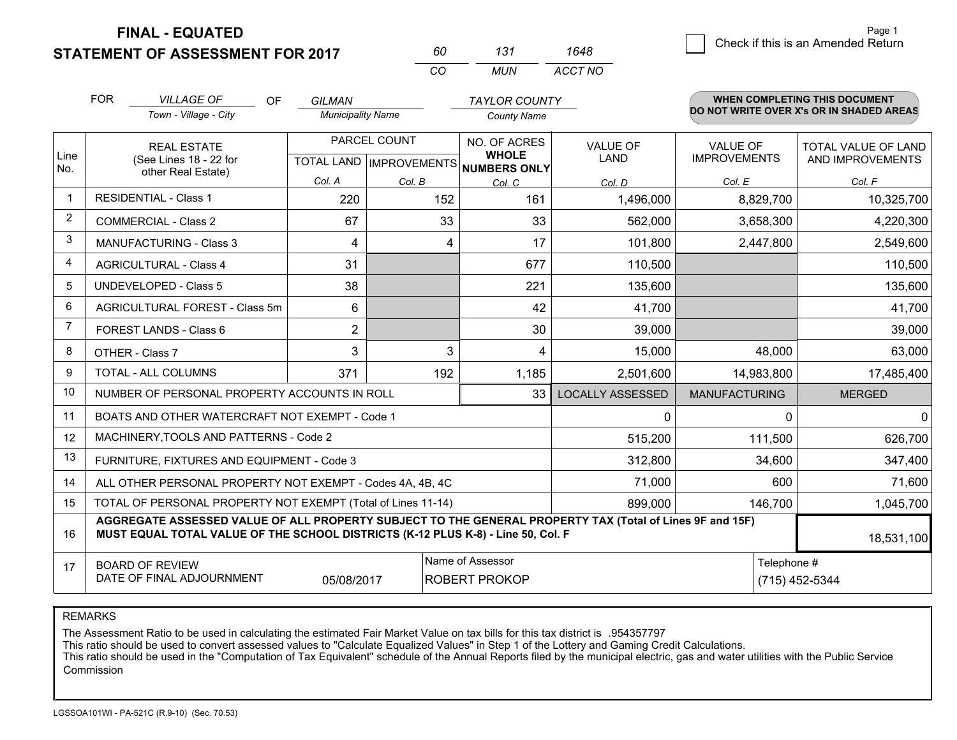**FINAL - EQUATED**

## **STATEMENT OF ASSESSMENT FOR 2017**

| 60  | 131  | 1648    |
|-----|------|---------|
| CO. | MUN. | ACCT NO |

|                | <b>FOR</b> | <b>VILLAGE OF</b><br><b>OF</b>                                                                                                                                                               | <b>GILMAN</b>                                                                           |              | <b>TAYLOR COUNTY</b>                                                 |                         |                                        | WHEN COMPLETING THIS DOCUMENT                  |
|----------------|------------|----------------------------------------------------------------------------------------------------------------------------------------------------------------------------------------------|-----------------------------------------------------------------------------------------|--------------|----------------------------------------------------------------------|-------------------------|----------------------------------------|------------------------------------------------|
|                |            | Town - Village - City                                                                                                                                                                        | <b>Municipality Name</b>                                                                |              | <b>County Name</b>                                                   |                         |                                        | DO NOT WRITE OVER X's OR IN SHADED AREAS       |
| Line           |            | <b>REAL ESTATE</b><br>(See Lines 18 - 22 for                                                                                                                                                 |                                                                                         | PARCEL COUNT | NO. OF ACRES<br><b>WHOLE</b><br>TOTAL LAND IMPROVEMENTS NUMBERS ONLY | <b>VALUE OF</b><br>LAND | <b>VALUE OF</b><br><b>IMPROVEMENTS</b> | <b>TOTAL VALUE OF LAND</b><br>AND IMPROVEMENTS |
| No.            |            | other Real Estate)                                                                                                                                                                           | Col. A                                                                                  | Col. B       | Col. C                                                               | Col. D                  | Col. E                                 | Col. F                                         |
|                |            | <b>RESIDENTIAL - Class 1</b>                                                                                                                                                                 | 220                                                                                     | 152          | 161                                                                  | 1,496,000               | 8,829,700                              | 10,325,700                                     |
| $\overline{2}$ |            | COMMERCIAL - Class 2                                                                                                                                                                         | 67                                                                                      | 33           | 33                                                                   | 562,000                 | 3,658,300                              | 4,220,300                                      |
| 3              |            | <b>MANUFACTURING - Class 3</b>                                                                                                                                                               | 4                                                                                       | 4            | 17                                                                   | 101,800                 | 2,447,800                              | 2,549,600                                      |
| 4              |            | <b>AGRICULTURAL - Class 4</b>                                                                                                                                                                | 31                                                                                      |              | 677                                                                  | 110,500                 |                                        | 110,500                                        |
| 5              |            | <b>UNDEVELOPED - Class 5</b>                                                                                                                                                                 | 38                                                                                      |              | 221                                                                  | 135,600                 |                                        | 135,600                                        |
| 6              |            | AGRICULTURAL FOREST - Class 5m                                                                                                                                                               | 6                                                                                       |              | 42                                                                   | 41,700                  |                                        | 41,700                                         |
| 7              |            | FOREST LANDS - Class 6                                                                                                                                                                       | 2                                                                                       |              | 30                                                                   | 39,000                  |                                        | 39,000                                         |
| 8              |            | OTHER - Class 7                                                                                                                                                                              | 3                                                                                       | 3            | 4                                                                    | 15,000                  | 48,000                                 | 63,000                                         |
| 9              |            | TOTAL - ALL COLUMNS                                                                                                                                                                          | 371                                                                                     | 192          | 1,185                                                                | 2,501,600               | 14,983,800                             | 17,485,400                                     |
| 10             |            | NUMBER OF PERSONAL PROPERTY ACCOUNTS IN ROLL                                                                                                                                                 |                                                                                         |              | 33                                                                   | <b>LOCALLY ASSESSED</b> | <b>MANUFACTURING</b>                   | <b>MERGED</b>                                  |
| 11             |            | BOATS AND OTHER WATERCRAFT NOT EXEMPT - Code 1                                                                                                                                               |                                                                                         |              |                                                                      | 0                       | $\Omega$                               | 0                                              |
| 12             |            | MACHINERY, TOOLS AND PATTERNS - Code 2                                                                                                                                                       |                                                                                         |              |                                                                      | 515,200                 | 111,500                                | 626,700                                        |
| 13             |            | FURNITURE, FIXTURES AND EQUIPMENT - Code 3                                                                                                                                                   |                                                                                         |              |                                                                      | 312,800                 | 34,600                                 | 347,400                                        |
| 14             |            | ALL OTHER PERSONAL PROPERTY NOT EXEMPT - Codes 4A, 4B, 4C                                                                                                                                    |                                                                                         |              |                                                                      | 71,000                  | 600                                    | 71,600                                         |
| 15             |            | TOTAL OF PERSONAL PROPERTY NOT EXEMPT (Total of Lines 11-14)                                                                                                                                 |                                                                                         |              |                                                                      | 899,000                 | 146,700                                | 1,045,700                                      |
| 16             |            | AGGREGATE ASSESSED VALUE OF ALL PROPERTY SUBJECT TO THE GENERAL PROPERTY TAX (Total of Lines 9F and 15F)<br>MUST EQUAL TOTAL VALUE OF THE SCHOOL DISTRICTS (K-12 PLUS K-8) - Line 50, Col. F |                                                                                         |              |                                                                      |                         |                                        | 18,531,100                                     |
| 17             |            | <b>BOARD OF REVIEW</b><br>DATE OF FINAL ADJOURNMENT                                                                                                                                          | Name of Assessor<br>Telephone #<br>(715) 452-5344<br>05/08/2017<br><b>ROBERT PROKOP</b> |              |                                                                      |                         |                                        |                                                |

REMARKS

The Assessment Ratio to be used in calculating the estimated Fair Market Value on tax bills for this tax district is .954357797<br>This ratio should be used to convert assessed values to "Calculate Equalized Values" in Step 1 Commission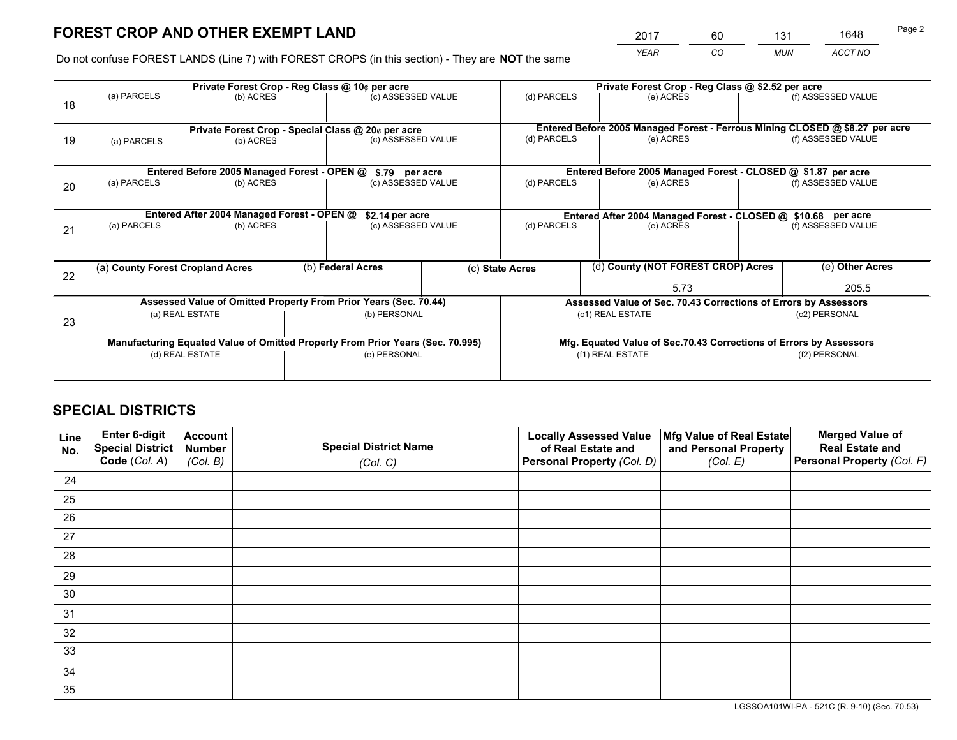*YEAR CO MUN ACCT NO* <sup>2017</sup> <sup>60</sup> <sup>131</sup> <sup>1648</sup>

Do not confuse FOREST LANDS (Line 7) with FOREST CROPS (in this section) - They are **NOT** the same

|    | Private Forest Crop - Reg Class @ 10¢ per acre     |                                             |                   |                                                                                |                 | Private Forest Crop - Reg Class @ \$2.52 per acre                  |                                                                              |                    |                    |  |
|----|----------------------------------------------------|---------------------------------------------|-------------------|--------------------------------------------------------------------------------|-----------------|--------------------------------------------------------------------|------------------------------------------------------------------------------|--------------------|--------------------|--|
| 18 | (a) PARCELS                                        | (b) ACRES                                   |                   | (c) ASSESSED VALUE                                                             |                 | (d) PARCELS                                                        | (e) ACRES                                                                    |                    | (f) ASSESSED VALUE |  |
|    |                                                    |                                             |                   |                                                                                |                 |                                                                    |                                                                              |                    |                    |  |
|    | Private Forest Crop - Special Class @ 20¢ per acre |                                             |                   |                                                                                |                 |                                                                    | Entered Before 2005 Managed Forest - Ferrous Mining CLOSED @ \$8.27 per acre |                    |                    |  |
| 19 | (a) PARCELS                                        | (b) ACRES                                   |                   | (c) ASSESSED VALUE                                                             |                 | (d) PARCELS                                                        | (e) ACRES                                                                    |                    | (f) ASSESSED VALUE |  |
|    |                                                    |                                             |                   |                                                                                |                 |                                                                    |                                                                              |                    |                    |  |
|    |                                                    | Entered Before 2005 Managed Forest - OPEN @ |                   | \$.79 per acre                                                                 |                 |                                                                    | Entered Before 2005 Managed Forest - CLOSED @ \$1.87 per acre                |                    |                    |  |
| 20 | (a) PARCELS                                        | (b) ACRES                                   |                   | (c) ASSESSED VALUE                                                             |                 | (d) PARCELS                                                        | (e) ACRES                                                                    |                    | (f) ASSESSED VALUE |  |
|    |                                                    |                                             |                   |                                                                                |                 |                                                                    |                                                                              |                    |                    |  |
|    |                                                    | Entered After 2004 Managed Forest - OPEN @  |                   |                                                                                | \$2.14 per acre |                                                                    | Entered After 2004 Managed Forest - CLOSED @ \$10.68 per acre                |                    |                    |  |
| 21 | (a) PARCELS                                        | (b) ACRES                                   |                   | (c) ASSESSED VALUE                                                             |                 | (d) PARCELS<br>(e) ACRES                                           |                                                                              | (f) ASSESSED VALUE |                    |  |
|    |                                                    |                                             |                   |                                                                                |                 |                                                                    |                                                                              |                    |                    |  |
|    |                                                    |                                             |                   |                                                                                |                 |                                                                    |                                                                              |                    |                    |  |
| 22 | (a) County Forest Cropland Acres                   |                                             | (b) Federal Acres |                                                                                |                 | (d) County (NOT FOREST CROP) Acres<br>(c) State Acres              |                                                                              | (e) Other Acres    |                    |  |
|    |                                                    |                                             |                   |                                                                                |                 | 5.73                                                               |                                                                              | 205.5              |                    |  |
|    |                                                    |                                             |                   | Assessed Value of Omitted Property From Prior Years (Sec. 70.44)               |                 |                                                                    | Assessed Value of Sec. 70.43 Corrections of Errors by Assessors              |                    |                    |  |
| 23 |                                                    | (a) REAL ESTATE                             |                   | (b) PERSONAL                                                                   |                 |                                                                    | (c1) REAL ESTATE                                                             |                    | (c2) PERSONAL      |  |
|    |                                                    |                                             |                   |                                                                                |                 |                                                                    |                                                                              |                    |                    |  |
|    |                                                    |                                             |                   | Manufacturing Equated Value of Omitted Property From Prior Years (Sec. 70.995) |                 | Mfg. Equated Value of Sec.70.43 Corrections of Errors by Assessors |                                                                              |                    |                    |  |
|    | (d) REAL ESTATE                                    |                                             |                   | (e) PERSONAL                                                                   |                 | (f1) REAL ESTATE                                                   |                                                                              | (f2) PERSONAL      |                    |  |
|    |                                                    |                                             |                   |                                                                                |                 |                                                                    |                                                                              |                    |                    |  |

## **SPECIAL DISTRICTS**

| Line<br>No. | Enter 6-digit<br>Special District<br>Code (Col. A) | <b>Account</b><br><b>Number</b> | <b>Special District Name</b> | <b>Locally Assessed Value</b><br>of Real Estate and | Mfg Value of Real Estate<br>and Personal Property | <b>Merged Value of</b><br><b>Real Estate and</b><br>Personal Property (Col. F) |
|-------------|----------------------------------------------------|---------------------------------|------------------------------|-----------------------------------------------------|---------------------------------------------------|--------------------------------------------------------------------------------|
|             |                                                    | (Col. B)                        | (Col. C)                     | Personal Property (Col. D)                          | (Col. E)                                          |                                                                                |
| 24          |                                                    |                                 |                              |                                                     |                                                   |                                                                                |
| 25          |                                                    |                                 |                              |                                                     |                                                   |                                                                                |
| 26          |                                                    |                                 |                              |                                                     |                                                   |                                                                                |
| 27          |                                                    |                                 |                              |                                                     |                                                   |                                                                                |
| 28          |                                                    |                                 |                              |                                                     |                                                   |                                                                                |
| 29          |                                                    |                                 |                              |                                                     |                                                   |                                                                                |
| 30          |                                                    |                                 |                              |                                                     |                                                   |                                                                                |
| 31          |                                                    |                                 |                              |                                                     |                                                   |                                                                                |
| 32          |                                                    |                                 |                              |                                                     |                                                   |                                                                                |
| 33          |                                                    |                                 |                              |                                                     |                                                   |                                                                                |
| 34          |                                                    |                                 |                              |                                                     |                                                   |                                                                                |
| 35          |                                                    |                                 |                              |                                                     |                                                   |                                                                                |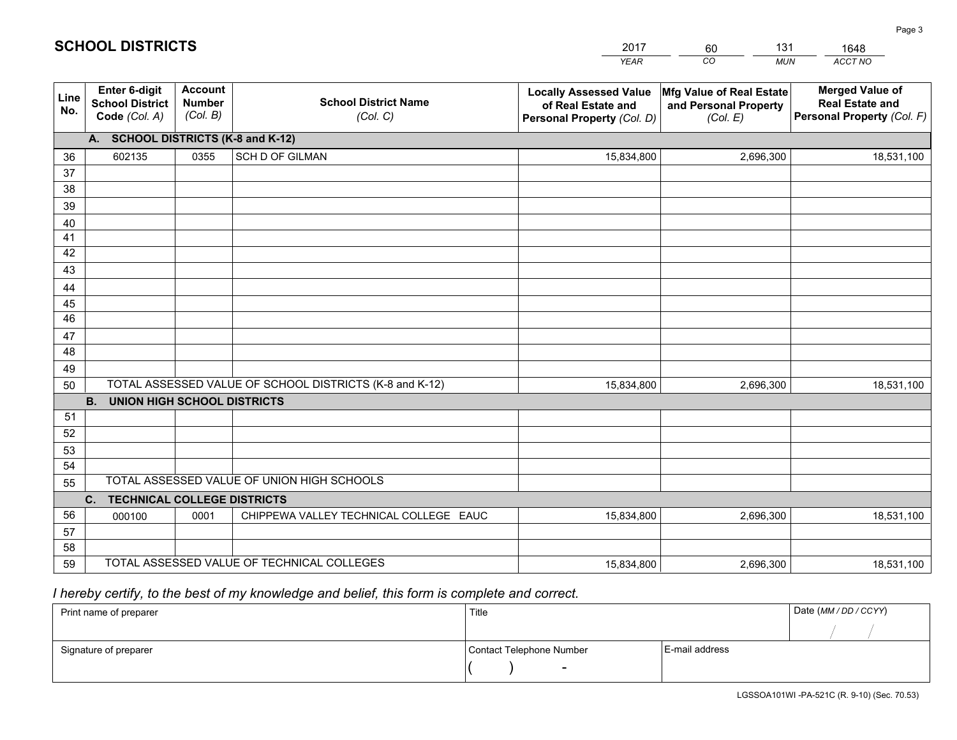|             |                                                                 |                                             |                                                         | <b>YEAR</b>                                                                       | CO<br><b>MUN</b>                                              | ACCT NO                                                                        |
|-------------|-----------------------------------------------------------------|---------------------------------------------|---------------------------------------------------------|-----------------------------------------------------------------------------------|---------------------------------------------------------------|--------------------------------------------------------------------------------|
| Line<br>No. | <b>Enter 6-digit</b><br><b>School District</b><br>Code (Col. A) | <b>Account</b><br><b>Number</b><br>(Col. B) | <b>School District Name</b><br>(Col. C)                 | <b>Locally Assessed Value</b><br>of Real Estate and<br>Personal Property (Col. D) | Mfg Value of Real Estate<br>and Personal Property<br>(Col. E) | <b>Merged Value of</b><br><b>Real Estate and</b><br>Personal Property (Col. F) |
|             | A. SCHOOL DISTRICTS (K-8 and K-12)                              |                                             |                                                         |                                                                                   |                                                               |                                                                                |
| 36          | 602135                                                          | 0355                                        | <b>SCH D OF GILMAN</b>                                  | 15,834,800                                                                        | 2,696,300                                                     | 18,531,100                                                                     |
| 37          |                                                                 |                                             |                                                         |                                                                                   |                                                               |                                                                                |
| 38          |                                                                 |                                             |                                                         |                                                                                   |                                                               |                                                                                |
| 39          |                                                                 |                                             |                                                         |                                                                                   |                                                               |                                                                                |
| 40          |                                                                 |                                             |                                                         |                                                                                   |                                                               |                                                                                |
| 41<br>42    |                                                                 |                                             |                                                         |                                                                                   |                                                               |                                                                                |
| 43          |                                                                 |                                             |                                                         |                                                                                   |                                                               |                                                                                |
| 44          |                                                                 |                                             |                                                         |                                                                                   |                                                               |                                                                                |
| 45          |                                                                 |                                             |                                                         |                                                                                   |                                                               |                                                                                |
| 46          |                                                                 |                                             |                                                         |                                                                                   |                                                               |                                                                                |
| 47          |                                                                 |                                             |                                                         |                                                                                   |                                                               |                                                                                |
| 48          |                                                                 |                                             |                                                         |                                                                                   |                                                               |                                                                                |
| 49          |                                                                 |                                             |                                                         |                                                                                   |                                                               |                                                                                |
| 50          |                                                                 |                                             | TOTAL ASSESSED VALUE OF SCHOOL DISTRICTS (K-8 and K-12) | 15,834,800                                                                        | 2,696,300                                                     | 18,531,100                                                                     |
|             | <b>B. UNION HIGH SCHOOL DISTRICTS</b>                           |                                             |                                                         |                                                                                   |                                                               |                                                                                |
| 51<br>52    |                                                                 |                                             |                                                         |                                                                                   |                                                               |                                                                                |
| 53          |                                                                 |                                             |                                                         |                                                                                   |                                                               |                                                                                |
| 54          |                                                                 |                                             |                                                         |                                                                                   |                                                               |                                                                                |
| 55          |                                                                 |                                             | TOTAL ASSESSED VALUE OF UNION HIGH SCHOOLS              |                                                                                   |                                                               |                                                                                |
|             | C.<br><b>TECHNICAL COLLEGE DISTRICTS</b>                        |                                             |                                                         |                                                                                   |                                                               |                                                                                |
| 56          | 000100                                                          | 0001                                        | CHIPPEWA VALLEY TECHNICAL COLLEGE EAUC                  | 15,834,800                                                                        | 2,696,300                                                     | 18,531,100                                                                     |
| 57          |                                                                 |                                             |                                                         |                                                                                   |                                                               |                                                                                |
| 58          |                                                                 |                                             |                                                         |                                                                                   |                                                               |                                                                                |
| 59          |                                                                 |                                             | TOTAL ASSESSED VALUE OF TECHNICAL COLLEGES              | 15,834,800                                                                        | 2,696,300                                                     | 18,531,100                                                                     |

60

131

 *I hereby certify, to the best of my knowledge and belief, this form is complete and correct.*

**SCHOOL DISTRICTS**

| Print name of preparer | Title                    |                | Date (MM / DD / CCYY) |
|------------------------|--------------------------|----------------|-----------------------|
|                        |                          |                |                       |
| Signature of preparer  | Contact Telephone Number | E-mail address |                       |
|                        | $\sim$                   |                |                       |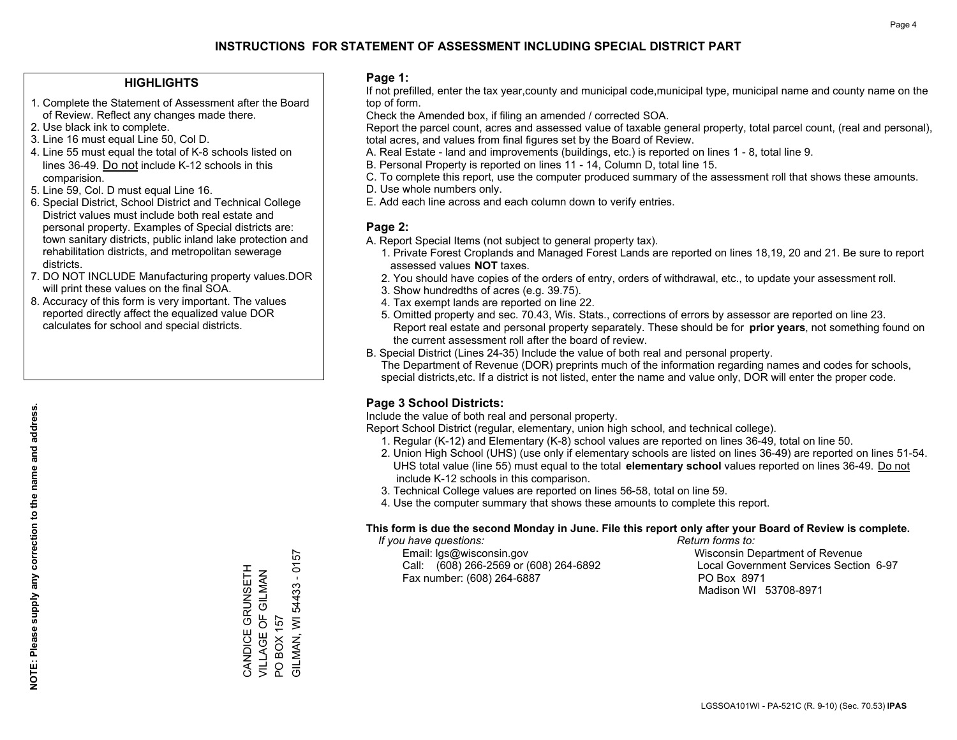#### **HIGHLIGHTS**

- 1. Complete the Statement of Assessment after the Board of Review. Reflect any changes made there.
- 2. Use black ink to complete.
- 3. Line 16 must equal Line 50, Col D.
- 4. Line 55 must equal the total of K-8 schools listed on lines 36-49. Do not include K-12 schools in this comparision.
- 5. Line 59, Col. D must equal Line 16.
- 6. Special District, School District and Technical College District values must include both real estate and personal property. Examples of Special districts are: town sanitary districts, public inland lake protection and rehabilitation districts, and metropolitan sewerage districts.
- 7. DO NOT INCLUDE Manufacturing property values.DOR will print these values on the final SOA.

CANDICE GRUNSETH VILLAGE OF GILMAN

CANDICE GRUNSETH VILLAGE OF GILMAN BOX 157

PO BOX 157

 $\overline{S}$ 

GILMAN, WI 54433 - 0157

GILMAN, WI 54433 - 0157

 8. Accuracy of this form is very important. The values reported directly affect the equalized value DOR calculates for school and special districts.

#### **Page 1:**

 If not prefilled, enter the tax year,county and municipal code,municipal type, municipal name and county name on the top of form.

Check the Amended box, if filing an amended / corrected SOA.

 Report the parcel count, acres and assessed value of taxable general property, total parcel count, (real and personal), total acres, and values from final figures set by the Board of Review.

- A. Real Estate land and improvements (buildings, etc.) is reported on lines 1 8, total line 9.
- B. Personal Property is reported on lines 11 14, Column D, total line 15.
- C. To complete this report, use the computer produced summary of the assessment roll that shows these amounts.
- D. Use whole numbers only.
- E. Add each line across and each column down to verify entries.

#### **Page 2:**

- A. Report Special Items (not subject to general property tax).
- 1. Private Forest Croplands and Managed Forest Lands are reported on lines 18,19, 20 and 21. Be sure to report assessed values **NOT** taxes.
- 2. You should have copies of the orders of entry, orders of withdrawal, etc., to update your assessment roll.
	- 3. Show hundredths of acres (e.g. 39.75).
- 4. Tax exempt lands are reported on line 22.
- 5. Omitted property and sec. 70.43, Wis. Stats., corrections of errors by assessor are reported on line 23. Report real estate and personal property separately. These should be for **prior years**, not something found on the current assessment roll after the board of review.
- B. Special District (Lines 24-35) Include the value of both real and personal property.
- The Department of Revenue (DOR) preprints much of the information regarding names and codes for schools, special districts,etc. If a district is not listed, enter the name and value only, DOR will enter the proper code.

## **Page 3 School Districts:**

Include the value of both real and personal property.

Report School District (regular, elementary, union high school, and technical college).

- 1. Regular (K-12) and Elementary (K-8) school values are reported on lines 36-49, total on line 50.
- 2. Union High School (UHS) (use only if elementary schools are listed on lines 36-49) are reported on lines 51-54. UHS total value (line 55) must equal to the total **elementary school** values reported on lines 36-49. Do notinclude K-12 schools in this comparison.
- 3. Technical College values are reported on lines 56-58, total on line 59.
- 4. Use the computer summary that shows these amounts to complete this report.

#### **This form is due the second Monday in June. File this report only after your Board of Review is complete.**

 *If you have questions: Return forms to:*

 Email: lgs@wisconsin.gov Wisconsin Department of RevenueCall:  $(608)$  266-2569 or  $(608)$  264-6892 Fax number: (608) 264-6887 PO Box 8971

Local Government Services Section 6-97 Madison WI 53708-8971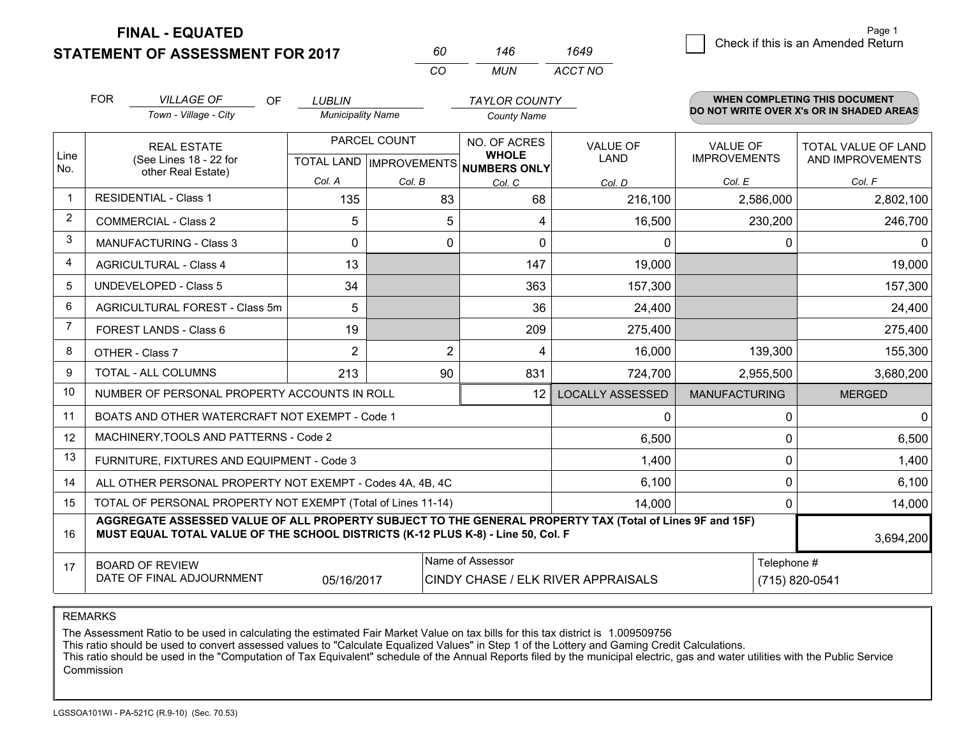**STATEMENT OF ASSESSMENT FOR 2017 FINAL - EQUATED**

|   |                                    | Page 1 |
|---|------------------------------------|--------|
| 9 | Check if this is an Amended Return |        |
|   |                                    |        |

|                | <b>FOR</b>                                                                                                                                                                                   | <b>VILLAGE OF</b><br><b>OF</b><br>Town - Village - City      | <b>LUBLIN</b><br><b>Municipality Name</b> |                | <b>TAYLOR COUNTY</b><br><b>County Name</b>   |                         |                                        | <b>WHEN COMPLETING THIS DOCUMENT</b><br>DO NOT WRITE OVER X's OR IN SHADED AREAS |
|----------------|----------------------------------------------------------------------------------------------------------------------------------------------------------------------------------------------|--------------------------------------------------------------|-------------------------------------------|----------------|----------------------------------------------|-------------------------|----------------------------------------|----------------------------------------------------------------------------------|
| Line<br>No.    | <b>REAL ESTATE</b><br>(See Lines 18 - 22 for                                                                                                                                                 |                                                              | PARCEL COUNT<br>TOTAL LAND   IMPROVEMENTS |                | NO. OF ACRES<br><b>WHOLE</b><br>NUMBERS ONLY | <b>VALUE OF</b><br>LAND | <b>VALUE OF</b><br><b>IMPROVEMENTS</b> | TOTAL VALUE OF LAND<br>AND IMPROVEMENTS                                          |
|                |                                                                                                                                                                                              | other Real Estate)                                           | Col. A                                    | Col. B         | Col. C                                       | Col. D                  | Col. E                                 | Col. F                                                                           |
| $\mathbf 1$    |                                                                                                                                                                                              | <b>RESIDENTIAL - Class 1</b>                                 | 135                                       | 83             | 68                                           | 216,100                 | 2,586,000                              | 2,802,100                                                                        |
| $\overline{2}$ |                                                                                                                                                                                              | <b>COMMERCIAL - Class 2</b>                                  | 5                                         | 5              | 4                                            | 16,500                  | 230,200                                | 246,700                                                                          |
| 3              |                                                                                                                                                                                              | <b>MANUFACTURING - Class 3</b>                               | 0                                         | 0              | $\Omega$                                     | $\mathbf{0}$            | 0                                      | 0                                                                                |
| 4              |                                                                                                                                                                                              | <b>AGRICULTURAL - Class 4</b>                                | 13                                        |                | 147                                          | 19,000                  |                                        | 19,000                                                                           |
| 5              |                                                                                                                                                                                              | <b>UNDEVELOPED - Class 5</b>                                 | 34                                        |                | 363                                          | 157,300                 |                                        | 157,300                                                                          |
| 6              |                                                                                                                                                                                              | <b>AGRICULTURAL FOREST - Class 5m</b>                        | 5                                         |                | 36                                           | 24,400                  |                                        | 24,400                                                                           |
| $\overline{7}$ |                                                                                                                                                                                              | FOREST LANDS - Class 6                                       | 19                                        |                | 209                                          | 275,400                 |                                        | 275,400                                                                          |
| 8              |                                                                                                                                                                                              | OTHER - Class 7                                              | $\overline{2}$                            | $\overline{2}$ | 4                                            | 16,000                  | 139,300                                | 155,300                                                                          |
| 9              |                                                                                                                                                                                              | <b>TOTAL - ALL COLUMNS</b>                                   | 213                                       | 90             | 831                                          | 724,700                 | 2,955,500                              | 3,680,200                                                                        |
| 10             |                                                                                                                                                                                              | NUMBER OF PERSONAL PROPERTY ACCOUNTS IN ROLL                 |                                           |                | 12                                           | <b>LOCALLY ASSESSED</b> | <b>MANUFACTURING</b>                   | <b>MERGED</b>                                                                    |
| 11             |                                                                                                                                                                                              | BOATS AND OTHER WATERCRAFT NOT EXEMPT - Code 1               |                                           |                |                                              | 0                       | 0                                      | $\Omega$                                                                         |
| 12             |                                                                                                                                                                                              | MACHINERY, TOOLS AND PATTERNS - Code 2                       |                                           |                |                                              | 6,500                   | $\mathbf 0$                            | 6,500                                                                            |
| 13             |                                                                                                                                                                                              | FURNITURE, FIXTURES AND EQUIPMENT - Code 3                   |                                           |                |                                              | 1,400                   | $\mathbf 0$                            | 1,400                                                                            |
| 14             |                                                                                                                                                                                              | ALL OTHER PERSONAL PROPERTY NOT EXEMPT - Codes 4A, 4B, 4C    |                                           |                |                                              | 6,100                   | $\mathbf 0$                            | 6,100                                                                            |
| 15             |                                                                                                                                                                                              | TOTAL OF PERSONAL PROPERTY NOT EXEMPT (Total of Lines 11-14) |                                           |                | 14,000                                       | $\mathbf 0$             | 14,000                                 |                                                                                  |
| 16             | AGGREGATE ASSESSED VALUE OF ALL PROPERTY SUBJECT TO THE GENERAL PROPERTY TAX (Total of Lines 9F and 15F)<br>MUST EQUAL TOTAL VALUE OF THE SCHOOL DISTRICTS (K-12 PLUS K-8) - Line 50, Col. F |                                                              |                                           |                |                                              |                         | 3,694,200                              |                                                                                  |
| 17             | Name of Assessor<br><b>BOARD OF REVIEW</b><br>DATE OF FINAL ADJOURNMENT<br>05/16/2017<br>CINDY CHASE / ELK RIVER APPRAISALS                                                                  |                                                              |                                           |                |                                              | Telephone #             | (715) 820-0541                         |                                                                                  |

*CO*

*MUN*

*ACCT NO1649*

*<sup>60</sup> <sup>146</sup>*

REMARKS

The Assessment Ratio to be used in calculating the estimated Fair Market Value on tax bills for this tax district is 1.009509756<br>This ratio should be used to convert assessed values to "Calculate Equalized Values" in Step Commission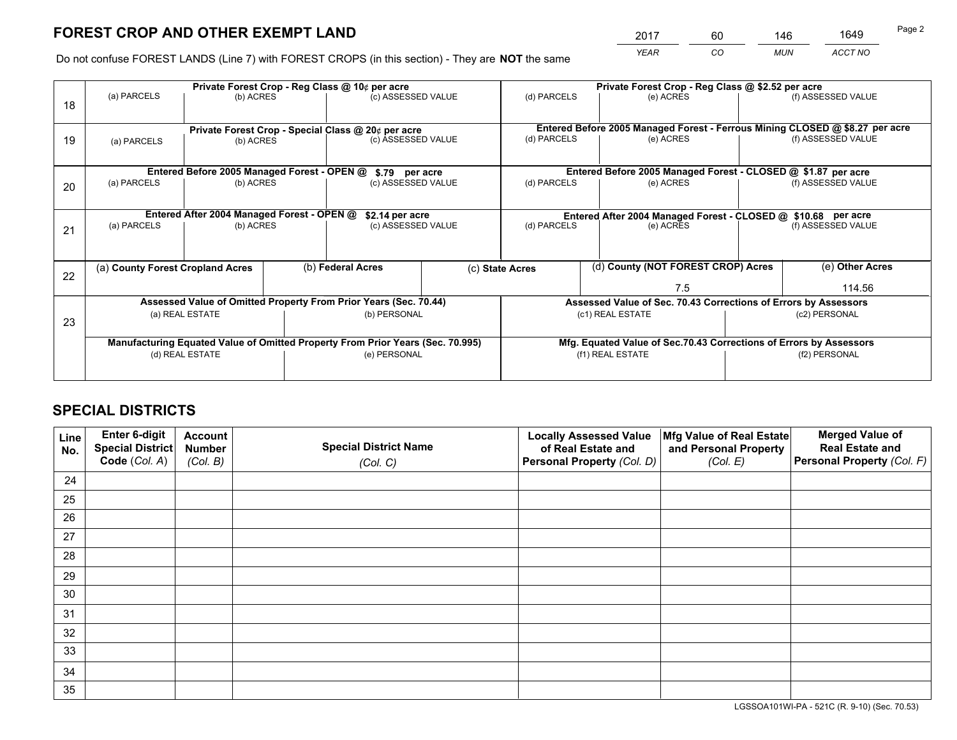*YEAR CO MUN ACCT NO* <sup>2017</sup> <sup>60</sup> <sup>146</sup> <sup>1649</sup>

Do not confuse FOREST LANDS (Line 7) with FOREST CROPS (in this section) - They are **NOT** the same

|    | Private Forest Crop - Reg Class @ 10¢ per acre     |                                             |  |                                                                                |  | Private Forest Crop - Reg Class @ \$2.52 per acre                            |                                                                    |                    |                    |
|----|----------------------------------------------------|---------------------------------------------|--|--------------------------------------------------------------------------------|--|------------------------------------------------------------------------------|--------------------------------------------------------------------|--------------------|--------------------|
| 18 | (a) PARCELS                                        | (b) ACRES                                   |  | (c) ASSESSED VALUE                                                             |  | (d) PARCELS                                                                  | (e) ACRES                                                          |                    | (f) ASSESSED VALUE |
|    |                                                    |                                             |  |                                                                                |  |                                                                              |                                                                    |                    |                    |
|    | Private Forest Crop - Special Class @ 20¢ per acre |                                             |  |                                                                                |  | Entered Before 2005 Managed Forest - Ferrous Mining CLOSED @ \$8.27 per acre |                                                                    |                    |                    |
| 19 | (a) PARCELS                                        | (b) ACRES                                   |  | (c) ASSESSED VALUE                                                             |  | (d) PARCELS                                                                  | (e) ACRES                                                          |                    | (f) ASSESSED VALUE |
|    |                                                    |                                             |  |                                                                                |  |                                                                              |                                                                    |                    |                    |
|    |                                                    | Entered Before 2005 Managed Forest - OPEN @ |  | \$.79 per acre                                                                 |  |                                                                              | Entered Before 2005 Managed Forest - CLOSED @ \$1.87 per acre      |                    |                    |
| 20 | (a) PARCELS                                        | (b) ACRES                                   |  | (c) ASSESSED VALUE                                                             |  | (d) PARCELS                                                                  | (e) ACRES                                                          |                    | (f) ASSESSED VALUE |
|    |                                                    |                                             |  |                                                                                |  |                                                                              |                                                                    |                    |                    |
|    |                                                    | Entered After 2004 Managed Forest - OPEN @  |  | \$2.14 per acre                                                                |  | Entered After 2004 Managed Forest - CLOSED @ \$10.68 per acre                |                                                                    |                    |                    |
| 21 | (a) PARCELS                                        | (b) ACRES                                   |  | (c) ASSESSED VALUE                                                             |  | (d) PARCELS<br>(e) ACRES                                                     |                                                                    | (f) ASSESSED VALUE |                    |
|    |                                                    |                                             |  |                                                                                |  |                                                                              |                                                                    |                    |                    |
|    | (a) County Forest Cropland Acres                   |                                             |  | (b) Federal Acres                                                              |  |                                                                              | (d) County (NOT FOREST CROP) Acres                                 |                    | (e) Other Acres    |
| 22 |                                                    |                                             |  |                                                                                |  | (c) State Acres                                                              |                                                                    |                    |                    |
|    |                                                    |                                             |  |                                                                                |  | 7.5                                                                          |                                                                    |                    | 114.56             |
|    |                                                    |                                             |  | Assessed Value of Omitted Property From Prior Years (Sec. 70.44)               |  |                                                                              | Assessed Value of Sec. 70.43 Corrections of Errors by Assessors    |                    |                    |
| 23 |                                                    | (a) REAL ESTATE                             |  | (b) PERSONAL                                                                   |  | (c1) REAL ESTATE                                                             |                                                                    | (c2) PERSONAL      |                    |
|    |                                                    |                                             |  |                                                                                |  |                                                                              |                                                                    |                    |                    |
|    |                                                    |                                             |  | Manufacturing Equated Value of Omitted Property From Prior Years (Sec. 70.995) |  |                                                                              | Mfg. Equated Value of Sec.70.43 Corrections of Errors by Assessors |                    |                    |
|    | (d) REAL ESTATE                                    |                                             |  | (e) PERSONAL                                                                   |  | (f1) REAL ESTATE                                                             |                                                                    | (f2) PERSONAL      |                    |
|    |                                                    |                                             |  |                                                                                |  |                                                                              |                                                                    |                    |                    |

## **SPECIAL DISTRICTS**

| Line<br>No. | Enter 6-digit<br>Special District<br>Code (Col. A) | <b>Account</b><br><b>Number</b><br>(Col. B) | <b>Special District Name</b><br>(Col. C) | <b>Locally Assessed Value</b><br>of Real Estate and<br>Personal Property (Col. D) | Mfg Value of Real Estate<br>and Personal Property<br>(Col. E) | <b>Merged Value of</b><br><b>Real Estate and</b><br>Personal Property (Col. F) |
|-------------|----------------------------------------------------|---------------------------------------------|------------------------------------------|-----------------------------------------------------------------------------------|---------------------------------------------------------------|--------------------------------------------------------------------------------|
| 24          |                                                    |                                             |                                          |                                                                                   |                                                               |                                                                                |
| 25          |                                                    |                                             |                                          |                                                                                   |                                                               |                                                                                |
| 26          |                                                    |                                             |                                          |                                                                                   |                                                               |                                                                                |
| 27          |                                                    |                                             |                                          |                                                                                   |                                                               |                                                                                |
| 28          |                                                    |                                             |                                          |                                                                                   |                                                               |                                                                                |
| 29          |                                                    |                                             |                                          |                                                                                   |                                                               |                                                                                |
| 30          |                                                    |                                             |                                          |                                                                                   |                                                               |                                                                                |
| 31          |                                                    |                                             |                                          |                                                                                   |                                                               |                                                                                |
| 32          |                                                    |                                             |                                          |                                                                                   |                                                               |                                                                                |
| 33          |                                                    |                                             |                                          |                                                                                   |                                                               |                                                                                |
| 34          |                                                    |                                             |                                          |                                                                                   |                                                               |                                                                                |
| 35          |                                                    |                                             |                                          |                                                                                   |                                                               |                                                                                |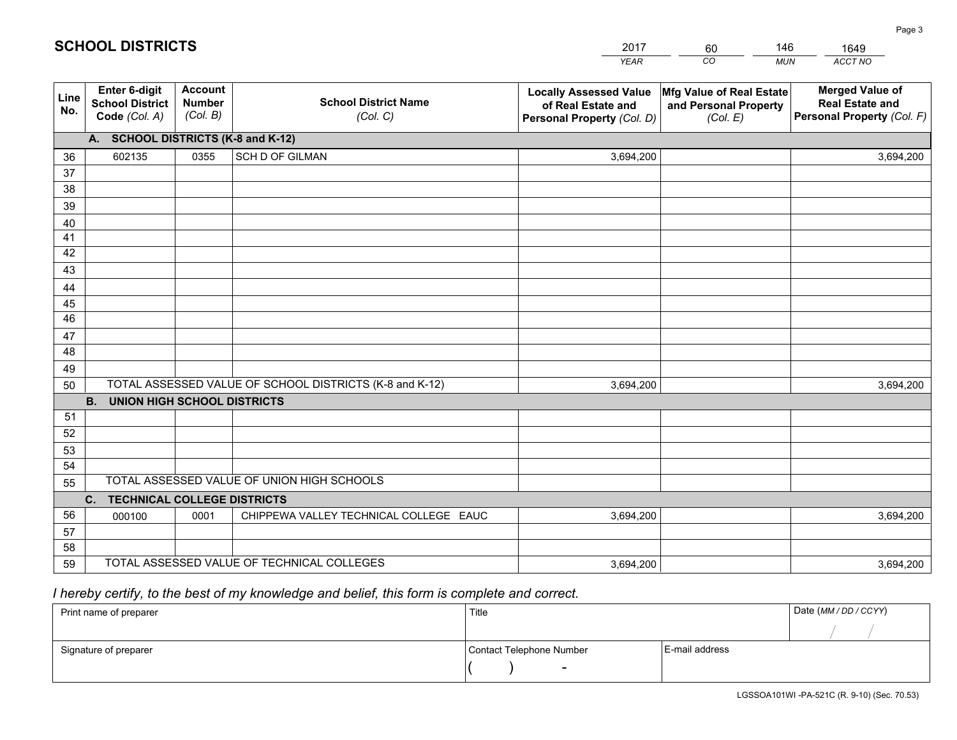|                       |                                                          |                                             |                                                         | <b>YEAR</b>                                                                       | CO<br><b>MUN</b>                                              | ACCT NO                                                                        |
|-----------------------|----------------------------------------------------------|---------------------------------------------|---------------------------------------------------------|-----------------------------------------------------------------------------------|---------------------------------------------------------------|--------------------------------------------------------------------------------|
| Line<br>No.           | Enter 6-digit<br><b>School District</b><br>Code (Col. A) | <b>Account</b><br><b>Number</b><br>(Col. B) | <b>School District Name</b><br>(Col. C)                 | <b>Locally Assessed Value</b><br>of Real Estate and<br>Personal Property (Col. D) | Mfg Value of Real Estate<br>and Personal Property<br>(Col. E) | <b>Merged Value of</b><br><b>Real Estate and</b><br>Personal Property (Col. F) |
|                       | A. SCHOOL DISTRICTS (K-8 and K-12)                       |                                             |                                                         |                                                                                   |                                                               |                                                                                |
| 36                    | 602135                                                   | 0355                                        | SCH D OF GILMAN                                         | 3,694,200                                                                         |                                                               | 3,694,200                                                                      |
| 37                    |                                                          |                                             |                                                         |                                                                                   |                                                               |                                                                                |
| 38                    |                                                          |                                             |                                                         |                                                                                   |                                                               |                                                                                |
| 39                    |                                                          |                                             |                                                         |                                                                                   |                                                               |                                                                                |
| 40                    |                                                          |                                             |                                                         |                                                                                   |                                                               |                                                                                |
| 41                    |                                                          |                                             |                                                         |                                                                                   |                                                               |                                                                                |
| 42                    |                                                          |                                             |                                                         |                                                                                   |                                                               |                                                                                |
| 43                    |                                                          |                                             |                                                         |                                                                                   |                                                               |                                                                                |
| 44                    |                                                          |                                             |                                                         |                                                                                   |                                                               |                                                                                |
| 45<br>$\overline{46}$ |                                                          |                                             |                                                         |                                                                                   |                                                               |                                                                                |
|                       |                                                          |                                             |                                                         |                                                                                   |                                                               |                                                                                |
| 47<br>48              |                                                          |                                             |                                                         |                                                                                   |                                                               |                                                                                |
| 49                    |                                                          |                                             |                                                         |                                                                                   |                                                               |                                                                                |
| 50                    |                                                          |                                             | TOTAL ASSESSED VALUE OF SCHOOL DISTRICTS (K-8 and K-12) | 3,694,200                                                                         |                                                               | 3,694,200                                                                      |
|                       | <b>B.</b><br><b>UNION HIGH SCHOOL DISTRICTS</b>          |                                             |                                                         |                                                                                   |                                                               |                                                                                |
| 51                    |                                                          |                                             |                                                         |                                                                                   |                                                               |                                                                                |
| 52                    |                                                          |                                             |                                                         |                                                                                   |                                                               |                                                                                |
| 53                    |                                                          |                                             |                                                         |                                                                                   |                                                               |                                                                                |
| 54                    |                                                          |                                             |                                                         |                                                                                   |                                                               |                                                                                |
| 55                    |                                                          |                                             | TOTAL ASSESSED VALUE OF UNION HIGH SCHOOLS              |                                                                                   |                                                               |                                                                                |
|                       | C. TECHNICAL COLLEGE DISTRICTS                           |                                             |                                                         |                                                                                   |                                                               |                                                                                |
| 56                    | 000100                                                   | 0001                                        | CHIPPEWA VALLEY TECHNICAL COLLEGE EAUC                  | 3,694,200                                                                         |                                                               | 3,694,200                                                                      |
| 57                    |                                                          |                                             |                                                         |                                                                                   |                                                               |                                                                                |
| 58                    |                                                          |                                             |                                                         |                                                                                   |                                                               |                                                                                |
| 59                    |                                                          |                                             | TOTAL ASSESSED VALUE OF TECHNICAL COLLEGES              | 3,694,200                                                                         |                                                               | 3,694,200                                                                      |

60

146

 *I hereby certify, to the best of my knowledge and belief, this form is complete and correct.*

**SCHOOL DISTRICTS**

| Print name of preparer | Title                    |                | Date (MM / DD / CCYY) |
|------------------------|--------------------------|----------------|-----------------------|
|                        |                          |                |                       |
| Signature of preparer  | Contact Telephone Number | E-mail address |                       |
|                        | $\sim$                   |                |                       |

LGSSOA101WI -PA-521C (R. 9-10) (Sec. 70.53)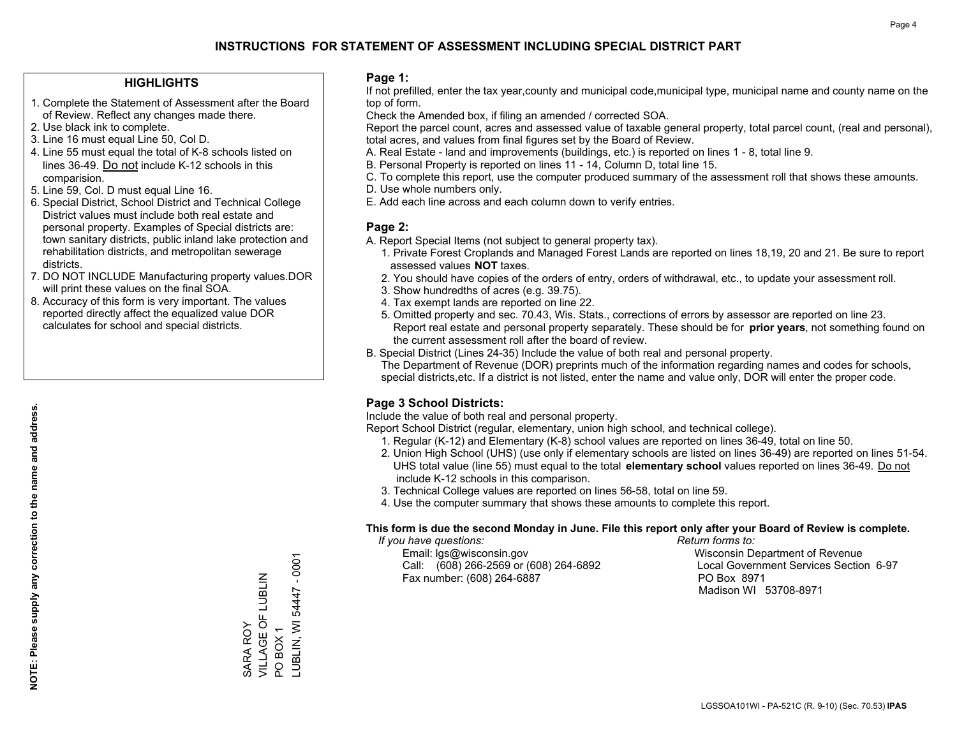#### **HIGHLIGHTS**

- 1. Complete the Statement of Assessment after the Board of Review. Reflect any changes made there.
- 2. Use black ink to complete.
- 3. Line 16 must equal Line 50, Col D.
- 4. Line 55 must equal the total of K-8 schools listed on lines 36-49. Do not include K-12 schools in this comparision.
- 5. Line 59, Col. D must equal Line 16.
- 6. Special District, School District and Technical College District values must include both real estate and personal property. Examples of Special districts are: town sanitary districts, public inland lake protection and rehabilitation districts, and metropolitan sewerage districts.
- 7. DO NOT INCLUDE Manufacturing property values.DOR will print these values on the final SOA.

SARA ROY

VILLAGE OF LUBLIN

SARA ROY<br>VILLAGE OF LUBLIN

PO BOX 1

POBOX1

LUBLIN, WI 54447 - 0001

-UBLIN, WI 54447 - 0001

 8. Accuracy of this form is very important. The values reported directly affect the equalized value DOR calculates for school and special districts.

#### **Page 1:**

 If not prefilled, enter the tax year,county and municipal code,municipal type, municipal name and county name on the top of form.

Check the Amended box, if filing an amended / corrected SOA.

 Report the parcel count, acres and assessed value of taxable general property, total parcel count, (real and personal), total acres, and values from final figures set by the Board of Review.

- A. Real Estate land and improvements (buildings, etc.) is reported on lines 1 8, total line 9.
- B. Personal Property is reported on lines 11 14, Column D, total line 15.
- C. To complete this report, use the computer produced summary of the assessment roll that shows these amounts.
- D. Use whole numbers only.
- E. Add each line across and each column down to verify entries.

#### **Page 2:**

- A. Report Special Items (not subject to general property tax).
- 1. Private Forest Croplands and Managed Forest Lands are reported on lines 18,19, 20 and 21. Be sure to report assessed values **NOT** taxes.
- 2. You should have copies of the orders of entry, orders of withdrawal, etc., to update your assessment roll.
	- 3. Show hundredths of acres (e.g. 39.75).
- 4. Tax exempt lands are reported on line 22.
- 5. Omitted property and sec. 70.43, Wis. Stats., corrections of errors by assessor are reported on line 23. Report real estate and personal property separately. These should be for **prior years**, not something found on the current assessment roll after the board of review.
- B. Special District (Lines 24-35) Include the value of both real and personal property.
- The Department of Revenue (DOR) preprints much of the information regarding names and codes for schools, special districts,etc. If a district is not listed, enter the name and value only, DOR will enter the proper code.

## **Page 3 School Districts:**

Include the value of both real and personal property.

Report School District (regular, elementary, union high school, and technical college).

- 1. Regular (K-12) and Elementary (K-8) school values are reported on lines 36-49, total on line 50.
- 2. Union High School (UHS) (use only if elementary schools are listed on lines 36-49) are reported on lines 51-54. UHS total value (line 55) must equal to the total **elementary school** values reported on lines 36-49. Do notinclude K-12 schools in this comparison.
- 3. Technical College values are reported on lines 56-58, total on line 59.
- 4. Use the computer summary that shows these amounts to complete this report.

#### **This form is due the second Monday in June. File this report only after your Board of Review is complete.**

 *If you have questions: Return forms to:*

 Email: lgs@wisconsin.gov Wisconsin Department of RevenueCall:  $(608)$  266-2569 or  $(608)$  264-6892 Fax number: (608) 264-6887 PO Box 8971

Local Government Services Section 6-97 Madison WI 53708-8971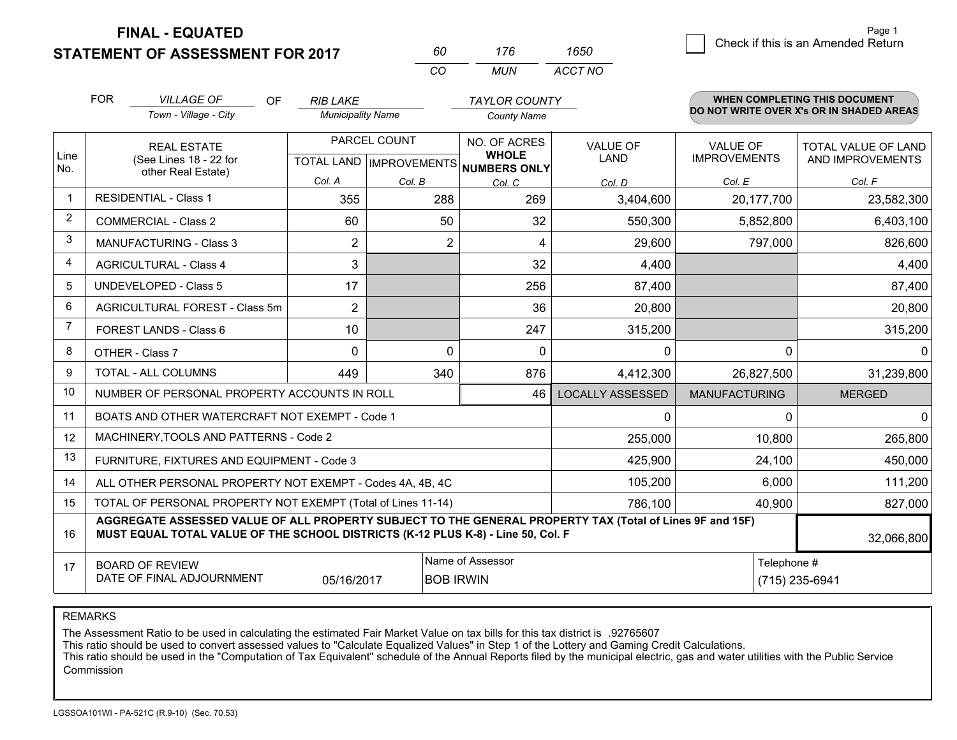**STATEMENT OF ASSESSMENT FOR 2017 FINAL - EQUATED**

| 60 | 176  | 1650    |
|----|------|---------|
| cо | MUN. | ACCT NO |

|                | <b>FOR</b>                                                                                                                                                                                   | <b>VILLAGE OF</b><br>OF                                   | <b>RIB LAKE</b>          |                  | <b>TAYLOR COUNTY</b>                                 |                         |                      | WHEN COMPLETING THIS DOCUMENT<br>DO NOT WRITE OVER X's OR IN SHADED AREAS |
|----------------|----------------------------------------------------------------------------------------------------------------------------------------------------------------------------------------------|-----------------------------------------------------------|--------------------------|------------------|------------------------------------------------------|-------------------------|----------------------|---------------------------------------------------------------------------|
|                |                                                                                                                                                                                              | Town - Village - City                                     | <b>Municipality Name</b> |                  | <b>County Name</b>                                   |                         |                      |                                                                           |
|                |                                                                                                                                                                                              | <b>REAL ESTATE</b>                                        |                          | PARCEL COUNT     | NO. OF ACRES                                         | <b>VALUE OF</b>         | <b>VALUE OF</b>      | <b>TOTAL VALUE OF LAND</b>                                                |
| Line<br>No.    |                                                                                                                                                                                              | (See Lines 18 - 22 for<br>other Real Estate)              |                          |                  | <b>WHOLE</b><br>TOTAL LAND IMPROVEMENTS NUMBERS ONLY | LAND                    | <b>IMPROVEMENTS</b>  | AND IMPROVEMENTS                                                          |
|                |                                                                                                                                                                                              |                                                           | Col. A                   | Col. B           | Col. C                                               | Col. D                  | Col. E               | Col. F                                                                    |
| $\mathbf{1}$   |                                                                                                                                                                                              | <b>RESIDENTIAL - Class 1</b>                              | 355                      | 288              | 269                                                  | 3,404,600               | 20,177,700           | 23,582,300                                                                |
| 2              |                                                                                                                                                                                              | <b>COMMERCIAL - Class 2</b>                               | 60                       | 50               | 32                                                   | 550,300                 | 5,852,800            | 6,403,100                                                                 |
| 3              |                                                                                                                                                                                              | <b>MANUFACTURING - Class 3</b>                            | 2                        | $\overline{2}$   | 4                                                    | 29,600                  | 797,000              | 826,600                                                                   |
| $\overline{4}$ |                                                                                                                                                                                              | <b>AGRICULTURAL - Class 4</b>                             | 3                        |                  | 32                                                   | 4,400                   |                      | 4,400                                                                     |
| 5              |                                                                                                                                                                                              | <b>UNDEVELOPED - Class 5</b>                              | 17                       |                  | 256                                                  | 87,400                  |                      | 87,400                                                                    |
| 6              |                                                                                                                                                                                              | AGRICULTURAL FOREST - Class 5m                            | $\overline{2}$           |                  | 36                                                   | 20,800                  |                      | 20,800                                                                    |
| $\overline{7}$ |                                                                                                                                                                                              | FOREST LANDS - Class 6                                    | 10                       |                  | 247                                                  | 315,200                 |                      | 315,200                                                                   |
| 8              |                                                                                                                                                                                              | OTHER - Class 7                                           | $\Omega$                 | $\Omega$         | $\Omega$                                             | $\Omega$                | 0                    | <sup>0</sup>                                                              |
| 9              |                                                                                                                                                                                              | TOTAL - ALL COLUMNS                                       | 449                      | 340              | 876                                                  | 4,412,300               | 26,827,500           | 31,239,800                                                                |
| 10             |                                                                                                                                                                                              | NUMBER OF PERSONAL PROPERTY ACCOUNTS IN ROLL              |                          |                  | 46                                                   | <b>LOCALLY ASSESSED</b> | <b>MANUFACTURING</b> | <b>MERGED</b>                                                             |
| 11             |                                                                                                                                                                                              | BOATS AND OTHER WATERCRAFT NOT EXEMPT - Code 1            |                          |                  |                                                      | $\Omega$                | 0                    | <sup>0</sup>                                                              |
| 12             |                                                                                                                                                                                              | MACHINERY, TOOLS AND PATTERNS - Code 2                    |                          |                  |                                                      | 255,000                 | 10,800               | 265,800                                                                   |
| 13             |                                                                                                                                                                                              | FURNITURE, FIXTURES AND EQUIPMENT - Code 3                |                          |                  |                                                      | 425,900                 | 24,100               | 450,000                                                                   |
| 14             |                                                                                                                                                                                              | ALL OTHER PERSONAL PROPERTY NOT EXEMPT - Codes 4A, 4B, 4C |                          |                  |                                                      | 105,200                 | 6,000                | 111,200                                                                   |
| 15             | TOTAL OF PERSONAL PROPERTY NOT EXEMPT (Total of Lines 11-14)<br>786,100<br>40,900                                                                                                            |                                                           |                          |                  |                                                      |                         |                      | 827,000                                                                   |
| 16             | AGGREGATE ASSESSED VALUE OF ALL PROPERTY SUBJECT TO THE GENERAL PROPERTY TAX (Total of Lines 9F and 15F)<br>MUST EQUAL TOTAL VALUE OF THE SCHOOL DISTRICTS (K-12 PLUS K-8) - Line 50, Col. F |                                                           |                          |                  |                                                      |                         |                      | 32,066,800                                                                |
| 17             |                                                                                                                                                                                              | <b>BOARD OF REVIEW</b>                                    |                          |                  | Name of Assessor                                     |                         |                      | Telephone #                                                               |
|                |                                                                                                                                                                                              | DATE OF FINAL ADJOURNMENT                                 | 05/16/2017               | <b>BOB IRWIN</b> |                                                      |                         |                      | (715) 235-6941                                                            |

REMARKS

The Assessment Ratio to be used in calculating the estimated Fair Market Value on tax bills for this tax district is .92765607

This ratio should be used to convert assessed values to "Calculate Equalized Values" in Step 1 of the Lottery and Gaming Credit Calculations.<br>This ratio should be used in the "Computation of Tax Equivalent" schedule of the Commission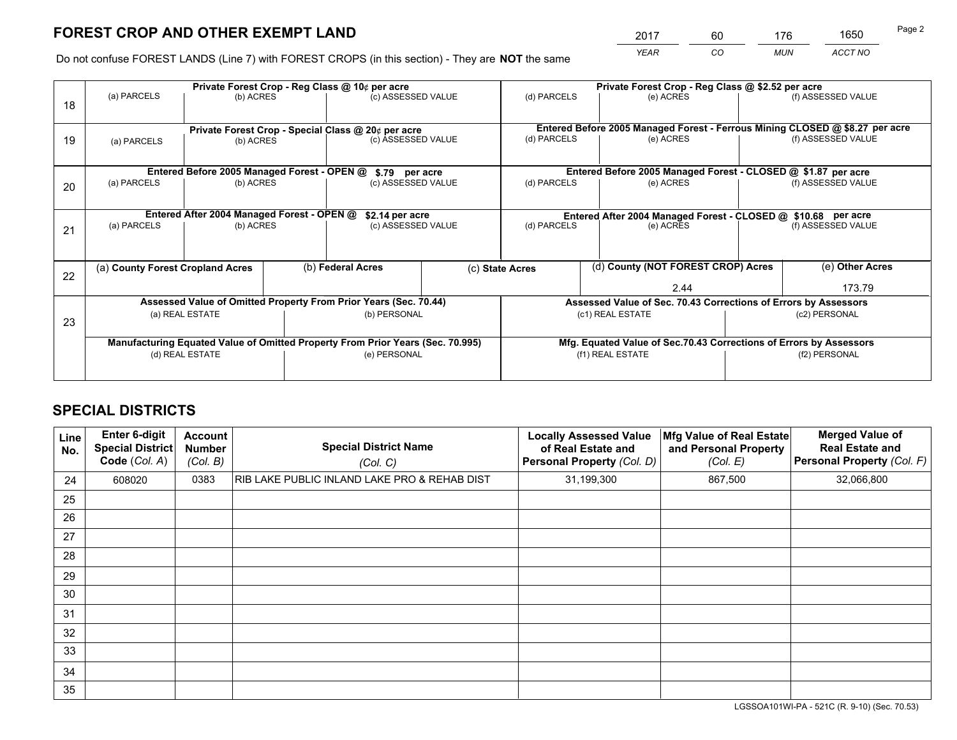*YEAR CO MUN ACCT NO* <sup>2017</sup> <sup>60</sup> <sup>176</sup> <sup>1650</sup>

Do not confuse FOREST LANDS (Line 7) with FOREST CROPS (in this section) - They are **NOT** the same

|    |                                  | Private Forest Crop - Reg Class @ 10¢ per acre                                 |  |                                      |  |                                                                              | Private Forest Crop - Reg Class @ \$2.52 per acre                  |               |                    |
|----|----------------------------------|--------------------------------------------------------------------------------|--|--------------------------------------|--|------------------------------------------------------------------------------|--------------------------------------------------------------------|---------------|--------------------|
| 18 | (a) PARCELS                      | (b) ACRES                                                                      |  | (c) ASSESSED VALUE                   |  | (d) PARCELS                                                                  | (e) ACRES                                                          |               | (f) ASSESSED VALUE |
|    |                                  |                                                                                |  |                                      |  | Entered Before 2005 Managed Forest - Ferrous Mining CLOSED @ \$8.27 per acre |                                                                    |               |                    |
| 19 | (a) PARCELS                      | Private Forest Crop - Special Class @ 20¢ per acre<br>(b) ACRES                |  | (c) ASSESSED VALUE                   |  | (d) PARCELS<br>(e) ACRES                                                     |                                                                    |               | (f) ASSESSED VALUE |
|    |                                  | Entered Before 2005 Managed Forest - OPEN @                                    |  |                                      |  |                                                                              | Entered Before 2005 Managed Forest - CLOSED @ \$1.87 per acre      |               |                    |
| 20 | (a) PARCELS<br>(b) ACRES         |                                                                                |  | \$.79 per acre<br>(c) ASSESSED VALUE |  | (d) PARCELS<br>(e) ACRES                                                     |                                                                    |               | (f) ASSESSED VALUE |
|    |                                  | Entered After 2004 Managed Forest - OPEN @                                     |  | \$2.14 per acre                      |  | Entered After 2004 Managed Forest - CLOSED @ \$10.68 per acre                |                                                                    |               |                    |
| 21 | (a) PARCELS                      | (b) ACRES                                                                      |  | (c) ASSESSED VALUE                   |  | (d) PARCELS                                                                  | (e) ACRES                                                          |               |                    |
|    |                                  |                                                                                |  |                                      |  |                                                                              |                                                                    |               |                    |
| 22 | (a) County Forest Cropland Acres |                                                                                |  | (b) Federal Acres                    |  | (d) County (NOT FOREST CROP) Acres<br>(c) State Acres                        |                                                                    |               | (e) Other Acres    |
|    |                                  |                                                                                |  |                                      |  |                                                                              | 2.44                                                               |               | 173.79             |
|    |                                  | Assessed Value of Omitted Property From Prior Years (Sec. 70.44)               |  |                                      |  |                                                                              | Assessed Value of Sec. 70.43 Corrections of Errors by Assessors    |               |                    |
| 23 | (a) REAL ESTATE                  |                                                                                |  | (b) PERSONAL                         |  | (c1) REAL ESTATE                                                             |                                                                    | (c2) PERSONAL |                    |
|    |                                  | Manufacturing Equated Value of Omitted Property From Prior Years (Sec. 70.995) |  |                                      |  |                                                                              | Mfg. Equated Value of Sec.70.43 Corrections of Errors by Assessors |               |                    |
|    | (d) REAL ESTATE                  |                                                                                |  | (e) PERSONAL                         |  | (f1) REAL ESTATE                                                             |                                                                    | (f2) PERSONAL |                    |
|    |                                  |                                                                                |  |                                      |  |                                                                              |                                                                    |               |                    |

## **SPECIAL DISTRICTS**

| Line<br>No. | Enter 6-digit<br><b>Special District</b><br>Code (Col. A) | <b>Account</b><br><b>Number</b><br>(Col. B) | <b>Special District Name</b><br>(Col. C)     | <b>Locally Assessed Value</b><br>of Real Estate and<br><b>Personal Property (Col. D)</b> | Mfg Value of Real Estate<br>and Personal Property<br>(Col. E) | <b>Merged Value of</b><br><b>Real Estate and</b><br>Personal Property (Col. F) |
|-------------|-----------------------------------------------------------|---------------------------------------------|----------------------------------------------|------------------------------------------------------------------------------------------|---------------------------------------------------------------|--------------------------------------------------------------------------------|
| 24          | 608020                                                    | 0383                                        | RIB LAKE PUBLIC INLAND LAKE PRO & REHAB DIST | 31,199,300                                                                               | 867,500                                                       | 32,066,800                                                                     |
| 25          |                                                           |                                             |                                              |                                                                                          |                                                               |                                                                                |
| 26          |                                                           |                                             |                                              |                                                                                          |                                                               |                                                                                |
| 27          |                                                           |                                             |                                              |                                                                                          |                                                               |                                                                                |
| 28          |                                                           |                                             |                                              |                                                                                          |                                                               |                                                                                |
| 29          |                                                           |                                             |                                              |                                                                                          |                                                               |                                                                                |
| 30          |                                                           |                                             |                                              |                                                                                          |                                                               |                                                                                |
| 31          |                                                           |                                             |                                              |                                                                                          |                                                               |                                                                                |
| 32          |                                                           |                                             |                                              |                                                                                          |                                                               |                                                                                |
| 33          |                                                           |                                             |                                              |                                                                                          |                                                               |                                                                                |
| 34          |                                                           |                                             |                                              |                                                                                          |                                                               |                                                                                |
| 35          |                                                           |                                             |                                              |                                                                                          |                                                               |                                                                                |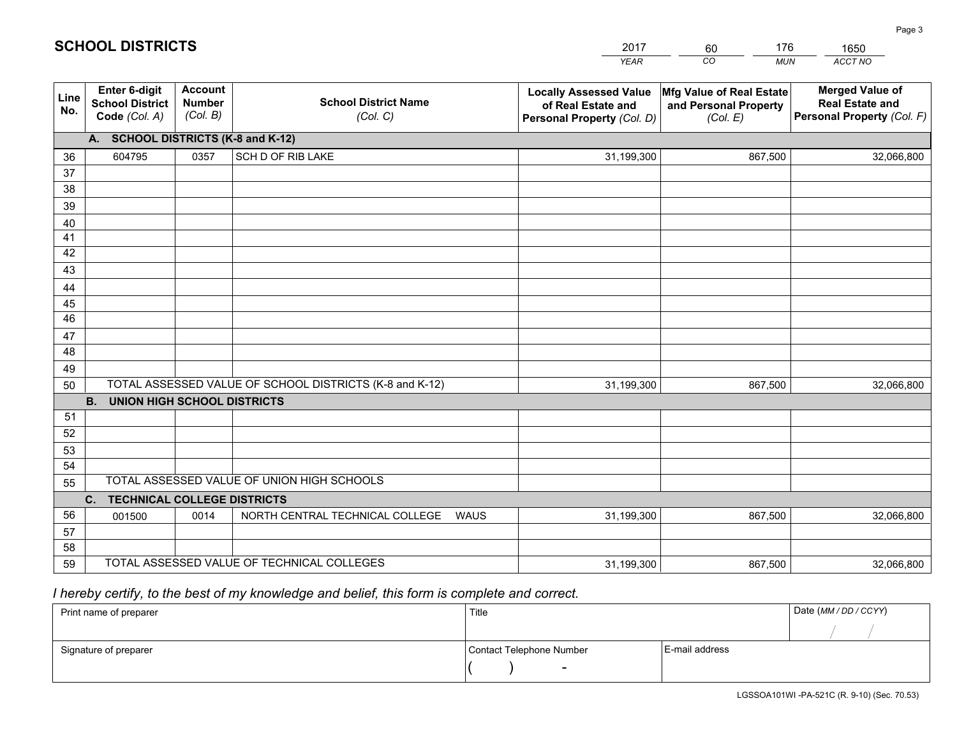|             |                                                          |                                             |                                                         | YEAR                                                                              | CO.<br><b>MUN</b>                                             | ACCT NO                                                                        |
|-------------|----------------------------------------------------------|---------------------------------------------|---------------------------------------------------------|-----------------------------------------------------------------------------------|---------------------------------------------------------------|--------------------------------------------------------------------------------|
| Line<br>No. | Enter 6-digit<br><b>School District</b><br>Code (Col. A) | <b>Account</b><br><b>Number</b><br>(Col. B) | <b>School District Name</b><br>(Col. C)                 | <b>Locally Assessed Value</b><br>of Real Estate and<br>Personal Property (Col. D) | Mfg Value of Real Estate<br>and Personal Property<br>(Col. E) | <b>Merged Value of</b><br><b>Real Estate and</b><br>Personal Property (Col. F) |
|             | A. SCHOOL DISTRICTS (K-8 and K-12)                       |                                             |                                                         |                                                                                   |                                                               |                                                                                |
| 36          | 604795                                                   | 0357                                        | SCH D OF RIB LAKE                                       | 31,199,300                                                                        | 867,500                                                       | 32,066,800                                                                     |
| 37          |                                                          |                                             |                                                         |                                                                                   |                                                               |                                                                                |
| 38          |                                                          |                                             |                                                         |                                                                                   |                                                               |                                                                                |
| 39          |                                                          |                                             |                                                         |                                                                                   |                                                               |                                                                                |
| 40          |                                                          |                                             |                                                         |                                                                                   |                                                               |                                                                                |
| 41          |                                                          |                                             |                                                         |                                                                                   |                                                               |                                                                                |
| 42<br>43    |                                                          |                                             |                                                         |                                                                                   |                                                               |                                                                                |
| 44          |                                                          |                                             |                                                         |                                                                                   |                                                               |                                                                                |
| 45          |                                                          |                                             |                                                         |                                                                                   |                                                               |                                                                                |
| 46          |                                                          |                                             |                                                         |                                                                                   |                                                               |                                                                                |
| 47          |                                                          |                                             |                                                         |                                                                                   |                                                               |                                                                                |
| 48          |                                                          |                                             |                                                         |                                                                                   |                                                               |                                                                                |
| 49          |                                                          |                                             |                                                         |                                                                                   |                                                               |                                                                                |
| 50          |                                                          |                                             | TOTAL ASSESSED VALUE OF SCHOOL DISTRICTS (K-8 and K-12) | 31,199,300                                                                        | 867,500                                                       | 32,066,800                                                                     |
|             | <b>B.</b><br><b>UNION HIGH SCHOOL DISTRICTS</b>          |                                             |                                                         |                                                                                   |                                                               |                                                                                |
| 51          |                                                          |                                             |                                                         |                                                                                   |                                                               |                                                                                |
| 52          |                                                          |                                             |                                                         |                                                                                   |                                                               |                                                                                |
| 53          |                                                          |                                             |                                                         |                                                                                   |                                                               |                                                                                |
| 54          |                                                          |                                             |                                                         |                                                                                   |                                                               |                                                                                |
| 55          |                                                          |                                             | TOTAL ASSESSED VALUE OF UNION HIGH SCHOOLS              |                                                                                   |                                                               |                                                                                |
|             | C.<br><b>TECHNICAL COLLEGE DISTRICTS</b>                 |                                             |                                                         |                                                                                   |                                                               |                                                                                |
| 56          | 001500                                                   | 0014                                        | NORTH CENTRAL TECHNICAL COLLEGE<br><b>WAUS</b>          | 31,199,300                                                                        | 867,500                                                       | 32,066,800                                                                     |
| 57<br>58    |                                                          |                                             |                                                         |                                                                                   |                                                               |                                                                                |
| 59          |                                                          |                                             | TOTAL ASSESSED VALUE OF TECHNICAL COLLEGES              | 31,199,300                                                                        | 867,500                                                       | 32,066,800                                                                     |
|             |                                                          |                                             |                                                         |                                                                                   |                                                               |                                                                                |

60

176

 *I hereby certify, to the best of my knowledge and belief, this form is complete and correct.*

**SCHOOL DISTRICTS**

| Print name of preparer | Title                    |                | Date (MM / DD / CCYY) |
|------------------------|--------------------------|----------------|-----------------------|
|                        |                          |                |                       |
| Signature of preparer  | Contact Telephone Number | E-mail address |                       |
|                        | -                        |                |                       |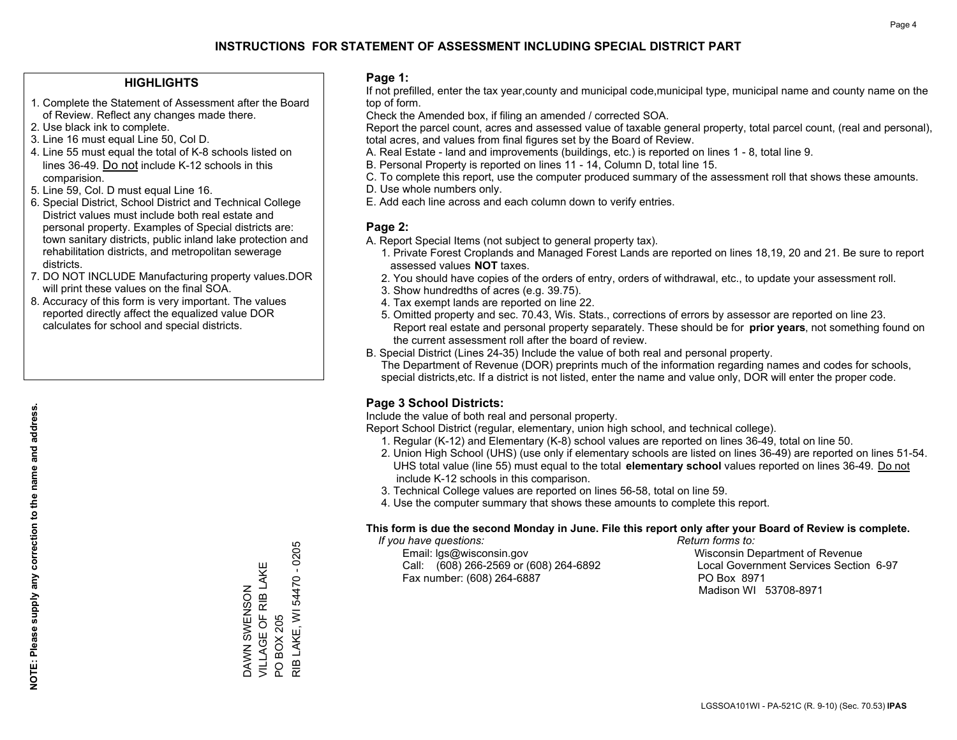#### **HIGHLIGHTS**

- 1. Complete the Statement of Assessment after the Board of Review. Reflect any changes made there.
- 2. Use black ink to complete.
- 3. Line 16 must equal Line 50, Col D.
- 4. Line 55 must equal the total of K-8 schools listed on lines 36-49. Do not include K-12 schools in this comparision.
- 5. Line 59, Col. D must equal Line 16.
- 6. Special District, School District and Technical College District values must include both real estate and personal property. Examples of Special districts are: town sanitary districts, public inland lake protection and rehabilitation districts, and metropolitan sewerage districts.
- 7. DO NOT INCLUDE Manufacturing property values.DOR will print these values on the final SOA.
- 8. Accuracy of this form is very important. The values reported directly affect the equalized value DOR calculates for school and special districts.

#### **Page 1:**

 If not prefilled, enter the tax year,county and municipal code,municipal type, municipal name and county name on the top of form.

Check the Amended box, if filing an amended / corrected SOA.

 Report the parcel count, acres and assessed value of taxable general property, total parcel count, (real and personal), total acres, and values from final figures set by the Board of Review.

- A. Real Estate land and improvements (buildings, etc.) is reported on lines 1 8, total line 9.
- B. Personal Property is reported on lines 11 14, Column D, total line 15.
- C. To complete this report, use the computer produced summary of the assessment roll that shows these amounts.
- D. Use whole numbers only.
- E. Add each line across and each column down to verify entries.

### **Page 2:**

- A. Report Special Items (not subject to general property tax).
- 1. Private Forest Croplands and Managed Forest Lands are reported on lines 18,19, 20 and 21. Be sure to report assessed values **NOT** taxes.
- 2. You should have copies of the orders of entry, orders of withdrawal, etc., to update your assessment roll.
	- 3. Show hundredths of acres (e.g. 39.75).
- 4. Tax exempt lands are reported on line 22.
- 5. Omitted property and sec. 70.43, Wis. Stats., corrections of errors by assessor are reported on line 23. Report real estate and personal property separately. These should be for **prior years**, not something found on the current assessment roll after the board of review.
- B. Special District (Lines 24-35) Include the value of both real and personal property.
- The Department of Revenue (DOR) preprints much of the information regarding names and codes for schools, special districts,etc. If a district is not listed, enter the name and value only, DOR will enter the proper code.

## **Page 3 School Districts:**

Include the value of both real and personal property.

Report School District (regular, elementary, union high school, and technical college).

- 1. Regular (K-12) and Elementary (K-8) school values are reported on lines 36-49, total on line 50.
- 2. Union High School (UHS) (use only if elementary schools are listed on lines 36-49) are reported on lines 51-54. UHS total value (line 55) must equal to the total **elementary school** values reported on lines 36-49. Do notinclude K-12 schools in this comparison.
- 3. Technical College values are reported on lines 56-58, total on line 59.
- 4. Use the computer summary that shows these amounts to complete this report.

#### **This form is due the second Monday in June. File this report only after your Board of Review is complete.**

 *If you have questions: Return forms to:*

 Email: lgs@wisconsin.gov Wisconsin Department of RevenueCall:  $(608)$  266-2569 or  $(608)$  264-6892 Fax number: (608) 264-6887 PO Box 8971

Local Government Services Section 6-97 Madison WI 53708-8971

**NOTE: Please supply any correction to the name and address.**

NOTE: Please supply any correction to the name and address.

RIB LAKE, WI 54470 - 0205 RIB LAKE, WI 54470 - 0205 VILLAGE OF RIB LAKE DAWN SWENSON<br>VILLAGE OF RIB LAKE DAWN SWENSON **BOX 205** PO BOX 205  $\overline{S}$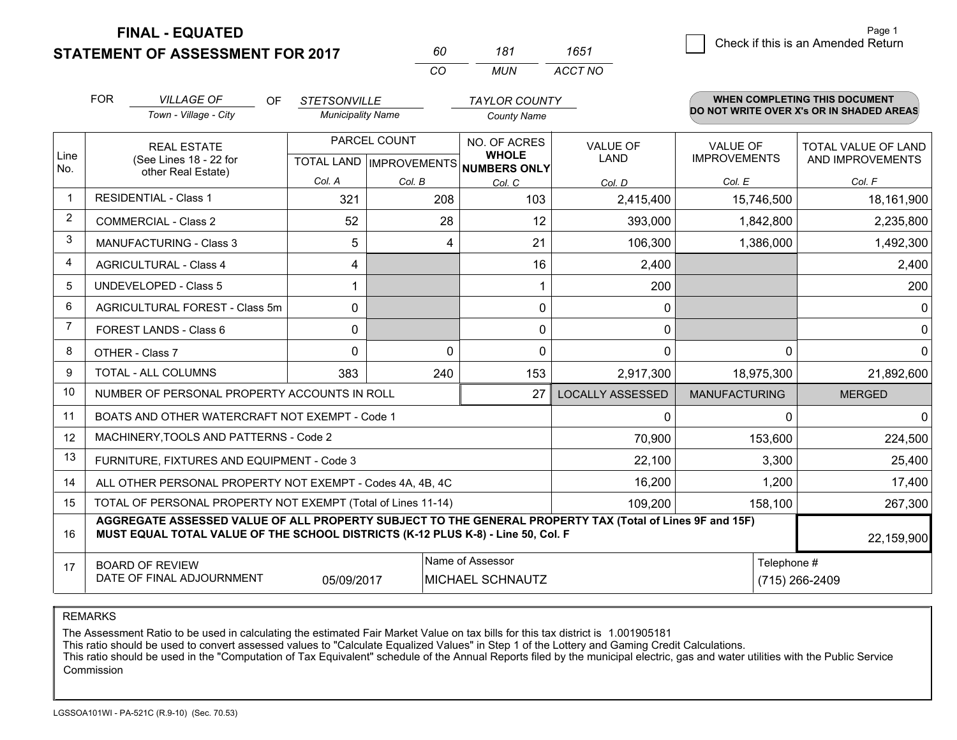**STATEMENT OF ASSESSMENT FOR 2017** 

**FINAL - EQUATED**

|                | <b>FOR</b>      | <b>VILLAGE OF</b><br>OF<br>Town - Village - City                                                                                                                                             | <b>STETSONVILLE</b><br><b>Municipality Name</b> |              | <b>TAYLOR COUNTY</b><br><b>County Name</b>                               |                                                                                                         |                                        | <b>WHEN COMPLETING THIS DOCUMENT</b><br>DO NOT WRITE OVER X's OR IN SHADED AREAS |  |  |  |  |  |
|----------------|-----------------|----------------------------------------------------------------------------------------------------------------------------------------------------------------------------------------------|-------------------------------------------------|--------------|--------------------------------------------------------------------------|---------------------------------------------------------------------------------------------------------|----------------------------------------|----------------------------------------------------------------------------------|--|--|--|--|--|
| Line           |                 | <b>REAL ESTATE</b><br>(See Lines 18 - 22 for                                                                                                                                                 |                                                 | PARCEL COUNT | NO. OF ACRES<br><b>WHOLE</b><br>TOTAL LAND   IMPROVEMENTS   NUMBERS ONLY | <b>VALUE OF</b><br><b>LAND</b>                                                                          | <b>VALUE OF</b><br><b>IMPROVEMENTS</b> | <b>TOTAL VALUE OF LAND</b><br>AND IMPROVEMENTS                                   |  |  |  |  |  |
| No.            |                 | other Real Estate)                                                                                                                                                                           | Col. A                                          | Col. B       | Col. C                                                                   | Col. D                                                                                                  | Col. E                                 | Col. F                                                                           |  |  |  |  |  |
| $\mathbf 1$    |                 | <b>RESIDENTIAL - Class 1</b>                                                                                                                                                                 | 321                                             | 208          | 103                                                                      | 2,415,400                                                                                               | 15,746,500                             | 18,161,900                                                                       |  |  |  |  |  |
| $\overline{2}$ |                 | <b>COMMERCIAL - Class 2</b>                                                                                                                                                                  | 52                                              | 28           | 12                                                                       | 393,000                                                                                                 | 1,842,800                              | 2,235,800                                                                        |  |  |  |  |  |
| 3              |                 | <b>MANUFACTURING - Class 3</b>                                                                                                                                                               | 5                                               | 4            | 21                                                                       | 106,300                                                                                                 | 1,386,000                              | 1,492,300                                                                        |  |  |  |  |  |
| 4              |                 | <b>AGRICULTURAL - Class 4</b>                                                                                                                                                                | 4                                               |              | 16                                                                       | 2,400                                                                                                   |                                        | 2,400                                                                            |  |  |  |  |  |
| 5              |                 | <b>UNDEVELOPED - Class 5</b>                                                                                                                                                                 |                                                 |              |                                                                          | 200                                                                                                     |                                        | 200                                                                              |  |  |  |  |  |
| 6              |                 | AGRICULTURAL FOREST - Class 5m                                                                                                                                                               | $\mathbf{0}$                                    |              | 0                                                                        | 0                                                                                                       |                                        | 0                                                                                |  |  |  |  |  |
| 7              |                 | FOREST LANDS - Class 6                                                                                                                                                                       | 0                                               |              | 0                                                                        | 0                                                                                                       |                                        | $\mathbf 0$                                                                      |  |  |  |  |  |
| 8              | OTHER - Class 7 |                                                                                                                                                                                              | $\Omega$                                        | $\Omega$     | $\Omega$                                                                 | 0                                                                                                       | $\Omega$                               | $\Omega$                                                                         |  |  |  |  |  |
| 9              |                 | TOTAL - ALL COLUMNS                                                                                                                                                                          | 383                                             | 240          | 153                                                                      | 2,917,300                                                                                               | 18,975,300                             | 21,892,600                                                                       |  |  |  |  |  |
| 10             |                 | NUMBER OF PERSONAL PROPERTY ACCOUNTS IN ROLL                                                                                                                                                 |                                                 |              | 27                                                                       | <b>LOCALLY ASSESSED</b>                                                                                 | <b>MANUFACTURING</b>                   | <b>MERGED</b>                                                                    |  |  |  |  |  |
| 11             |                 | BOATS AND OTHER WATERCRAFT NOT EXEMPT - Code 1                                                                                                                                               |                                                 |              |                                                                          | $\mathbf 0$                                                                                             | $\Omega$                               | $\mathbf 0$                                                                      |  |  |  |  |  |
| 12             |                 | MACHINERY, TOOLS AND PATTERNS - Code 2                                                                                                                                                       |                                                 |              |                                                                          | 70,900                                                                                                  | 153,600                                | 224,500                                                                          |  |  |  |  |  |
| 13             |                 | FURNITURE, FIXTURES AND EQUIPMENT - Code 3                                                                                                                                                   |                                                 |              |                                                                          | 22,100                                                                                                  | 3,300                                  | 25,400                                                                           |  |  |  |  |  |
| 14             |                 | ALL OTHER PERSONAL PROPERTY NOT EXEMPT - Codes 4A, 4B, 4C                                                                                                                                    |                                                 |              |                                                                          | 16,200                                                                                                  | 1,200                                  | 17,400                                                                           |  |  |  |  |  |
| 15             |                 | TOTAL OF PERSONAL PROPERTY NOT EXEMPT (Total of Lines 11-14)                                                                                                                                 |                                                 |              |                                                                          | 109,200                                                                                                 | 158,100                                | 267,300                                                                          |  |  |  |  |  |
| 16             |                 | AGGREGATE ASSESSED VALUE OF ALL PROPERTY SUBJECT TO THE GENERAL PROPERTY TAX (Total of Lines 9F and 15F)<br>MUST EQUAL TOTAL VALUE OF THE SCHOOL DISTRICTS (K-12 PLUS K-8) - Line 50, Col. F |                                                 |              |                                                                          |                                                                                                         |                                        | 22,159,900                                                                       |  |  |  |  |  |
| 17             |                 |                                                                                                                                                                                              |                                                 |              | Name of Assessor                                                         |                                                                                                         | Telephone #                            |                                                                                  |  |  |  |  |  |
|                |                 |                                                                                                                                                                                              |                                                 |              |                                                                          | <b>BOARD OF REVIEW</b><br>DATE OF FINAL ADJOURNMENT<br>05/09/2017<br>MICHAEL SCHNAUTZ<br>(715) 266-2409 |                                        |                                                                                  |  |  |  |  |  |

*CO*

*MUN*

*ACCT NO1651*

*<sup>60</sup> <sup>181</sup>*

REMARKS

The Assessment Ratio to be used in calculating the estimated Fair Market Value on tax bills for this tax district is 1.001905181<br>This ratio should be used to convert assessed values to "Calculate Equalized Values" in Step Commission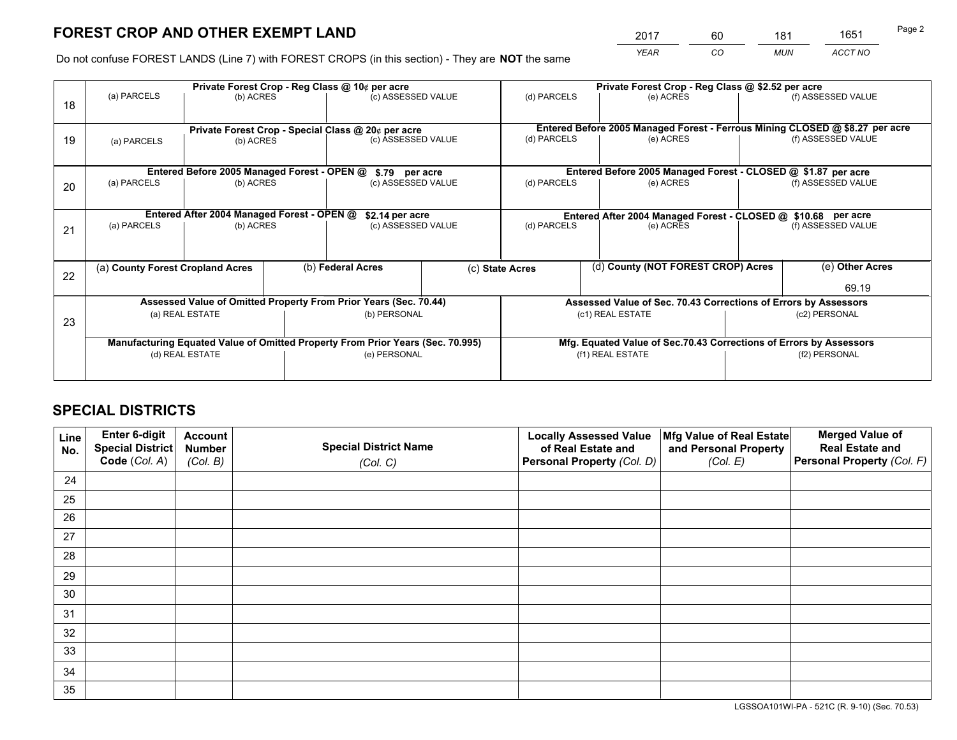*YEAR CO MUN ACCT NO* <sup>2017</sup> <sup>60</sup> <sup>181</sup> <sup>1651</sup>

Do not confuse FOREST LANDS (Line 7) with FOREST CROPS (in this section) - They are **NOT** the same

|    |                                                               |                                             |  | Private Forest Crop - Reg Class @ 10¢ per acre                                 |  | Private Forest Crop - Reg Class @ \$2.52 per acre                            |                                                                    |                    |                                                                 |  |
|----|---------------------------------------------------------------|---------------------------------------------|--|--------------------------------------------------------------------------------|--|------------------------------------------------------------------------------|--------------------------------------------------------------------|--------------------|-----------------------------------------------------------------|--|
| 18 | (a) PARCELS                                                   | (b) ACRES                                   |  | (c) ASSESSED VALUE                                                             |  | (d) PARCELS                                                                  | (e) ACRES                                                          |                    | (f) ASSESSED VALUE                                              |  |
|    |                                                               |                                             |  |                                                                                |  |                                                                              |                                                                    |                    |                                                                 |  |
|    |                                                               |                                             |  | Private Forest Crop - Special Class @ 20¢ per acre                             |  | Entered Before 2005 Managed Forest - Ferrous Mining CLOSED @ \$8.27 per acre |                                                                    |                    |                                                                 |  |
| 19 | (a) PARCELS<br>(b) ACRES                                      |                                             |  | (c) ASSESSED VALUE                                                             |  | (d) PARCELS                                                                  | (e) ACRES                                                          |                    | (f) ASSESSED VALUE                                              |  |
|    |                                                               |                                             |  |                                                                                |  |                                                                              |                                                                    |                    |                                                                 |  |
|    |                                                               | Entered Before 2005 Managed Forest - OPEN @ |  | \$.79 per acre                                                                 |  |                                                                              | Entered Before 2005 Managed Forest - CLOSED @ \$1.87 per acre      |                    |                                                                 |  |
| 20 | (a) PARCELS                                                   | (b) ACRES                                   |  | (c) ASSESSED VALUE                                                             |  | (d) PARCELS                                                                  | (e) ACRES                                                          |                    | (f) ASSESSED VALUE                                              |  |
|    |                                                               |                                             |  |                                                                                |  |                                                                              |                                                                    |                    |                                                                 |  |
|    | Entered After 2004 Managed Forest - OPEN @<br>\$2.14 per acre |                                             |  |                                                                                |  | Entered After 2004 Managed Forest - CLOSED @ \$10.68 per acre                |                                                                    |                    |                                                                 |  |
| 21 | (a) PARCELS                                                   | (b) ACRES                                   |  | (c) ASSESSED VALUE                                                             |  | (d) PARCELS<br>(e) ACRES                                                     |                                                                    | (f) ASSESSED VALUE |                                                                 |  |
|    |                                                               |                                             |  |                                                                                |  |                                                                              |                                                                    |                    |                                                                 |  |
|    |                                                               |                                             |  |                                                                                |  |                                                                              | (d) County (NOT FOREST CROP) Acres                                 |                    | (e) Other Acres                                                 |  |
| 22 | (a) County Forest Cropland Acres                              |                                             |  | (b) Federal Acres                                                              |  | (c) State Acres                                                              |                                                                    |                    |                                                                 |  |
|    |                                                               |                                             |  |                                                                                |  |                                                                              |                                                                    |                    | 69.19                                                           |  |
|    |                                                               |                                             |  | Assessed Value of Omitted Property From Prior Years (Sec. 70.44)               |  |                                                                              |                                                                    |                    | Assessed Value of Sec. 70.43 Corrections of Errors by Assessors |  |
| 23 |                                                               | (a) REAL ESTATE                             |  | (b) PERSONAL                                                                   |  |                                                                              | (c1) REAL ESTATE                                                   |                    | (c2) PERSONAL                                                   |  |
|    |                                                               |                                             |  |                                                                                |  |                                                                              |                                                                    |                    |                                                                 |  |
|    |                                                               |                                             |  | Manufacturing Equated Value of Omitted Property From Prior Years (Sec. 70.995) |  |                                                                              | Mfg. Equated Value of Sec.70.43 Corrections of Errors by Assessors |                    |                                                                 |  |
|    | (d) REAL ESTATE                                               |                                             |  | (e) PERSONAL                                                                   |  | (f1) REAL ESTATE                                                             |                                                                    | (f2) PERSONAL      |                                                                 |  |
|    |                                                               |                                             |  |                                                                                |  |                                                                              |                                                                    |                    |                                                                 |  |

## **SPECIAL DISTRICTS**

| Line<br>No. | Enter 6-digit<br>Special District<br>Code (Col. A) | <b>Account</b><br><b>Number</b><br>(Col. B) | <b>Special District Name</b><br>(Col. C) | <b>Locally Assessed Value</b><br>of Real Estate and<br>Personal Property (Col. D) | Mfg Value of Real Estate<br>and Personal Property<br>(Col. E) | <b>Merged Value of</b><br><b>Real Estate and</b><br>Personal Property (Col. F) |
|-------------|----------------------------------------------------|---------------------------------------------|------------------------------------------|-----------------------------------------------------------------------------------|---------------------------------------------------------------|--------------------------------------------------------------------------------|
| 24          |                                                    |                                             |                                          |                                                                                   |                                                               |                                                                                |
| 25          |                                                    |                                             |                                          |                                                                                   |                                                               |                                                                                |
| 26          |                                                    |                                             |                                          |                                                                                   |                                                               |                                                                                |
| 27          |                                                    |                                             |                                          |                                                                                   |                                                               |                                                                                |
| 28          |                                                    |                                             |                                          |                                                                                   |                                                               |                                                                                |
| 29          |                                                    |                                             |                                          |                                                                                   |                                                               |                                                                                |
| 30          |                                                    |                                             |                                          |                                                                                   |                                                               |                                                                                |
| 31          |                                                    |                                             |                                          |                                                                                   |                                                               |                                                                                |
| 32          |                                                    |                                             |                                          |                                                                                   |                                                               |                                                                                |
| 33          |                                                    |                                             |                                          |                                                                                   |                                                               |                                                                                |
| 34          |                                                    |                                             |                                          |                                                                                   |                                                               |                                                                                |
| 35          |                                                    |                                             |                                          |                                                                                   |                                                               |                                                                                |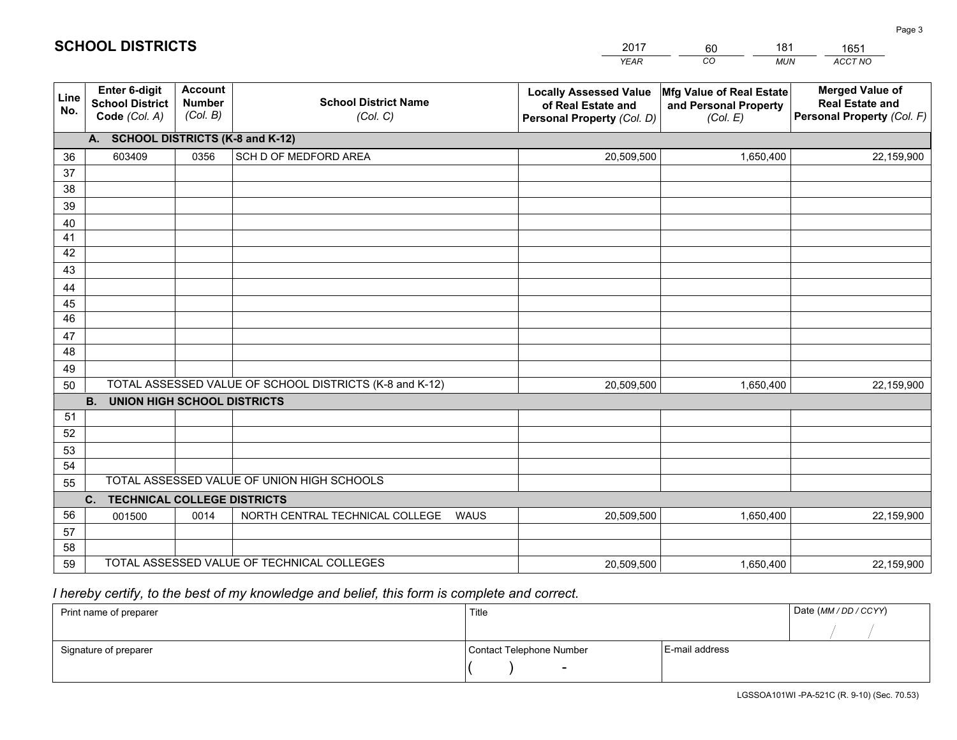|             |                                                                 |                                             |                                                         | <b>YEAR</b>                                                                       | CO<br><b>MUN</b>                                              | ACCT NO                                                                        |
|-------------|-----------------------------------------------------------------|---------------------------------------------|---------------------------------------------------------|-----------------------------------------------------------------------------------|---------------------------------------------------------------|--------------------------------------------------------------------------------|
| Line<br>No. | <b>Enter 6-digit</b><br><b>School District</b><br>Code (Col. A) | <b>Account</b><br><b>Number</b><br>(Col. B) | <b>School District Name</b><br>(Col. C)                 | <b>Locally Assessed Value</b><br>of Real Estate and<br>Personal Property (Col. D) | Mfg Value of Real Estate<br>and Personal Property<br>(Col. E) | <b>Merged Value of</b><br><b>Real Estate and</b><br>Personal Property (Col. F) |
|             | A. SCHOOL DISTRICTS (K-8 and K-12)                              |                                             |                                                         |                                                                                   |                                                               |                                                                                |
| 36          | 603409                                                          | 0356                                        | SCH D OF MEDFORD AREA                                   | 20,509,500                                                                        | 1,650,400                                                     | 22,159,900                                                                     |
| 37          |                                                                 |                                             |                                                         |                                                                                   |                                                               |                                                                                |
| 38          |                                                                 |                                             |                                                         |                                                                                   |                                                               |                                                                                |
| 39          |                                                                 |                                             |                                                         |                                                                                   |                                                               |                                                                                |
| 40          |                                                                 |                                             |                                                         |                                                                                   |                                                               |                                                                                |
| 41<br>42    |                                                                 |                                             |                                                         |                                                                                   |                                                               |                                                                                |
| 43          |                                                                 |                                             |                                                         |                                                                                   |                                                               |                                                                                |
|             |                                                                 |                                             |                                                         |                                                                                   |                                                               |                                                                                |
| 44<br>45    |                                                                 |                                             |                                                         |                                                                                   |                                                               |                                                                                |
| 46          |                                                                 |                                             |                                                         |                                                                                   |                                                               |                                                                                |
| 47          |                                                                 |                                             |                                                         |                                                                                   |                                                               |                                                                                |
| 48          |                                                                 |                                             |                                                         |                                                                                   |                                                               |                                                                                |
| 49          |                                                                 |                                             |                                                         |                                                                                   |                                                               |                                                                                |
| 50          |                                                                 |                                             | TOTAL ASSESSED VALUE OF SCHOOL DISTRICTS (K-8 and K-12) | 20,509,500                                                                        | 1,650,400                                                     | 22,159,900                                                                     |
|             | <b>B.</b><br><b>UNION HIGH SCHOOL DISTRICTS</b>                 |                                             |                                                         |                                                                                   |                                                               |                                                                                |
| 51          |                                                                 |                                             |                                                         |                                                                                   |                                                               |                                                                                |
| 52          |                                                                 |                                             |                                                         |                                                                                   |                                                               |                                                                                |
| 53          |                                                                 |                                             |                                                         |                                                                                   |                                                               |                                                                                |
| 54          |                                                                 |                                             |                                                         |                                                                                   |                                                               |                                                                                |
| 55          |                                                                 |                                             | TOTAL ASSESSED VALUE OF UNION HIGH SCHOOLS              |                                                                                   |                                                               |                                                                                |
|             | C.<br><b>TECHNICAL COLLEGE DISTRICTS</b>                        |                                             |                                                         |                                                                                   |                                                               |                                                                                |
| 56          | 001500                                                          | 0014                                        | NORTH CENTRAL TECHNICAL COLLEGE<br><b>WAUS</b>          | 20,509,500                                                                        | 1,650,400                                                     | 22,159,900                                                                     |
| 57<br>58    |                                                                 |                                             |                                                         |                                                                                   |                                                               |                                                                                |
| 59          |                                                                 |                                             | TOTAL ASSESSED VALUE OF TECHNICAL COLLEGES              | 20,509,500                                                                        | 1,650,400                                                     | 22,159,900                                                                     |
|             |                                                                 |                                             |                                                         |                                                                                   |                                                               |                                                                                |

60

181

 *I hereby certify, to the best of my knowledge and belief, this form is complete and correct.*

**SCHOOL DISTRICTS**

| Print name of preparer | Title                    | Date (MM / DD / CCYY) |  |
|------------------------|--------------------------|-----------------------|--|
|                        |                          |                       |  |
| Signature of preparer  | Contact Telephone Number | E-mail address        |  |
|                        | $\sim$                   |                       |  |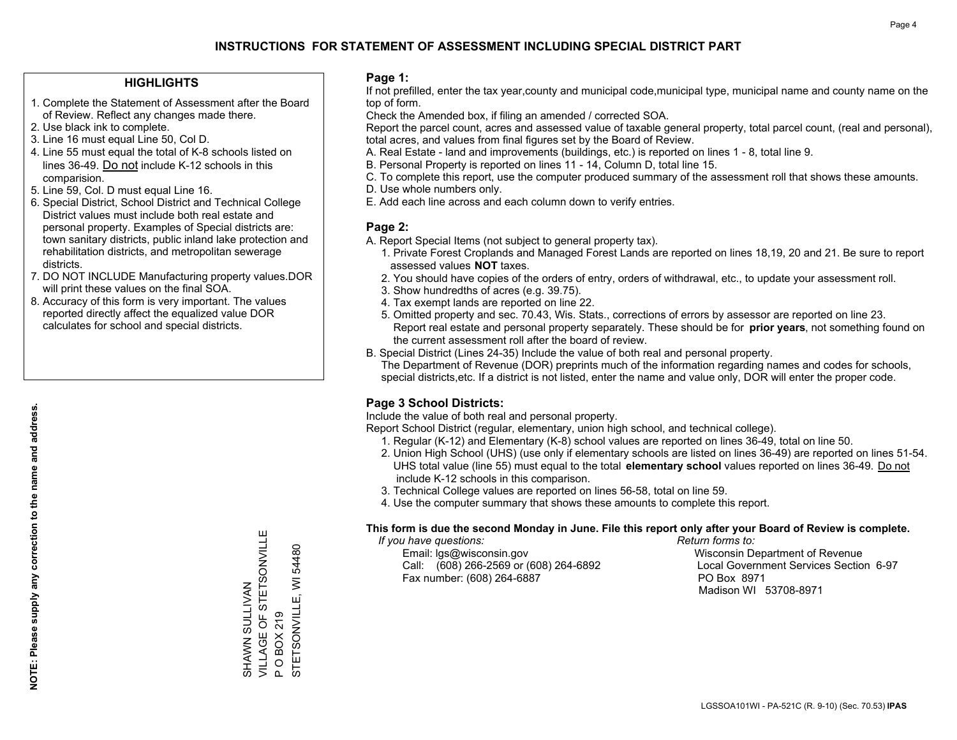#### **HIGHLIGHTS**

- 1. Complete the Statement of Assessment after the Board of Review. Reflect any changes made there.
- 2. Use black ink to complete.
- 3. Line 16 must equal Line 50, Col D.
- 4. Line 55 must equal the total of K-8 schools listed on lines 36-49. Do not include K-12 schools in this comparision.
- 5. Line 59, Col. D must equal Line 16.
- 6. Special District, School District and Technical College District values must include both real estate and personal property. Examples of Special districts are: town sanitary districts, public inland lake protection and rehabilitation districts, and metropolitan sewerage districts.
- 7. DO NOT INCLUDE Manufacturing property values.DOR will print these values on the final SOA.
- 8. Accuracy of this form is very important. The values reported directly affect the equalized value DOR calculates for school and special districts.

#### **Page 1:**

 If not prefilled, enter the tax year,county and municipal code,municipal type, municipal name and county name on the top of form.

Check the Amended box, if filing an amended / corrected SOA.

 Report the parcel count, acres and assessed value of taxable general property, total parcel count, (real and personal), total acres, and values from final figures set by the Board of Review.

- A. Real Estate land and improvements (buildings, etc.) is reported on lines 1 8, total line 9.
- B. Personal Property is reported on lines 11 14, Column D, total line 15.
- C. To complete this report, use the computer produced summary of the assessment roll that shows these amounts.
- D. Use whole numbers only.
- E. Add each line across and each column down to verify entries.

### **Page 2:**

- A. Report Special Items (not subject to general property tax).
- 1. Private Forest Croplands and Managed Forest Lands are reported on lines 18,19, 20 and 21. Be sure to report assessed values **NOT** taxes.
- 2. You should have copies of the orders of entry, orders of withdrawal, etc., to update your assessment roll.
	- 3. Show hundredths of acres (e.g. 39.75).
- 4. Tax exempt lands are reported on line 22.
- 5. Omitted property and sec. 70.43, Wis. Stats., corrections of errors by assessor are reported on line 23. Report real estate and personal property separately. These should be for **prior years**, not something found on the current assessment roll after the board of review.
- B. Special District (Lines 24-35) Include the value of both real and personal property.
- The Department of Revenue (DOR) preprints much of the information regarding names and codes for schools, special districts,etc. If a district is not listed, enter the name and value only, DOR will enter the proper code.

## **Page 3 School Districts:**

Include the value of both real and personal property.

Report School District (regular, elementary, union high school, and technical college).

- 1. Regular (K-12) and Elementary (K-8) school values are reported on lines 36-49, total on line 50.
- 2. Union High School (UHS) (use only if elementary schools are listed on lines 36-49) are reported on lines 51-54. UHS total value (line 55) must equal to the total **elementary school** values reported on lines 36-49. Do notinclude K-12 schools in this comparison.
- 3. Technical College values are reported on lines 56-58, total on line 59.
- 4. Use the computer summary that shows these amounts to complete this report.

#### **This form is due the second Monday in June. File this report only after your Board of Review is complete.**

 *If you have questions: Return forms to:*

 Email: lgs@wisconsin.gov Wisconsin Department of RevenueCall:  $(608)$  266-2569 or  $(608)$  264-6892 Fax number: (608) 264-6887 PO Box 8971

Local Government Services Section 6-97 Madison WI 53708-8971

VILLAGE OF STETSONVILLE VILLAGE OF STETSONVILLE 54480 STETSONVILLE, WI 54480 STETSONVILLE, WI SHAWN SULLIVAN SHAWN SULLIVAN **OBOX219** P O BOX 219  $\Delta$ 

Ш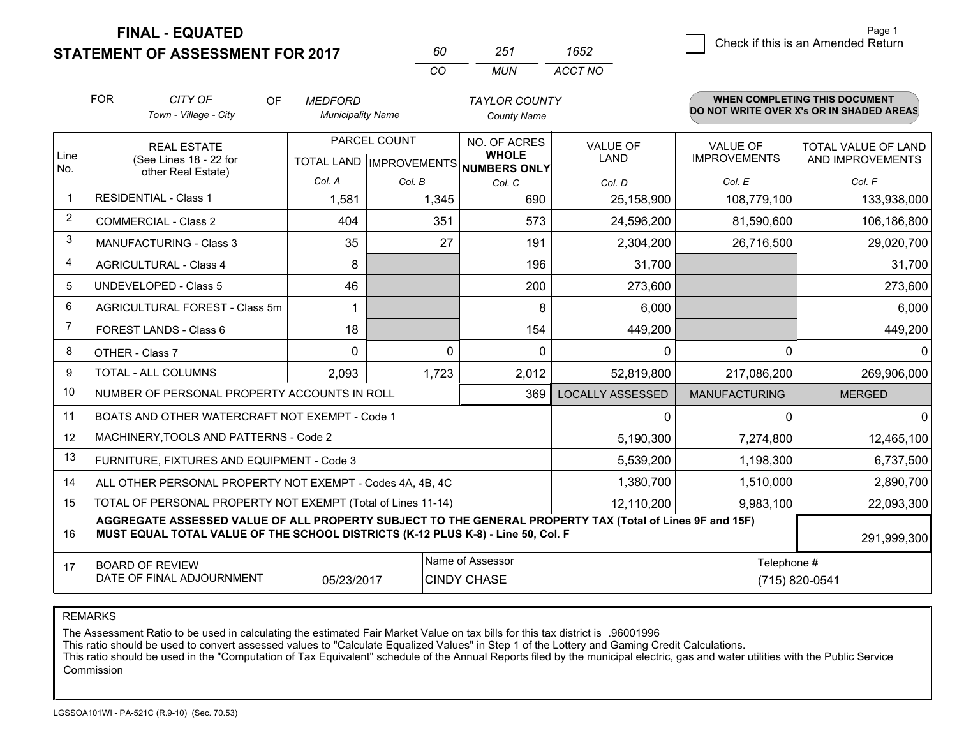**FINAL - EQUATED**

**STATEMENT OF ASSESSMENT FOR 2017** 

| 60  | 251   | 1652    |
|-----|-------|---------|
| CO. | MI IN | ACCT NO |

|                | <b>FOR</b><br>CITY OF<br>OF<br>Town - Village - City                                                                                                                                                        |                                                              | <b>MEDFORD</b><br><b>Municipality Name</b> |              | <b>County Name</b>                                                       | <b>TAYLOR COUNTY</b>           |                                        | <b>WHEN COMPLETING THIS DOCUMENT</b><br>DO NOT WRITE OVER X's OR IN SHADED AREAS |  |  |
|----------------|-------------------------------------------------------------------------------------------------------------------------------------------------------------------------------------------------------------|--------------------------------------------------------------|--------------------------------------------|--------------|--------------------------------------------------------------------------|--------------------------------|----------------------------------------|----------------------------------------------------------------------------------|--|--|
| Line<br>No.    |                                                                                                                                                                                                             | <b>REAL ESTATE</b><br>(See Lines 18 - 22 for                 |                                            | PARCEL COUNT | NO. OF ACRES<br><b>WHOLE</b><br>TOTAL LAND   IMPROVEMENTS   NUMBERS ONLY | <b>VALUE OF</b><br><b>LAND</b> | <b>VALUE OF</b><br><b>IMPROVEMENTS</b> | <b>TOTAL VALUE OF LAND</b><br>AND IMPROVEMENTS                                   |  |  |
|                |                                                                                                                                                                                                             | other Real Estate)                                           | Col. A                                     | Col. B       | Col. C                                                                   | Col. D                         | Col. E                                 | Col. F                                                                           |  |  |
|                |                                                                                                                                                                                                             | <b>RESIDENTIAL - Class 1</b>                                 | 1,581                                      | 1,345        | 690                                                                      | 25,158,900                     | 108,779,100                            | 133,938,000                                                                      |  |  |
| 2              |                                                                                                                                                                                                             | <b>COMMERCIAL - Class 2</b>                                  | 404                                        | 351          | 573                                                                      | 24,596,200                     | 81,590,600                             | 106,186,800                                                                      |  |  |
| 3              |                                                                                                                                                                                                             | <b>MANUFACTURING - Class 3</b>                               | 35                                         | 27           | 191                                                                      | 2,304,200                      | 26,716,500                             | 29,020,700                                                                       |  |  |
| 4              |                                                                                                                                                                                                             | <b>AGRICULTURAL - Class 4</b>                                | 8                                          |              | 196                                                                      | 31,700                         |                                        | 31,700                                                                           |  |  |
| 5              |                                                                                                                                                                                                             | <b>UNDEVELOPED - Class 5</b>                                 | 46                                         |              | 200                                                                      | 273,600                        |                                        | 273,600                                                                          |  |  |
| 6              |                                                                                                                                                                                                             | AGRICULTURAL FOREST - Class 5m                               | 1                                          |              | 8                                                                        | 6,000                          |                                        | 6,000                                                                            |  |  |
| $\overline{7}$ |                                                                                                                                                                                                             | FOREST LANDS - Class 6                                       | 18                                         |              | 154                                                                      | 449,200                        |                                        | 449,200                                                                          |  |  |
| 8              |                                                                                                                                                                                                             | OTHER - Class 7                                              | $\Omega$                                   | $\Omega$     | $\Omega$                                                                 | 0                              |                                        | $\Omega$<br>$\Omega$                                                             |  |  |
| 9              |                                                                                                                                                                                                             | TOTAL - ALL COLUMNS                                          | 2,093                                      | 1,723        | 2,012                                                                    | 52,819,800                     | 217,086,200                            | 269,906,000                                                                      |  |  |
| 10             |                                                                                                                                                                                                             | NUMBER OF PERSONAL PROPERTY ACCOUNTS IN ROLL                 |                                            |              | 369                                                                      | <b>LOCALLY ASSESSED</b>        | <b>MANUFACTURING</b>                   | <b>MERGED</b>                                                                    |  |  |
| 11             |                                                                                                                                                                                                             | BOATS AND OTHER WATERCRAFT NOT EXEMPT - Code 1               |                                            |              |                                                                          | $\Omega$                       |                                        | $\Omega$<br>0                                                                    |  |  |
| 12             |                                                                                                                                                                                                             | MACHINERY, TOOLS AND PATTERNS - Code 2                       |                                            |              |                                                                          | 5,190,300                      | 7,274,800                              | 12,465,100                                                                       |  |  |
| 13             |                                                                                                                                                                                                             | FURNITURE, FIXTURES AND EQUIPMENT - Code 3                   |                                            |              |                                                                          | 5,539,200                      | 1,198,300                              | 6,737,500                                                                        |  |  |
| 14             |                                                                                                                                                                                                             | ALL OTHER PERSONAL PROPERTY NOT EXEMPT - Codes 4A, 4B, 4C    |                                            |              |                                                                          | 1,380,700                      | 1,510,000                              | 2,890,700                                                                        |  |  |
| 15             |                                                                                                                                                                                                             | TOTAL OF PERSONAL PROPERTY NOT EXEMPT (Total of Lines 11-14) |                                            |              |                                                                          | 12,110,200                     | 9,983,100                              | 22,093,300                                                                       |  |  |
| 16             | AGGREGATE ASSESSED VALUE OF ALL PROPERTY SUBJECT TO THE GENERAL PROPERTY TAX (Total of Lines 9F and 15F)<br>MUST EQUAL TOTAL VALUE OF THE SCHOOL DISTRICTS (K-12 PLUS K-8) - Line 50, Col. F<br>291,999,300 |                                                              |                                            |              |                                                                          |                                |                                        |                                                                                  |  |  |
| 17             | Name of Assessor<br>Telephone #<br><b>BOARD OF REVIEW</b><br>DATE OF FINAL ADJOURNMENT<br>(715) 820-0541<br>05/23/2017<br><b>CINDY CHASE</b>                                                                |                                                              |                                            |              |                                                                          |                                |                                        |                                                                                  |  |  |

REMARKS

The Assessment Ratio to be used in calculating the estimated Fair Market Value on tax bills for this tax district is .96001996

This ratio should be used to convert assessed values to "Calculate Equalized Values" in Step 1 of the Lottery and Gaming Credit Calculations.<br>This ratio should be used in the "Computation of Tax Equivalent" schedule of the Commission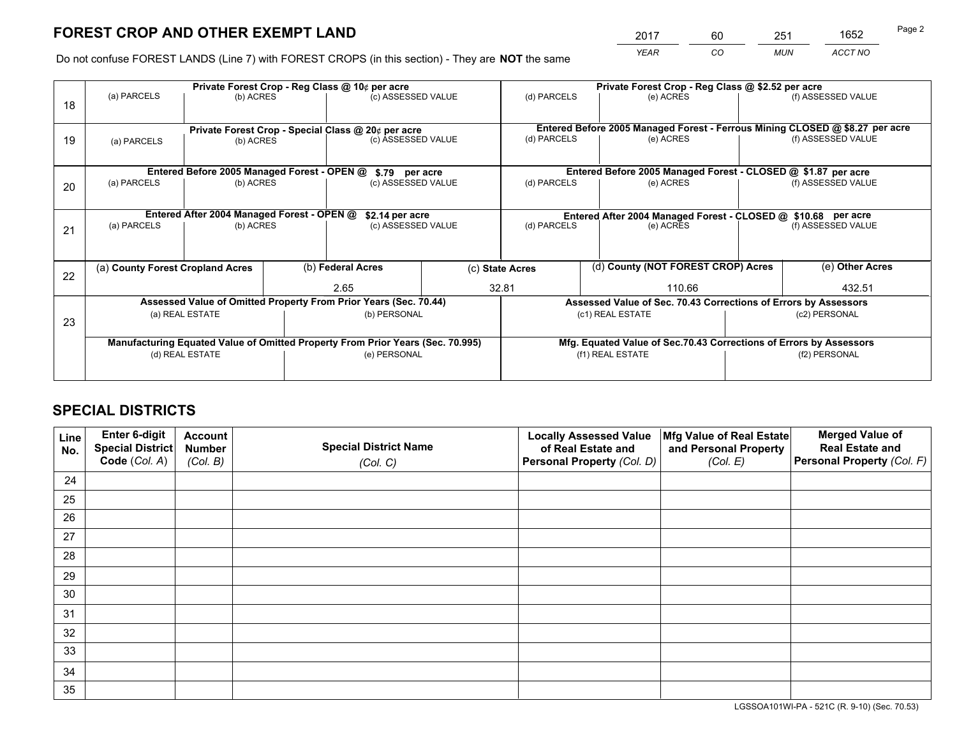*YEAR CO MUN ACCT NO* 2017 60 251 1652

Do not confuse FOREST LANDS (Line 7) with FOREST CROPS (in this section) - They are **NOT** the same

|    |                                                                                |                                             |  | Private Forest Crop - Reg Class @ 10¢ per acre                           |  |                                                                              | Private Forest Crop - Reg Class @ \$2.52 per acre               |  |                    |  |
|----|--------------------------------------------------------------------------------|---------------------------------------------|--|--------------------------------------------------------------------------|--|------------------------------------------------------------------------------|-----------------------------------------------------------------|--|--------------------|--|
| 18 | (a) PARCELS                                                                    | (b) ACRES                                   |  | (c) ASSESSED VALUE                                                       |  | (d) PARCELS                                                                  | (e) ACRES                                                       |  | (f) ASSESSED VALUE |  |
|    |                                                                                |                                             |  |                                                                          |  | Entered Before 2005 Managed Forest - Ferrous Mining CLOSED @ \$8.27 per acre |                                                                 |  |                    |  |
| 19 | (b) ACRES<br>(a) PARCELS                                                       |                                             |  | Private Forest Crop - Special Class @ 20¢ per acre<br>(c) ASSESSED VALUE |  | (d) PARCELS<br>(e) ACRES                                                     |                                                                 |  | (f) ASSESSED VALUE |  |
|    |                                                                                | Entered Before 2005 Managed Forest - OPEN @ |  | \$.79 per acre                                                           |  |                                                                              | Entered Before 2005 Managed Forest - CLOSED @ \$1.87 per acre   |  |                    |  |
|    | (a) PARCELS                                                                    | (b) ACRES                                   |  | (c) ASSESSED VALUE                                                       |  | (d) PARCELS                                                                  | (e) ACRES                                                       |  | (f) ASSESSED VALUE |  |
| 20 |                                                                                |                                             |  |                                                                          |  |                                                                              |                                                                 |  |                    |  |
|    |                                                                                | Entered After 2004 Managed Forest - OPEN @  |  | \$2.14 per acre                                                          |  |                                                                              | Entered After 2004 Managed Forest - CLOSED @ \$10.68 per acre   |  |                    |  |
| 21 | (a) PARCELS                                                                    | (b) ACRES                                   |  | (c) ASSESSED VALUE                                                       |  | (d) PARCELS<br>(e) ACRES                                                     |                                                                 |  | (f) ASSESSED VALUE |  |
|    |                                                                                |                                             |  |                                                                          |  |                                                                              |                                                                 |  |                    |  |
| 22 | (a) County Forest Cropland Acres                                               |                                             |  | (b) Federal Acres<br>2.65                                                |  | (d) County (NOT FOREST CROP) Acres<br>(c) State Acres                        |                                                                 |  | (e) Other Acres    |  |
|    |                                                                                |                                             |  |                                                                          |  | 32.81<br>110.66                                                              |                                                                 |  | 432.51             |  |
|    |                                                                                |                                             |  | Assessed Value of Omitted Property From Prior Years (Sec. 70.44)         |  |                                                                              | Assessed Value of Sec. 70.43 Corrections of Errors by Assessors |  |                    |  |
| 23 |                                                                                | (a) REAL ESTATE                             |  | (b) PERSONAL                                                             |  |                                                                              | (c1) REAL ESTATE                                                |  | (c2) PERSONAL      |  |
|    |                                                                                |                                             |  |                                                                          |  |                                                                              |                                                                 |  |                    |  |
|    | Manufacturing Equated Value of Omitted Property From Prior Years (Sec. 70.995) |                                             |  |                                                                          |  | Mfg. Equated Value of Sec.70.43 Corrections of Errors by Assessors           |                                                                 |  |                    |  |
|    |                                                                                | (d) REAL ESTATE                             |  | (e) PERSONAL                                                             |  |                                                                              | (f1) REAL ESTATE                                                |  | (f2) PERSONAL      |  |
|    |                                                                                |                                             |  |                                                                          |  |                                                                              |                                                                 |  |                    |  |

## **SPECIAL DISTRICTS**

| Line<br>No. | Enter 6-digit<br><b>Special District</b> | <b>Account</b><br><b>Number</b> | <b>Special District Name</b> | <b>Locally Assessed Value</b><br>of Real Estate and | Mfg Value of Real Estate<br>and Personal Property | <b>Merged Value of</b><br><b>Real Estate and</b> |
|-------------|------------------------------------------|---------------------------------|------------------------------|-----------------------------------------------------|---------------------------------------------------|--------------------------------------------------|
|             | Code (Col. A)                            | (Col. B)                        | (Col. C)                     | Personal Property (Col. D)                          | (Col. E)                                          | Personal Property (Col. F)                       |
| 24          |                                          |                                 |                              |                                                     |                                                   |                                                  |
| 25          |                                          |                                 |                              |                                                     |                                                   |                                                  |
| 26          |                                          |                                 |                              |                                                     |                                                   |                                                  |
| 27          |                                          |                                 |                              |                                                     |                                                   |                                                  |
| 28          |                                          |                                 |                              |                                                     |                                                   |                                                  |
| 29          |                                          |                                 |                              |                                                     |                                                   |                                                  |
| 30          |                                          |                                 |                              |                                                     |                                                   |                                                  |
| 31          |                                          |                                 |                              |                                                     |                                                   |                                                  |
| 32          |                                          |                                 |                              |                                                     |                                                   |                                                  |
| 33          |                                          |                                 |                              |                                                     |                                                   |                                                  |
| 34          |                                          |                                 |                              |                                                     |                                                   |                                                  |
| 35          |                                          |                                 |                              |                                                     |                                                   |                                                  |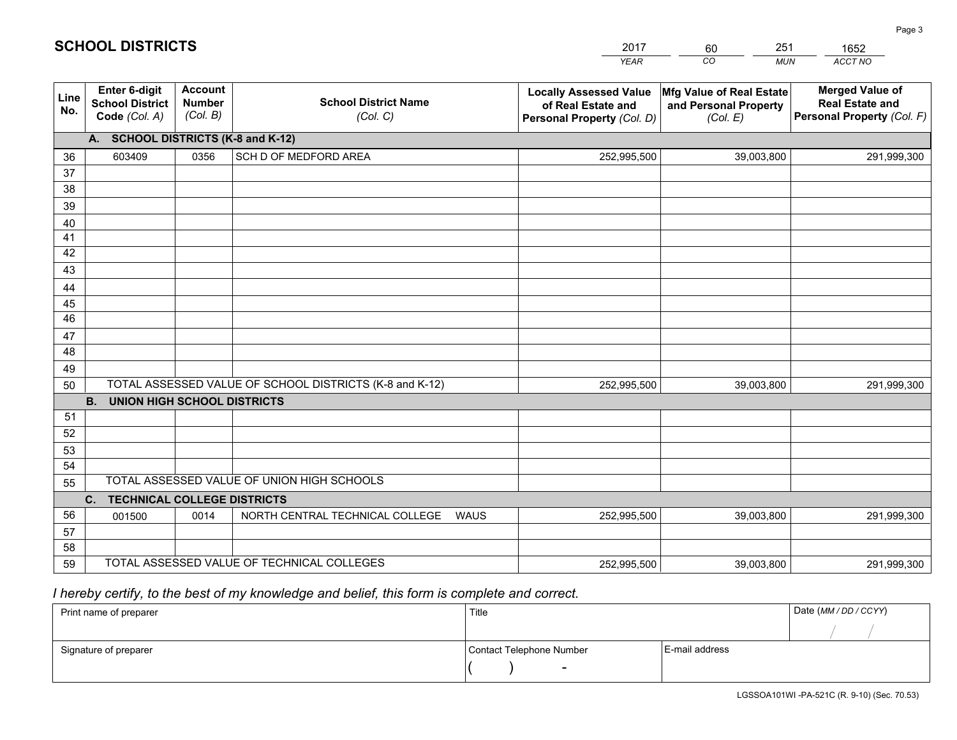|             |                                                                                                     |                                             |                                                | <b>YEAR</b>                                                                       | CO<br><b>MUN</b>                                              | ACCT NO                                                                        |  |  |
|-------------|-----------------------------------------------------------------------------------------------------|---------------------------------------------|------------------------------------------------|-----------------------------------------------------------------------------------|---------------------------------------------------------------|--------------------------------------------------------------------------------|--|--|
| Line<br>No. | Enter 6-digit<br><b>School District</b><br>Code (Col. A)                                            | <b>Account</b><br><b>Number</b><br>(Col. B) | <b>School District Name</b><br>(Col. C)        | <b>Locally Assessed Value</b><br>of Real Estate and<br>Personal Property (Col. D) | Mfg Value of Real Estate<br>and Personal Property<br>(Col. E) | <b>Merged Value of</b><br><b>Real Estate and</b><br>Personal Property (Col. F) |  |  |
|             | <b>SCHOOL DISTRICTS (K-8 and K-12)</b><br>A.                                                        |                                             |                                                |                                                                                   |                                                               |                                                                                |  |  |
| 36          | 603409                                                                                              | 0356                                        | SCH D OF MEDFORD AREA                          | 252,995,500                                                                       | 39,003,800                                                    | 291,999,300                                                                    |  |  |
| 37          |                                                                                                     |                                             |                                                |                                                                                   |                                                               |                                                                                |  |  |
| 38          |                                                                                                     |                                             |                                                |                                                                                   |                                                               |                                                                                |  |  |
| 39          |                                                                                                     |                                             |                                                |                                                                                   |                                                               |                                                                                |  |  |
| 40          |                                                                                                     |                                             |                                                |                                                                                   |                                                               |                                                                                |  |  |
| 41<br>42    |                                                                                                     |                                             |                                                |                                                                                   |                                                               |                                                                                |  |  |
| 43          |                                                                                                     |                                             |                                                |                                                                                   |                                                               |                                                                                |  |  |
| 44          |                                                                                                     |                                             |                                                |                                                                                   |                                                               |                                                                                |  |  |
| 45          |                                                                                                     |                                             |                                                |                                                                                   |                                                               |                                                                                |  |  |
| 46          |                                                                                                     |                                             |                                                |                                                                                   |                                                               |                                                                                |  |  |
| 47          |                                                                                                     |                                             |                                                |                                                                                   |                                                               |                                                                                |  |  |
| 48          |                                                                                                     |                                             |                                                |                                                                                   |                                                               |                                                                                |  |  |
| 49          |                                                                                                     |                                             |                                                |                                                                                   |                                                               |                                                                                |  |  |
| 50          | TOTAL ASSESSED VALUE OF SCHOOL DISTRICTS (K-8 and K-12)<br>252,995,500<br>39,003,800<br>291,999,300 |                                             |                                                |                                                                                   |                                                               |                                                                                |  |  |
|             | <b>B.</b><br><b>UNION HIGH SCHOOL DISTRICTS</b>                                                     |                                             |                                                |                                                                                   |                                                               |                                                                                |  |  |
| 51          |                                                                                                     |                                             |                                                |                                                                                   |                                                               |                                                                                |  |  |
| 52          |                                                                                                     |                                             |                                                |                                                                                   |                                                               |                                                                                |  |  |
| 53          |                                                                                                     |                                             |                                                |                                                                                   |                                                               |                                                                                |  |  |
| 54          |                                                                                                     |                                             |                                                |                                                                                   |                                                               |                                                                                |  |  |
| 55          | TOTAL ASSESSED VALUE OF UNION HIGH SCHOOLS<br>C.<br><b>TECHNICAL COLLEGE DISTRICTS</b>              |                                             |                                                |                                                                                   |                                                               |                                                                                |  |  |
| 56          | 001500                                                                                              | 0014                                        | NORTH CENTRAL TECHNICAL COLLEGE<br><b>WAUS</b> | 252,995,500                                                                       | 39,003,800                                                    | 291,999,300                                                                    |  |  |
| 57          |                                                                                                     |                                             |                                                |                                                                                   |                                                               |                                                                                |  |  |
| 58          |                                                                                                     |                                             |                                                |                                                                                   |                                                               |                                                                                |  |  |
| 59          |                                                                                                     |                                             | TOTAL ASSESSED VALUE OF TECHNICAL COLLEGES     | 252,995,500                                                                       | 39,003,800                                                    | 291,999,300                                                                    |  |  |

60

251

 *I hereby certify, to the best of my knowledge and belief, this form is complete and correct.*

**SCHOOL DISTRICTS**

| Print name of preparer | Title                    | Date (MM / DD / CCYY) |  |
|------------------------|--------------------------|-----------------------|--|
|                        |                          |                       |  |
| Signature of preparer  | Contact Telephone Number | E-mail address        |  |
|                        | $\sim$                   |                       |  |